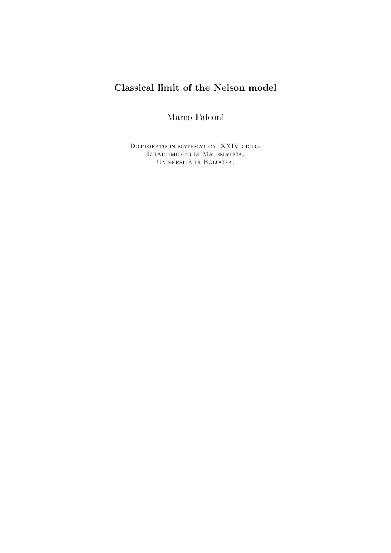# Classical limit of the Nelson model

Marco Falconi

DOTTORATO IN MATEMATICA, XXIV CICLO. Dipartimento di Matematica, UNIVERSITÀ DI BOLOGNA.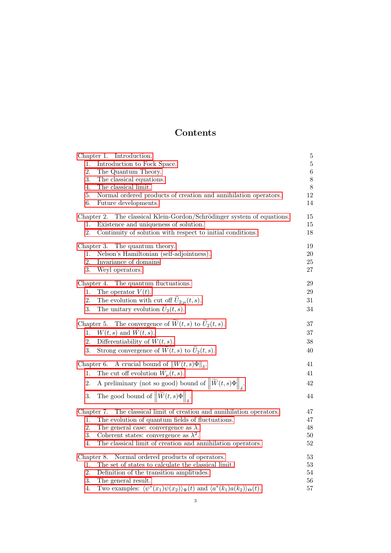## Contents

| Chapter 1. Introduction.                                                                                              | 5       |
|-----------------------------------------------------------------------------------------------------------------------|---------|
| Introduction to Fock Space.<br>1.                                                                                     | $\bf 5$ |
| 2.<br>The Quantum Theory.                                                                                             | 6       |
| 3.<br>The classical equations.                                                                                        | $8\,$   |
| 4.<br>The classical limit.                                                                                            | 8       |
| 5.<br>Normal ordered products of creation and annihilation operators.                                                 | 12      |
| 6.<br>Future developments.                                                                                            | 14      |
| The classical Klein-Gordon/Schrödinger system of equations.<br>Chapter 2.                                             | 15      |
| Existence and uniqueness of solution.<br>1.                                                                           | 15      |
| 2.<br>Continuity of solution with respect to initial conditions.                                                      | 18      |
| Chapter 3. The quantum theory.                                                                                        | 19      |
| Nelson's Hamiltonian (self-adjointness).<br>1.                                                                        | $20\,$  |
| 2.<br>Invariance of domains                                                                                           | $25\,$  |
| 3.<br>Weyl operators.                                                                                                 | 27      |
| Chapter 4. The quantum fluctuations.                                                                                  | 29      |
| The operator $\widetilde{V}(t)$ .<br>1.                                                                               | 29      |
| The evolution with cut off $\tilde{U}_{2;\mu}(t,s)$ .<br>2.                                                           | 31      |
| The unitary evolution $\widetilde{U}_2(t,s)$ .<br>3.                                                                  | 34      |
|                                                                                                                       |         |
| Chapter 5. The convergence of $\widetilde{W}(t, s)$ to $\widetilde{U}_2(t, s)$ .                                      | 37      |
| 1. $W(t,s)$ and $\widetilde{W}(t,s)$ .                                                                                | 37      |
| 2.<br>Differentiability of $\widetilde{W}(t,s)$ .                                                                     | 38      |
| Strong convergence of $\widetilde{W}(t,s)$ to $\widetilde{U}_2(t,s)$ .<br>3.                                          | 40      |
| Chapter 6. A crucial bound of $  W(t,s)\Phi  _{\delta}$ .                                                             | 41      |
| The cut off evolution $\widetilde{W}_{\mu}(t, s)$ .<br>1.                                                             | 41      |
| A preliminary (not so good) bound of $\left\ \widetilde{W}(t,s)\Phi\right\ _{s}$ .<br>2.                              | 42      |
| The good bound of $\left\ \widetilde{W}(t,s)\Phi\right\ _{\delta}$ .<br>3.                                            | 44      |
|                                                                                                                       |         |
| The classical limit of creation and annihilation operators.<br>Chapter 7.                                             | 47      |
| 1.<br>The evolution of quantum fields of fluctuations.                                                                | 47      |
| 2.<br>The general case: convergence as $\lambda$ .                                                                    | 48      |
| 3.<br>Coherent states: convergence as $\lambda^2$ .                                                                   | 50      |
| 4.<br>The classical limit of creation and annihilation operators.                                                     | 52      |
| Chapter 8.<br>Normal ordered products of operators.                                                                   | 53      |
| The set of states to calculate the classical limit.<br>1.                                                             | 53      |
| 2.<br>Definition of the transition amplitudes.                                                                        | 54      |
| 3.<br>The general result.                                                                                             | 56      |
| Two examples: $\langle \psi^*(x_1)\psi(x_2)\rangle_{\Psi}(t)$ and $\langle a^*(k_1)a(k_2)\rangle_{\Theta}(t)$ .<br>4. | 57      |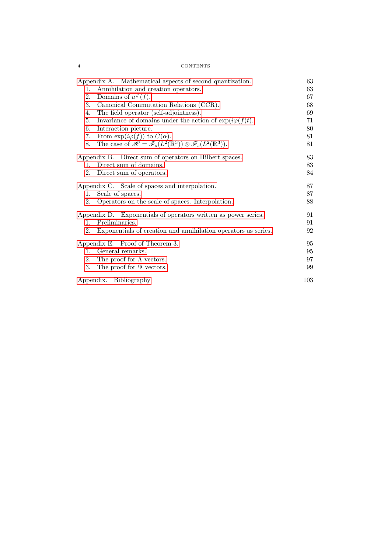| <b>CONTENTS</b> |
|-----------------|
|-----------------|

 $4$ 

| Appendix A. Mathematical aspects of second quantization.                                                     | 63  |
|--------------------------------------------------------------------------------------------------------------|-----|
| Annihilation and creation operators.<br>1.                                                                   | 63  |
| Domains of $a^{\#}(f)$ .<br>2.                                                                               | 67  |
| Canonical Commutation Relations (CCR).<br>3.                                                                 | 68  |
| The field operator (self-adjointness).<br>4.                                                                 | 69  |
| Invariance of domains under the action of $\exp(i\varphi(f)t)$ .<br>5.                                       | 71  |
| 6.<br>Interaction picture.                                                                                   | 80  |
| From $\exp(i\varphi(f))$ to $C(\alpha)$ .<br>7.                                                              | 81  |
| The case of $\mathscr{H} = \mathscr{F}_s(L^2(\mathbb{R}^3)) \otimes \mathscr{F}_s(L^2(\mathbb{R}^3)).$<br>8. | 81  |
| Appendix B. Direct sum of operators on Hilbert spaces.                                                       | 83  |
| Direct sum of domains.<br>$1_{-}$                                                                            | 83  |
| Direct sum of operators.<br>2.                                                                               | 84  |
| Appendix C. Scale of spaces and interpolation.                                                               | 87  |
| Scale of spaces.<br>1.                                                                                       | 87  |
| 2.<br>Operators on the scale of spaces. Interpolation.                                                       | 88  |
| Appendix D. Exponentials of operators written as power series.                                               | 91  |
| Preliminaries.<br>$\mathbf{1}$ .                                                                             | 91  |
| Exponentials of creation and annihilation operators as series.<br>2.                                         | 92  |
| Appendix E. Proof of Theorem 3.                                                                              | 95  |
| General remarks.<br>1.                                                                                       | 95  |
| The proof for $\Lambda$ vectors.<br>2.                                                                       | 97  |
| 3.<br>The proof for $\Psi$ vectors.                                                                          | 99  |
| Appendix. Bibliography                                                                                       | 103 |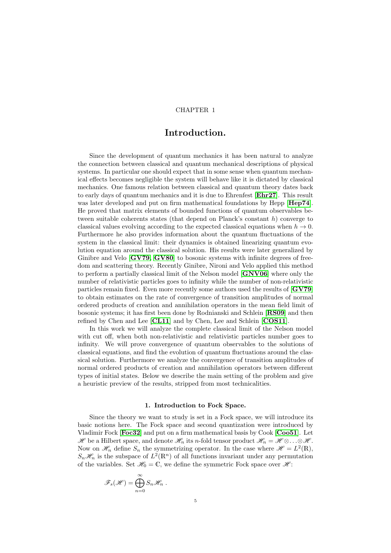#### CHAPTER 1

## Introduction.

<span id="page-4-0"></span>Since the development of quantum mechanics it has been natural to analyze the connection between classical and quantum mechanical descriptions of physical systems. In particular one should expect that in some sense when quantum mechanical effects becomes negligible the system will behave like it is dictated by classical mechanics. One famous relation between classical and quantum theory dates back to early days of quantum mechanics and it is due to Ehrenfest [[Ehr27](#page-102-1)]. This result was later developed and put on firm mathematical foundations by Hepp [**[Hep74](#page-102-2)**]. He proved that matrix elements of bounded functions of quantum observables between suitable coherents states (that depend on Planck's constant  $h$ ) converge to classical values evolving according to the expected classical equations when  $h \to 0$ . Furthermore he also provides information about the quantum fluctuations of the system in the classical limit: their dynamics is obtained linearizing quantum evolution equation around the classical solution. His results were later generalized by Ginibre and Velo [[GV79,](#page-102-3) [GV80](#page-102-4)] to bosonic systems with infinite degrees of freedom and scattering theory. Recently Ginibre, Nironi and Velo applied this method to perform a partially classical limit of the Nelson model [[GNV06](#page-102-5)] where only the number of relativistic particles goes to infinity while the number of non-relativistic particles remain fixed. Even more recently some authors used the results of [[GV79](#page-102-3)] to obtain estimates on the rate of convergence of transition amplitudes of normal ordered products of creation and annihilation operators in the mean field limit of bosonic systems; it has first been done by Rodnianski and Schlein [[RS09](#page-102-6)] and then refined by Chen and Lee [[CL11](#page-102-7)] and by Chen, Lee and Schlein [[COS11](#page-102-8)].

In this work we will analyze the complete classical limit of the Nelson model with cut off, when both non-relativistic and relativistic particles number goes to infinity. We will prove convergence of quantum observables to the solutions of classical equations, and find the evolution of quantum fluctuations around the classical solution. Furthermore we analyze the convergence of transition amplitudes of normal ordered products of creation and annihilation operators between different types of initial states. Below we describe the main setting of the problem and give a heuristic preview of the results, stripped from most technicalities.

#### 1. Introduction to Fock Space.

<span id="page-4-1"></span>Since the theory we want to study is set in a Fock space, we will introduce its basic notions here. The Fock space and second quantization were introduced by Vladimir Fock [**[Foc32](#page-102-9)**] and put on a firm mathematical basis by Cook [**[Coo51](#page-102-10)**]. Let H be a Hilbert space, and denote  $\mathcal{H}_n$  its n-fold tensor product  $\mathcal{H}_n = \mathcal{H} \otimes \ldots \otimes \mathcal{H}$ . Now on  $\mathscr{H}_n$  define  $S_n$  the symmetrizing operator. In the case where  $\mathscr{H} = L^2(\mathbb{R})$ ,  $S_n\mathcal{H}_n$  is the subspace of  $L^2(\mathbb{R}^n)$  of all functions invariant under any permutation of the variables. Set  $\mathcal{H}_0 = \mathbb{C}$ , we define the symmetric Fock space over  $\mathcal{H}$ :

$$
\mathscr{F}_s(\mathscr{H}) = \bigoplus_{n=0}^{\infty} S_n \mathscr{H}_n .
$$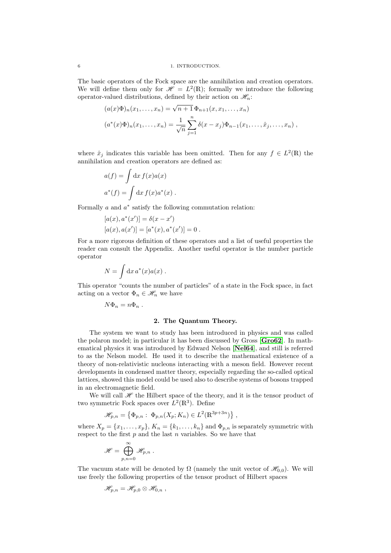#### 6 1. INTRODUCTION.

The basic operators of the Fock space are the annihilation and creation operators. We will define them only for  $\mathscr{H} = L^2(\mathbb{R})$ ; formally we introduce the following operator-valued distributions, defined by their action on  $\mathcal{H}_n$ :

$$
(a(x)\Phi)_n(x_1,...,x_n) = \sqrt{n+1} \Phi_{n+1}(x, x_1,...,x_n)
$$

$$
(a^*(x)\Phi)_n(x_1,...,x_n) = \frac{1}{\sqrt{n}} \sum_{j=1}^n \delta(x - x_j) \Phi_{n-1}(x_1,...,\hat{x}_j,...,x_n) ,
$$

where  $\hat{x}_j$  indicates this variable has been omitted. Then for any  $f \in L^2(\mathbb{R})$  the annihilation and creation operators are defined as:

$$
a(f) = \int dx f(x)a(x)
$$
  

$$
a^*(f) = \int dx f(x)a^*(x).
$$

Formally  $a$  and  $a^*$  satisfy the following commutation relation:

$$
[a(x), a^*(x')] = \delta(x - x')
$$
  

$$
[a(x), a(x')] = [a^*(x), a^*(x')] = 0.
$$

For a more rigorous definition of these operators and a list of useful properties the reader can consult the Appendix. Another useful operator is the number particle operator

$$
N = \int \mathrm{d}x \, a^*(x) a(x) \; .
$$

This operator "counts the number of particles" of a state in the Fock space, in fact acting on a vector  $\Phi_n \in \mathcal{H}_n$  we have

$$
N\Phi_n = n\Phi_n .
$$

#### 2. The Quantum Theory.

<span id="page-5-0"></span>The system we want to study has been introduced in physics and was called the polaron model; in particular it has been discussed by Gross [[Gro62](#page-102-11)]. In mathematical physics it was introduced by Edward Nelson [[Nel64](#page-102-12)], and still is referred to as the Nelson model. He used it to describe the mathematical existence of a theory of non-relativistic nucleons interacting with a meson field. However recent developments in condensed matter theory, especially regarding the so-called optical lattices, showed this model could be used also to describe systems of bosons trapped in an electromagnetic field.

We will call  $\mathscr H$  the Hilbert space of the theory, and it is the tensor product of two symmetric Fock spaces over  $L^2(\mathbb{R}^3)$ . Define

$$
\mathscr{H}_{p,n} = \left\{ \Phi_{p,n} : \ \Phi_{p,n}(X_p; K_n) \in L^2(\mathbb{R}^{3p+3n}) \right\},
$$

where  $X_p = \{x_1, \ldots, x_p\}$ ,  $K_n = \{k_1, \ldots, k_n\}$  and  $\Phi_{p,n}$  is separately symmetric with respect to the first  $p$  and the last  $n$  variables. So we have that

$$
\mathscr{H}=\bigoplus_{p,n=0}^\infty \mathscr{H}_{p,n} \;.
$$

The vacuum state will be denoted by  $\Omega$  (namely the unit vector of  $\mathscr{H}_{0,0}$ ). We will use freely the following properties of the tensor product of Hilbert spaces

$$
\mathscr{H}_{p,n}=\mathscr{H}_{p,0}\otimes\mathscr{H}_{0,n}\;,
$$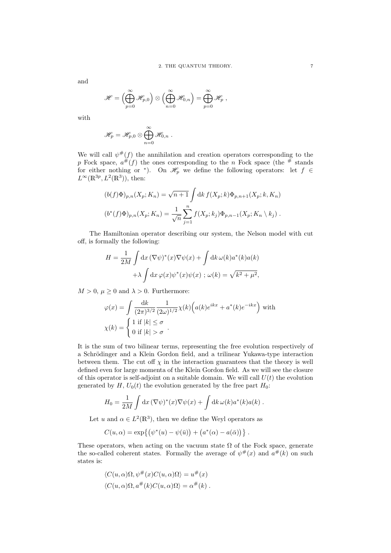and

$$
\mathscr{H}=\left(\bigoplus_{p=0}^\infty\mathscr{H}_{p,0}\right)\otimes\left(\bigoplus_{n=0}^\infty\mathscr{H}_{0,n}\right)=\bigoplus_{p=0}^\infty\mathscr{H}_p,
$$

with

$$
\mathscr{H}_p = \mathscr{H}_{p,0} \otimes \bigoplus_{n=0}^{\infty} \mathscr{H}_{0,n} .
$$

We will call  $\psi^{\#}(f)$  the annihilation and creation operators corresponding to the p Fock space,  $a^{\#}(f)$  the ones corresponding to the n Fock space (the # stands for either nothing or \*). On  $\mathscr{H}_p$  we define the following operators: let  $f \in$  $L^{\infty}(\mathbb{R}^{3p}, L^2(\mathbb{R}^3))$ , then:

$$
(b(f)\Phi)_{p,n}(X_p; K_n) = \sqrt{n+1} \int \mathrm{d}k \, f(X_p; k) \Phi_{p,n+1}(X_p; k, K_n)
$$

$$
(b^*(f)\Phi)_{p,n}(X_p; K_n) = \frac{1}{\sqrt{n}} \sum_{j=1}^n f(X_p; k_j) \Phi_{p,n-1}(X_p; K_n \setminus k_j) .
$$

The Hamiltonian operator describing our system, the Nelson model with cut off, is formally the following:

$$
H = \frac{1}{2M} \int dx \, (\nabla \psi)^*(x) \nabla \psi(x) + \int dk \, \omega(k) a^*(k) a(k)
$$

$$
+ \lambda \int dx \, \varphi(x) \psi^*(x) \psi(x) \; ; \; \omega(k) = \sqrt{k^2 + \mu^2},
$$

 $M > 0$ ,  $\mu \geq 0$  and  $\lambda > 0$ . Furthermore:

$$
\varphi(x) = \int \frac{\mathrm{d}k}{(2\pi)^{3/2}} \frac{1}{(2\omega)^{1/2}} \chi(k) \Big( a(k) e^{ikx} + a^*(k) e^{-ikx} \Big) \text{ with}
$$

$$
\chi(k) = \begin{cases} 1 \text{ if } |k| \le \sigma \\ 0 \text{ if } |k| > \sigma \end{cases}.
$$

It is the sum of two bilinear terms, representing the free evolution respectively of a Schrödinger and a Klein Gordon field, and a trilinear Yukawa-type interaction between them. The cut off  $\chi$  in the interaction guarantees that the theory is well defined even for large momenta of the Klein Gordon field. As we will see the closure of this operator is self-adjoint on a suitable domain. We will call  $U(t)$  the evolution generated by H,  $U_0(t)$  the evolution generated by the free part  $H_0$ :

$$
H_0 = \frac{1}{2M} \int dx \, (\nabla \psi)^*(x) \nabla \psi(x) + \int dk \, \omega(k) a^*(k) a(k) .
$$

Let u and  $\alpha \in L^2(\mathbb{R}^3)$ , then we define the Weyl operators as

$$
C(u, \alpha) = \exp\{ (\psi^*(u) - \psi(\bar{u})) + (a^*(\alpha) - a(\bar{\alpha})) \}.
$$

These operators, when acting on the vacuum state  $\Omega$  of the Fock space, generate the so-called coherent states. Formally the average of  $\psi^{\#}(x)$  and  $a^{\#}(k)$  on such states is:

$$
\langle C(u, \alpha)\Omega, \psi^{\#}(x)C(u, \alpha)\Omega\rangle = u^{\#}(x)
$$
  

$$
\langle C(u, \alpha)\Omega, a^{\#}(k)C(u, \alpha)\Omega\rangle = \alpha^{\#}(k) .
$$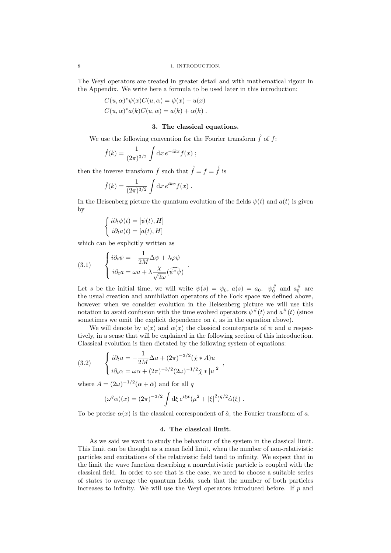The Weyl operators are treated in greater detail and with mathematical rigour in the Appendix. We write here a formula to be used later in this introduction:

$$
C(u, \alpha)^* \psi(x) C(u, \alpha) = \psi(x) + u(x)
$$
  

$$
C(u, \alpha)^* a(k) C(u, \alpha) = a(k) + \alpha(k).
$$

#### 3. The classical equations.

<span id="page-7-0"></span>We use the following convention for the Fourier transform  $\hat{f}$  of  $f$ :

$$
\hat{f}(k) = \frac{1}{(2\pi)^{3/2}} \int dx e^{-ikx} f(x) ;
$$

then the inverse transform  $\check{f}$  such that  $\hat{\check{f}} = f = \check{\hat{f}}$  is

$$
\check{f}(k) = \frac{1}{(2\pi)^{3/2}} \int dx e^{ikx} f(x) .
$$

In the Heisenberg picture the quantum evolution of the fields  $\psi(t)$  and  $a(t)$  is given by

$$
\begin{cases}\n i\partial_t \psi(t) = [\psi(t), H] \\
 i\partial_t a(t) = [a(t), H]\n\end{cases}
$$

which can be explicitly written as

(3.1) 
$$
\begin{cases} i\partial_t \psi = -\frac{1}{2M} \Delta \psi + \lambda \varphi \psi \\ i\partial_t a = \omega a + \lambda \frac{\chi}{\sqrt{2\omega}} (\widehat{\psi^* \psi}) \end{cases}
$$

Let s be the initial time, we will write  $\psi(s) = \psi_0, a(s) = a_0$ .  $\psi_0^{\#}$  and  $a_0^{\#}$  are the usual creation and annihilation operators of the Fock space we defined above, however when we consider evolution in the Heisenberg picture we will use this notation to avoid confusion with the time evolved operators  $\psi^{\#}(t)$  and  $a^{\#}(t)$  (since sometimes we omit the explicit dependence on  $t$ , as in the equation above).

<span id="page-7-2"></span>.

We will denote by  $u(x)$  and  $\alpha(x)$  the classical counterparts of  $\psi$  and a respectively, in a sense that will be explained in the following section of this introduction. Classical evolution is then dictated by the following system of equations:

<span id="page-7-3"></span>,

(3.2) 
$$
\begin{cases} i\partial_t u = -\frac{1}{2M} \Delta u + (2\pi)^{-3/2} (\check{\chi} * A) u \\ i\partial_t \alpha = \omega \alpha + (2\pi)^{-3/2} (2\omega)^{-1/2} \check{\chi} * |u|^2 \end{cases}
$$

where  $A = (2\omega)^{-1/2}(\alpha + \bar{\alpha})$  and for all q

$$
(\omega^q \alpha)(x) = (2\pi)^{-3/2} \int d\xi \, e^{i\xi x} (\mu^2 + |\xi|^2)^{q/2} \hat{\alpha}(\xi) .
$$

To be precise  $\alpha(x)$  is the classical correspondent of  $\hat{a}$ , the Fourier transform of a.

#### 4. The classical limit.

<span id="page-7-1"></span>As we said we want to study the behaviour of the system in the classical limit. This limit can be thought as a mean field limit, when the number of non-relativistic particles and excitations of the relativistic field tend to infinity. We expect that in the limit the wave function describing a nonrelativistic particle is coupled with the classical field. In order to see that is the case, we need to choose a suitable series of states to average the quantum fields, such that the number of both particles increases to infinity. We will use the Weyl operators introduced before. If  $p$  and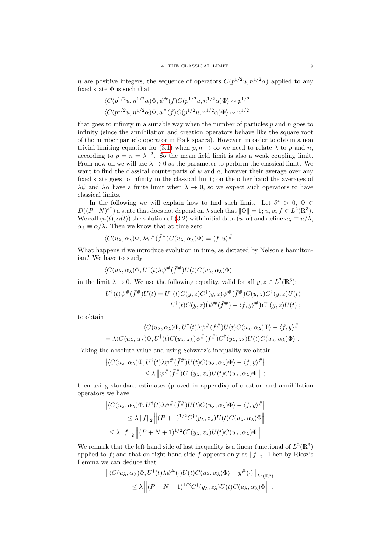n are positive integers, the sequence of operators  $C(p^{1/2}u, n^{1/2}\alpha)$  applied to any fixed state  $\Phi$  is such that

$$
\langle C(p^{1/2}u, n^{1/2}\alpha)\Phi, \psi^{\#}(f)C(p^{1/2}u, n^{1/2}\alpha)\Phi \rangle \sim p^{1/2}
$$
  

$$
\langle C(p^{1/2}u, n^{1/2}\alpha)\Phi, a^{\#}(f)C(p^{1/2}u, n^{1/2}\alpha)\Phi \rangle \sim n^{1/2},
$$

that goes to infinity in a suitable way when the number of particles  $p$  and  $n$  goes to infinity (since the annihilation and creation operators behave like the square root of the number particle operator in Fock spaces). However, in order to obtain a non trivial limiting equation for [\(3.1\)](#page-7-2) when  $p, n \to \infty$  we need to relate  $\lambda$  to p and n, according to  $p = n = \lambda^{-2}$ . So the mean field limit is also a weak coupling limit. From now on we will use  $\lambda \to 0$  as the parameter to perform the classical limit. We want to find the classical counterparts of  $\psi$  and a, however their average over any fixed state goes to infinity in the classical limit; on the other hand the averages of  $\lambda \psi$  and  $\lambda \alpha$  have a finite limit when  $\lambda \to 0$ , so we expect such operators to have classical limits.

In the following we will explain how to find such limit. Let  $\delta^* > 0$ ,  $\Phi \in$  $D((P+N)^{\delta^*})$  a state that does not depend on  $\lambda$  such that  $\|\Phi\| = 1; u, \alpha, f \in L^2(\mathbb{R}^3)$ . We call  $(u(t), \alpha(t))$  the solution of [\(3.2\)](#page-7-3) with initial data  $(u, \alpha)$  and define  $u_{\lambda} \equiv u/\lambda$ .  $\alpha_{\lambda} \equiv \alpha/\lambda$ . Then we know that at time zero

$$
\langle C(u_\lambda,\alpha_\lambda)\Phi,\lambda\psi^\#(\bar{f}^\#)C(u_\lambda,\alpha_\lambda)\Phi\rangle=\langle f,u\rangle^\#.
$$

What happens if we introduce evolution in time, as dictated by Nelson's hamiltonian? We have to study

$$
\langle C(u_\lambda,\alpha_\lambda)\Phi,U^\dagger(t)\lambda\psi^\#(\bar{f}^\#)U(t)C(u_\lambda,\alpha_\lambda)\Phi\rangle
$$

in the limit  $\lambda \to 0$ . We use the following equality, valid for all  $y, z \in L^2(\mathbb{R}^3)$ :

$$
U^{\dagger}(t)\psi^{\#}(\bar{f}^{\#})U(t) = U^{\dagger}(t)C(y,z)C^{\dagger}(y,z)\psi^{\#}(\bar{f}^{\#})C(y,z)C^{\dagger}(y,z)U(t)
$$
  
= 
$$
U^{\dagger}(t)C(y,z)(\psi^{\#}(\bar{f}^{\#}) + \langle f, y \rangle^{\#})C^{\dagger}(y,z)U(t);
$$

to obtain

$$
\langle C(u_{\lambda}, \alpha_{\lambda})\Phi, U^{\dagger}(t)\lambda \psi^{\#}(\bar{f}^{\#})U(t)C(u_{\lambda}, \alpha_{\lambda})\Phi\rangle - \langle f, y \rangle^{\#}
$$
  
=  $\lambda \langle C(u_{\lambda}, \alpha_{\lambda})\Phi, U^{\dagger}(t)C(y_{\lambda}, z_{\lambda})\psi^{\#}(\bar{f}^{\#})C^{\dagger}(y_{\lambda}, z_{\lambda})U(t)C(u_{\lambda}, \alpha_{\lambda})\Phi\rangle.$ 

Taking the absolute value and using Schwarz's inequality we obtain:

$$
\left| \langle C(u_{\lambda}, \alpha_{\lambda}) \Phi, U^{\dagger}(t) \lambda \psi^{\#}(\bar{f}^{\#}) U(t) C(u_{\lambda}, \alpha_{\lambda}) \Phi \rangle - \langle f, y \rangle^{\#} \right|
$$
  

$$
\leq \lambda \left\| \psi^{\#}(\bar{f}^{\#}) C^{\dagger}(y_{\lambda}, z_{\lambda}) U(t) C(u_{\lambda}, \alpha_{\lambda}) \Phi \right\| ;
$$

then using standard estimates (proved in appendix) of creation and annihilation operators we have

$$
\left| \langle C(u_{\lambda}, \alpha_{\lambda}) \Phi, U^{\dagger}(t) \lambda \psi^{\#}(\bar{f}^{\#}) U(t) C(u_{\lambda}, \alpha_{\lambda}) \Phi \rangle - \langle f, y \rangle^{\#} \right|
$$
  
\n
$$
\leq \lambda \|f\|_{2} \left\| (P+1)^{1/2} C^{\dagger}(y_{\lambda}, z_{\lambda}) U(t) C(u_{\lambda}, \alpha_{\lambda}) \Phi \right\|
$$
  
\n
$$
\leq \lambda \|f\|_{2} \left\| (P+N+1)^{1/2} C^{\dagger}(y_{\lambda}, z_{\lambda}) U(t) C(u_{\lambda}, \alpha_{\lambda}) \Phi \right\|.
$$

We remark that the left hand side of last inequality is a linear functional of  $L^2(\mathbb{R}^3)$ applied to f; and that on right hand side f appears only as  $||f||_2$ . Then by Riesz's Lemma we can deduce that

$$
\left\| \langle C(u_{\lambda}, \alpha_{\lambda}) \Phi, U^{\dagger}(t) \lambda \psi^{\#}(\cdot) U(t) C(u_{\lambda}, \alpha_{\lambda}) \Phi \rangle - y^{\#}(\cdot) \right\|_{L^{2}(\mathbb{R}^{3})}
$$
  
 
$$
\leq \lambda \left\| (P + N + 1)^{1/2} C^{\dagger}(y_{\lambda}, z_{\lambda}) U(t) C(u_{\lambda}, \alpha_{\lambda}) \Phi \right\|.
$$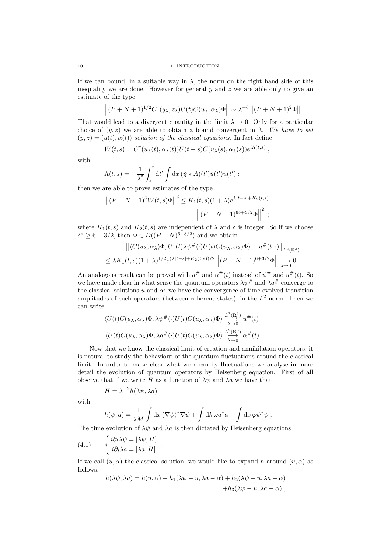If we can bound, in a suitable way in  $\lambda$ , the norm on the right hand side of this inequality we are done. However for general  $y$  and  $z$  we are able only to give an estimate of the type

$$
\left\| (P+N+1)^{1/2} C^{\dagger}(y_{\lambda}, z_{\lambda}) U(t) C(u_{\lambda}, \alpha_{\lambda}) \Phi \right\| \sim \lambda^{-6} \left\| (P+N+1)^2 \Phi \right\|.
$$

That would lead to a divergent quantity in the limit  $\lambda \to 0$ . Only for a particular choice of  $(y, z)$  we are able to obtain a bound convergent in  $\lambda$ . We have to set  $(y, z) = (u(t), \alpha(t))$  solution of the classical equations. In fact define

$$
W(t,s) = C^{\dagger}(u_{\lambda}(t), \alpha_{\lambda}(t))U(t-s)C(u_{\lambda}(s), \alpha_{\lambda}(s))e^{i\Lambda(t,s)},
$$

with

$$
\Lambda(t,s) = -\frac{1}{\lambda^2} \int_s^t dt' \int dx \, (\tilde{\chi} * A)(t') \bar{u}(t') u(t') ;
$$

then we are able to prove estimates of the type

$$
||(P+N+1)^{\delta}W(t,s)\Phi||^{2} \leq K_{1}(t,s)(1+\lambda)e^{\lambda|t-s|+K_{2}(t,s)}\sqrt{||(P+N+1)^{6\delta+3/2}\Phi||^{2}};
$$

where  $K_1(t, s)$  and  $K_2(t, s)$  are independent of  $\lambda$  and  $\delta$  is integer. So if we choose  $\delta^* \geq 6 + 3/2$ , then  $\Phi \in D((P+N)^{6+3/2})$  and we obtain

$$
\left\| \langle C(u_{\lambda}, \alpha_{\lambda}) \Phi, U^{\dagger}(t) \lambda \psi^{\#}(\cdot) U(t) C(u_{\lambda}, \alpha_{\lambda}) \Phi \rangle - u^{\#}(t, \cdot) \right\|_{L^{2}(\mathbb{R}^{3})}
$$
  

$$
\leq \lambda K_{1}(t, s)(1 + \lambda)^{1/2} e^{(\lambda|t - s| + K_{2}(t, s))/2} \left\| (P + N + 1)^{6 + 3/2} \Phi \right\| \xrightarrow[\lambda \to 0]{} 0.
$$

An analogous result can be proved with  $a^{\#}$  and  $\alpha^{\#}(t)$  instead of  $\psi^{\#}$  and  $u^{\#}(t)$ . So we have made clear in what sense the quantum operators  $\lambda \psi^{\#}$  and  $\lambda a^{\#}$  converge to the classical solutions u and  $\alpha$ : we have the convergence of time evolved transition amplitudes of such operators (between coherent states), in the  $L^2$ -norm. Then we can write

$$
\langle U(t)C(u_{\lambda}, \alpha_{\lambda})\Phi, \lambda \psi^{\#}(\cdot)U(t)C(u_{\lambda}, \alpha_{\lambda})\Phi \rangle \stackrel{L^2(\mathbb{R}^3)}{\longrightarrow} u^{\#}(t)
$$
  

$$
\langle U(t)C(u_{\lambda}, \alpha_{\lambda})\Phi, \lambda a^{\#}(\cdot)U(t)C(u_{\lambda}, \alpha_{\lambda})\Phi \rangle \stackrel{L^2(\mathbb{R}^3)}{\longrightarrow} \alpha^{\#}(t).
$$

Now that we know the classical limit of creation and annihilation operators, it is natural to study the behaviour of the quantum fluctuations around the classical limit. In order to make clear what we mean by fluctuations we analyse in more detail the evolution of quantum operators by Heisenberg equation. First of all observe that if we write H as a function of  $\lambda \psi$  and  $\lambda a$  we have that

$$
H = \lambda^{-2} h(\lambda \psi, \lambda a) ,
$$

with

<span id="page-9-0"></span>
$$
h(\psi, a) = \frac{1}{2M} \int dx \, (\nabla \psi)^* \nabla \psi + \int dk \, \omega a^* a + \int dx \, \varphi \psi^* \psi.
$$

The time evolution of  $\lambda \psi$  and  $\lambda a$  is then dictated by Heisenberg equations

(4.1) 
$$
\begin{cases} i\partial_t \lambda \psi = [\lambda \psi, H] \\ i\partial_t \lambda a = [\lambda a, H] \end{cases}.
$$

If we call  $(u, \alpha)$  the classical solution, we would like to expand h around  $(u, \alpha)$  as follows:

$$
h(\lambda \psi, \lambda a) = h(u, \alpha) + h_1(\lambda \psi - u, \lambda a - \alpha) + h_2(\lambda \psi - u, \lambda a - \alpha) + h_3(\lambda \psi - u, \lambda a - \alpha),
$$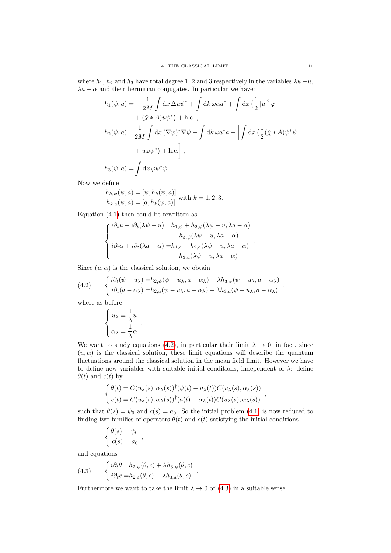where  $h_1$ ,  $h_2$  and  $h_3$  have total degree 1, 2 and 3 respectively in the variables  $\lambda \psi - u$ ,  $\lambda a - \alpha$  and their hermitian conjugates. In particular we have:

$$
h_1(\psi, a) = -\frac{1}{2M} \int dx \,\Delta u \psi^* + \int dk \,\omega \alpha a^* + \int dx \left(\frac{1}{2} |u|^2 \varphi + (\check{\chi} * A) u \psi^*\right) + \text{h.c.},
$$
  
\n
$$
h_2(\psi, a) = \frac{1}{2M} \int dx \, (\nabla \psi)^* \nabla \psi + \int dk \,\omega a^* a + \left[ \int dx \left(\frac{1}{2} (\check{\chi} * A) \psi^* \psi + u \varphi \psi^* \right) + \text{h.c.} \right],
$$
  
\n
$$
h_3(\psi, a) = \int dx \, \varphi \psi^* \psi.
$$

Now we define

$$
h_{k,\psi}(\psi, a) = [\psi, h_k(\psi, a)]
$$
  
\n
$$
h_{k,a}(\psi, a) = [a, h_k(\psi, a)]
$$
 with  $k = 1, 2, 3$ .

Equation [\(4.1\)](#page-9-0) then could be rewritten as

<span id="page-10-0"></span>
$$
\begin{cases}\ni\partial_t u + i\partial_t(\lambda \psi - u) = h_{1,\psi} + h_{2,\psi}(\lambda \psi - u, \lambda a - \alpha) \\
\quad + h_{3,\psi}(\lambda \psi - u, \lambda a - \alpha) \\
i\partial_t \alpha + i\partial_t(\lambda a - \alpha) = h_{1,a} + h_{2,a}(\lambda \psi - u, \lambda a - \alpha) \\
\quad + h_{3,a}(\lambda \psi - u, \lambda a - \alpha)\n\end{cases}.
$$

Since  $(u, \alpha)$  is the classical solution, we obtain

(4.2) 
$$
\begin{cases} i\partial_t(\psi - u_\lambda) = h_{2,\psi}(\psi - u_\lambda, a - \alpha_\lambda) + \lambda h_{3,\psi}(\psi - u_\lambda, a - \alpha_\lambda) \\ i\partial_t(a - \alpha_\lambda) = h_{2,a}(\psi - u_\lambda, a - \alpha_\lambda) + \lambda h_{3,a}(\psi - u_\lambda, a - \alpha_\lambda) \end{cases}
$$

where as before

$$
\left\{ \begin{aligned} u_\lambda &= \frac{1}{\lambda} u \\ \alpha_\lambda &= \frac{1}{\lambda} \alpha \end{aligned} \right. .
$$

We want to study equations [\(4.2\)](#page-10-0), in particular their limit  $\lambda \to 0$ ; in fact, since  $(u, \alpha)$  is the classical solution, these limit equations will describe the quantum fluctuations around the classical solution in the mean field limit. However we have to define new variables with suitable initial conditions, independent of  $\lambda$ : define  $\theta(t)$  and  $c(t)$  by

$$
\begin{cases}\n\theta(t) = C(u_{\lambda}(s), \alpha_{\lambda}(s))^{\dagger} (\psi(t) - u_{\lambda}(t)) C(u_{\lambda}(s), \alpha_{\lambda}(s)) \\
c(t) = C(u_{\lambda}(s), \alpha_{\lambda}(s))^{\dagger} (a(t) - \alpha_{\lambda}(t)) C(u_{\lambda}(s), \alpha_{\lambda}(s))\n\end{cases}
$$

such that  $\theta(s) = \psi_0$  and  $c(s) = a_0$ . So the initial problem [\(4.1\)](#page-9-0) is now reduced to finding two families of operators  $\theta(t)$  and  $c(t)$  satisfying the initial conditions

.

<span id="page-10-1"></span>
$$
\begin{cases}\n\theta(s) = \psi_0 \\
c(s) = a_0\n\end{cases}
$$

and equations

(4.3) 
$$
\begin{cases} i\partial_t \theta = h_{2,\psi}(\theta, c) + \lambda h_{3,\psi}(\theta, c) \\ i\partial_t c = h_{2,a}(\theta, c) + \lambda h_{3,a}(\theta, c) \end{cases}
$$

Furthermore we want to take the limit  $\lambda \to 0$  of [\(4.3\)](#page-10-1) in a suitable sense.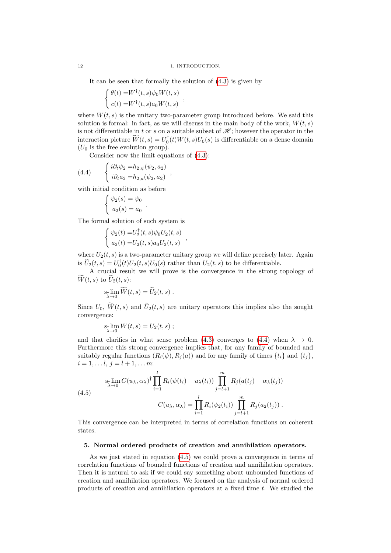It can be seen that formally the solution of [\(4.3\)](#page-10-1) is given by

<span id="page-11-1"></span>,

$$
\begin{cases} \theta(t) = W^{\dagger}(t,s)\psi_0 W(t,s) \\ c(t) = W^{\dagger}(t,s)a_0 W(t,s) \end{cases}
$$

where  $W(t, s)$  is the unitary two-parameter group introduced before. We said this solution is formal: in fact, as we will discuss in the main body of the work,  $W(t, s)$ is not differentiable in t or s on a suitable subset of  $\mathcal{H}$ ; however the operator in the interaction picture  $\widetilde{W}(t,s) = U_0^{\dagger}(t)W(t,s)U_0(s)$  is differentiable on a dense domain  $(U_0$  is the free evolution group).

Consider now the limit equations of [\(4.3\)](#page-10-1):

(4.4) 
$$
\begin{cases} i\partial_t \psi_2 = h_{2,\psi}(\psi_2, a_2) \\ i\partial_t a_2 = h_{2,a}(\psi_2, a_2) \end{cases}
$$

with initial condition as before

$$
\begin{cases} \psi_2(s) = \psi_0 \\ a_2(s) = a_0 \end{cases}
$$

The formal solution of such system is

$$
\begin{cases} \psi_2(t) = U_2^{\dagger}(t,s)\psi_0 U_2(t,s) \\ a_2(t) = U_2(t,s)a_0 U_2(t,s) \end{cases}
$$

.

where  $U_2(t, s)$  is a two-parameter unitary group we will define precisely later. Again is  $\widetilde{U}_2(t,s) = U_0^{\dagger}(t)U_2(t,s)U_0(s)$  rather than  $U_2(t,s)$  to be differentiable.

,

A crucial result we will prove is the convergence in the strong topology of  $\widetilde{W}(t, s)$  to  $\widetilde{U}_2(t, s)$ :

$$
\operatorname*{s-lim}_{\lambda\to 0}\widetilde{W}(t,s)=\widetilde{U}_2(t,s).
$$

Since  $U_0$ ,  $\widetilde{W}(t,s)$  and  $\widetilde{U}_2(t,s)$  are unitary operators this implies also the sought convergence:

<span id="page-11-2"></span>
$$
\operatorname*{sim}_{\lambda \to 0} W(t,s) = U_2(t,s) ;
$$

and that clarifies in what sense problem [\(4.3\)](#page-10-1) converges to [\(4.4\)](#page-11-1) when  $\lambda \to 0$ . Furthermore this strong convergence implies that, for any family of bounded and suitably regular functions  $(R_i(\psi), R_i(a))$  and for any family of times  $\{t_i\}$  and  $\{t_i\}$ ,  $i = 1, \ldots, l, i = l + 1, \ldots, m$ :

(4.5)  

$$
\sum_{\lambda \to 0}^{\mathsf{S-}\lim} C(u_{\lambda}, \alpha_{\lambda})^{\dagger} \prod_{i=1}^{l} R_i(\psi(t_i) - u_{\lambda}(t_i)) \prod_{j=l+1}^{m} R_j(a(t_j) - \alpha_{\lambda}(t_j))
$$

$$
C(u_{\lambda}, \alpha_{\lambda}) = \prod_{i=1}^{l} R_i(\psi_2(t_i)) \prod_{j=l+1}^{m} R_j(a_2(t_j)) .
$$

This convergence can be interpreted in terms of correlation functions on coherent states.

#### <span id="page-11-0"></span>5. Normal ordered products of creation and annihilation operators.

As we just stated in equation [\(4.5\)](#page-11-2) we could prove a convergence in terms of correlation functions of bounded functions of creation and annihilation operators. Then it is natural to ask if we could say something about unbounded functions of creation and annihilation operators. We focused on the analysis of normal ordered products of creation and annihilation operators at a fixed time t. We studied the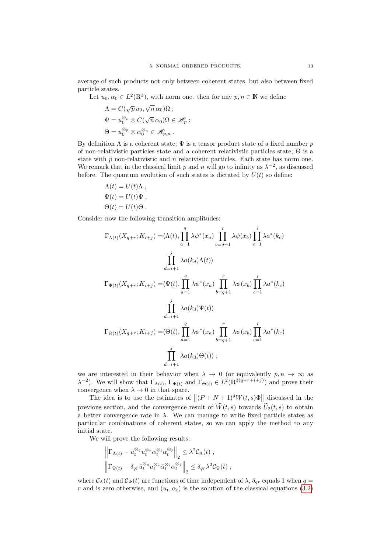average of such products not only between coherent states, but also between fixed particle states.

Let  $u_0, \alpha_0 \in L^2(\mathbb{R}^3)$ , with norm one. then for any  $p, n \in \mathbb{N}$  we define

$$
\Lambda = C(\sqrt{p} u_0, \sqrt{n} \alpha_0) \Omega ;
$$
  
\n
$$
\Psi = u_0^{\otimes p} \otimes C(\sqrt{n} \alpha_0) \Omega \in \mathcal{H}_p ;
$$
  
\n
$$
\Theta = u_0^{\otimes p} \otimes \alpha_0^{\otimes n} \in \mathcal{H}_{p,n} .
$$

By definition  $\Lambda$  is a coherent state;  $\Psi$  is a tensor product state of a fixed number p of non-relativistic particles state and a coherent relativistic particles state; Θ is a state with  $p$  non-relativistic and  $n$  relativistic particles. Each state has norm one. We remark that in the classical limit p and n will go to infinity as  $\lambda^{-2}$ , as discussed before. The quantum evolution of such states is dictated by  $U(t)$  so define:

$$
\Lambda(t) = U(t)\Lambda ,
$$
  
\n
$$
\Psi(t) = U(t)\Psi ,
$$
  
\n
$$
\Theta(t) = U(t)\Theta .
$$

Consider now the following transition amplitudes:

$$
\Gamma_{\Lambda(t)}(X_{q+r}; K_{i+j}) = \langle \Lambda(t), \prod_{a=1}^{q} \lambda \psi^*(x_a) \prod_{b=q+1}^{r} \lambda \psi(x_b) \prod_{c=1}^{i} \lambda a^*(k_c)
$$

$$
\prod_{d=i+1}^{j} \lambda a(k_d) \Lambda(t) \rangle
$$

$$
\Gamma_{\Psi(t)}(X_{q+r}; K_{i+j}) = \langle \Psi(t), \prod_{a=1}^{q} \lambda \psi^*(x_a) \prod_{b=q+1}^{r} \lambda \psi(x_b) \prod_{c=1}^{i} \lambda a^*(k_c)
$$

$$
\prod_{d=i+1}^{j} \lambda a(k_d) \Psi(t) \rangle
$$

$$
\Gamma_{\Theta(t)}(X_{q+r}; K_{i+j}) = \langle \Theta(t), \prod_{a=1}^{q} \lambda \psi^*(x_a) \prod_{b=q+1}^{r} \lambda \psi(x_b) \prod_{c=1}^{i} \lambda a^*(k_c)
$$

$$
\prod_{d=i+1}^{j} \lambda a(k_d) \Theta(t) \rangle ;
$$

we are interested in their behavior when  $\lambda \to 0$  (or equivalently  $p, n \to \infty$  as  $(\lambda^{-2})$ . We will show that  $\Gamma_{\Lambda(t)}$ ,  $\Gamma_{\Psi(t)}$  and  $\Gamma_{\Theta(t)} \in L^2(\mathbb{R}^{3(q+r+i+j)})$  and prove their convergence when  $\lambda \to 0$  in that space.

The idea is to use the estimates of  $||(P+N+1)^\delta W(t,s)\Phi||_2$  discussed in the previous section, and the convergence result of  $\widetilde{W}(t, s)$  towards  $\widetilde{U}_2(t, s)$  to obtain a better convergence rate in  $\lambda$ . We can manage to write fixed particle states as particular combinations of coherent states, so we can apply the method to any initial state.

We will prove the following results:

$$
\left\|\Gamma_{\Lambda(t)} - \bar{u}_t^{\otimes q} u_t^{\otimes \tau} \bar{\alpha}_t^{\otimes i} \alpha_t^{\otimes j}\right\|_2 \leq \lambda^2 C_{\Lambda}(t) ,
$$
  

$$
\left\|\Gamma_{\Psi(t)} - \delta_{qr} \bar{u}_t^{\otimes q} u_t^{\otimes \tau} \bar{\alpha}_t^{\otimes i} \alpha_t^{\otimes j}\right\|_2 \leq \delta_{qr} \lambda^2 C_{\Psi}(t) ,
$$

where  $\mathcal{C}_{\Lambda}(t)$  and  $\mathcal{C}_{\Psi}(t)$  are functions of time independent of  $\lambda$ ,  $\delta_{qr}$  equals 1 when  $q =$ r and is zero otherwise, and  $(u_t, \alpha_t)$  is the solution of the classical equations [\(3.2\)](#page-7-3)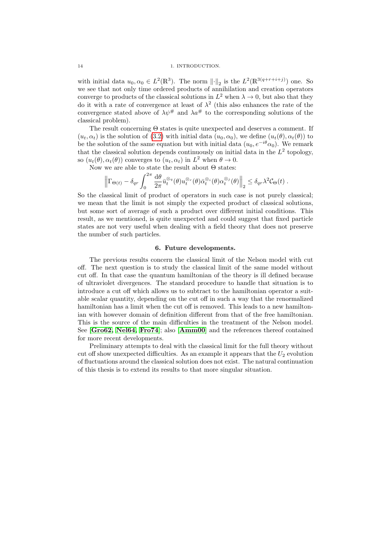#### 14 1. INTRODUCTION.

with initial data  $u_0, \alpha_0 \in L^2(\mathbb{R}^3)$ . The norm  $\lVert \cdot \rVert_2$  is the  $L^2(\mathbb{R}^{3(q+r+i+j)})$  one. So we see that not only time ordered products of annihilation and creation operators converge to products of the classical solutions in  $L^2$  when  $\lambda \to 0$ , but also that they do it with a rate of convergence at least of  $\lambda^2$  (this also enhances the rate of the convergence stated above of  $\lambda \psi^{\#}$  and  $\lambda a^{\#}$  to the corresponding solutions of the classical problem).

The result concerning Θ states is quite unexpected and deserves a comment. If  $(u_t, \alpha_t)$  is the solution of [\(3.2\)](#page-7-3) with initial data  $(u_0, \alpha_0)$ , we define  $(u_t(\theta), \alpha_t(\theta))$  to be the solution of the same equation but with initial data  $(u_0, e^{-i\theta} \alpha_0)$ . We remark that the classical solution depends continuously on initial data in the  $L^2$  topology, so  $(u_t(\theta), \alpha_t(\theta))$  converges to  $(u_t, \alpha_t)$  in  $L^2$  when  $\theta \to 0$ .

Now we are able to state the result about  $\Theta$  states:

$$
\left\|\Gamma_{\Theta(t)} - \delta_{qr} \int_0^{2\pi} \frac{d\theta}{2\pi} \bar{u}_t^{\otimes q}(\theta) u_t^{\otimes r}(\theta) \bar{\alpha}_t^{\otimes i}(\theta) \alpha_t^{\otimes j}(\theta)\right\|_2 \leq \delta_{qr} \lambda^2 C_{\Theta}(t).
$$

So the classical limit of product of operators in such case is not purely classical; we mean that the limit is not simply the expected product of classical solutions, but some sort of average of such a product over different initial conditions. This result, as we mentioned, is quite unexpected and could suggest that fixed particle states are not very useful when dealing with a field theory that does not preserve the number of such particles.

#### 6. Future developments.

<span id="page-13-0"></span>The previous results concern the classical limit of the Nelson model with cut off. The next question is to study the classical limit of the same model without cut off. In that case the quantum hamiltonian of the theory is ill defined because of ultraviolet divergences. The standard procedure to handle that situation is to introduce a cut off which allows us to subtract to the hamiltonian operator a suitable scalar quantity, depending on the cut off in such a way that the renormalized hamiltonian has a limit when the cut off is removed. This leads to a new hamiltonian with however domain of definition different from that of the free hamiltonian. This is the source of the main difficulties in the treatment of the Nelson model. See [[Gro62,](#page-102-11) [Nel64,](#page-102-12) [Fro74](#page-102-13)]; also [[Amm00](#page-102-14)] and the references thereof contained for more recent developments.

Preliminary attempts to deal with the classical limit for the full theory without cut off show unexpected difficulties. As an example it appears that the  $U_2$  evolution of fluctuations around the classical solution does not exist. The natural continuation of this thesis is to extend its results to that more singular situation.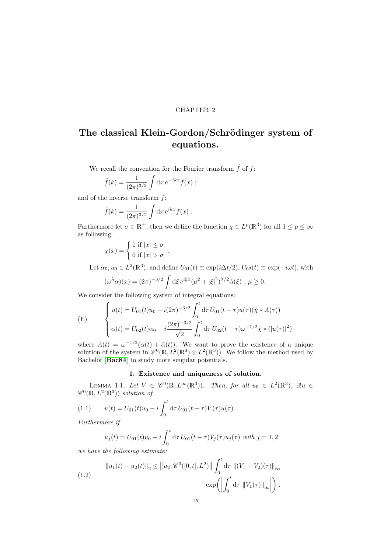#### CHAPTER 2

## <span id="page-14-0"></span>The classical Klein-Gordon/Schrödinger system of equations.

We recall the convention for the Fourier transform  $\hat{f}$  of  $f$ :

.

$$
\hat{f}(k) = \frac{1}{(2\pi)^{3/2}} \int dx e^{-ikx} f(x) ;
$$

and of the inverse transform  $\check{f}$ :

$$
\check{f}(k) = \frac{1}{(2\pi)^{3/2}} \int dx e^{ikx} f(x).
$$

Furthermore let  $\sigma \in \mathbb{R}^+$ , then we define the function  $\chi \in L^p(\mathbb{R}^3)$  for all  $1 \leq p \leq \infty$ as following:

$$
\chi(x) = \begin{cases} 1 \text{ if } |x| \le \sigma \\ 0 \text{ if } |x| > \sigma \end{cases}
$$

Let  $\alpha_0, u_0 \in L^2(\mathbb{R}^3)$ , and define  $U_{01}(t) \equiv \exp(i\Delta t/2), U_{02}(t) \equiv \exp(-i\omega t)$ , with

$$
(\omega^{\lambda}\alpha)(x) = (2\pi)^{-3/2} \int d\xi \, e^{i\xi x} (\mu^2 + |\xi|^2)^{\lambda/2} \hat{\alpha}(\xi) , \, \mu \ge 0.
$$

We consider the following system of integral equations:

<span id="page-14-4"></span>(E) 
$$
\begin{cases} u(t) = U_{01}(t)u_0 - i(2\pi)^{-3/2} \int_0^t d\tau U_{01}(t-\tau)u(\tau)(\check{\chi} * A(\tau)) \\ \alpha(t) = U_{02}(t)\alpha_0 - i\frac{(2\pi)^{-3/2}}{\sqrt{2}} \int_0^t d\tau U_{02}(t-\tau)\omega^{-1/2}\check{\chi} * (|u(\tau)|^2) \end{cases}
$$

where  $A(t) = \omega^{-1/2}(\alpha(t) + \bar{\alpha}(t))$ . We want to prove the existence of a unique solution of the system in  $\mathscr{C}^0(\mathbb{R}, L^2(\mathbb{R}^3) \otimes L^2(\mathbb{R}^3))$ . We follow the method used by Bachelot [[Bac84](#page-102-15)] to study more singular potentials.

#### <span id="page-14-2"></span>1. Existence and uniqueness of solution.

<span id="page-14-5"></span><span id="page-14-1"></span>LEMMA 1.1. Let  $V \in \mathscr{C}^0(\mathbb{R}, L^\infty(\mathbb{R}^3))$ . Then, for all  $u_0 \in L^2(\mathbb{R}^3)$ ,  $\exists! u \in$  $\mathscr{C}^0(\mathbb{R}, L^2(\mathbb{R}^3))$  solution of

(1.1) 
$$
u(t) = U_{01}(t)u_0 - i \int_0^t d\tau U_{01}(t-\tau)V(\tau)u(\tau).
$$

Furthermore if

<span id="page-14-3"></span>
$$
u_j(t) = U_{01}(t)u_0 - i \int_0^t d\tau U_{01}(t-\tau)V_j(\tau)u_j(\tau) \text{ with } j = 1, 2
$$

we have the following estimate:

(1.2) 
$$
\|u_1(t) - u_2(t)\|_2 \le \|u_2; \mathscr{C}^0([0, t], L^2)\| \int_0^t d\tau \|(V_1 - V_2)(\tau)\|_{\infty} \exp\left(\left|\int_0^t d\tau \|(V_1(\tau)\|_{\infty})\right)\right).
$$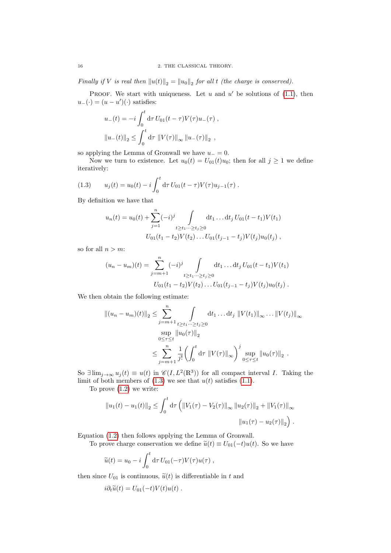Finally if V is real then  $||u(t)||_2 = ||u_0||_2$  for all t (the charge is conserved).

PROOF. We start with uniqueness. Let  $u$  and  $u'$  be solutions of [\(1.1\)](#page-14-2), then  $u_{-}(\cdot) = (u - u')(\cdot)$  satisfies:

$$
u_{-}(t) = -i \int_{0}^{t} d\tau U_{01}(t - \tau) V(\tau) u_{-}(\tau) ,
$$
  

$$
||u_{-}(t)||_{2} \le \int_{0}^{t} d\tau ||V(\tau)||_{\infty} ||u_{-}(\tau)||_{2} ,
$$

so applying the Lemma of Gronwall we have  $u_-=0$ .

<span id="page-15-0"></span>Now we turn to existence. Let  $u_0(t) = U_{01}(t)u_0$ ; then for all  $j \ge 1$  we define iteratively:

(1.3) 
$$
u_j(t) = u_0(t) - i \int_0^t d\tau U_{01}(t-\tau) V(\tau) u_{j-1}(\tau).
$$

By definition we have that

$$
u_n(t) = u_0(t) + \sum_{j=1}^n (-i)^j \int_{t \ge t_1 \cdots \ge t_j \ge 0} dt_1 \dots dt_j U_{01}(t - t_1) V(t_1)
$$
  

$$
U_{01}(t_1 - t_2) V(t_2) \dots U_{01}(t_{j-1} - t_j) V(t_j) u_0(t_j) ,
$$

so for all  $n > m$ :

$$
(u_n - u_m)(t) = \sum_{j=m+1}^n (-i)^j \int_{t \ge t_1 \cdots \ge t_j \ge 0} dt_1 \dots dt_j U_{01}(t - t_1) V(t_1)
$$
  

$$
U_{01}(t_1 - t_2) V(t_2) \dots U_{01}(t_{j-1} - t_j) V(t_j) u_0(t_j) .
$$

We then obtain the following estimate:

$$
||(u_n - u_m)(t)||_2 \leq \sum_{j=m+1}^n \int_{\substack{t \geq t_1 \cdots \geq t_j \geq 0 \\ 0 \leq \tau \leq t}} dt_1 \dots dt_j ||V(t_1)||_{\infty} \dots ||V(t_j)||_{\infty}
$$
  

$$
\leq \sum_{j=m+1}^n \frac{1}{j!} \left( \int_0^t d\tau ||V(\tau)||_{\infty} \right)^j \sup_{0 \leq \tau \leq t} ||u_0(\tau)||_2.
$$

So  $\exists \lim_{j\to\infty} u_j(t) \equiv u(t)$  in  $\mathscr{C}(I, L^2(\mathbb{R}^3))$  for all compact interval I. Taking the limit of both members of  $(1.3)$  we see that  $u(t)$  satisfies  $(1.1)$ .

To prove [\(1.2\)](#page-14-3) we write:

$$
||u_1(t) - u_1(t)||_2 \le \int_0^t d\tau \left( ||V_1(\tau) - V_2(\tau)||_{\infty} ||u_2(\tau)||_2 + ||V_1(\tau)||_{\infty} \right)
$$

$$
||u_1(\tau) - u_2(\tau)||_2 \right).
$$

Equation [\(1.2\)](#page-14-3) then follows applying the Lemma of Gronwall.

To prove charge conservation we define  $\tilde{u}(t) \equiv U_{01}(-t)u(t)$ . So we have

$$
\widetilde{u}(t) = u_0 - i \int_0^t d\tau U_{01}(-\tau) V(\tau) u(\tau) ,
$$

then since  $U_{01}$  is continuous,  $\tilde{u}(t)$  is differentiable in t and

$$
i\partial_t \widetilde{u}(t) = U_{01}(-t)V(t)u(t) .
$$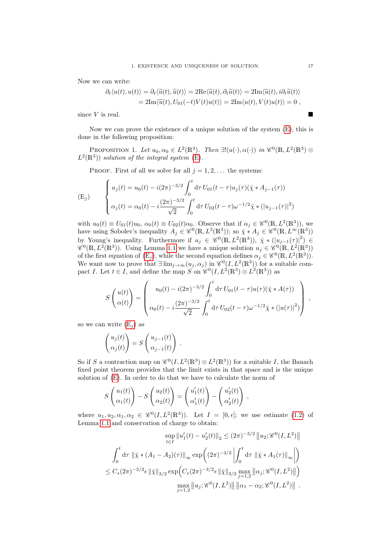Now we can write:

$$
\partial_t \langle u(t), u(t) \rangle = \partial_t \langle \widetilde{u}(t), \widetilde{u}(t) \rangle = 2 \text{Re} \langle \widetilde{u}(t), \partial_t \widetilde{u}(t) \rangle = 2 \text{Im} \langle \widetilde{u}(t), i \partial_t \widetilde{u}(t) \rangle
$$
  
= 2 \text{Im} \langle \widetilde{u}(t), U\_{01}(-t) V(t) u(t) \rangle = 2 \text{Im} \langle u(t), V(t) u(t) \rangle = 0,

since  $V$  is real.

Now we can prove the existence of a unique solution of the system [\(E\)](#page-14-4), this is done in the following proposition:

PROPOSITION 1. Let  $u_0, \alpha_0 \in L^2(\mathbb{R}^3)$ . Then  $\exists! (u(\cdot), \alpha(\cdot))$  in  $\mathscr{C}^0(\mathbb{R}, L^2(\mathbb{R}^3) \otimes$  $L^2(\mathbb{R}^3)$  solution of the integral system [\(E\)](#page-14-4).

PROOF. First of all we solve for all  $j = 1, 2, \ldots$  the systems:

<span id="page-16-0"></span>
$$
\begin{cases}\n u_j(t) = u_0(t) - i(2\pi)^{-3/2} \int_0^t d\tau \, U_{01}(t-\tau) u_j(\tau) (\check{\chi} * A_{j-1}(\tau)) \\
 \alpha_j(t) = \alpha_0(t) - i \frac{(2\pi)^{-3/2}}{\sqrt{2}} \int_0^t d\tau \, U_{02}(t-\tau) \omega^{-1/2} \check{\chi} * (|u_{j-1}(\tau)|^2)\n\end{cases}
$$

with  $u_0(t) \equiv U_{01}(t)u_0$ ,  $\alpha_0(t) \equiv U_{02}(t)\alpha_0$ . Observe that if  $\alpha_j \in \mathscr{C}^0(\mathbb{R}, L^2(\mathbb{R}^3))$ , we have using Sobolev's inequality  $A_j \in \mathscr{C}^0(\mathbb{R}, L^3(\mathbb{R}^3))$ ; so  $\check{\chi} * A_j \in \mathscr{C}^0(\mathbb{R}, L^\infty(\mathbb{R}^3))$ by Young's inequality. Furthermore if  $u_j \in \mathscr{C}^0(\mathbb{R}, L^2(\mathbb{R}^3))$ ,  $\check{\chi} * (|u_{j-1}(\tau)|^2) \in$  $\mathscr{C}^0(\mathbb{R}, L^2(\mathbb{R}^3))$ . Using Lemma [1.1](#page-14-5) we have a unique solution  $u_j \in \mathscr{C}^0(\mathbb{R}, L^2(\mathbb{R}^3))$ of the first equation of  $(E_j)$ , while the second equation defines  $\alpha_j \in \mathscr{C}^0(\mathbb{R}, L^2(\mathbb{R}^3)).$ We want now to prove that  $\exists \lim_{j\to\infty} (u_j,\alpha_j)$  in  $\mathscr{C}^0(I,L^2(\mathbb{R}^3))$  for a suitable compact I. Let  $t \in I$ , and define the map S on  $\mathscr{C}^0(I, L^2(\mathbb{R}^3) \otimes L^2(\mathbb{R}^3))$  as

$$
S\left(\begin{matrix}u(t)\\ \alpha(t)\end{matrix}\right) = \left(\begin{matrix}u_0(t) - i(2\pi)^{-3/2} \int_0^t d\tau \, U_{01}(t-\tau)u(\tau)(\check{\chi} * A(\tau))\\ \alpha_0(t) - i\frac{(2\pi)^{-3/2}}{\sqrt{2}} \int_0^t d\tau \, U_{02}(t-\tau)\omega^{-1/2}\check{\chi} * (|u(\tau)|^2)\end{matrix}\right) ,
$$

so we can write  $(E_i)$  as

$$
\begin{pmatrix} u_j(t) \\ \alpha_j(t) \end{pmatrix} = S \begin{pmatrix} u_{j-1}(t) \\ \alpha_{j-1}(t) \end{pmatrix} .
$$

So if S a contraction map on  $\mathscr{C}^0(I, L^2(\mathbb{R}^3) \otimes L^2(\mathbb{R}^3))$  for a suitable I, the Banach fixed point theorem provides that the limit exists in that space and is the unique solution of [\(E\)](#page-14-4). In order to do that we have to calculate the norm of

$$
S\begin{pmatrix} u_1(t) \\ \alpha_1(t) \end{pmatrix} - S\begin{pmatrix} u_2(t) \\ \alpha_2(t) \end{pmatrix} = \begin{pmatrix} u'_1(t) \\ \alpha'_1(t) \end{pmatrix} - \begin{pmatrix} u'_2(t) \\ \alpha'_2(t) \end{pmatrix} ,
$$

where  $u_1, u_2, \alpha_1, \alpha_2 \in \mathscr{C}^0(I, L^2(\mathbb{R}^3))$ . Let  $I = [0, \epsilon]$ ; we use estimate [\(1.2\)](#page-14-3) of Lemma [1.1](#page-14-5) and conservation of charge to obtain:

$$
\sup_{t \in I} ||u_1'(t) - u_2'(t)||_2 \le (2\pi)^{-3/2} ||u_2; \mathscr{C}^0(I, L^2)||
$$
  

$$
\int_0^t d\tau ||\tilde{\chi} * (A_1 - A_2)(\tau)||_{\infty} \exp\left((2\pi)^{-3/2} \left| \int_0^t d\tau ||\tilde{\chi} * A_1(\tau)||_{\infty} \right| \right)
$$
  

$$
\le C_s (2\pi)^{-3/2} \epsilon ||\tilde{\chi}||_{3/2} \exp\left(C_s (2\pi)^{-3/2} \epsilon ||\tilde{\chi}||_{3/2} \max_{j=1,2} ||\alpha_j; \mathscr{C}^0(I, L^2)||\right)
$$
  

$$
\max_{j=1,2} ||u_j; \mathscr{C}^0(I, L^2)|| ||\alpha_1 - \alpha_2; \mathscr{C}^0(I, L^2)||.
$$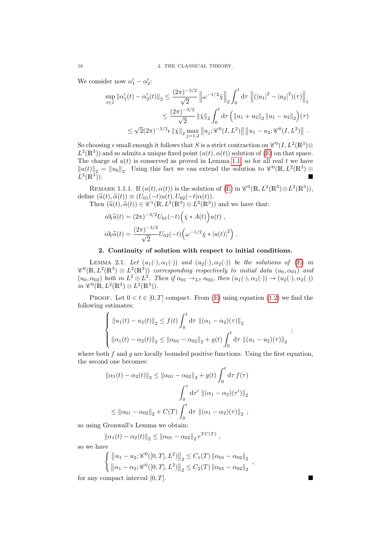We consider now  $\alpha'_1 - \alpha'_2$ :

$$
\sup_{t \in I} ||\alpha_1'(t) - \alpha_2'(t)||_2 \le \frac{(2\pi)^{-3/2}}{\sqrt{2}} ||\omega^{-1/2}\tilde{\chi}||_2 \int_0^t d\tau ||(|u_1|^2 - |u_2|^2)(\tau)||_1
$$
  

$$
\le \frac{(2\pi)^{-3/2}}{\sqrt{2}} ||\tilde{\chi}||_2 \int_0^t d\tau \left( ||u_1 + u_2||_2 ||u_1 - u_2||_2 \right)(\tau)
$$
  

$$
\le \sqrt{2}(2\pi)^{-3/2} \epsilon ||\tilde{\chi}||_2 \max_{j=1,2} ||u_j; \mathscr{C}^0(I, L^2)|| ||u_1 - u_2; \mathscr{C}^0(I, L^2)||.
$$

So choosing  $\epsilon$  small enough it follows that S is a strict contraction on  $\mathscr{C}^0(I, L^2(\mathbb{R}^3) \otimes$  $L^2(\mathbb{R}^3)$  and so admits a unique fixed point  $(u(t), \alpha(t))$  solution of  $(\mathbb{E})$  on that space. The charge of  $u(t)$  is conserved as proved in Lemma [1.1,](#page-14-5) so for all real t we have  $||u(t)||_2 = ||u_0||_2$ . Using this fact we can extend the solution to  $\mathscr{C}^0(\mathbb{R}, L^2(\mathbb{R}^3) \otimes$  $L^2(\mathbb{R}^3)$  $\overline{)}$ ).

REMARK 1.1.1. If  $(u(t), \alpha(t))$  is the solution of [\(E\)](#page-14-4) in  $\mathscr{C}^0(\mathbb{R}, L^2(\mathbb{R}^3) \otimes L^2(\mathbb{R}^3)),$ define  $(\widetilde{u}(t), \widetilde{\alpha}(t)) \equiv (U_{01}(-t)u(t), U_{02}(-t)\alpha(t)).$ 

Then  $(\tilde{u}(t), \tilde{\alpha}(t)) \in \mathscr{C}^1(\mathbb{R}, L^2(\mathbb{R}^3) \otimes L^2(\mathbb{R}^3))$  and we have that:

$$
i\partial_t \widetilde{u}(t) = (2\pi)^{-3/2} U_{01}(-t) \left(\widetilde{\chi} * A(t)\right) u(t) ,
$$
  

$$
i\partial_t \widetilde{\alpha}(t) = \frac{(2\pi)^{-3/2}}{\sqrt{2}} U_{02}(-t) \left(\omega^{-1/2} \widetilde{\chi} * |u(t)|^2\right) .
$$

#### 2. Continuity of solution with respect to initial conditions.

<span id="page-17-0"></span>LEMMA 2.1. Let  $(u_1(\cdot), \alpha_1(\cdot))$  and  $(u_2(\cdot), \alpha_2(\cdot))$  be the solutions of [\(E\)](#page-14-4) in  $\mathscr{C}^0(\mathbb{R}, L^2(\mathbb{R}^3) \otimes L^2(\mathbb{R}^3))$  corresponding respectively to initial data  $(u_0, \alpha_{01})$  and  $(u_0, \alpha_{02})$  both in  $L^2 \otimes L^2$ . Then if  $\alpha_{01} \rightarrow_{L^2} \alpha_{02}$ , then  $(u_1(\cdot), \alpha_1(\cdot)) \rightarrow (u_2(\cdot), \alpha_2(\cdot))$  $in \ \mathscr{C}^0(\mathbb{R}, L^2(\mathbb{R}^3) \otimes L^2(\mathbb{R}^3)).$ 

PROOF. Let  $0 < t \in [0, T]$  compact. From [\(E\)](#page-14-4) using equation [\(1.2\)](#page-14-3) we find the following estimates:

$$
\begin{cases} ||u_1(t) - u_2(t)||_2 \le f(t) \int_0^t d\tau ||(\alpha_1 - \alpha_2)(\tau)||_2 \\ ||\alpha_1(t) - \alpha_2(t)||_2 \le ||\alpha_{01} - \alpha_{02}||_2 + g(t) \int_0^t d\tau ||(u_1 - u_2)(\tau)||_2 \end{cases};
$$

where both  $f$  and  $g$  are locally bounded positive functions. Using the first equation, the second one becomes:

$$
\|\alpha_1(t) - \alpha_2(t)\|_2 \le \|\alpha_{01} - \alpha_{02}\|_2 + g(t) \int_0^t d\tau f(\tau)
$$

$$
\int_0^\tau d\tau' \, \|(\alpha_1 - \alpha_2)(\tau')\|_2
$$

$$
\le \|\alpha_{01} - \alpha_{02}\|_2 + C(T) \int_0^t d\tau \, \|(\alpha_1 - \alpha_2)(\tau)\|_2 ,
$$

so using Gronwall's Lemma we obtain:

 $\|\alpha_1(t) - \alpha_2(t)\|_2 \le \|\alpha_{01} - \alpha_{02}\|_2 e^{TC(T)},$ 

so we have

$$
\begin{cases} ||u_1 - u_2; \mathscr{C}^0([0,T], L^2)||_2 \leq C_1(T) ||\alpha_{01} - \alpha_{02}||_2 \\ ||\alpha_1 - \alpha_2; \mathscr{C}^0([0,T], L^2)||_2 \leq C_2(T) ||\alpha_{01} - \alpha_{02}||_2 \end{cases}
$$

for any compact interval  $[0, T]$ .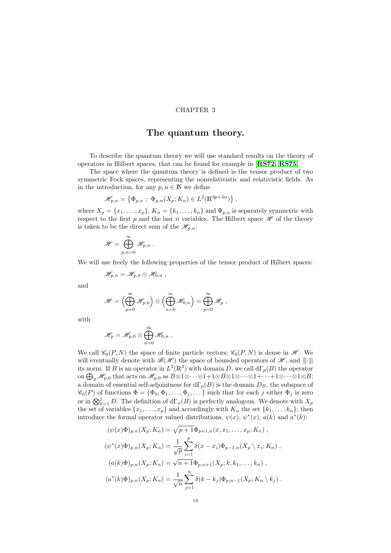#### CHAPTER 3

### The quantum theory.

<span id="page-18-0"></span>To describe the quantum theory we will use standard results on the theory of operators in Hilbert spaces, that can be found for example in [[RS72,](#page-102-16) [RS75](#page-102-17)].

The space where the quantum theory is defined is the tensor product of two symmetric Fock spaces, representing the nonrelativistic and relativistic fields. As in the introduction, for any  $p, n \in \mathbb{N}$  we define

$$
\mathscr{H}_{p,n} = \left\{ \Phi_{p,n} : \Phi_{p,n}(X_p; K_n) \in L^2(\mathbb{R}^{3p+3n}) \right\},\,
$$

where  $X_p = \{x_1, \ldots, x_p\}$ ,  $K_n = \{k_1, \ldots, k_n\}$  and  $\Phi_{p,n}$  is separately symmetric with respect to the first p and the last n variables. The Hilbert space  $\mathscr H$  of the theory is taken to be the direct sum of the  $\mathcal{H}_{p,n}$ :

$$
\mathscr{H}=\bigoplus_{p,n=0}^\infty \mathscr{H}_{p,n} \;.
$$

We will use freely the following properties of the tensor product of Hilbert spaces:

$$
\mathscr{H}_{p,n}=\mathscr{H}_{p,0}\otimes\mathscr{H}_{0,n}\;,
$$

and

$$
\mathscr{H}=\left(\bigoplus_{p=0}^\infty\mathscr{H}_{p,0}\right)\otimes\left(\bigoplus_{n=0}^\infty\mathscr{H}_{0,n}\right)=\bigoplus_{p=0}^\infty\mathscr{H}_p,
$$

with

$$
\mathscr{H}_p=\mathscr{H}_{p,0}\otimes\bigoplus_{n=0}^\infty\mathscr{H}_{0,n}\;.
$$

We call  $\mathcal{C}_0(P, N)$  the space of finite particle vectors;  $\mathcal{C}_0(P, N)$  is dense in  $\mathcal{H}$ . We will eventually denote with  $\mathcal{B}(\mathcal{H})$  the space of bounded operators of  $\mathcal{H}$ , and  $\|\cdot\|$ its norm. If B is an operator in  $L^2(\mathbb{R}^3)$  with domain D, we call  $d\Gamma_p(B)$  the operator  $\partial_{\mathrm{op}}\mathscr{H}_{p,0}$  that acts on  $\mathscr{H}_{p,0}$  as  $B\otimes 1\otimes\cdots\otimes 1+1\otimes B\otimes 1\otimes\cdots\otimes 1+\cdots+1\otimes\cdots\otimes 1\otimes B;$ a domain of essential self-adjointness for  $d\Gamma_p(B)$  is the domain  $D_B$ , the subspace of  $\mathscr{C}_0(P)$  of functions  $\Phi = {\Phi_0, \Phi_1, \ldots, \Phi_j, \ldots}$  such that for each j either  $\Phi_j$  is zero or in  $\bigotimes_{k=1}^{j} D$ . The definition of  $d\Gamma_n(B)$  is perfectly analogous. We denote with  $X_p$ the set of variables  $\{x_1, \ldots, x_p\}$  and accordingly with  $K_n$  the set  $\{k_1, \ldots, k_n\}$ ; then introduce the formal operator valued distributions,  $\psi(x)$ ,  $\psi^*(x)$ ,  $a(k)$  and  $a^*(k)$ :

$$
(\psi(x)\Phi)_{p,n}(X_p; K_n) = \sqrt{p+1}\Phi_{p+1,n}(x, x_1, ..., x_p; K_n) ,
$$
  

$$
(\psi^*(x)\Phi)_{p,n}(X_p; K_n) = \frac{1}{\sqrt{p}} \sum_{i=1}^p \delta(x-x_i)\Phi_{p-1,n}(X_p \setminus x_i; K_n) ,
$$
  

$$
(a(k)\Phi)_{p,n}(X_p; K_n) = \sqrt{n+1}\Phi_{p,n+1}(X_p; k, k_1, ..., k_n) ,
$$
  

$$
(a^*(k)\Phi)_{p,n}(X_p; K_n) = \frac{1}{\sqrt{n}} \sum_{j=1}^n \delta(k-k_j)\Phi_{p,n-1}(X_p; K_n \setminus k_j) .
$$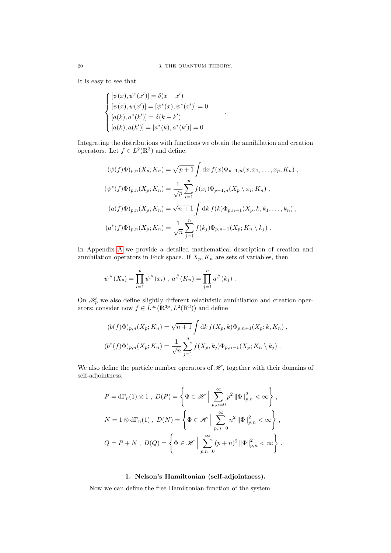It is easy to see that

$$
\begin{cases}\n[\psi(x), \psi^*(x')] = \delta(x - x') \\
[\psi(x), \psi(x')] = [\psi^*(x), \psi^*(x')] = 0 \\
[a(k), a^*(k')] = \delta(k - k') \\
[a(k), a(k')] = [a^*(k), a^*(k')] = 0\n\end{cases}
$$

Integrating the distributions with functions we obtain the annihilation and creation operators. Let  $f \in L^2(\mathbb{R}^3)$  and define:

.

$$
(\psi(f)\Phi)_{p,n}(X_p; K_n) = \sqrt{p+1} \int dx f(x)\Phi_{p+1,n}(x, x_1, \dots, x_p; K_n) ,
$$
  

$$
(\psi^*(f)\Phi)_{p,n}(X_p; K_n) = \frac{1}{\sqrt{p}} \sum_{i=1}^p f(x_i)\Phi_{p-1,n}(X_p \setminus x_i; K_n) ,
$$
  

$$
(a(f)\Phi)_{p,n}(X_p; K_n) = \sqrt{n+1} \int dk f(k)\Phi_{p,n+1}(X_p; k, k_1, \dots, k_n) ,
$$
  

$$
(a^*(f)\Phi)_{p,n}(X_p; K_n) = \frac{1}{\sqrt{n}} \sum_{j=1}^n f(k_j)\Phi_{p,n-1}(X_p; K_n \setminus k_j) .
$$

In Appendix [A](#page-62-0) we provide a detailed mathematical description of creation and annihilation operators in Fock space. If  $X_p, K_n$  are sets of variables, then

$$
\psi^{\#}(X_p) = \prod_{i=1}^p \psi^{\#}(x_i), \ a^{\#}(K_n) = \prod_{j=1}^n a^{\#}(k_j).
$$

On  $\mathcal{H}_p$  we also define slightly different relativistic annihilation and creation operators; consider now  $f \in L^{\infty}(\mathbb{R}^{3p}, L^{2}(\mathbb{R}^{3}))$  and define

$$
(b(f)\Phi)_{p,n}(X_p; K_n) = \sqrt{n+1} \int \mathrm{d}k \, f(X_p, k) \Phi_{p,n+1}(X_p; k, K_n) ,
$$
  

$$
(b^*(f)\Phi)_{p,n}(X_p; K_n) = \frac{1}{\sqrt{n}} \sum_{j=1}^n f(X_p, k_j) \Phi_{p,n-1}(X_p; K_n \setminus k_j) .
$$

We also define the particle number operators of  $\mathcal{H}$ , together with their domains of self-adjointness:

$$
P = d\Gamma_p(1) \otimes 1, \ D(P) = \left\{ \Phi \in \mathcal{H} \mid \sum_{p,n=0}^{\infty} p^2 \left\| \Phi \right\|_{p,n}^2 < \infty \right\},\
$$
  

$$
N = 1 \otimes d\Gamma_n(1), \ D(N) = \left\{ \Phi \in \mathcal{H} \mid \sum_{p,n=0}^{\infty} n^2 \left\| \Phi \right\|_{p,n}^2 < \infty \right\},\
$$
  

$$
Q = P + N, \ D(Q) = \left\{ \Phi \in \mathcal{H} \mid \sum_{p,n=0}^{\infty} (p+n)^2 \left\| \Phi \right\|_{p,n}^2 < \infty \right\}.
$$

#### 1. Nelson's Hamiltonian (self-adjointness).

<span id="page-19-0"></span>Now we can define the free Hamiltonian function of the system: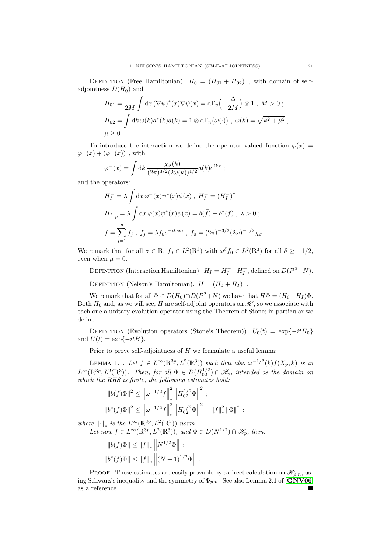DEFINITION (Free Hamiltonian).  $H_0 = (H_{01} + H_{02})$ , with domain of selfadjointness  $D(H_0)$  and

$$
H_{01} = \frac{1}{2M} \int dx \, (\nabla \psi)^*(x) \nabla \psi(x) = d\Gamma_p \left(-\frac{\Delta}{2M}\right) \otimes 1 \,, \quad M > 0 \,;
$$
\n
$$
H_{02} = \int dk \, \omega(k) a^*(k) a(k) = 1 \otimes d\Gamma_n \left(\omega(\cdot)\right) \,, \quad \omega(k) = \sqrt{k^2 + \mu^2} \,,
$$
\n
$$
\mu \ge 0 \,.
$$

To introduce the interaction we define the operator valued function  $\varphi(x)$  =  $\varphi^{-}(x) + (\varphi^{-}(x))^{\dagger}$ , with

$$
\varphi^{-}(x) = \int \mathrm{d}k \, \frac{\chi_{\sigma}(k)}{(2\pi)^{3/2} (2\omega(k))^{1/2}} a(k) e^{ikx} ;
$$

and the operators:

$$
H_I^- = \lambda \int dx \,\varphi^-(x)\psi^*(x)\psi(x) , \ H_I^+ = (H_I^-)^\dagger ,
$$
  
\n
$$
H_I|_p = \lambda \int dx \,\varphi(x)\psi^*(x)\psi(x) = b(\bar{f}) + b^*(f) , \ \lambda > 0 ;
$$
  
\n
$$
f = \sum_{j=1}^p f_j , \ f_j = \lambda f_0 e^{-ik \cdot x_j} , \ f_0 = (2\pi)^{-3/2} (2\omega)^{-1/2} \chi_\sigma .
$$

We remark that for all  $\sigma \in \mathbb{R}$ ,  $f_0 \in L^2(\mathbb{R}^3)$  with  $\omega^{\delta} f_0 \in L^2(\mathbb{R}^3)$  for all  $\delta \geq -1/2$ , even when  $\mu = 0$ .

DEFINITION (Interaction Hamiltonian).  $H_I = H_I^- + H_I^+$ , defined on  $D(P^2 + N)$ .

DEFINITION (Nelson's Hamiltonian).  $H = (H_0 + H_I)$ .

We remark that for all  $\Phi \in D(H_0) \cap D(P^2 + N)$  we have that  $H\Phi = (H_0 + H_I)\Phi$ . Both  $H_0$  and, as we will see, H are self-adjoint operators on  $\mathscr{H}$ , so we associate with each one a unitary evolution operator using the Theorem of Stone; in particular we define:

DEFINITION (Evolution operators (Stone's Theorem)).  $U_0(t) = \exp\{-itH_0\}$ and  $U(t) = \exp\{-itH\}.$ 

Prior to prove self-adjointness of  $H$  we formulate a useful lemma:

<span id="page-20-0"></span>LEMMA 1.1. Let  $f \in L^{\infty}(\mathbb{R}^{3p}, L^{2}(\mathbb{R}^{3}))$  such that also  $\omega^{-1/2}(k)f(X_{p}, k)$  is in  $L^{\infty}(\mathbb{R}^{3p}, L^2(\mathbb{R}^3))$ . Then, for all  $\Phi \in D(H_{02}^{1/2}) \cap \mathscr{H}_p$ , intended as the domain on which the RHS is finite, the following estimates hold:

$$
||b(f)\Phi||^{2} \le ||\omega^{-1/2}f||_{*}^{2} ||H_{02}^{1/2}\Phi||^{2} ;
$$
  

$$
||b^{*}(f)\Phi||^{2} \le ||\omega^{-1/2}f||_{*}^{2} ||H_{02}^{1/2}\Phi||^{2} + ||f||_{*}^{2} ||\Phi||^{2} ;
$$

where  $\lVert \cdot \rVert_*$  is the  $L^{\infty}(\mathbb{R}^{3p}, L^2(\mathbb{R}^3))$ -norm.

Let now 
$$
f \in L^{\infty}(\mathbb{R}^{3p}, L^2(\mathbb{R}^3))
$$
, and  $\Phi \in D(N^{1/2}) \cap \mathcal{H}_p$ , then:

$$
||b(f)\Phi|| \le ||f||_* ||N^{1/2}\Phi|| ;
$$
  

$$
||b^*(f)\Phi|| \le ||f||_* ||(N+1)^{1/2}\Phi||.
$$

PROOF. These estimates are easily provable by a direct calculation on  $\mathcal{H}_{p,n}$ , using Schwarz's inequality and the symmetry of  $\Phi_{p,n}$ . See also Lemma 2.1 of  $\left[\text{GNV06}\right]$  $\left[\text{GNV06}\right]$  $\left[\text{GNV06}\right]$ as a reference.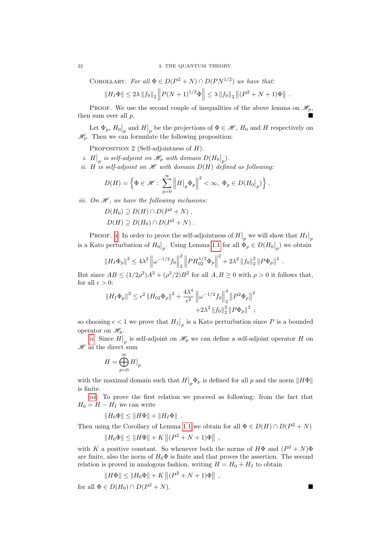COROLLARY. For all  $\Phi \in D(P^2 + N) \cap D(PN^{1/2})$  we have that:

$$
||H_I\Phi|| \leq 2\lambda ||f_0||_2 ||P(N+1)^{1/2}\Phi|| \leq \lambda ||f_0||_2 ||(P^2+N+1)\Phi||.
$$

PROOF. We use the second couple of inequalities of the above lemma on  $\mathcal{H}_p$ , then sum over all p.

Let  $\Phi_p$ ,  $H_0|_p$  and  $H|_p$  be the projections of  $\Phi \in \mathcal{H}$ ,  $H_0$  and H respectively on  $\mathcal{H}_n$ . Then we can formulate the following proposition:

PROPOSITION 2 (Self-adjointness of  $H$ ).

- <span id="page-21-0"></span>*i*.  $H|_p$  is self-adjoint on  $\mathscr{H}_p$  with domain  $D(H_0|_p)$ .
- <span id="page-21-1"></span>ii. H is self-adjoint on  $\mathscr H$  with domain  $D(H)$  defined as following:

$$
D(H) = \left\{ \Phi \in \mathscr{H} : \sum_{p=0}^{\infty} \left\| H \big|_p \Phi_p \right\|^2 < \infty, \ \Phi_p \in D(H_0|_p) \right\}.
$$

<span id="page-21-2"></span>iii. On  $\mathcal{H}$ , we have the following inclusions:

$$
D(H_0) \supseteq D(H) \cap D(P^2 + N) ,
$$
  
 
$$
D(H) \supseteq D(H_0) \cap D(P^2 + N) .
$$

PROOF. *[i](#page-21-0)*. In order to prove the self-adjointness of  $H|_p$  we will show that  $H|_p$ is a Kato perturbation of  $H_0|_p$ . Using Lemma [1.1](#page-20-0) for all  $\Phi_p \in D(H_0|_p)$  we obtain

$$
||H_I\Phi_p||^2 \le 4\lambda^2 \left\|\omega^{-1/2}f_0\right\|_2^2 \left\|PH_{02}^{1/2}\Phi_p\right\|^2 + 2\lambda^2 \left\|f_0\right\|_2^2 \left\|P\Phi_p\right\|^2.
$$

But since  $AB \leq (1/2\rho^2)A^2 + (\rho^2/2)B^2$  for all  $A, B \geq 0$  with  $\rho > 0$  it follows that, for all  $\epsilon > 0$ :

$$
||H_I \Phi_p||^2 \le \epsilon^2 ||H_{02} \Phi_p||^2 + \frac{4\lambda^4}{\epsilon^2} ||\omega^{-1/2} f_0||_2^4 ||P^2 \Phi_p||^2
$$
  
+2 $\lambda^2 ||f_0||_2^2 ||P \Phi_p||^2$ ;

so choosing  $\epsilon < 1$  we prove that  $H_I|_p$  is a Kato perturbation since P is a bounded operator on  $\mathscr{H}_p$ .

[ii](#page-21-1). Since  $H|_p$  is self-adjoint on  $\mathcal{H}_p$  we can define a self-adjoint operator H on  $\mathscr H$  as the direct sum

$$
H=\bigoplus_{p=0}^\infty H\big|_p
$$

with the maximal domain such that  $H|_p \Phi_p$  is defined for all p and the norm  $||H\Phi||$ is finite.

[iii](#page-21-2). To prove the first relation we proceed as following: from the fact that  $H_0 = H - H_I$  we can write

$$
||H_0\Phi|| \le ||H\Phi|| + ||H_I\Phi||.
$$

Then using the Corollary of Lemma [1.1](#page-20-0) we obtain for all  $\Phi \in D(H) \cap D(P^2 + N)$ 

$$
||H_0\Phi|| \le ||H\Phi|| + K ||(P^2 + N + 1)\Phi||,
$$

with K a positive constant. So whenever both the norms of  $H\Phi$  and  $(P^2 + N)\Phi$ are finite, also the norm of  $H_0\Phi$  is finite and that proves the assertion. The second relation is proved in analogous fashion, writing  $H = H_0 + H_I$  to obtain

$$
||H\Phi|| \le ||H_0\Phi|| + K ||(P^2 + N + 1)\Phi||,
$$

for all  $\Phi \in D(H_0) \cap D(P^2 + N)$ .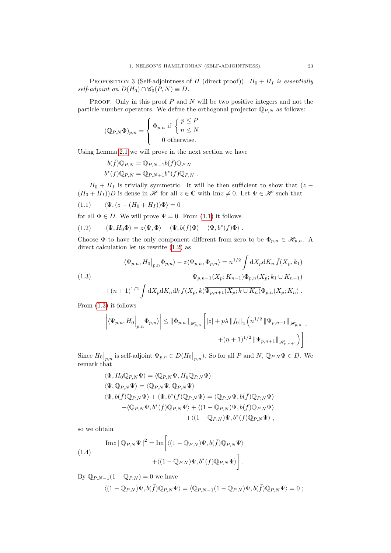PROPOSITION 3 (Self-adjointness of H (direct proof)).  $H_0 + H_I$  is essentially self-adjoint on  $D(H_0) \cap \mathscr{C}_0(P,N) \equiv D$ .

PROOF. Only in this proof  $P$  and  $N$  will be two positive integers and not the particle number operators. We define the orthogonal projector  $\mathbb{Q}_{P,N}$  as follows:

$$
(\mathbb{Q}_{P,N}\Phi)_{p,n} = \begin{cases} \Phi_{p,n} \text{ if } \begin{cases} p \leq P \\ n \leq N \end{cases} \\ 0 \text{ otherwise.} \end{cases}
$$

Using Lemma [2.1](#page-24-1) we will prove in the next section we have

<span id="page-22-1"></span><span id="page-22-0"></span>
$$
b(\bar{f})\mathbb{Q}_{P,N} = \mathbb{Q}_{P,N-1}b(\bar{f})\mathbb{Q}_{P,N}
$$
  

$$
b^*(f)\mathbb{Q}_{P,N} = \mathbb{Q}_{P,N+1}b^*(f)\mathbb{Q}_{P,N}.
$$

 $H_0 + H_I$  is trivially symmetric. It will be then sufficient to show that (z –  $(H_0 + H_I))D$  is dense in  $\mathscr H$  for all  $z \in \mathbb C$  with  $\text{Im} z \neq 0$ . Let  $\Psi \in \mathscr H$  such that

$$
(1.1) \qquad \langle \Psi, (z - (H_0 + H_I))\Phi \rangle = 0
$$

for all  $\Phi \in D$ . We will prove  $\Psi = 0$ . From [\(1.1\)](#page-22-0) it follows

(1.2) 
$$
\langle \Psi, H_0 \Phi \rangle = z \langle \Psi, \Phi \rangle - \langle \Psi, b(\bar{f}) \Phi \rangle - \langle \Psi, b^*(f) \Phi \rangle.
$$

Choose  $\Phi$  to have the only component different from zero to be  $\Phi_{p,n} \in \mathscr{H}_{p,n}$ . A direct calculation let us rewrite [\(1.2\)](#page-22-1) as

(1.3)  
\n
$$
\langle \Psi_{p,n}, H_0 |_{p,n} \Phi_{p,n} \rangle - z \langle \Psi_{p,n}, \Phi_{p,n} \rangle = n^{1/2} \int dX_p dK_n \bar{f}(X_p, k_1)
$$
\n
$$
\overline{\Psi_{p,n-1}(X_p; K_{n-1})} \Phi_{p,n}(X_p; k_1 \cup K_{n-1})
$$
\n
$$
+ (n+1)^{1/2} \int dX_p dK_n dk \, f(X_p, k) \overline{\Psi_{p,n+1}(X_p; k \cup K_n)} \Phi_{p,n}(X_p; K_n) .
$$

From [\(1.3\)](#page-22-2) it follows

<span id="page-22-2"></span>
$$
\left| \langle \Psi_{p,n}, H_0 \Big|_{p,n} \Phi_{p,n} \rangle \right| \leq \left\| \Phi_{p,n} \right\|_{\mathscr{H}_{p,n}} \left[ |z| + p \lambda \left\| f_0 \right\|_2 \left( n^{1/2} \left\| \Psi_{p,n-1} \right\|_{\mathscr{H}_{p,n-1}} \right) \right. \\ \left. + (n+1)^{1/2} \left\| \Psi_{p,n+1} \right\|_{\mathscr{H}_{p,n+1}} \right) \right].
$$

Since  $H_0|_{p,n}$  is self-adjoint  $\Psi_{p,n} \in D(H_0|_{p,n})$ . So for all P and  $N, \mathbb{Q}_{P,N} \Psi \in D$ . We remark that

$$
\langle \Psi, H_0 \mathbb{Q}_{P,N} \Psi \rangle = \langle \mathbb{Q}_{P,N} \Psi, H_0 \mathbb{Q}_{P,N} \Psi \rangle
$$
  
\n
$$
\langle \Psi, \mathbb{Q}_{P,N} \Psi \rangle = \langle \mathbb{Q}_{P,N} \Psi, \mathbb{Q}_{P,N} \Psi \rangle
$$
  
\n
$$
\langle \Psi, b(\bar{f}) \mathbb{Q}_{P,N} \Psi \rangle + \langle \Psi, b^*(f) \mathbb{Q}_{P,N} \Psi \rangle = \langle \mathbb{Q}_{P,N} \Psi, b(\bar{f}) \mathbb{Q}_{P,N} \Psi \rangle
$$
  
\n
$$
+ \langle \mathbb{Q}_{P,N} \Psi, b^*(f) \mathbb{Q}_{P,N} \Psi \rangle + \langle (1 - \mathbb{Q}_{P,N}) \Psi, b(\bar{f}) \mathbb{Q}_{P,N} \Psi \rangle
$$
  
\n
$$
+ \langle (1 - \mathbb{Q}_{P,N}) \Psi, b^*(f) \mathbb{Q}_{P,N} \Psi \rangle,
$$

<span id="page-22-3"></span>so we obtain

(1.4)  
\n
$$
\operatorname{Im} z \|\mathbb{Q}_{P,N}\Psi\|^2 = \operatorname{Im} \left[ \langle (1 - \mathbb{Q}_{P,N})\Psi, b(\bar{f})\mathbb{Q}_{P,N}\Psi \rangle + \langle (1 - \mathbb{Q}_{P,N})\Psi, b^*(f)\mathbb{Q}_{P,N}\Psi \rangle \right].
$$

By  $\mathbb{Q}_{P,N-1}(1-\mathbb{Q}_{P,N})=0$  we have

$$
\langle (1- {\mathbb Q}_{P,N}) \Psi, b(\bar f) {\mathbb Q}_{P,N} \Psi \rangle = \langle {\mathbb Q}_{P,N-1} (1- {\mathbb Q}_{P,N}) \Psi, b(\bar f) {\mathbb Q}_{P,N} \Psi \rangle =0 \ ;
$$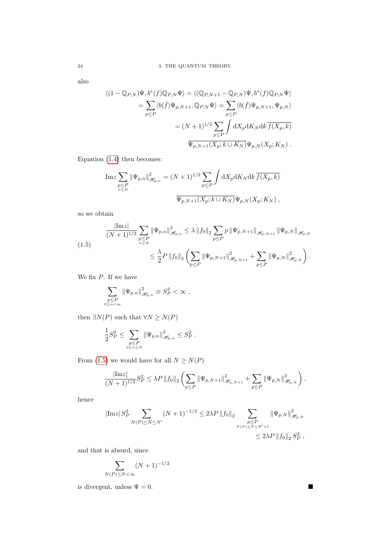also

$$
\langle (1 - \mathbb{Q}_{P,N})\Psi, b^*(f)\mathbb{Q}_{P,N}\Psi \rangle = \langle (\mathbb{Q}_{P,N+1} - \mathbb{Q}_{P,N})\Psi, b^*(f)\mathbb{Q}_{P,N}\Psi \rangle
$$
  
\n
$$
= \sum_{p \le P} \langle b(\bar{f})\Psi_{p,N+1}, \mathbb{Q}_{P,N}\Psi \rangle = \sum_{p \le P} \langle b(\bar{f})\Psi_{p,N+1}, \Psi_{p,N} \rangle
$$
  
\n
$$
= (N+1)^{1/2} \sum_{p \le P} \int dX_p dK_N dk \overline{f(X_p, k)}
$$
  
\n
$$
\overline{\Psi_{p,N+1}(X_p; k \cup K_N)} \Psi_{p,N}(X_p; K_N).
$$

Equation [\(1.4\)](#page-22-3) then becomes:

$$
\mathrm{Im}z \sum_{\substack{p \leq P \\ n \leq N}} \|\Psi_{p,n}\|_{\mathscr{H}_{p,n}}^2 = (N+1)^{1/2} \sum_{p \leq P} \int \mathrm{d}X_p \mathrm{d}K_N \mathrm{d}k \, \overline{f(X_p, k)}
$$

$$
\overline{\Psi_{p,N+1}(X_p; k \cup K_N)} \Psi_{p,N}(X_p; K_N) ,
$$

<span id="page-23-0"></span>so we obtain

$$
\frac{|\text{Im} z|}{(N+1)^{1/2}} \sum_{\substack{p \leq P \\ n \leq N}} \|\Psi_{p,n}\|_{\mathcal{H}_{p,n}}^2 \leq \lambda \|f_0\|_2 \sum_{p \leq P} p \|\Psi_{p,N+1}\|_{\mathcal{H}_{p,N+1}} \|\Psi_{p,N}\|_{\mathcal{H}_{p,N}} \leq \frac{\lambda}{2} P \|f_0\|_2 \left( \sum_{p \leq P} \|\Psi_{p,N+1}\|_{\mathcal{H}_{p,N+1}}^2 + \sum_{p \leq P} \|\Psi_{p,N}\|_{\mathcal{H}_{p,N}}^2 \right).
$$

We fix  $P$ . If we have

$$
\sum_{\substack{p\leq P\\0\leq n<\infty}}\|\Psi_{p,n}\|_{\mathscr{H}_{p,n}}^2\equiv S_P^2<\infty\ ,
$$

then  $\exists N(P)$  such that  $\forall N \ge N(P)$ 

$$
\frac{1}{2}S_P^2 \le \sum_{\substack{p \le P \\ 0 \le n \le N}} \|\Psi_{p,n}\|_{\mathcal{H}_{p,n}}^2 \le S_P^2.
$$

From [\(1.5\)](#page-23-0) we would have for all  $N \geq N(P)$ 

$$
\frac{|\text{Im}z|}{(N+1)^{1/2}}S_P^2 \leq \lambda P \|f_0\|_2 \left( \sum_{p \leq P} \|\Psi_{p,N+1}\|_{\mathcal{H}_{p,N+1}}^2 + \sum_{p \leq P} \|\Psi_{p,N}\|_{\mathcal{H}_{p,N}}^2 \right),
$$

hence

$$
|\mathrm{Im} z|S_P^2 \sum_{N(P)\leq N\leq N'} (N+1)^{-1/2} \leq 2\lambda P \|f_0\|_2 \sum_{\substack{p\leq P\\ N(P)\leq N\leq N'+1}} \|\Psi_{p,N}\|_{\mathcal{H}_{p,N}}^2 \\ \leq 2\lambda P \|f_0\|_2 S_P^2 ,
$$

and that is absurd, since

$$
\sum_{(P)\leq N<\infty} (N+1)^{-1/2}
$$

is divergent, unless  $\Psi = 0$ .

 $\overline{N}$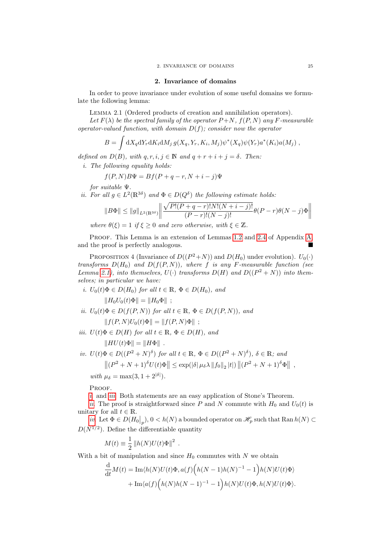#### 2. Invariance of domains

<span id="page-24-0"></span>In order to prove invariance under evolution of some useful domains we formulate the following lemma:

Lemma 2.1 (Ordered products of creation and annihilation operators).

<span id="page-24-1"></span>Let  $F(\lambda)$  be the spectral family of the operator  $P+N$ ,  $f(P, N)$  any F-measurable operator-valued function, with domain  $D(f)$ ; consider now the operator

$$
B = \int dX_q dY_r dK_i dM_j g(X_q, Y_r, K_i, M_j) \psi^*(X_q) \psi(Y_r) a^*(K_i) a(M_j) ,
$$

defined on  $D(B)$ , with  $q, r, i, j \in \mathbb{N}$  and  $q + r + i + j = \delta$ . Then:

i. The following equality holds:

$$
f(P, N)B\Psi = Bf(P + q - r, N + i - j)\Psi
$$

for suitable Ψ.

*ii.* For all  $g \in L^2(\mathbb{R}^{3\delta})$  and  $\Phi \in D(Q^{\delta})$  the following estimate holds:

$$
||B\Phi|| \le ||g||_{L^{2}(\mathbb{R}^{3\delta})} \left|| \frac{\sqrt{P!(P+q-r)!N!(N+i-j)!}}{(P-r)!(N-j)!} \theta(P-r) \theta(N-j) \Phi \right||
$$

where  $\theta(\xi) = 1$  if  $\xi \geq 0$  and zero otherwise, with  $\xi \in \mathbb{Z}$ .

PROOF. This Lemma is an extension of Lemmas [1.2](#page-64-0) and [2.4](#page-67-1) of Appendix [A,](#page-62-0) and the proof is perfectly analogous.

PROPOSITION 4 (Invariance of  $D((P^2+N))$  and  $D(H_0)$  under evolution).  $U_0(\cdot)$ transforms  $D(H_0)$  and  $D(f(P, N))$ , where f is any F-measurable function (see Lemma [2.1\)](#page-24-1), into themselves,  $U(\cdot)$  transforms  $D(H)$  and  $D((P^2+N))$  into themselves; in particular we have:

<span id="page-24-2"></span>i.  $U_0(t)\Phi \in D(H_0)$  for all  $t \in \mathbb{R}$ ,  $\Phi \in D(H_0)$ , and  $||H_0U_0(t)\Phi|| = ||H_0\Phi||$ :

- <span id="page-24-4"></span>ii.  $U_0(t)\Phi \in D(f(P,N))$  for all  $t \in \mathbb{R}, \Phi \in D(f(P,N))$ , and  $|| f(P, N)U_0(t)\Phi || = || f(P, N)\Phi ||$ ;
- <span id="page-24-3"></span>iii.  $U(t)\Phi \in D(H)$  for all  $t \in \mathbb{R}, \Phi \in D(H)$ , and

 $\Vert HU(t)\Phi \Vert = \Vert H\Phi \Vert$ .

<span id="page-24-5"></span>iv. 
$$
U(t)\Phi \in D((P^2 + N)^{\delta})
$$
 for all  $t \in \mathbb{R}$ ,  $\Phi \in D((P^2 + N)^{\delta})$ ,  $\delta \in \mathbb{R}$ ; and  
\n
$$
||(P^2 + N + 1)^{\delta}U(t)\Phi|| \le \exp(|\delta| \mu_{\delta} \lambda ||f_0||_2 |t|) ||(P^2 + N + 1)^{\delta} \Phi||,
$$
\nwith  $\mu_{\delta} = \max(3, 1 + 2^{|\delta|})$ .

PROOF.

[i](#page-24-2). and *[iii](#page-24-3).* Both statements are an easy application of Stone's Theorem.

[ii](#page-24-4). The proof is straightforward since P and N commute with  $H_0$  and  $U_0(t)$  is unitary for all  $t \in \mathbb{R}$ .

[iv](#page-24-5). Let  $\Phi \in D(H_0|_p), 0 < h(N)$  a bounded operator on  $\mathscr{H}_p$  such that  $\text{Ran } h(N) \subset$  $D(N^{1/2})$ . Define the differentiable quantity

$$
M(t) \equiv \frac{1}{2} ||h(N)U(t)\Phi||^2.
$$

With a bit of manipulation and since  $H_0$  commutes with N we obtain

$$
\frac{\mathrm{d}}{\mathrm{d}t}M(t) = \mathrm{Im}\langle h(N)U(t)\Phi, a(f)\Big(h(N-1)h(N)^{-1} - 1\Big)h(N)U(t)\Phi\rangle \n+ \mathrm{Im}\langle a(f)\Big(h(N)h(N-1)^{-1} - 1\Big)h(N)U(t)\Phi, h(N)U(t)\Phi\rangle.
$$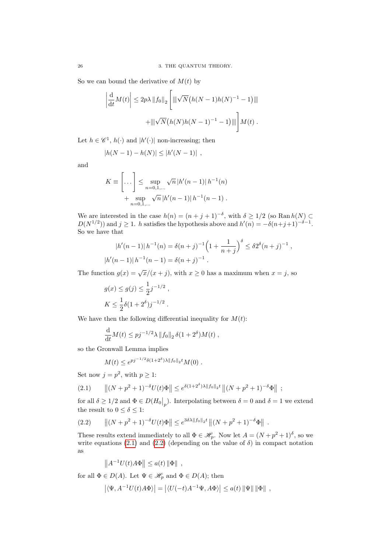So we can bound the derivative of  $M(t)$  by

$$
\left| \frac{d}{dt} M(t) \right| \leq 2p\lambda \|f_0\|_2 \left[ \left\| \sqrt{N} \left( h(N-1)h(N)^{-1} - 1 \right) \right\| \right] + \left\| \sqrt{N} \left( h(N)h(N-1)^{-1} - 1 \right) \right\| \right] M(t).
$$

Let  $h \in \mathscr{C}^1$ ,  $h(\cdot)$  and  $|h'(\cdot)|$  non-increasing; then

$$
|h(N-1) - h(N)| \le |h'(N-1)|,
$$

and

$$
K \equiv \left[ \dots \right] \le \sup_{n=0,1,\dots} \sqrt{n} |h'(n-1)| h^{-1}(n) + \sup_{n=0,1,\dots} \sqrt{n} |h'(n-1)| h^{-1}(n-1).
$$

We are interested in the case  $h(n) = (n + j + 1)^{-\delta}$ , with  $\delta \geq 1/2$  (so Ran  $h(N) \subset$  $D(N^{1/2})$  and  $j \geq 1$ . h satisfies the hypothesis above and  $h'(n) = -\delta(n+j+1)^{-\delta-1}$ . So we have that

$$
|h'(n-1)| h^{-1}(n) = \delta(n+j)^{-1} \left(1 + \frac{1}{n+j}\right)^{\delta} \leq \delta 2^{\delta} (n+j)^{-1},
$$
  

$$
|h'(n-1)| h^{-1}(n-1) = \delta(n+j)^{-1}.
$$

The function  $g(x) = \sqrt{x}/(x + j)$ , with  $x \ge 0$  has a maximum when  $x = j$ , so

$$
g(x) \le g(j) \le \frac{1}{2}j^{-1/2}
$$
,  
\n $K \le \frac{1}{2}\delta(1+2^{\delta})j^{-1/2}$ .

We have then the following differential inequality for  $M(t)$ :

$$
\frac{\mathrm{d}}{\mathrm{d}t}M(t) \leq pj^{-1/2}\lambda \|f_0\|_2 \,\delta(1+2^{\delta})M(t) ,
$$

so the Gronwall Lemma implies

<span id="page-25-1"></span><span id="page-25-0"></span>
$$
M(t) \le e^{pj^{-1/2}\delta(1+2^{\delta})\lambda ||f_0||_2 t} M(0) .
$$

Set now  $j = p^2$ , with  $p \geq 1$ :

$$
(2.1) \qquad \|(N+p^2+1)^{-\delta}U(t)\Phi\| \le e^{\delta(1+2^{\delta})\lambda \|f_0\|_2 t} \|(N+p^2+1)^{-\delta}\Phi\| ;
$$

for all  $\delta \geq 1/2$  and  $\Phi \in D(H_0|_p)$ . Interpolating between  $\delta = 0$  and  $\delta = 1$  we extend the result to  $0\leq \delta \leq 1:$ 

$$
(2.2) \qquad \|(N+p^2+1)^{-\delta}U(t)\Phi\| \le e^{3\delta\lambda \|f_0\|_2 t} \|(N+p^2+1)^{-\delta}\Phi\|.
$$

These results extend immediately to all  $\Phi \in \mathscr{H}_{p}$ . Now let  $A = (N + p^2 + 1)^{\delta}$ , so we write equations [\(2.1\)](#page-25-0) and [\(2.2\)](#page-25-1) (depending on the value of  $\delta$ ) in compact notation as

$$
||A^{-1}U(t)A\Phi|| \leq a(t) ||\Phi||,
$$

for all  $\Phi \in D(A)$ . Let  $\Psi \in \mathcal{H}_p$  and  $\Phi \in D(A)$ ; then

$$
\left| \langle \Psi, A^{-1} U(t) A \Phi \rangle \right| = \left| \langle U(-t) A^{-1} \Psi, A \Phi \rangle \right| \le a(t) \left\| \Psi \right\| \left\| \Phi \right\| ,
$$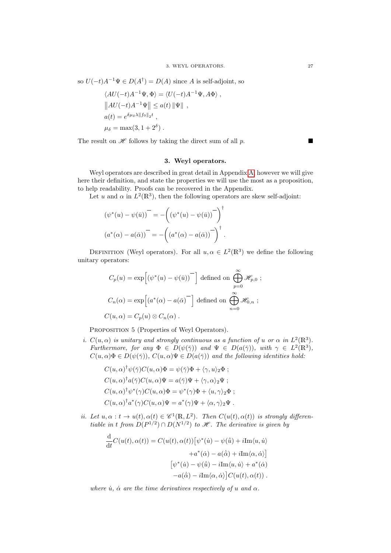so  $U(-t)A^{-1}\Psi \in D(A^{\dagger}) = D(A)$  since A is self-adjoint, so

$$
\langle AU(-t)A^{-1}\Psi, \Phi \rangle = \langle U(-t)A^{-1}\Psi, A\Phi \rangle ,
$$
  

$$
||AU(-t)A^{-1}\Psi|| \le a(t) ||\Psi|| ,
$$
  

$$
a(t) = e^{\delta \mu_{\delta} \lambda ||f_0||_2 t} ,
$$
  

$$
\mu_{\delta} = \max(3, 1 + 2^{\delta}) .
$$

The result on  $\mathscr H$  follows by taking the direct sum of all p.

#### 3. Weyl operators.

<span id="page-26-0"></span>Weyl operators are described in great detail in Appendix [A,](#page-62-0) however we will give here their definition, and state the properties we will use the most as a proposition, to help readability. Proofs can be recovered in the Appendix.

Let u and  $\alpha$  in  $L^2(\mathbb{R}^3)$ , then the following operators are skew self-adjoint:

$$
(\psi^*(u) - \psi(\bar{u}))^{\dagger} = -((\psi^*(u) - \psi(\bar{u}))^{\dagger})^{\dagger}
$$

$$
(a^*(\alpha) - a(\bar{\alpha}))^{\dagger} = -((a^*(\alpha) - a(\bar{\alpha}))^{\dagger}).
$$

DEFINITION (Weyl operators). For all  $u, \alpha \in L^2(\mathbb{R}^3)$  we define the following unitary operators:

$$
C_p(u) = \exp\left[\left(\psi^*(u) - \psi(\bar{u})\right)^-\right] \text{ defined on } \bigoplus_{p=0}^{\infty} \mathcal{H}_{p,0} ;
$$
  

$$
C_n(\alpha) = \exp\left[\left(a^*(\alpha) - a(\bar{\alpha})\right)^-\right] \text{ defined on } \bigoplus_{n=0}^{\infty} \mathcal{H}_{0,n} ;
$$
  

$$
C(u, \alpha) = C_p(u) \otimes C_n(\alpha) .
$$

PROPOSITION 5 (Properties of Weyl Operators).

i.  $C(u, \alpha)$  is unitary and strongly continuous as a function of u or  $\alpha$  in  $L^2(\mathbb{R}^3)$ . Furthermore, for any  $\Phi \in D(\psi(\bar{\gamma}))$  and  $\Psi \in D(a(\bar{\gamma}))$ , with  $\gamma \in L^2(\mathbb{R}^3)$ ,  $C(u, \alpha)\Phi \in D(\psi(\overline{\gamma}))$ ,  $C(u, \alpha)\Psi \in D(a(\overline{\gamma}))$  and the following identities hold:

$$
C(u, \alpha)^{\dagger} \psi(\bar{\gamma}) C(u, \alpha) \Phi = \psi(\bar{\gamma}) \Phi + \langle \gamma, u \rangle_2 \Phi ;
$$
  
\n
$$
C(u, \alpha)^{\dagger} a(\bar{\gamma}) C(u, \alpha) \Psi = a(\bar{\gamma}) \Psi + \langle \gamma, \alpha \rangle_2 \Psi ;
$$
  
\n
$$
C(u, \alpha)^{\dagger} \psi^*(\gamma) C(u, \alpha) \Phi = \psi^*(\gamma) \Phi + \langle u, \gamma \rangle_2 \Phi ;
$$
  
\n
$$
C(u, \alpha)^{\dagger} a^*(\gamma) C(u, \alpha) \Psi = a^*(\gamma) \Psi + \langle \alpha, \gamma \rangle_2 \Psi .
$$

*ii.* Let  $u, \alpha : t \to u(t), \alpha(t) \in \mathscr{C}^1(\mathbb{R}, L^2)$ . Then  $C(u(t), \alpha(t))$  is strongly differentiable in t from  $D(P^{1/2}) \cap D(N^{1/2})$  to  $\mathscr{H}$ . The derivative is given by

$$
\frac{d}{dt}C(u(t), \alpha(t)) = C(u(t), \alpha(t)) \left[\psi^*(\dot{u}) - \psi(\dot{\bar{u}}) + i \text{Im}\langle u, \dot{u} \rangle \right.\left. + a^*(\dot{\alpha}) - a(\dot{\bar{\alpha}}) + i \text{Im}\langle \alpha, \dot{\alpha} \rangle \right] \left[\psi^*(\dot{u}) - \psi(\dot{\bar{u}}) - i \text{Im}\langle u, \dot{u} \rangle + a^*(\dot{\alpha}) \right.\left. - a(\dot{\bar{\alpha}}) - i \text{Im}\langle \alpha, \dot{\alpha} \rangle \right] C(u(t), \alpha(t)).
$$

where  $\dot{u}$ ,  $\dot{\alpha}$  are the time derivatives respectively of u and  $\alpha$ .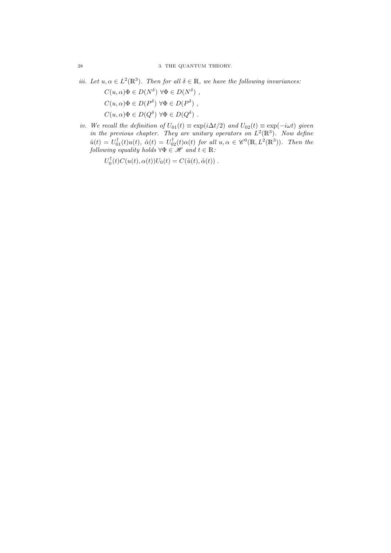iii. Let  $u, \alpha \in L^2(\mathbb{R}^3)$ . Then for all  $\delta \in \mathbb{R}$ , we have the following invariances:

 $C(u, \alpha)\Phi \in D(N^{\delta}) \,\forall \Phi \in D(N^{\delta})$ ,  $C(u, \alpha)\Phi \in D(P^{\delta}) \,\,\forall \Phi \in D(P^{\delta})$ ,  $C(u, \alpha)\Phi \in D(Q^{\delta}) \,\,\forall \Phi \in D(Q^{\delta})$ .

iv. We recall the definition of  $U_{01}(t) \equiv \exp(i\Delta t/2)$  and  $U_{02}(t) \equiv \exp(-i\omega t)$  given in the previous chapter. They are unitary operators on  $L^2(\mathbb{R}^3)$ . Now define  $\tilde{u}(t) = U_{01}^{\dagger}(t)u(t), \ \tilde{\alpha}(t) = U_{02}^{\dagger}(t)\alpha(t)$  for all  $u, \alpha \in \mathscr{C}^{0}(\mathbb{R}, L^{2}(\mathbb{R}^{3})).$  Then the following equality holds  $\forall \Phi \in \mathscr{H}$  and  $t \in \mathbb{R}$ .

 $U_0^{\dagger}(t)C(u(t),\alpha(t))U_0(t) = C(\tilde{u}(t),\tilde{\alpha}(t))$ .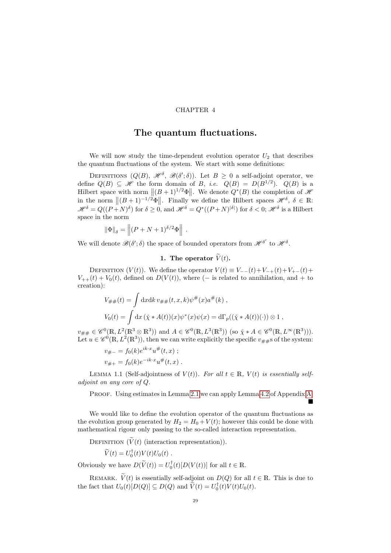#### CHAPTER 4

### The quantum fluctuations.

<span id="page-28-0"></span>We will now study the time-dependent evolution operator  $U_2$  that describes the quantum fluctuations of the system. We start with some definitions:

DEFINITIONS  $(Q(B), \mathcal{H}^{\delta}, \mathcal{B}(\delta';\delta))$ . Let  $B \geq 0$  a self-adjoint operator, we define  $Q(B) \subseteq \mathcal{H}$  the form domain of B, *i.e.*  $Q(B) = D(B^{1/2})$ .  $Q(B)$  is a Hilbert space with norm  $||(B+1)^{1/2}\Phi||$ . We denote  $Q^*(B)$  the completion of  $\mathcal{H}$ in the norm  $||(B+1)^{-1/2}\Phi||$ . Finally we define the Hilbert spaces  $\mathscr{H}^{\delta}$ ,  $\delta \in \mathbb{R}$ :  $\mathscr{H}^{\delta}=Q((P+N)^{\delta})$  for  $\delta\geq 0$ , and  $\mathscr{H}^{\delta}=Q^{*}((P+N)^{|\delta|})$  for  $\delta< 0$ ;  $\mathscr{H}^{\delta}$  is a Hilbert space in the norm

$$
\|\Phi\|_{\delta} = \left\| (P + N + 1)^{\delta/2} \Phi \right\|.
$$

We will denote  $\mathscr{B}(\delta';\delta)$  the space of bounded operators from  $\mathscr{H}^{\delta'}$  to  $\mathscr{H}^{\delta}$ .

1. The operator  $\widetilde{V}(t)$ .

<span id="page-28-1"></span>DEFINITION  $(V(t))$ . We define the operator  $V(t) \equiv V_{-}(t) + V_{-+}(t) + V_{+-}(t) + V_{-+}(t)$  $V_{++}(t) + V_0(t)$ , defined on  $D(V(t))$ , where (– is related to annihilation, and + to creation):

$$
V_{\# \#}(t) = \int dx dk \, v_{\# \#}(t, x, k) \psi^{\#}(x) a^{\#}(k) ,
$$
  
\n
$$
V_0(t) = \int dx \, (\tilde{\chi} * A(t))(x) \psi^*(x) \psi(x) = d\Gamma_p((\tilde{\chi} * A(t))(\cdot)) \otimes 1 ,
$$

 $v_{\# \#} \in \mathscr{C}^0(\mathbb{R}, L^2(\mathbb{R}^3 \otimes \mathbb{R}^3))$  and  $A \in \mathscr{C}^0(\mathbb{R}, L^3(\mathbb{R}^3))$  (so  $\check{\chi} * A \in \mathscr{C}^0(\mathbb{R}, L^{\infty}(\mathbb{R}^3))$ ). Let  $u \in \mathscr{C}^0(\mathbb{R}, L^2(\mathbb{R}^3))$ , then we can write explicitly the specific  $v_{\# \#}$ s of the system:

$$
v_{\# -} = f_0(k)e^{ik \cdot x}u^{\#}(t, x) ;
$$
  

$$
v_{\# +} = f_0(k)e^{-ik \cdot x}u^{\#}(t, x) .
$$

LEMMA 1.1 (Self-adjointness of  $V(t)$ ). For all  $t \in \mathbb{R}$ ,  $V(t)$  is essentially selfadjoint on any core of Q.

PROOF. Using estimates in Lemma [2.1](#page-24-1) we can apply Lemma [4.2](#page-70-1) of Appendix [A.](#page-62-0) Ē

We would like to define the evolution operator of the quantum fluctuations as the evolution group generated by  $H_2 = H_0 + V(t)$ ; however this could be done with mathematical rigour only passing to the so-called interaction representation.

DEFINITION  $(\widetilde{V}(t)$  (interaction representation)).

$$
\widetilde{V}(t) = U_0^{\dagger}(t) V(t) U_0(t) .
$$

Obviously we have  $D(\widetilde{V}(t)) = U_0^{\dagger}(t)[D(V(t))]$  for all  $t \in \mathbb{R}$ .

REMARK.  $\widetilde{V}(t)$  is essentially self-adjoint on  $D(Q)$  for all  $t \in \mathbb{R}$ . This is due to the fact that  $U_0(t)[D(Q)] \subseteq D(Q)$  and  $\widetilde{V}(t) = U_0^{\dagger}(t)V(t)U_0(t)$ .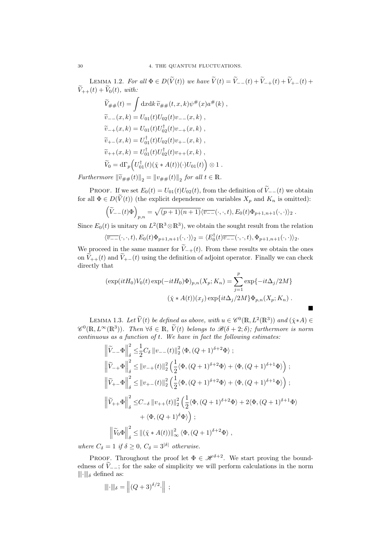LEMMA 1.2. For all  $\Phi \in D(\widetilde{V}(t))$  we have  $\widetilde{V}(t) = \widetilde{V}_{--}(t) + \widetilde{V}_{++}(t) + \widetilde{V}_{+-}(t) +$  $\widetilde{V}_{++}(t) + \widetilde{V}_0(t)$ , with:

$$
\widetilde{V}_{\# \#}(t) = \int dx dk \, \widetilde{v}_{\# \#}(t, x, k) \psi^{\#}(x) a^{\#}(k) ,
$$
\n
$$
\widetilde{v}_{--}(x, k) = U_{01}(t) U_{02}(t) v_{--}(x, k) ,
$$
\n
$$
\widetilde{v}_{-+}(x, k) = U_{01}(t) U_{02}^{\dagger}(t) v_{-+}(x, k) ,
$$
\n
$$
\widetilde{v}_{+-}(x, k) = U_{01}^{\dagger}(t) U_{02}(t) v_{+-}(x, k) ,
$$
\n
$$
\widetilde{v}_{++}(x, k) = U_{01}^{\dagger}(t) U_{02}^{\dagger}(t) v_{++}(x, k) ,
$$
\n
$$
\widetilde{V}_0 = d\Gamma_p \left( U_{01}^{\dagger}(t) (\widetilde{\chi} * A(t)) (\cdot) U_{01}(t) \right) \otimes 1 .
$$

Furthermore  $\|\widetilde{v}_{\# \#}(t)\|_2 = \|v_{\# \#}(t)\|_2$  for all  $t \in \mathbb{R}$ .

PROOF. If we set  $E_0(t) = U_{01}(t)U_{02}(t)$ , from the definition of  $\widetilde{V}_{-}(t)$  we obtain for all  $\Phi \in D(\widetilde{V}(t))$  (the explicit dependence on variables  $X_p$  and  $K_n$  is omitted):

$$
\left(\widetilde{V}_{--}(t)\Phi\right)_{p,n} = \sqrt{(p+1)(n+1)}\langle \overline{v_{--}}(\cdot,\cdot,t),E_0(t)\Phi_{p+1,n+1}(\cdot,\cdot)\rangle_2.
$$

Since  $E_0(t)$  is unitary on  $L^2(\mathbb{R}^3 \otimes \mathbb{R}^3)$ , we obtain the sought result from the relation

$$
\langle \overline{v_{--}}(\cdot,\cdot,t), E_0(t)\Phi_{p+1,n+1}(\cdot,\cdot)\rangle_2 = \langle E_0^{\dagger}(t)\overline{v_{--}}(\cdot,\cdot,t), \Phi_{p+1,n+1}(\cdot,\cdot)\rangle_2.
$$

We proceed in the same manner for  $\widetilde{V}_{-+}(t)$ . From these results we obtain the ones on  $\widetilde{V}_{++}(t)$  and  $\widetilde{V}_{+-}(t)$  using the definition of adjoint operator. Finally we can check directly that

$$
(\exp(itH_0)V_0(t)\exp(-itH_0)\Phi)_{p,n}(X_p;K_n) = \sum_{j=1}^p \exp\{-it\Delta_j/2M\}
$$

$$
(\tilde{\chi} * A(t))(x_j)\exp\{it\Delta_j/2M\}\Phi_{p,n}(X_p;K_n) .
$$

 $\blacksquare$ 

<span id="page-29-0"></span>LEMMA 1.3. Let  $\widetilde{V}(t)$  be defined as above, with  $u \in \mathscr{C}^0(\mathbb{R}, L^2(\mathbb{R}^3))$  and  $(\check{\chi} * A) \in$  $\mathscr{C}^0(\mathbb{R}, L^\infty(\mathbb{R}^3))$ . Then  $\forall \delta \in \mathbb{R}, \widetilde{V}(t)$  belongs to  $\mathscr{B}(\delta + 2, \delta)$ ; furthermore is norm  $continuous$  as a function of  $t$ . We have in fact the following estimates:

$$
\begin{split}\n&\left\|\tilde{V}_{--}\Phi\right\|_{\delta}^{2} \leq \frac{1}{2}C_{\delta}\left\|v_{--}(t)\right\|_{2}^{2}\left\langle\Phi,(Q+1)^{\delta+2}\Phi\right\rangle; \\
&\left\|\tilde{V}_{-+}\Phi\right\|_{\delta}^{2} \leq\left\|v_{-+}(t)\right\|_{2}^{2}\left(\frac{1}{2}\langle\Phi,(Q+1)^{\delta+2}\Phi\rangle+\langle\Phi,(Q+1)^{\delta+1}\Phi\rangle\right); \\
&\left\|\tilde{V}_{+-}\Phi\right\|_{\delta}^{2} \leq\left\|v_{+-}(t)\right\|_{2}^{2}\left(\frac{1}{2}\langle\Phi,(Q+1)^{\delta+2}\Phi\rangle+\langle\Phi,(Q+1)^{\delta+1}\Phi\rangle\right); \\
&\left\|\tilde{V}_{++}\Phi\right\|_{\delta}^{2} \leq C_{-\delta}\left\|v_{++}(t)\right\|_{2}^{2}\left(\frac{1}{2}\langle\Phi,(Q+1)^{\delta+2}\Phi\rangle+2\langle\Phi,(Q+1)^{\delta+1}\Phi\rangle\right. \\
&\left.+\langle\Phi,(Q+1)^{\delta}\Phi\rangle\right); \\
&\left\|\tilde{V}_{0}\Phi\right\|_{\delta}^{2} \leq\left\|(\tilde{\chi}*A(t))\right\|_{\infty}^{2}\langle\Phi,(Q+1)^{\delta+2}\Phi\rangle\right.\n\end{split}
$$

where  $C_{\delta} = 1$  if  $\delta \geq 0$ ,  $C_{\delta} = 3^{|\delta|}$  otherwise.

PROOF. Throughout the proof let  $\Phi \in \mathcal{H}^{\delta+2}$ . We start proving the boundedness of  $\widetilde{V}_{-}$ ; for the sake of simplicity we will perform calculations in the norm  $\|\cdot\|_{\delta}$  defined as:

$$
\|\|\cdot\|_{\delta} = \|(Q+3)^{\delta/2}\cdot\| ;
$$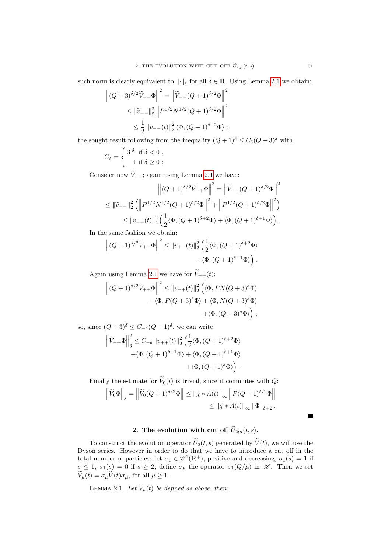such norm is clearly equivalent to  $\|\cdot\|_{\delta}$  for all  $\delta \in \mathbb{R}$ . Using Lemma [2.1](#page-24-1) we obtain:

$$
\left\| (Q+3)^{\delta/2} \widetilde{V}_{--} \Phi \right\|^2 = \left\| \widetilde{V}_{--} (Q+1)^{\delta/2} \Phi \right\|^2
$$
  
\$\leq\$  $\|\widetilde{v}_{--}\|_2^2 \left\| P^{1/2} N^{1/2} (Q+1)^{\delta/2} \Phi \right\|^2$   
\$\leq\$  $\frac{1}{2} \|v_{--}(t)\|_2^2 \langle \Phi, (Q+1)^{\delta+2} \Phi \rangle$  ;

the sought result following from the inequality  $(Q+1)^{\delta} \leq C_{\delta}(Q+3)^{\delta}$  with

$$
C_{\delta} = \begin{cases} 3^{|\delta|} \text{ if } \delta < 0 ,\\ 1 \text{ if } \delta \ge 0 ; \end{cases}
$$

Consider now  $\widetilde{V}_{-+}$ ; again using Lemma [2.1](#page-24-1) we have:

$$
\left\| (Q+1)^{\delta/2} \widetilde{V}_{-+} \Phi \right\|^2 = \left\| \widetilde{V}_{-+} (Q+1)^{\delta/2} \Phi \right\|^2
$$
  

$$
\leq \| \widetilde{v}_{-+} \|_2^2 \left( \left\| P^{1/2} N^{1/2} (Q+1)^{\delta/2} \Phi \right\|^2 + \left\| P^{1/2} (Q+1)^{\delta/2} \Phi \right\|^2 \right)
$$
  

$$
\leq \| v_{-+}(t) \|_2^2 \left( \frac{1}{2} \langle \Phi, (Q+1)^{\delta+2} \Phi \rangle + \langle \Phi, (Q+1)^{\delta+1} \Phi \rangle \right).
$$

In the same fashion we obtain:

$$
\left\| (Q+1)^{\delta/2} \widetilde{V}_{+-} \Phi \right\|^2 \leq \|v_{+-}(t)\|_2^2 \left( \frac{1}{2} \langle \Phi, (Q+1)^{\delta+2} \Phi \rangle \right. \\ \left. + \langle \Phi, (Q+1)^{\delta+1} \Phi \rangle \right).
$$

Again using Lemma [2.1](#page-24-1) we have for  $\widetilde{V}_{++}(t)$ :

$$
\left\| (Q+1)^{\delta/2} \widetilde{V}_{++} \Phi \right\|^2 \leq \|v_{++}(t)\|_2^2 \left( \langle \Phi, PN(Q+3)^{\delta} \Phi \rangle \right. \\ \left. + \langle \Phi, P(Q+3)^{\delta} \Phi \rangle + \langle \Phi, N(Q+3)^{\delta} \Phi \rangle \right. \\ \left. + \langle \Phi, (Q+3)^{\delta} \Phi \rangle \right) \, ;
$$

so, since  $(Q+3)^\delta \leq C_{-\delta}(Q+1)^\delta$ , we can write

$$
\begin{aligned} \left\| \widetilde V_{++} \Phi \right\|_{{\delta}}^2 &\leq C_{-{\delta}} \left\| v_{++}(t) \right\|_2^2 \left( \frac{1}{2} \langle \Phi, (Q+1)^{{\delta}+2} \Phi \rangle \right. \\ &\left. + \langle \Phi, (Q+1)^{{\delta}+1} \Phi \rangle + \langle \Phi, (Q+1)^{{\delta}+1} \Phi \rangle \right. \\ &\left. + \langle \Phi, (Q+1)^{\delta} \Phi \rangle \right) \, . \end{aligned}
$$

Finally the estimate for  $\widetilde{V}_0(t)$  is trivial, since it commutes with Q:

$$
\left\| \widetilde{V}_0 \Phi \right\|_{\delta} = \left\| \widetilde{V}_0 (Q+1)^{\delta/2} \Phi \right\| \leq \left\| \widetilde{\chi} * A(t) \right\|_{\infty} \left\| P(Q+1)^{\delta/2} \Phi \right\|
$$
  

$$
\leq \left\| \widetilde{\chi} * A(t) \right\|_{\infty} \left\| \Phi \right\|_{\delta+2}.
$$

## 2. The evolution with cut off  $\widetilde{U}_{2;\mu}(t,s)$ .

<span id="page-30-0"></span>To construct the evolution operator  $\tilde{U}_2(t, s)$  generated by  $\tilde{V}(t)$ , we will use the Dyson series. However in order to do that we have to introduce a cut off in the total number of particles: let  $\sigma_1 \in \mathscr{C}^1(\mathbb{R}^+)$ , positive and decreasing,  $\sigma_1(s) = 1$  if  $s \leq 1, \sigma_1(s) = 0$  if  $s \geq 2$ ; define  $\sigma_\mu$  the operator  $\sigma_1(Q/\mu)$  in  $\mathscr{H}$ . Then we set  $V_{\mu}(t) = \sigma_{\mu} V(t) \sigma_{\mu}$ , for all  $\mu \geq 1$ .

<span id="page-30-1"></span>LEMMA 2.1. Let  $\widetilde{V}_{\mu}(t)$  be defined as above, then:

Ē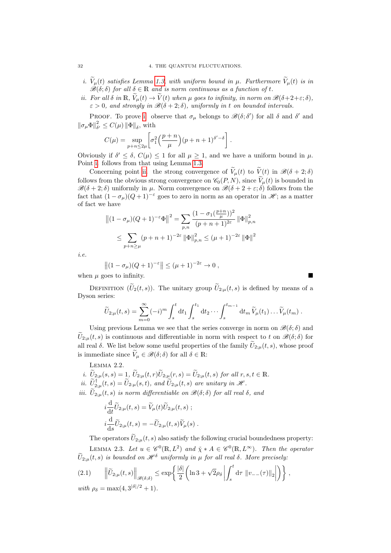- <span id="page-31-0"></span>i.  $\widetilde{V}_{\mu}(t)$  satisfies Lemma [1.3,](#page-29-0) with uniform bound in  $\mu$ . Furthermore  $\widetilde{V}_{\mu}(t)$  is in  $\mathscr{B}(\delta;\delta)$  for all  $\delta \in \mathbb{R}$  and is norm continuous as a function of t.
- <span id="page-31-1"></span>ii. For all  $\delta$  in  $\mathbb{R}, \tilde{V}_{\mu}(t) \to \tilde{V}(t)$  when  $\mu$  goes to infinity, in norm on  $\mathscr{B}(\delta+2+\varepsilon;\delta)$ ,  $\varepsilon > 0$ , and strongly in  $\mathscr{B}(\delta + 2; \delta)$ , uniformly in t on bounded intervals.

PROOF. To prove [i.](#page-31-0) observe that  $\sigma_{\mu}$  belongs to  $\mathscr{B}(\delta; \delta')$  for all  $\delta$  and  $\delta'$  and  $\left\Vert \sigma_{\mu}\Phi\right\Vert _{\delta}^{2}$  $\frac{2}{\delta'} \leq C(\mu) \|\Phi\|_{\delta}$ , with

$$
C(\mu) = \sup_{p+n \le 2\mu} \left[ \sigma_1^2 \left( \frac{p+n}{\mu} \right) (p+n+1)^{\delta'-\delta} \right].
$$

Obviously if  $\delta' \leq \delta$ ,  $C(\mu) \leq 1$  for all  $\mu \geq 1$ , and we have a uniform bound in  $\mu$ . Point [i.](#page-31-0) follows from that using Lemma [1.3.](#page-29-0)

Concerning point [ii.](#page-31-1) the strong convergence of  $\widetilde{V}_{\mu}(t)$  to  $\widetilde{V}(t)$  in  $\mathscr{B}(\delta + 2; \delta)$ follows from the obvious strong convergence on  $\mathcal{C}_0(P, N)$ , since  $\widetilde{V}_\mu(t)$  is bounded in  $\mathscr{B}(\delta + 2; \delta)$  uniformly in  $\mu$ . Norm convergence on  $\mathscr{B}(\delta + 2 + \varepsilon; \delta)$  follows from the fact that  $(1 - \sigma_{\mu})(Q + 1)^{-\epsilon}$  goes to zero in norm as an operator in  $\mathscr{H}$ ; as a matter of fact we have

$$
||(1 - \sigma_{\mu})(Q + 1)^{-\epsilon}\Phi||^{2} = \sum_{p,n} \frac{(1 - \sigma_{1}(\frac{p+n}{\mu}))^{2}}{(p+n+1)^{2\epsilon}} ||\Phi||_{p,n}^{2}
$$
  

$$
\leq \sum_{p+n \geq \mu} (p+n+1)^{-2\epsilon} ||\Phi||_{p,n}^{2} \leq (\mu+1)^{-2\epsilon} ||\Phi||^{2}
$$

i.e.

$$
\left\|(1-\sigma_\mu)(Q+1)^{-\varepsilon}\right\| \leq (\mu+1)^{-2\varepsilon} \to 0 ,
$$

when  $\mu$  goes to infinity.

DEFINITION  $(\widetilde{U}_2(t, s))$ . The unitary group  $\widetilde{U}_{2;\mu}(t, s)$  is defined by means of a Dyson series:

$$
\widetilde{U}_{2;\mu}(t,s) = \sum_{m=0}^{\infty} (-i)^m \int_s^t \mathrm{d}t_1 \int_s^{t_1} \mathrm{d}t_2 \cdots \int_s^{t_{m-1}} \mathrm{d}t_m \, \widetilde{V}_{\mu}(t_1) \ldots \widetilde{V}_{\mu}(t_m) \, .
$$

Using previous Lemma we see that the series converge in norm on  $\mathscr{B}(\delta;\delta)$  and  $\tilde{U}_{2;\mu}(t,s)$  is continuous and differentiable in norm with respect to t on  $\mathscr{B}(\delta;\delta)$  for all real  $\delta$ . We list below some useful properties of the family  $\widetilde{U}_{2;\mu}(t, s)$ , whose proof is immediate since  $\widetilde{V}_{\mu} \in \mathscr{B}(\delta; \delta)$  for all  $\delta \in \mathbb{R}$ :

Lemma 2.2.

- i.  $\widetilde{U}_{2;\mu}(s,s) = 1$ ,  $\widetilde{U}_{2;\mu}(t,r)\widetilde{U}_{2;\mu}(r,s) = \widetilde{U}_{2;\mu}(t,s)$  for all  $r, s, t \in \mathbb{R}$ .
- ii.  $\widetilde{U}_{2;\mu}^{\dagger}(t,s) = \widetilde{U}_{2;\mu}(s,t)$ , and  $\widetilde{U}_{2;\mu}(t,s)$  are unitary in  $\mathscr{H}$ .
- iii.  $\tilde{U}_{2;\mu}(t,s)$  is norm differentiable on  $\mathscr{B}(\delta;\delta)$  for all real  $\delta$ , and

<span id="page-31-2"></span>
$$
i\frac{\mathrm{d}}{\mathrm{d}t}\widetilde{U}_{2;\mu}(t,s) = \widetilde{V}_{\mu}(t)\widetilde{U}_{2;\mu}(t,s) ;
$$
  

$$
i\frac{\mathrm{d}}{\mathrm{d}s}\widetilde{U}_{2;\mu}(t,s) = -\widetilde{U}_{2;\mu}(t,s)\widetilde{V}_{\mu}(s) .
$$

The operators  $\tilde{U}_{2;\mu}(t, s)$  also satisfy the following crucial boundedness property: LEMMA 2.3. Let  $u \in \mathscr{C}^0(\mathbb{R}, L^2)$  and  $\check{\chi} * A \in \mathscr{C}^0(\mathbb{R}, L^\infty)$ . Then the operator  $\widetilde{U}_{2;u}(t, s)$  is bounded on  $\mathcal{H}^{\delta}$  uniformly in  $\mu$  for all real  $\delta$ . More precisely:

$$
(2.1) \qquad \left\|\tilde{U}_{2;\mu}(t,s)\right\|_{\mathscr{B}(\delta;\delta)} \leq \exp\left\{\frac{|\delta|}{2}\left(\ln 3 + \sqrt{2}\rho_\delta \left|\int_s^t \mathrm{d}\tau \, \left\|v_{--}(\tau)\right\|_2\right|\right)\right\},\,
$$

with  $\rho_{\delta} = \max(4, 3^{|\delta|/2} + 1)$ .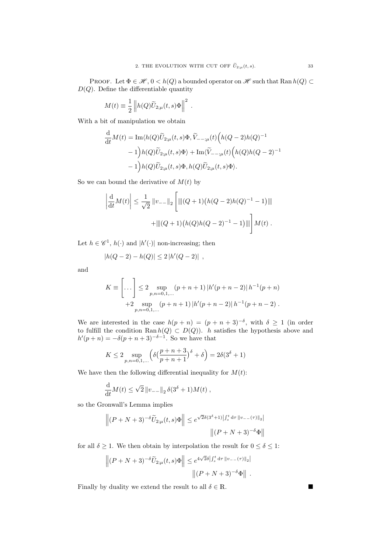PROOF. Let  $\Phi \in \mathcal{H}, 0 < h(Q)$  a bounded operator on  $\mathcal{H}$  such that Ran  $h(Q) \subset$  $D(Q)$ . Define the differentiable quantity

$$
M(t) \equiv \frac{1}{2} \| h(Q)\widetilde{U}_{2;\mu}(t,s)\Phi \|^2.
$$

With a bit of manipulation we obtain

$$
\frac{\mathrm{d}}{\mathrm{d}t}M(t) = \mathrm{Im}\langle h(Q)\widetilde{U}_{2;\mu}(t,s)\Phi,\widetilde{V}_{--;\mu}(t)\Big(h(Q-2)h(Q)^{-1} - 1\Big)h(Q)\widetilde{U}_{2;\mu}(t,s)\Phi\rangle + \mathrm{Im}\langle\widetilde{V}_{--;\mu}(t)\Big(h(Q)h(Q-2)^{-1} - 1\Big)h(Q)\widetilde{U}_{2;\mu}(t,s)\Phi, h(Q)\widetilde{U}_{2;\mu}(t,s)\Phi\rangle.
$$

So we can bound the derivative of  $M(t)$  by

$$
\left| \frac{d}{dt} M(t) \right| \leq \frac{1}{\sqrt{2}} \|v_{--}\|_2 \left[ \| (Q+1) \left( h(Q-2)h(Q)^{-1} - 1 \right) \| \right] + \| |(Q+1) \left( h(Q)h(Q-2)^{-1} - 1 \right) \| \right] M(t).
$$

Let  $h \in \mathscr{C}^1$ ,  $h(\cdot)$  and  $|h'(\cdot)|$  non-increasing; then

$$
|h(Q-2) - h(Q)| \le 2 |h'(Q-2)|,
$$

and

$$
K \equiv \left[ \dots \right] \le 2 \sup_{p,n=0,1,\dots} (p+n+1) \left| h'(p+n-2) \right| h^{-1}(p+n)
$$
  
+2 \sup\_{p,n=0,1,\dots} (p+n+1) \left| h'(p+n-2) \right| h^{-1}(p+n-2).

We are interested in the case  $h(p+n) = (p+n+3)^{-\delta}$ , with  $\delta \geq 1$  (in order to fulfill the condition Ran  $h(Q) \subset D(Q)$ . h satisfies the hypothesis above and  $h'(p+n) = -\delta(p+n+3)^{-\delta-1}$ . So we have that

$$
K \le 2 \sup_{p,n=0,1,...} \left( \delta \left( \frac{p+n+3}{p+n+1} \right)^{\delta} + \delta \right) = 2\delta (3^{\delta} + 1)
$$

We have then the following differential inequality for  $M(t)$ :

$$
\frac{\mathrm{d}}{\mathrm{d}t}M(t) \le \sqrt{2} ||v_{--}||_2 \, \delta(3^{\delta} + 1)M(t) ,
$$

so the Gronwall's Lemma implies

$$
\left\| (P+N+3)^{-\delta} \widetilde{U}_{2;\mu}(t,s) \Phi \right\| \leq e^{\sqrt{2}\delta(3^{\delta}+1)\left| \int_s^t \mathrm{d}\tau \, \|v_-- (\tau)\|_2 \right|}
$$

$$
\left\| (P+N+3)^{-\delta} \Phi \right\|
$$

for all  $\delta \geq 1.$  We then obtain by interpolation the result for  $0 \leq \delta \leq 1.$ 

$$
\left\| (P+N+3)^{-\delta} \widetilde{U}_{2;\mu}(t,s) \Phi \right\| \leq e^{4\sqrt{2}\delta \left| \int_s^t \mathrm{d} \tau \, \|v_-(-\tau)\|_2 \right|} \cdot \left\| (P+N+3)^{-\delta} \Phi \right\|.
$$

Finally by duality we extend the result to all  $\delta \in \mathbb{R}$ .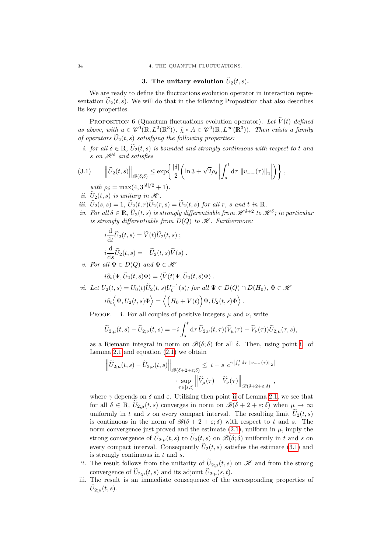#### 34 4. THE QUANTUM FLUCTUATIONS.

#### <span id="page-33-1"></span>3. The unitary evolution  $\widetilde{U}_2(t, s)$ .

<span id="page-33-0"></span>We are ready to define the fluctuations evolution operator in interaction representation  $U_2(t, s)$ . We will do that in the following Proposition that also describes its key properties.

PROPOSITION 6 (Quantum fluctuations evolution operator). Let  $\widetilde{V}(t)$  defined as above, with  $u \in \mathscr{C}^0(\mathbb{R}, L^2(\mathbb{R}^3))$ ,  $\check{\chi} * A \in \mathscr{C}^0(\mathbb{R}, L^\infty(\mathbb{R}^3))$ . Then exists a family of operators  $\tilde{U}_2(t, s)$  satisfying the following properties:

<span id="page-33-2"></span>i. for all  $\delta \in \mathbb{R}$ ,  $\widetilde{U}_2(t, s)$  is bounded and strongly continuous with respect to t and s on  $\mathscr{H}^{\delta}$  and satisfies

$$
(3.1) \qquad \left\| \widetilde{U}_2(t,s) \right\|_{\mathscr{B}(\delta;\delta)} \leq \exp\left\{ \frac{|\delta|}{2} \left( \ln 3 + \sqrt{2} \rho_\delta \left| \int_s^t \mathrm{d}\tau \, \|v_{--}(\tau)\|_2 \right| \right) \right\},\,
$$

- with  $\rho_{\delta} = \max(4, 3^{|\delta|/2} + 1)$ .
- ii.  $U_2(t, s)$  is unitary in  $\mathscr{H}$ .
- iii.  $\widetilde{U}_2(s,s) = 1$ ,  $\widetilde{U}_2(t,r)\widetilde{U}_2(r,s) = \widetilde{U}_2(t,s)$  for all r, s and t in R.
- iv. For all  $\delta \in \mathbb{R}$ ,  $\widetilde{U}_2(t, s)$  is strongly differentiable from  $\mathscr{H}^{\delta+2}$  to  $\mathscr{H}^{\delta}$ ; in particular is strongly differentiable from  $D(Q)$  to  $\mathscr H$ . Furthermore:

$$
i\frac{\mathrm{d}}{\mathrm{d}t}\widetilde{U}_2(t,s) = \widetilde{V}(t)\widetilde{U}_2(t,s) ;
$$
  

$$
i\frac{\mathrm{d}}{\mathrm{d}s}\widetilde{U}_2(t,s) = -\widetilde{U}_2(t,s)\widetilde{V}(s) .
$$

v. For all  $\Psi \in D(Q)$  and  $\Phi \in \mathcal{H}$ 

$$
i\partial_t \langle \Psi, \widetilde{U}_2(t,s)\Phi \rangle = \langle \widetilde{V}(t)\Psi, \widetilde{U}_2(t,s)\Phi \rangle.
$$

<span id="page-33-3"></span>*vi.* Let  $U_2(t,s) = U_0(t)\widetilde{U}_2(t,s)U_0^{-1}(s)$ ; for all  $\Psi \in D(Q) \cap D(H_0)$ ,  $\Phi \in \mathcal{H}$ 

$$
i\partial_t \langle \Psi, U_2(t,s)\Phi \rangle = \langle \big( H_0 + V(t) \big) \Psi, U_2(t,s)\Phi \rangle.
$$

PROOF. i. For all couples of positive integers  $\mu$  and  $\nu$ , write

$$
\widetilde{U}_{2;\mu}(t,s) - \widetilde{U}_{2;\nu}(t,s) = -i \int_s^t \mathrm{d}\tau \, \widetilde{U}_{2;\nu}(t,\tau) (\widetilde{V}_{\mu}(\tau) - \widetilde{V}_{\nu}(\tau)) \widetilde{U}_{2;\mu}(\tau,s),
$$

as a Riemann integral in norm on  $\mathscr{B}(\delta;\delta)$  for all  $\delta$ . Then, using point [i.](#page-31-0) of Lemma [2.1](#page-30-1) and equation  $(2.1)$  we obtain

$$
\left\| \widetilde{U}_{2;\mu}(t,s) - \widetilde{U}_{2;\nu}(t,s) \right\|_{\mathscr{B}(\delta+2+\varepsilon;\delta)} \leq |t-s| e^{\gamma \left| \int_s^t d\tau \right| |v_{-}(\tau)|_2|} \cdot \sup_{\tau \in [s,t]} \left\| \widetilde{V}_{\mu}(\tau) - \widetilde{V}_{\nu}(\tau) \right\|_{\mathscr{B}(\delta+2+\varepsilon;\delta)},
$$

where  $\gamma$  depends on  $\delta$  and  $\varepsilon$ . Utilizing then point [ii](#page-31-1) of Lemma [2.1,](#page-30-1) we see that for all  $\delta \in \mathbb{R}$ ,  $\tilde{U}_{2;\mu}(t,s)$  converges in norm on  $\mathscr{B}(\delta+2+\varepsilon;\delta)$  when  $\mu \to \infty$ uniformly in t and s on every compact interval. The resulting limit  $\widetilde{U}_2(t, s)$ is continuous in the norm of  $\mathscr{B}(\delta + 2 + \varepsilon; \delta)$  with respect to t and s. The norm convergence just proved and the estimate  $(2.1)$ , uniform in  $\mu$ , imply the strong convergence of  $\tilde{U}_{2;\mu}(t,s)$  to  $\tilde{U}_2(t,s)$  on  $\mathscr{B}(\delta;\delta)$  uniformly in t and s on every compact interval. Consequently  $\widetilde{U}_2(t,s)$  satisfies the estimate [\(3.1\)](#page-33-1) and is strongly continuous in  $t$  and  $s$ .

- ii. The result follows from the unitarity of  $\tilde{U}_{2;\mu}(t,s)$  on  $\mathscr{H}$  and from the strong convergence of  $\tilde{U}_{2;\mu}(t,s)$  and its adjoint  $\tilde{U}_{2;\mu}(s,t)$ .
- iii. The result is an immediate consequence of the corresponding properties of  $U_{2;\mu}(t,s).$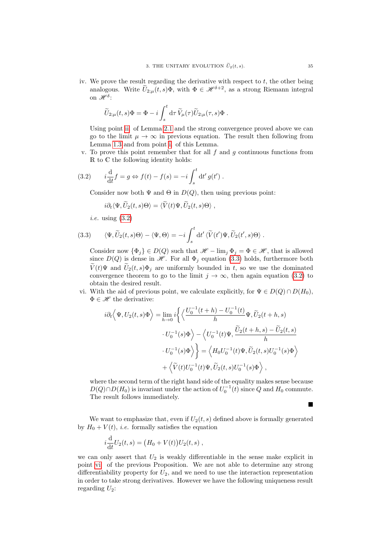iv. We prove the result regarding the derivative with respect to  $t$ , the other being analogous. Write  $\tilde{U}_{2;u}(t,s)\Phi$ , with  $\Phi \in \mathscr{H}^{\delta+2}$ , as a strong Riemann integral on  $\mathscr{H}^{\delta}$ :

$$
\widetilde{U}_{2;\mu}(t,s)\Phi = \Phi - i \int_s^t \mathrm{d}\tau \, \widetilde{V}_{\mu}(\tau) \widetilde{U}_{2;\mu}(\tau,s)\Phi.
$$

Using point [ii.](#page-31-1) of Lemma [2.1](#page-30-1) and the strong convergence proved above we can go to the limit  $\mu \to \infty$  in previous equation. The result then following from Lemma [1.3](#page-29-0) and from point [i.](#page-33-2) of this Lemma.

v. To prove this point remember that for all  $f$  and  $q$  continuous functions from R to C the following identity holds:

(3.2) 
$$
i\frac{d}{dt}f = g \Leftrightarrow f(t) - f(s) = -i \int_s^t dt' g(t')
$$
.

Consider now both  $\Psi$  and  $\Theta$  in  $D(Q)$ , then using previous point:

<span id="page-34-1"></span><span id="page-34-0"></span>
$$
i\partial_t \langle \Psi, \widetilde{U}_2(t,s) \Theta \rangle = \langle \widetilde{V}(t) \Psi, \widetilde{U}_2(t,s) \Theta \rangle ,
$$

i.e. using [\(3.2\)](#page-34-0)

(3.3) 
$$
\langle \Psi, \widetilde{U}_2(t,s)\Theta \rangle - \langle \Psi, \Theta \rangle = -i \int_s^t dt' \langle \widetilde{V}(t')\Psi, \widetilde{U}_2(t',s)\Theta \rangle
$$
.

Consider now  $\{\Phi_j\} \in D(Q)$  such that  $\mathscr{H} - \lim_j \Phi_j = \Phi \in \mathscr{H}$ , that is allowed since  $D(Q)$  is dense in  $\mathcal{H}$ . For all  $\Phi_i$  equation [\(3.3\)](#page-34-1) holds, furthermore both  $\widetilde{V}(t)\Psi$  and  $\widetilde{U}_2(t,s)\Phi_j$  are uniformly bounded in t, so we use the dominated convergence theorem to go to the limit  $j \to \infty$ , then again equation [\(3.2\)](#page-34-0) to obtain the desired result.

vi. With the aid of previous point, we calculate explicitly, for  $\Psi \in D(Q) \cap D(H_0)$ ,  $\Phi \in \mathscr{H}$  the derivative:

$$
i\partial_t \langle \Psi, U_2(t,s)\Phi \rangle = \lim_{h \to 0} i \left\{ \langle \frac{U_0^{-1}(t+h) - U_0^{-1}(t)}{h} \Psi, \widetilde{U}_2(t+h,s) \right. \\ \left. \cdot U_0^{-1}(s)\Phi \rangle - \langle U_0^{-1}(t)\Psi, \frac{\widetilde{U}_2(t+h,s) - \widetilde{U}_2(t,s)}{h} \right. \\ \left. \cdot U_0^{-1}(s)\Phi \rangle \right\} = \langle H_0 U_0^{-1}(t)\Psi, \widetilde{U}_2(t,s)U_0^{-1}(s)\Phi \rangle \\ + \langle \widetilde{V}(t)U_0^{-1}(t)\Psi, \widetilde{U}_2(t,s)U_0^{-1}(s)\Phi \rangle ,
$$

where the second term of the right hand side of the equality makes sense because  $D(Q) \cap D(H_0)$  is invariant under the action of  $U_0^{-1}(t)$  since Q and  $H_0$  commute. The result follows immediately.

We want to emphasize that, even if  $U_2(t, s)$  defined above is formally generated by  $H_0 + V(t)$ , *i.e.* formally satisfies the equation

$$
i\frac{\mathrm{d}}{\mathrm{d}t}U_2(t,s) = (H_0 + V(t))U_2(t,s) ,
$$

we can only assert that  $U_2$  is weakly differentiable in the sense make explicit in point [vi.](#page-33-3) of the previous Proposition. We are not able to determine any strong differentiability property for  $U_2$ , and we need to use the interaction representation in order to take strong derivatives. However we have the following uniqueness result regarding  $U_2$ :

Г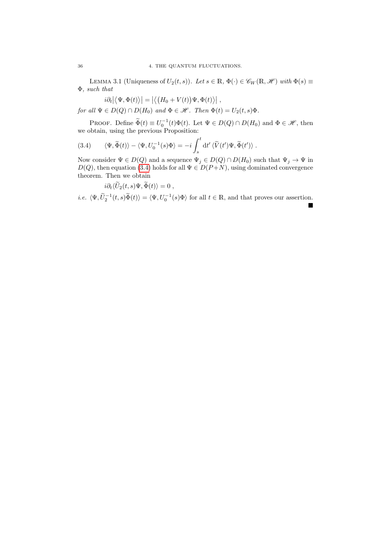LEMMA 3.1 (Uniqueness of  $U_2(t, s)$ ). Let  $s \in \mathbb{R}$ ,  $\Phi(\cdot) \in \mathscr{C}_W(\mathbb{R}, \mathscr{H})$  with  $\Phi(s) \equiv$ Φ, such that

 $i\partial_t |\langle \Psi, \Phi(t) \rangle| = |\langle (H_0 + V(t)) \Psi, \Phi(t) \rangle|$ for all  $\Psi \in D(Q) \cap D(H_0)$  and  $\Phi \in \mathscr{H}$ . Then  $\Phi(t) = U_2(t, s)\Phi$ .

PROOF. Define  $\widetilde{\Phi}(t) \equiv U_0^{-1}(t)\Phi(t)$ . Let  $\Psi \in D(Q) \cap D(H_0)$  and  $\Phi \in \mathcal{H}$ , then we obtain, using the previous Proposition:

(3.4) 
$$
\langle \Psi, \widetilde{\Phi}(t) \rangle - \langle \Psi, U_0^{-1}(s) \Phi \rangle = -i \int_s^t dt' \langle \widetilde{V}(t') \Psi, \widetilde{\Phi}(t') \rangle.
$$

Now consider  $\Psi\in D(Q)$  and a sequence  $\Psi_j\in D(Q)\cap D(H_0)$  such that  $\Psi_j\to\Psi$  in  $D(Q)$ , then equation [\(3.4\)](#page-35-0) holds for all  $\Psi \in D(P+N)$ , using dominated convergence theorem. Then we obtain

<span id="page-35-0"></span>
$$
i\partial_t \langle \widetilde{U}_2(t,s)\Psi,\widetilde{\Phi}(t)\rangle = 0 ,
$$

*i.e.*  $\langle \Psi, \tilde{U}_2^{-1}(t, s) \tilde{\Phi}(t) \rangle = \langle \Psi, U_0^{-1}(s) \Phi \rangle$  for all  $t \in \mathbb{R}$ , and that proves our assertion.  $\blacksquare$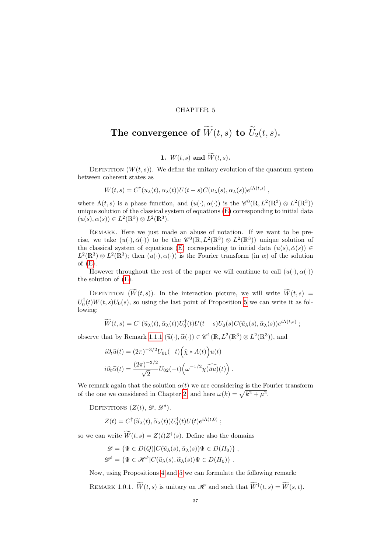#### CHAPTER 5

# The convergence of  $\widetilde{W}(t, s)$  to  $\widetilde{U}_2(t, s)$ .

### 1.  $W(t,s)$  and  $\widetilde{W}(t,s)$ .

DEFINITION  $(W(t, s))$ . We define the unitary evolution of the quantum system between coherent states as

$$
W(t,s) = C^{\dagger}(u_{\lambda}(t), \alpha_{\lambda}(t))U(t-s)C(u_{\lambda}(s), \alpha_{\lambda}(s))e^{i\Lambda(t,s)},
$$

where  $\Lambda(t,s)$  is a phase function, and  $(u(\cdot), \alpha(\cdot))$  is the  $\mathscr{C}^0(\mathbb{R}, L^2(\mathbb{R}^3) \otimes L^2(\mathbb{R}^3))$ unique solution of the classical system of equations [\(E\)](#page-14-0) corresponding to initial data  $(u(s), \alpha(s)) \in L^2(\mathbb{R}^3) \otimes L^2(\mathbb{R}^3).$ 

REMARK. Here we just made an abuse of notation. If we want to be precise, we take  $(u(\cdot), \check{\alpha}(\cdot))$  to be the  $\mathscr{C}^0(\mathbb{R}, L^2(\mathbb{R}^3) \otimes L^2(\mathbb{R}^3))$  unique solution of the classical system of equations [\(E\)](#page-14-0) corresponding to initial data  $(u(s), \check{\alpha}(s)) \in$  $L^2(\mathbb{R}^3) \otimes L^2(\mathbb{R}^3)$ ; then  $(u(\cdot), \alpha(\cdot))$  is the Fourier transform (in  $\alpha$ ) of the solution of  $(E)$ .

However throughout the rest of the paper we will continue to call  $(u(\cdot), \alpha(\cdot))$ the solution of [\(E\)](#page-14-0).

DEFINITION  $(\widetilde{W}(t, s))$ . In the interaction picture, we will write  $\widetilde{W}(t, s)$  $U_0^{\dagger}(t)W(t,s)U_0(s)$ , so using the last point of Proposition [5](#page-26-0) we can write it as following:

$$
\widetilde{W}(t,s) = C^{\dagger}(\widetilde{u}_{\lambda}(t), \widetilde{\alpha}_{\lambda}(t))U_0^{\dagger}(t)U(t-s)U_0(s)C(\widetilde{u}_{\lambda}(s), \widetilde{\alpha}_{\lambda}(s))e^{i\Lambda(t,s)};
$$

observe that by Remark [1.1.1](#page-17-0)  $(\tilde{u}(\cdot), \tilde{\alpha}(\cdot)) \in \mathscr{C}^1(\mathbb{R}, L^2(\mathbb{R}^3) \otimes L^2(\mathbb{R}^3)),$  and

$$
i\partial_t \widetilde{u}(t) = (2\pi)^{-3/2} U_{01}(-t) \left(\widetilde{\chi} * A(t)\right) u(t)
$$
  

$$
i\partial_t \widetilde{\alpha}(t) = \frac{(2\pi)^{-3/2}}{\sqrt{2}} U_{02}(-t) \left(\omega^{-1/2} \widetilde{\chi(uu)}(t)\right).
$$

We remark again that the solution  $\alpha(t)$  we are considering is the Fourier transform of the one we considered in Chapter [2,](#page-14-1) and here  $\omega(k) = \sqrt{k^2 + \mu^2}$ .

DEFINITIONS  $(Z(t), \mathscr{D}, \mathscr{D}^{\delta})$ .

$$
Z(t) = C^{\dagger}(\widetilde{u}_{\lambda}(t), \widetilde{\alpha}_{\lambda}(t)) U_0^{\dagger}(t) U(t) e^{i\Lambda(t,0)} ;
$$

so we can write  $\widetilde{W}(t,s) = Z(t)Z^{\dagger}(s)$ . Define also the domains

$$
\mathscr{D} = \{ \Psi \in D(Q) | C(\widetilde{u}_{\lambda}(s), \widetilde{\alpha}_{\lambda}(s)) \Psi \in D(H_0) \},
$$
  

$$
\mathscr{D}^{\delta} = \{ \Psi \in \mathscr{H}^{\delta} | C(\widetilde{u}_{\lambda}(s), \widetilde{\alpha}_{\lambda}(s)) \Psi \in D(H_0) \}.
$$

Now, using Propositions [4](#page-24-0) and [5](#page-26-0) we can formulate the following remark:

REMARK 1.0.1.  $\widetilde{W}(t, s)$  is unitary on  $\mathscr{H}$  and such that  $\widetilde{W}^{\dagger}(t, s) = \widetilde{W}(s, t)$ .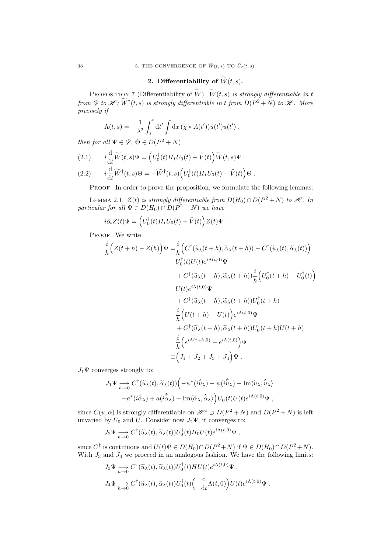## 2. Differentiability of  $\widetilde{W}(t, s)$ .

PROPOSITION 7 (Differentiability of  $\widetilde{W}$ ).  $\widetilde{W}(t, s)$  is strongly differentiable in t from  $\mathscr{D}$  to  $\mathscr{H}$ ;  $\overline{W}^{\dagger}(t,s)$  is strongly differentiable in t from  $D(P^2+N)$  to  $\mathscr{H}$ . More precisely if

$$
\Lambda(t,s) = -\frac{1}{\lambda^2} \int_s^t dt' \int dx \, (\check{\chi} * A(t')) \bar{u}(t') u(t') ,
$$

then for all  $\Psi \in \mathcal{D}, \Theta \in D(P^2 + N)$ 

(2.1) 
$$
i\frac{\mathrm{d}}{\mathrm{d}t}\widetilde{W}(t,s)\Psi = \left(U_0^{\dagger}(t)H_I U_0(t) + \widetilde{V}(t)\right)\widetilde{W}(t,s)\Psi ;
$$
  
(2.2) 
$$
i\frac{\mathrm{d}}{\mathrm{d}t}\widetilde{W}^{\dagger}(t,s)\Theta = -\widetilde{W}^{\dagger}(t,s)\left(U_0^{\dagger}(t)H_I U_0(t) + \widetilde{V}(t)\right)\Theta.
$$

PROOF. In order to prove the proposition, we formulate the following lemmas:

<span id="page-37-0"></span>LEMMA 2.1.  $Z(t)$  is strongly differentiable from  $D(H_0) \cap D(P^2 + N)$  to H. In particular for all  $\Psi \in D(H_0) \cap D(P^2 + N)$  we have

$$
i\partial_t Z(t)\Psi = \left(U_0^{\dagger}(t)H_I U_0(t) + \widetilde{V}(t)\right)Z(t)\Psi.
$$

PROOF. We write

$$
\frac{i}{h} \Big(Z(t+h) - Z(h)\Big)\Psi = \frac{i}{h} \Big(C^{\dagger}(\widetilde{u}_{\lambda}(t+h), \widetilde{\alpha}_{\lambda}(t+h)) - C^{\dagger}(\widetilde{u}_{\lambda}(t), \widetilde{\alpha}_{\lambda}(t))\Big) \nU_{0}^{\dagger}(t)U(t)e^{i\Lambda(t,0)}\Psi \n+ C^{\dagger}(\widetilde{u}_{\lambda}(t+h), \widetilde{\alpha}_{\lambda}(t+h))\frac{i}{h} \Big(U_{0}^{\dagger}(t+h) - U_{0}^{\dagger}(t)\Big) \nU(t)e^{i\Lambda(t,0)}\Psi \n+ C^{\dagger}(\widetilde{u}_{\lambda}(t+h), \widetilde{\alpha}_{\lambda}(t+h))U_{0}^{\dagger}(t+h) \n\frac{i}{h} \Big(U(t+h) - U(t)\Big)e^{i\Lambda(t,0)}\Psi \n+ C^{\dagger}(\widetilde{u}_{\lambda}(t+h), \widetilde{\alpha}_{\lambda}(t+h))U_{0}^{\dagger}(t+h)U(t+h) \n\frac{i}{h} \Big(e^{i\Lambda(t+h,0)} - e^{i\Lambda(t,0)}\Big)\Psi \n= \Big(J_{1} + J_{2} + J_{3} + J_{4}\Big)\Psi.
$$

 $J_1\Psi$  converges strongly to:

$$
J_1\Psi \underset{h \to 0}{\longrightarrow} C^{\dagger}(\widetilde{u}_{\lambda}(t), \widetilde{\alpha}_{\lambda}(t)) \Big( -\psi^*(i\dot{\widetilde{u}}_{\lambda}) + \psi(i\dot{\widetilde{u}}_{\lambda}) - \text{Im}\langle \widetilde{u}_{\lambda}, \dot{\widetilde{u}}_{\lambda} \rangle -a^*(i\dot{\widetilde{\alpha}}_{\lambda}) + a(i\dot{\widetilde{\alpha}}_{\lambda}) - \text{Im}\langle \widetilde{\alpha}_{\lambda}, \dot{\widetilde{\alpha}}_{\lambda} \rangle \Big) U_0^{\dagger}(t) U(t) e^{i\Lambda(t,0)} \Psi,
$$

since  $C(u, \alpha)$  is strongly differentiable on  $\mathcal{H}^1 \supset D(P^2 + N)$  and  $D(P^2 + N)$  is left unvaried by  $U_0$  and  $U$ . Consider now  $J_2\Psi$ , it converges to:

$$
J_2\Psi \underset{h \to 0}{\longrightarrow} C^{\dagger}(\widetilde{u}_{\lambda}(t), \widetilde{\alpha}_{\lambda}(t)) U_0^{\dagger}(t) H_0 U(t) e^{i\Lambda(t,0)} \Psi ,
$$

since  $C^{\dagger}$  is continuous and  $U(t)\Psi \in D(H_0) \cap D(P^2+N)$  if  $\Psi \in D(H_0) \cap D(P^2+N)$ . With  $J_3$  and  $J_4$  we proceed in an analogous fashion. We have the following limits:

$$
J_3\Psi \underset{h \to 0}{\longrightarrow} C^{\dagger}(\widetilde{u}_{\lambda}(t), \widetilde{\alpha}_{\lambda}(t)) U_0^{\dagger}(t) H U(t) e^{i\Lambda(t,0)} \Psi ,
$$
  

$$
J_4\Psi \underset{h \to 0}{\longrightarrow} C^{\dagger}(\widetilde{u}_{\lambda}(t), \widetilde{\alpha}_{\lambda}(t)) U_0^{\dagger}(t) \left(-\frac{d}{dt} \Lambda(t,0)\right) U(t) e^{i\Lambda(t,0)} \Psi .
$$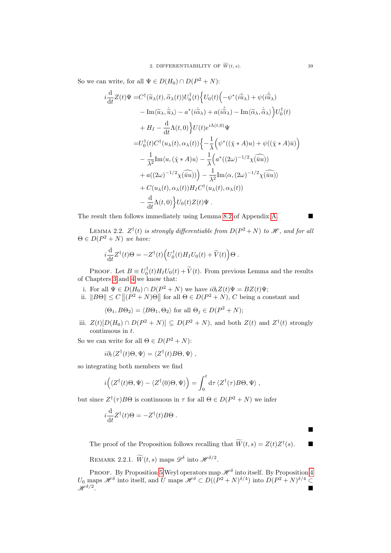So we can write, for all  $\Psi \in D(H_0) \cap D(P^2 + N)$ :

$$
i\frac{d}{dt}Z(t)\Psi = C^{\dagger}(\tilde{u}_{\lambda}(t),\tilde{\alpha}_{\lambda}(t))U_{0}^{\dagger}(t)\Big\{U_{0}(t)\Big(-\psi^{*}(i\dot{\tilde{u}}_{\lambda}) + \psi(i\dot{\tilde{u}}_{\lambda})
$$
  
\t
$$
- \operatorname{Im}\langle\tilde{u}_{\lambda},\dot{\tilde{u}}_{\lambda}\rangle - a^{*}(i\dot{\tilde{\alpha}}_{\lambda}) + a(i\dot{\tilde{\alpha}}_{\lambda}) - \operatorname{Im}\langle\tilde{\alpha}_{\lambda},\dot{\tilde{\alpha}}_{\lambda}\rangle\Big)U_{0}^{\dagger}(t)
$$
  
\t
$$
+ H_{I} - \frac{d}{dt}\Lambda(t,0)\Big\}U(t)e^{i\Lambda(t,0)}\Psi
$$
  
\t
$$
= U_{0}^{\dagger}(t)C^{\dagger}(u_{\lambda}(t),\alpha_{\lambda}(t))\Big\{-\frac{1}{\lambda}\Big(\psi^{*}((\check{\chi}*A)u) + \psi((\check{\chi}*A)\bar{u})\Big)
$$
  
\t
$$
- \frac{1}{\lambda^{2}}\operatorname{Im}\langle u,(\check{\chi}*A)u\rangle - \frac{1}{\lambda}\Big(a^{*}((2\omega)^{-1/2}\chi(\overline{\tilde{u}}u))
$$
  
\t
$$
+ a((2\omega)^{-1/2}\chi(\overline{\tilde{u}}u))\Big) - \frac{1}{\lambda^{2}}\operatorname{Im}\langle\alpha,(2\omega)^{-1/2}\chi(\overline{\tilde{u}}u)\rangle
$$
  
\t
$$
+ C(u_{\lambda}(t),\alpha_{\lambda}(t))H_{I}C^{\dagger}(u_{\lambda}(t),\alpha_{\lambda}(t))
$$
  
\t
$$
- \frac{d}{dt}\Lambda(t,0)\Big\}U_{0}(t)Z(t)\Psi.
$$

The result then follows immediately using Lemma [8.2](#page-81-0) of Appendix [A.](#page-62-0)

LEMMA 2.2.  $Z^{\dagger}(t)$  is strongly differentiable from  $D(P^2+N)$  to  $\mathscr{H}$ , and for all  $\Theta \in D(P^2 + N)$  we have:

$$
i\frac{\mathrm{d}}{\mathrm{d}t}Z^{\dagger}(t)\Theta = -Z^{\dagger}(t)\Big(U_0^{\dagger}(t)H_I U_0(t) + \widetilde{V}(t)\Big)\Theta.
$$

PROOF. Let  $B \equiv U_0^{\dagger}(t)H_I U_0(t) + \tilde{V}(t)$ . From previous Lemma and the results of Chapters [3](#page-18-0) and [4](#page-28-0) we know that:

- i. For all  $\Psi \in D(H_0) \cap D(P^2 + N)$  we have  $i\partial_t Z(t)\Psi = BZ(t)\Psi;$
- ii.  $||B\Theta|| \leq C ||(P^2 + N)\Theta||$  for all  $\Theta \in D(P^2 + N)$ , C being a constant and

$$
\langle \Theta_1, B\Theta_2 \rangle = \langle B\Theta_1, \Theta_2 \rangle
$$
 for all  $\Theta_j \in D(P^2 + N);$ 

iii.  $Z(t)[D(H_0) \cap D(P^2 + N)] \subseteq D(P^2 + N)$ , and both  $Z(t)$  and  $Z^{\dagger}(t)$  strongly continuous in t.

So we can write for all  $\Theta \in D(P^2 + N)$ :

$$
i\partial_t \langle Z^{\dagger}(t)\Theta,\Psi\rangle = \langle Z^{\dagger}(t)B\Theta,\Psi\rangle,
$$

so integrating both members we find

$$
i\Big(\langle Z^{\dagger}(t)\Theta,\Psi\rangle-\langle Z^{\dagger}(0)\Theta,\Psi\rangle\Big)=\int_{0}^{t}\mathrm{d}\tau\,\langle Z^{\dagger}(\tau)B\Theta,\Psi\rangle\;,
$$

but since  $Z^{\dagger}(\tau)B\Theta$  is continuous in  $\tau$  for all  $\Theta \in D(P^2 + N)$  we infer

$$
i\frac{\mathrm{d}}{\mathrm{d}t}Z^{\dagger}(t)\Theta = -Z^{\dagger}(t)B\Theta.
$$

The proof of the Proposition follows recalling that  $\widetilde{W}(t,s) = Z(t)Z^{\dagger}(s)$ .

<span id="page-38-0"></span>REMARK 2.2.1.  $\widetilde{W}(t, s)$  maps  $\mathscr{D}^{\delta}$ into  $\mathscr{H}^{\delta/2}$ .

PROOF. By Proposition [5](#page-26-0) Weyl operators map  $\mathcal{H}^{\delta}$  into itself. By Proposition [4](#page-24-0)  $U_0$  maps  $\mathscr{H}^\delta$  into itself, and U maps  $\mathscr{H}^\delta \subset D((P^2+N)^{\delta/4})$  into  $D(P^2+N)^{\delta/4} \subset$  $\mathcal{H}^{\delta/2}$ .

Ė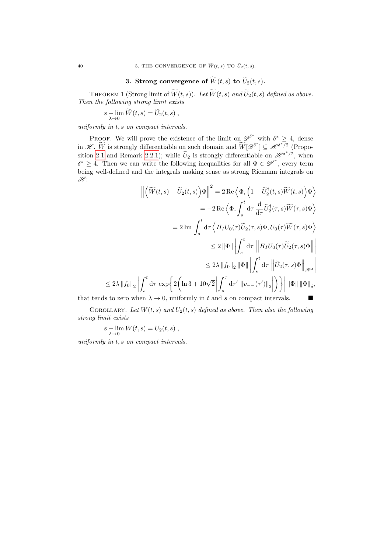## 3. Strong convergence of  $\widetilde{W}(t, s)$  to  $\widetilde{U}_2(t, s)$ .

THEOREM 1 (Strong limit of  $\widetilde{W}(t, s)$ ). Let  $\widetilde{W}(t, s)$  and  $\widetilde{U}_2(t, s)$  defined as above. Then the following strong limit exists

$$
s - \lim_{\lambda \to 0} \widetilde{W}(t,s) = \widetilde{U}_2(t,s) ,
$$

uniformly in t, s on compact intervals.

PROOF. We will prove the existence of the limit on  $\mathscr{D}^{\delta^*}$  with  $\delta^* \geq 4$ , dense in  $\mathscr{H}$ . We is strongly differentiable on such domain and  $\widetilde{W}[\mathscr{D}^{\delta^*}] \subseteq \mathscr{H}^{\delta^*/2}$  (Propo-sition [2.1](#page-37-0) and Remark [2.2.1\)](#page-38-0); while  $\widetilde{U}_2$  is strongly differentiable on  $\mathscr{H}^{\delta^*/2}$ , when  $\delta^* \geq 4$ . Then we can write the following inequalities for all  $\Phi \in \mathscr{D}^{\delta^*}$ , every term being well-defined and the integrals making sense as strong Riemann integrals on  $\mathscr{H}$ :

$$
\left\| \left( \widetilde{W}(t,s) - \widetilde{U}_2(t,s) \right) \Phi \right\|^2 = 2 \operatorname{Re} \left\langle \Phi, \left( 1 - \widetilde{U}_2^{\dagger}(t,s) \widetilde{W}(t,s) \right) \Phi \right\rangle
$$
  
\n
$$
= -2 \operatorname{Re} \left\langle \Phi, \int_s^t \mathrm{d}\tau \frac{\mathrm{d}}{\mathrm{d}\tau} \widetilde{U}_2^{\dagger}(\tau,s) \widetilde{W}(\tau,s) \Phi \right\rangle
$$
  
\n
$$
= 2 \operatorname{Im} \int_s^t \mathrm{d}\tau \left\langle H_I U_0(\tau) \widetilde{U}_2(\tau,s) \Phi, U_0(\tau) \widetilde{W}(\tau,s) \Phi \right\rangle
$$
  
\n
$$
\leq 2 \|\Phi\| \left| \int_s^t \mathrm{d}\tau \left\| H_I U_0(\tau) \widetilde{U}_2(\tau,s) \Phi \right\| \right|
$$
  
\n
$$
\leq 2 \lambda \left\| f_0 \right\|_2 \left\| \Phi \right\| \left| \int_s^t \mathrm{d}\tau \left\| \widetilde{U}_2(\tau,s) \Phi \right\|_{\mathscr{H}^4}
$$
  
\n
$$
\leq 2 \lambda \left\| f_0 \right\|_2 \left\| \int_s^t \mathrm{d}\tau \left\| \mathcal{U}_2(\tau,s) \Phi \right\|_{\mathscr{H}^4}
$$
  
\n
$$
\leq 2 \lambda \left\| f_0 \right\|_2 \left\| \int_s^t \mathrm{d}\tau \left\| \mathcal{U}_2(\tau,s) \Phi \right\|_{\mathscr{H}^4}
$$

that tends to zero when  $\lambda \to 0$ , uniformly in t and s on compact intervals.

COROLLARY. Let  $W(t, s)$  and  $U_2(t, s)$  defined as above. Then also the following strong limit exists

$$
s - \lim_{\lambda \to 0} W(t, s) = U_2(t, s) ,
$$

uniformly in t, s on compact intervals.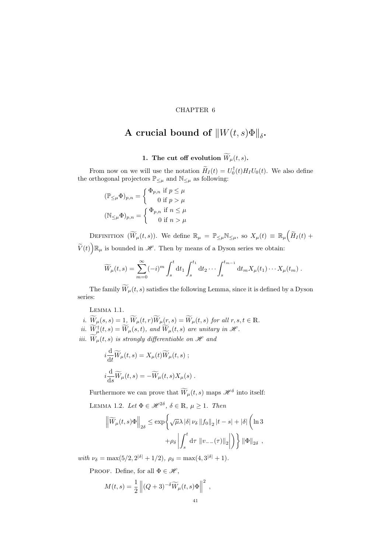#### CHAPTER 6

# A crucial bound of  $\|W(t,s)\Phi\|_{\delta}$ .

1. The cut off evolution  $\widetilde{W}_{\mu}(t, s)$ .

From now on we will use the notation  $\widetilde{H}_I(t) = U_0^{\dagger}(t)H_I U_0(t)$ . We also define the orthogonal projectors  $\mathbb{P}_{\leq \mu}$  and  $\mathbb{N}_{\leq \mu}$  as following:

$$
(\mathbb{P}_{\leq \mu} \Phi)_{p,n} = \begin{cases} \Phi_{p,n} & \text{if } p \leq \mu \\ 0 & \text{if } p > \mu \end{cases}
$$

$$
(\mathbb{N}_{\leq \mu} \Phi)_{p,n} = \begin{cases} \Phi_{p,n} & \text{if } n \leq \mu \\ 0 & \text{if } n > \mu \end{cases}
$$

DEFINITION  $(\widetilde{W}_{\mu}(t,s))$ . We define  $\mathbb{R}_{\mu} = \mathbb{P}_{\leq \mu} \mathbb{N}_{\leq \mu}$ , so  $X_{\mu}(t) \equiv \mathbb{R}_{\mu} (\widetilde{H}_{I}(t) +$  $\widetilde{V}(t)$   $\mathbb{R}_{\mu}$  is bounded in  $\mathscr{H}$ . Then by means of a Dyson series we obtain:

$$
\widetilde{W}_{\mu}(t,s) = \sum_{m=0}^{\infty} (-i)^m \int_s^t \mathrm{d}t_1 \int_s^{t_1} \mathrm{d}t_2 \cdots \int_s^{t_{m-1}} \mathrm{d}t_m X_{\mu}(t_1) \cdots X_{\mu}(t_m) .
$$

The family  $\widetilde{W}_\mu(t,s)$  satisfies the following Lemma, since it is defined by a Dyson series:

Lemma 1.1.

i.  $\widetilde{W}_{\mu}(s,s)=\underbrace{1}{\nu}, \widetilde{W}_{\mu}(t,r)\widetilde{W}_{\mu}(r,s)=\widetilde{W}_{\mu}(t,s)$  for all  $r,s,t\in\mathbb{R}$ . ii.  $\widetilde{W}^{\dagger}_{\mu}(t,s) = \widetilde{W}_{\mu}(s,t)$ , and  $\widetilde{W}_{\mu}(t,s)$  are unitary in  $\mathscr{H}$ . iii.  $\widetilde{W}_{\mu}(t, s)$  is strongly differentiable on  $\mathscr{H}$  and

$$
i\frac{\mathrm{d}}{\mathrm{d}t}\widetilde{W}_{\mu}(t,s) = X_{\mu}(t)\widetilde{W}_{\mu}(t,s) ;
$$
  

$$
i\frac{\mathrm{d}}{\mathrm{d}s}\widetilde{W}_{\mu}(t,s) = -\widetilde{W}_{\mu}(t,s)X_{\mu}(s) .
$$

<span id="page-40-0"></span>Furthermore we can prove that  $\overline{W}_{\mu}(t, s)$  maps  $\mathscr{H}^{\delta}$  into itself: LEMMA 1.2. Let  $\Phi \in \mathcal{H}^{2\delta}, \delta \in \mathbb{R}, \mu \geq 1$ . Then

$$
\left\| \widetilde{W}_{\mu}(t,s)\Phi \right\|_{2\delta} \leq \exp\left\{ \sqrt{\mu} \lambda \left| \delta \right| \nu_{\delta} \left\| f_0 \right\|_2 |t-s| + |\delta| \left( \ln 3 + \rho_{\delta} \left| \int_s^t \mathrm{d}\tau \left\| v_{--}(\tau) \right\|_2 \right| \right) \right\} \|\Phi\|_{2\delta} ,
$$

with  $\nu_{\delta} = \max(5/2, 2^{|\delta|} + 1/2), \ \rho_{\delta} = \max(4, 3^{|\delta|} + 1).$ 

PROOF. Define, for all  $\Phi \in \mathscr{H}$ ,

$$
M(t,s) = \frac{1}{2} ||(Q+3)^{-\delta} \widetilde{W}_{\mu}(t,s) \Phi||^{2} ,
$$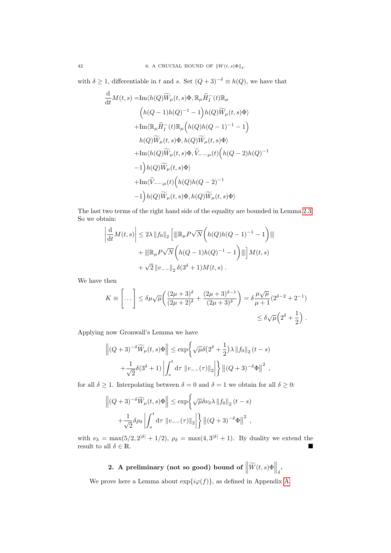with  $\delta \geq 1$ , differentiable in t and s. Set  $(Q+3)^{-\delta} \equiv h(Q)$ , we have that

$$
\frac{d}{dt}M(t,s) = Im\langle h(Q)\widetilde{W}_{\mu}(t,s)\Phi, \mathbb{R}_{\mu}\widetilde{H}_{I}^{-}(t)\mathbb{R}_{\mu}
$$
\n
$$
\left(h(Q-1)h(Q)^{-1}-1\right)h(Q)\widetilde{W}_{\mu}(t,s)\Phi\rangle
$$
\n
$$
+ Im\langle\mathbb{R}_{\mu}\widetilde{H}_{I}^{-}(t)\mathbb{R}_{\mu}\left(h(Q)h(Q-1)^{-1}-1\right)
$$
\n
$$
h(Q)\widetilde{W}_{\mu}(t,s)\Phi, h(Q)\widetilde{W}_{\mu}(t,s)\Phi\rangle
$$
\n
$$
+ Im\langle h(Q)\widetilde{W}_{\mu}(t,s)\Phi, \widetilde{V}_{- -;\mu}(t)\left(h(Q-2)h(Q)^{-1}-1\right)h(Q)\widetilde{W}_{\mu}(t,s)\Phi\rangle
$$
\n
$$
+ Im\langle\widetilde{V}_{- -;\mu}(t)\left(h(Q)h(Q-2)^{-1}-1\right)h(Q)\widetilde{W}_{\mu}(t,s)\Phi, h(Q)\widetilde{W}_{\mu}(t,s)\Phi\rangle
$$

The last two terms of the right hand side of the equality are bounded in Lemma [2.3.](#page-31-0) So we obtain:

$$
\left| \frac{d}{dt} M(t,s) \right| \leq 2\lambda \|f_0\|_2 \left[ \| \mathbb{R}_{\mu} P \sqrt{N} \left( h(Q)h(Q-1)^{-1} - 1 \right) \| \right] + \| \mathbb{R}_{\mu} P \sqrt{N} \left( h(Q-1)h(Q)^{-1} - 1 \right) \| \right] M(t,s) + \sqrt{2} \| v_{--} \|_2 \delta(3^{\delta} + 1) M(t,s) .
$$

We have then

$$
K \equiv \left[\dots\right] \leq \delta\mu\sqrt{\mu}\left(\frac{(2\mu+3)^{\delta}}{(2\mu+2)^{\delta}} + \frac{(2\mu+3)^{\delta-1}}{(2\mu+3)^{\delta}}\right) = \delta\frac{\mu\sqrt{\mu}}{\mu+1}(2^{\delta-2}+2^{-1})
$$

$$
\leq \delta\sqrt{\mu}\left(2^{\delta}+\frac{1}{2}\right).
$$

Applying now Gronwall's Lemma we have

$$
\left\| (Q+3)^{-\delta} \widetilde{W}_{\mu}(t,s) \Phi \right\| \leq \exp \left\{ \sqrt{\mu} \delta \left( 2^{\delta} + \frac{1}{2} \right) \lambda \left\| f_0 \right\|_2 (t-s) + \frac{1}{\sqrt{2}} \delta \left( 3^{\delta} + 1 \right) \left| \int_s^t \mathrm{d} \tau \left\| v_-(\tau) \right\|_2 \right| \right\} \left\| (Q+3)^{-\delta} \Phi \right\|^2,
$$

for all  $\delta \geq 1$ . Interpolating between  $\delta = 0$  and  $\delta = 1$  we obtain for all  $\delta \geq 0$ :

$$
\left\| (Q+3)^{-\delta} \widetilde{W}_{\mu}(t,s) \Phi \right\| \leq \exp \left\{ \sqrt{\mu} \delta \nu_{\delta} \lambda \left\| f_0 \right\|_2 (t-s) + \frac{1}{\sqrt{2}} \delta \rho_{\delta} \left| \int_s^t \mathrm{d}\tau \, \left\| v_-(\tau) \right\|_2 \right| \right\} \left\| (Q+3)^{-\delta} \Phi \right\|^2,
$$

with  $\nu_{\delta} = \max(5/2, 2^{|\delta|} + 1/2), \ \rho_{\delta} = \max(4, 3^{|\delta|} + 1).$  By duality we extend the result to all  $\delta \in \mathbb{R}$ .

# 2. A preliminary (not so good) bound of  $\left\|\widetilde{W}(t,s)\Phi\right\|_{\delta}$ .

We prove here a Lemma about  $exp{i\varphi(f)}$ , as defined in Appendix [A.](#page-62-0)

d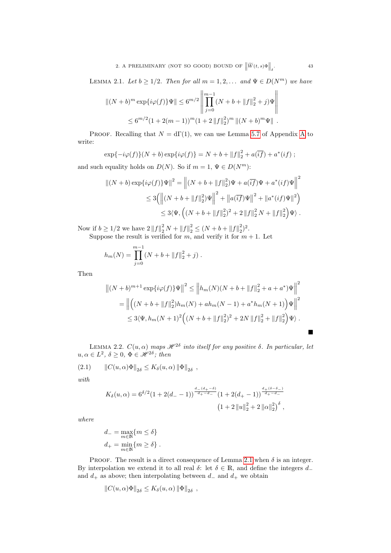<span id="page-42-0"></span>LEMMA 2.1. Let  $b \geq 1/2$ . Then for all  $m = 1, 2, \ldots$  and  $\Psi \in D(N^m)$  we have

$$
||(N+b)^m \exp{i\varphi(f)}\Psi|| \le 6^{m/2} \left\| \prod_{j=0}^{m-1} (N+b+||f||_2^2+j)\Psi \right\|
$$
  
 
$$
\le 6^{m/2} (1+2(m-1))^m (1+2||f||_2^2)^m ||(N+b)^m\Psi||.
$$

PROOF. Recalling that  $N = d\Gamma(1)$ , we can use Lemma [5.7](#page-77-0) of [A](#page-62-0)ppendix A to write:

$$
\exp\{-i\varphi(f)\}(N+b)\exp\{i\varphi(f)\}=N+b+\|f\|_2^2+a(\overline{if})+a^*(if);
$$

and such equality holds on  $D(N)$ . So if  $m = 1, \Psi \in D(N^m)$ :

$$
||(N+b)\exp\{i\varphi(f)\}\Psi||^2 = \left||(N+b+||f||_2^2)\Psi + a(\overline{if})\Psi + a^*(if)\Psi\right||^2
$$
  
\n
$$
\leq 3\left(\left||(N+b+||f||_2^2)\Psi\right||^2 + \left||a(\overline{if})\Psi\right||^2 + \left||a^*(if)\Psi\right||^2\right)
$$
  
\n
$$
\leq 3\langle\Psi, \left((N+b+||f||_2^2)^2 + 2||f||_2^2N + ||f||_2^2\right)\Psi\rangle.
$$

Now if  $b \ge 1/2$  we have  $2||f||_2^2 N + ||f||_2^2 \le (N+b+||f||_2^2)^2$ .

Suppose the result is verified for  $m$ , and verify it for  $m + 1$ . Let

$$
h_m(N) = \prod_{j=0}^{m-1} (N + b + ||f||_2^2 + j).
$$

Then

$$
\left\| (N+b)^{m+1} \exp\{i\varphi(f)\} \Psi \right\|^2 \le \left\| h_m(N)(N+b+\|f\|_2^2 + a + a^*) \Psi \right\|^2
$$
  
=  $\left\| \left( (N+b+\|f\|_2^2)h_m(N) + ah_m(N-1) + a^*h_m(N+1) \right) \Psi \right\|^2$   
 $\le 3 \langle \Psi, h_m(N+1)^2 \left( (N+b+\|f\|_2^2)^2 + 2N \|f\|_2^2 + \|f\|_2^2 \right) \Psi \rangle.$ 

<span id="page-42-1"></span>LEMMA 2.2.  $C(u, \alpha)$  maps  $\mathscr{H}^{2\delta}$  into itself for any positive  $\delta$ . In particular, let  $u, \alpha \in L^2$ ,  $\delta \geq 0$ ,  $\Phi \in \mathscr{H}^{2\delta}$ ; then

 $(2.1)$   $\|C(u, \alpha)\Phi\|_{2\delta} \leq K_{\delta}(u, \alpha)\|\Phi\|_{2\delta}$ ,

with

$$
K_{\delta}(u,\alpha) = 6^{\delta/2} (1 + 2(d_{-} - 1))^{-\frac{d_{-}(d_{+} - \delta)}{d_{+} - d_{-}}} (1 + 2(d_{+} - 1))^{-\frac{d_{+}(\delta - \delta_{-})}{d_{+} - d_{-}}}
$$

$$
(1 + 2 ||u||_{2}^{2} + 2 ||\alpha||_{2}^{2})^{\delta},
$$

where

$$
d_- = \max_{m \in \mathbb{N}} \{m \le \delta\}
$$
  

$$
d_+ = \min_{m \in \mathbb{N}} \{m \ge \delta\}.
$$

PROOF. The result is a direct consequence of Lemma [2.1](#page-42-0) when  $\delta$  is an integer. By interpolation we extend it to all real  $\delta$ : let  $\delta \in \mathbb{R}$ , and define the integers  $d_$ and  $d_+$  as above; then interpolating between  $d_-$  and  $d_+$  we obtain

$$
||C(u, \alpha)\Phi||_{2\delta} \leq K_{\delta}(u, \alpha) ||\Phi||_{2\delta} ,
$$

 $\sim$ 

 $\blacksquare$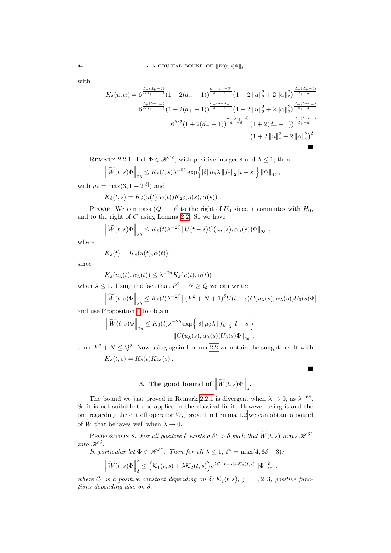with

$$
K_{\delta}(u,\alpha) = 6^{\frac{d_{-}(d_{+}-\delta)}{2(d_{+}-d_{-})}} \left(1 + 2(d_{-}-1)\right)^{\frac{d_{-}(d_{+}-\delta)}{d_{+}-d_{-}}}\left(1 + 2\left\|u\right\|_{2}^{2} + 2\left\|\alpha\right\|_{2}^{2}\right)^{\frac{d_{-}(d_{+}-\delta)}{d_{+}-d_{-}}}
$$

$$
6^{\frac{d_{+}(\delta-d_{-})}{2(d_{+}-d_{-})}} \left(1 + 2(d_{+}-1)\right)^{\frac{d_{+}(\delta-d_{-})}{d_{+}-d_{-}}}\left(1 + 2\left\|u\right\|_{2}^{2} + 2\left\|\alpha\right\|_{2}^{2}\right)^{\frac{d_{+}(\delta-d_{-})}{d_{+}-d_{-}}}
$$

$$
= 6^{\delta/2}\left(1 + 2(d_{-}-1)\right)^{\frac{d_{-}(d_{+}-\delta)}{d_{+}-d_{-}}}\left(1 + 2(d_{+}-1)\right)^{\frac{d_{+}(\delta-d_{-})}{d_{+}-d_{-}}}
$$

$$
\left(1 + 2\left\|u\right\|_{2}^{2} + 2\left\|\alpha\right\|_{2}^{2}\right)^{\delta}.
$$

<span id="page-43-0"></span>REMARK 2.2.1. Let  $\Phi \in \mathcal{H}^{4\delta}$ , with positive integer  $\delta$  and  $\lambda \leq 1$ ; then

$$
\left\|\widetilde{W}(t,s)\Phi\right\|_{2\delta} \leq K_{\delta}(t,s)\lambda^{-6\delta}\exp\left\{|\delta|\,\mu_{\delta}\lambda\,\|f_0\|_2\,|t-s|\right\}\|\Phi\|_{4\delta},
$$

with  $\mu_{\delta} = \max(3, 1 + 2^{|\delta|})$  and

$$
K_{\delta}(t,s) = K_{\delta}(u(t), \alpha(t)) K_{2\delta}(u(s), \alpha(s)) .
$$

PROOF. We can pass  $(Q+1)^\delta$  to the right of  $U_0$  since it commutes with  $H_0$ , and to the right of  $C$  using Lemma [2.2.](#page-42-1) So we have

$$
\left\|\widetilde{W}(t,s)\Phi\right\|_{2\delta} \leq K_{\delta}(t)\lambda^{-2\delta} \|U(t-s)C(u_{\lambda}(s),\alpha_{\lambda}(s))\Phi\|_{2\delta},
$$

where

$$
K_{\delta}(t) = K_{\delta}(u(t), \alpha(t)),
$$

since

$$
K_{\delta}(u_{\lambda}(t), \alpha_{\lambda}(t)) \leq \lambda^{-2\delta} K_{\delta}(u(t), \alpha(t))
$$

when  $\lambda \leq 1$ . Using the fact that  $P^2 + N \geq Q$  we can write:

$$
\left\|\widetilde{W}(t,s)\Phi\right\|_{2\delta} \leq K_{\delta}(t)\lambda^{-2\delta} \left\|(P^2+N+1)^{\delta}U(t-s)C(u_{\lambda}(s),\alpha_{\lambda}(s))U_0(s)\Phi\right\|,
$$

п

and use Proposition [4](#page-24-0) to obtain

$$
\left\| \widetilde{W}(t,s) \Phi \right\|_{2\delta} \leq K_{\delta}(t) \lambda^{-2\delta} \exp \left\{ |\delta| \mu_{\delta} \lambda \left\| f_0 \right\|_2 |t-s| \right\}
$$

$$
\left\| C(u_{\lambda}(s), \alpha_{\lambda}(s)) U_0(s) \Phi \right\|_{4\delta} ;
$$

since  $P^2 + N \leq Q^2$ . Now using again Lemma [2.2](#page-42-1) we obtain the sought result with  $K_{\delta}(t, s) = K_{\delta}(t)K_{2\delta}(s)$ .

# **3.** The good bound of  $\left\|\widetilde{W}(t,s)\Phi\right\|_{\delta}$ .

The bound we just proved in Remark [2.2.1](#page-43-0) is divergent when  $\lambda \to 0$ , as  $\lambda^{-6\delta}$ . So it is not suitable to be applied in the classical limit. However using it and the one regarding the cut off operator  $\widetilde{W}_{\mu}$  proved in Lemma [1.2](#page-40-0) we can obtain a bound of  $\widetilde{W}$  that behaves well when  $\lambda \to 0$ .

<span id="page-43-1"></span>PROPOSITION 8. For all positive  $\delta$  exists a  $\delta^* > \delta$  such that  $\widetilde{W}(t,s)$  maps  $\mathscr{H}^{\delta^*}$ into  $\mathscr{H}^{\delta}$ .

In particular let  $\Phi \in \mathscr{H}^{\delta^*}$ . Then for all  $\lambda \leq 1$ ,  $\delta^* = \max(4, 6\delta + 3)$ .

$$
\left\|\widetilde{W}(t,s)\Phi\right\|_{\delta}^{2} \leq \left(\mathcal{K}_{1}(t,s)+\lambda\mathcal{K}_{2}(t,s)\right)e^{\lambda\mathcal{C}_{1}|t-s|+\mathcal{K}_{3}(t,s)}\left\|\Phi\right\|_{\delta^{*}}^{2},
$$

where  $C_1$  is a positive constant depending on  $\delta$ ;  $\mathcal{K}_j(t,s)$ ,  $j = 1,2,3$ , positive functions depending also on  $\delta$ .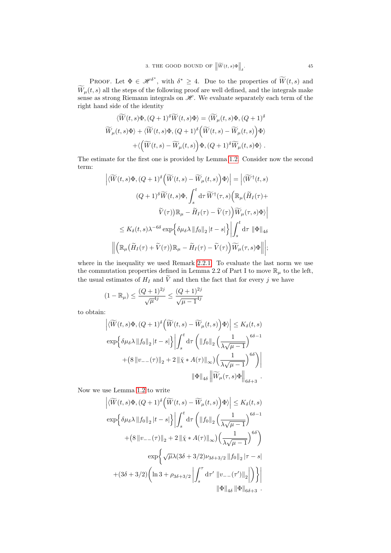PROOF. Let  $\Phi \in \mathscr{H}^{\delta^*}$ , with  $\delta^* \geq 4$ . Due to the properties of  $\widetilde{W}(t, s)$  and  $W_{\mu}(t, s)$  all the steps of the following proof are well defined, and the integrals make sense as strong Riemann integrals on  $\mathcal{H}$ . We evaluate separately each term of the right hand side of the identity

$$
\langle \widetilde{W}(t,s)\Phi, (Q+1)^{\delta} \widetilde{W}(t,s)\Phi \rangle = \langle \widetilde{W}_{\mu}(t,s)\Phi, (Q+1)^{\delta} \langle \widetilde{W}_{\mu}(t,s)\Phi \rangle + \langle \widetilde{W}(t,s)\Phi, (Q+1)^{\delta} \langle \widetilde{W}(t,s) - \widetilde{W}_{\mu}(t,s) \rangle \Phi \rangle + \langle \left( \widetilde{W}(t,s) - \widetilde{W}_{\mu}(t,s) \right) \Phi, (Q+1)^{\delta} \widetilde{W}_{\mu}(t,s)\Phi \rangle .
$$

The estimate for the first one is provided by Lemma [1.2.](#page-40-0) Consider now the second term:

$$
\left| \langle \widetilde{W}(t,s)\Phi, (Q+1)^{\delta} \left( \widetilde{W}(t,s) - \widetilde{W}_{\mu}(t,s) \right) \Phi \rangle \right| = \left| \langle \widetilde{W}^{\dagger}(t,s) \right|
$$
  

$$
(Q+1)^{\delta} \widetilde{W}(t,s) \Phi, \int_{s}^{t} d\tau \widetilde{W}^{\dagger}(\tau,s) \left( \mathbb{R}_{\mu}(\widetilde{H}_{I}(\tau) + \widetilde{V}(\tau)) \mathbb{R}_{\mu} - \widetilde{H}_{I}(\tau) - \widetilde{V}(\tau) \right) \widetilde{W}_{\mu}(\tau,s) \Phi \rangle \right|
$$
  

$$
\leq K_{\delta}(t,s) \lambda^{-6\delta} \exp \left\{ \delta \mu_{\delta} \lambda \left\| f_{0} \right\|_{2} |t-s| \right\} \left| \int_{s}^{t} d\tau \left\| \Phi \right\|_{4\delta}
$$
  

$$
\left\| \left( \mathbb{R}_{\mu}(\widetilde{H}_{I}(\tau) + \widetilde{V}(\tau)) \mathbb{R}_{\mu} - \widetilde{H}_{I}(\tau) - \widetilde{V}(\tau) \right) \widetilde{W}_{\mu}(\tau,s) \Phi \right\| \right|;
$$

where in the inequality we used Remark [2.2.1.](#page-43-0) To evaluate the last norm we use the commutation properties defined in Lemma 2.2 of Part I to move  $\mathbb{R}_{\mu}$  to the left, the usual estimates of  $H_I$  and  $\widetilde{V}$  and then the fact that for every j we have

$$
(1 - \mathbb{R}_{\mu}) \le \frac{(Q+1)^{2j}}{\sqrt{\mu}^{4j}} \le \frac{(Q+1)^{2j}}{\sqrt{\mu - 1}^{4j}}
$$

to obtain:

$$
\left| \langle \widetilde{W}(t,s)\Phi, (Q+1)^{\delta} \left( \widetilde{W}(t,s) - \widetilde{W}_{\mu}(t,s) \right) \Phi \rangle \right| \leq K_{\delta}(t,s)
$$
  

$$
\exp \left\{ \delta \mu_{\delta} \lambda \|f_0\|_2 |t-s| \right\} \left| \int_s^t \mathrm{d}\tau \left( \|f_0\|_2 \left( \frac{1}{\lambda \sqrt{\mu - 1}} \right)^{6\delta - 1} + (8 \|v_{--}(\tau)\|_2 + 2 \| \check{\chi} * A(\tau) \|_{\infty}) \left( \frac{1}{\lambda \sqrt{\mu - 1}} \right)^{6\delta} \right) \right|
$$
  

$$
\|\Phi\|_{4\delta} \left\| \widetilde{W}_{\mu}(\tau,s)\Phi \right\|_{6\delta + 3}.
$$

Now we use Lemma [1.2](#page-40-0) to write

$$
\left| \langle \widetilde{W}(t,s)\Phi, (Q+1)^{\delta} \left( \widetilde{W}(t,s) - \widetilde{W}_{\mu}(t,s) \right) \Phi \rangle \right| \leq K_{\delta}(t,s)
$$
  

$$
\exp \left\{ \delta \mu_{\delta} \lambda \left\| f_0 \right\|_2 |t-s| \right\} \left| \int_s^t \mathrm{d}\tau \left( \left\| f_0 \right\|_2 \left( \frac{1}{\lambda \sqrt{\mu - 1}} \right)^{6\delta - 1} + (8 \left\| v_{--}(\tau) \right\|_2 + 2 \left\| \widetilde{\chi} * A(\tau) \right\|_{\infty} \right) \left( \frac{1}{\lambda \sqrt{\mu - 1}} \right)^{6\delta} \right)
$$
  

$$
\exp \left\{ \sqrt{\mu} \lambda (3\delta + 3/2) \nu_{3\delta + 3/2} \left\| f_0 \right\|_2 |\tau - s| + (3\delta + 3/2) \left( \ln 3 + \rho_{3\delta + 3/2} \left\| \int_s^\tau \mathrm{d}\tau' \left\| v_{--}(\tau') \right\|_2 \right| \right) \right\} \right|
$$
  

$$
\left\| \Phi \right\|_{4\delta} \left\| \Phi \right\|_{6\delta + 3} .
$$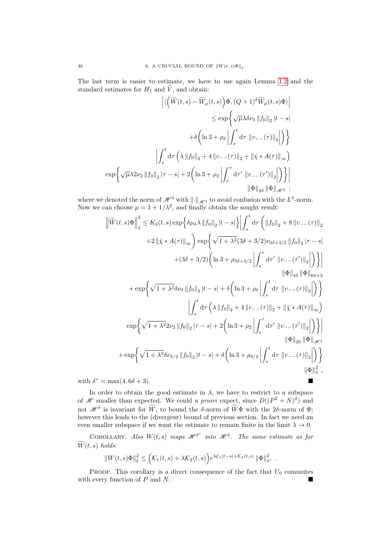The last term is easier to estimate, we have to use again Lemma [1.2](#page-40-0) and the standard estimates for  $H_I$  and  $\tilde{V}$ , and obtain:

$$
\left| \langle \left( \widetilde{W}(t,s) - \widetilde{W}_{\mu}(t,s) \right) \Phi, (Q+1)^{\delta} \widetilde{W}_{\mu}(t,s) \Phi \rangle \right|
$$
  
\n
$$
\leq \exp \left\{ \sqrt{\mu} \lambda \delta \nu_{\delta} \left\| f_0 \right\|_2 |t-s|
$$
  
\n
$$
+ \delta \left( \ln 3 + \rho_{\delta} \left| \int_s^t \mathrm{d}\tau \left\| v_{--}(\tau) \right\|_2 \right| \right) \right\}
$$
  
\n
$$
\left| \int_s^t \mathrm{d}\tau \left( \lambda \left\| f_0 \right\|_2 + 4 \left\| v_{--}(\tau) \right\|_2 + \left\| \check{\chi} * A(\tau) \right\|_{\infty} \right)
$$
  
\n
$$
\exp \left\{ \sqrt{\mu} \lambda 2 \nu_2 \left\| f_0 \right\|_2 |\tau - s| + 2 \left( \ln 3 + \rho_2 \left\| \int_s^\tau \mathrm{d}\tau' \left\| v_{--}(\tau') \right\|_2 \right| \right) \right\} \right|
$$
  
\n
$$
\left\| \Phi \right\|_{2\delta} \left\| \Phi \right\|_{\mathcal{H}^4} ;
$$

where we denoted the norm of  $\mathscr{H}^4$  with  $\|\cdot\|_{\mathscr{H}^4}$  to avoid confusion with the  $L^4$ -norm. Now we can choose  $\mu = 1 + 1/\lambda^2$ , and finally obtain the sought result:

$$
\left\| \widetilde{W}(t,s) \Phi \right\|_{\delta}^{2} \leq K_{\delta}(t,s) \exp \left\{ \delta \mu_{\delta} \lambda \left\| f_{0} \right\|_{2} |t-s| \right\} \left| \int_{s}^{t} \mathrm{d} \tau \left( \left\| f_{0} \right\|_{2} + 8 \left\| v_{--}(\tau) \right\|_{2} \right) \right|
$$
  
+2  $\left\| \chi \ast A(\tau) \right\|_{\infty} \right) \exp \left\{ \sqrt{1 + \lambda^{2}} (3\delta + 3/2) \nu_{3\delta + 3/2} \left\| f_{0} \right\|_{2} |\tau - s| + (3\delta + 3/2) \left( \ln 3 + \rho_{3\delta + 3/2} \left\| \int_{s}^{\tau} \mathrm{d} \tau' \left\| v_{--}(\tau') \right\|_{2} \right| \right) \right\} \right\|$   
+  $\exp \left\{ \sqrt{1 + \lambda^{2}} \delta \nu_{\delta} \left\| f_{0} \right\|_{2} |t-s| + \delta \left( \ln 3 + \rho_{\delta} \left| \int_{s}^{t} \mathrm{d} \tau \left\| v_{--}(\tau) \right\|_{2} \right| \right) \right\}$   
+  $\exp \left\{ \sqrt{1 + \lambda^{2}} 2 \nu_{2} \left\| f_{0} \right\|_{2} |t-s| + 2 \left( \ln 3 + \rho_{\delta} \left\| \int_{s}^{t} \mathrm{d} \tau' \left\| v_{--}(\tau) \right\|_{2} \right| \right) \right\}$   
 $\exp \left\{ \sqrt{1 + \lambda^{2}} 2 \nu_{2} \left\| f_{0} \right\|_{2} |\tau - s| + 2 \left( \ln 3 + \rho_{2} \left\| \int_{s}^{\tau} \mathrm{d} \tau' \left\| v_{--}(\tau') \right\|_{2} \right| \right) \right\}$   
+  $\exp \left\{ \sqrt{1 + \lambda^{2}} \delta \nu_{\delta/2} \left\| f_{0} \right\|_{2} |t-s| + \delta \left( \ln 3 + \rho_{\delta/2} \left\| \int_{s}^{t} \mathrm{d} \tau \left\| v_{--}(\tau) \right\|_{2}$ 

In order to obtain the good estimate in  $\lambda$ , we have to restrict to a subspace of *H* smaller than expected. We could a priori expect, since  $D((P^2 + N)^{\delta})$  and not  $\mathscr{H}^{\delta}$  is invariant for  $\overline{W}$ , to bound the  $\delta$ -norm of  $\overline{W}\Phi$  with the 2 $\delta$ -norm of  $\Phi$ ; however this leads to the (divergent) bound of previous section. In fact we need an even smaller subspace if we want the estimate to remain finite in the limit  $\lambda \to 0$ .

COROLLARY. Also  $W(t,s)$  maps  $\mathscr{H}^{\delta^*}$  into  $\mathscr{H}^{\delta}$ . The same estimate as for  $\overline{W}(t, s)$  holds:

$$
||W(t,s)\Phi||^2_{\delta} \leq \Big(\mathcal{K}_1(t,s)+\lambda \mathcal{K}_2(t,s)\Big)e^{\lambda \mathcal{C}_1|t-s|+\mathcal{K}_3(t,s)}\left\|\Phi\right\|^2_{\delta^*}.
$$

PROOF. This corollary is a direct consequence of the fact that  $U_0$  commutes with every function of P and N.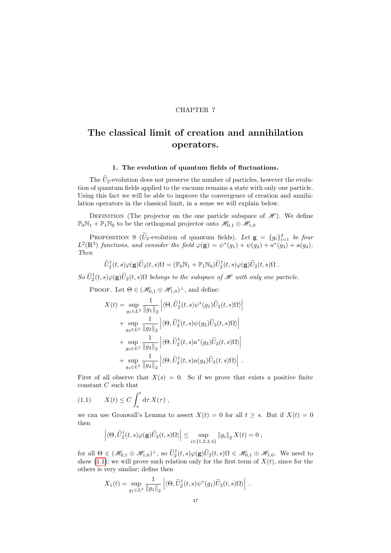#### CHAPTER 7

# <span id="page-46-2"></span>The classical limit of creation and annihilation operators.

#### 1. The evolution of quantum fields of fluctuations.

The  $\tilde{U}_2$ -evolution does not preserve the number of particles, however the evolution of quantum fields applied to the vacuum remains a state with only one particle. Using this fact we will be able to improve the convergence of creation and annihilation operators in the classical limit, in a sense we will explain below.

DEFINITION (The projector on the one particle subspace of  $\mathscr{H}$ ). We define  $\mathbb{P}_0\mathbb{N}_1 + \mathbb{P}_1\mathbb{N}_0$  to be the orthogonal projector onto  $\mathscr{H}_{0,1} \oplus \mathscr{H}_{1,0}$ 

<span id="page-46-1"></span>PROPOSITION 9 ( $\widetilde{U}_2$ -evolution of quantum fields). Let  $\mathbf{g} = \{g_i\}_{i=1}^4$  be four  $L^2(\mathbb{R}^3)$  functions, and consider the field  $\varphi(\mathbf{g}) = \psi^*(g_1) + \psi(g_2) + a^*(g_3) + a(g_4)$ . Then

$$
\widetilde{U}_2^{\dagger}(t,s)\varphi(\mathbf{g})\widetilde{U}_2(t,s)\Omega=(\mathbb{P}_0\mathbb{N}_1+\mathbb{P}_1\mathbb{N}_0)\widetilde{U}_2^{\dagger}(t,s)\varphi(\mathbf{g})\widetilde{U}_2(t,s)\Omega.
$$

 $So \ U^{\dagger}_2(t,s) \varphi(\mathbf{g}) \widetilde{U}_2(t,s) \Omega$  belongs to the subspace of  $\mathscr H$  with only one particle.

PROOF. Let  $\Theta \in (\mathcal{H}_{0,1} \oplus \mathcal{H}_{1,0})^{\perp}$ , and define:

$$
X(t) = \sup_{g_1 \in L^2} \frac{1}{\|g_1\|_2} \left| \langle \Theta, \widetilde{U}_2^{\dagger}(t, s) \psi^*(g_1) \widetilde{U}_2(t, s) \Omega \rangle \right|
$$
  
+ 
$$
\sup_{g_2 \in L^2} \frac{1}{\|g_2\|_2} \left| \langle \Theta, \widetilde{U}_2^{\dagger}(t, s) \psi(g_2) \widetilde{U}_2(t, s) \Omega \rangle \right|
$$
  
+ 
$$
\sup_{g_3 \in L^2} \frac{1}{\|g_3\|_2} \left| \langle \Theta, \widetilde{U}_2^{\dagger}(t, s) a^*(g_3) \widetilde{U}_2(t, s) \Omega \rangle \right|
$$
  
+ 
$$
\sup_{g_4 \in L^2} \frac{1}{\|g_4\|_2} \left| \langle \Theta, \widetilde{U}_2^{\dagger}(t, s) a(g_4) \widetilde{U}_2(t, s) \Omega \rangle \right|.
$$

First of all observe that  $X(s) = 0$ . So if we prove that exists a positive finite constant C such that

$$
(1.1) \t X(t) \le C \int_s^t d\tau X(\tau) ,
$$

we can use Gronwall's Lemma to assert  $X(t) = 0$  for all  $t \geq s$ . But if  $X(t) = 0$ then

<span id="page-46-0"></span>
$$
\left| \langle \Theta, \widetilde{U}_2^{\dagger}(t,s) \varphi(g) \widetilde{U}_2(t,s) \Omega \rangle \right| \leq \sup_{i \in \{1,2,3,4\}} ||g_i||_2 X(t) = 0 ;
$$

for all  $\Theta \in (\mathscr{H}_{0,1} \oplus \mathscr{H}_{1,0})^{\perp}$ , so  $\widetilde{U}_2^{\dagger}(t,s)\varphi(\mathbf{g})\widetilde{U}_2(t,s)\Omega \in \mathscr{H}_{0,1} \oplus \mathscr{H}_{1,0}$ . We need to show [\(1.1\)](#page-46-0); we will prove such relation only for the first term of  $X(t)$ , since for the others is very similar; define then

$$
X_1(t) = \sup_{g_1 \in L^2} \frac{1}{\|g_1\|_2} \left| \langle \Theta, \widetilde{U}_2^{\dagger}(t,s) \psi^*(g_1) \widetilde{U}_2(t,s) \Omega \rangle \right| .
$$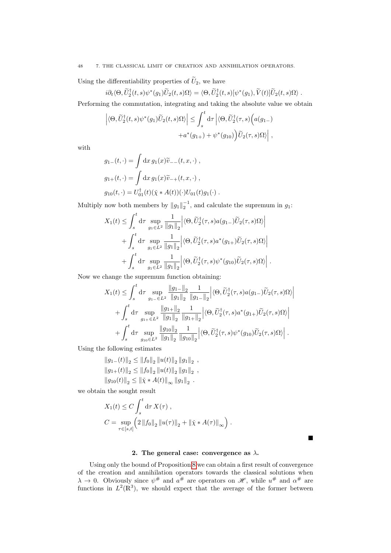#### 48 7. THE CLASSICAL LIMIT OF CREATION AND ANNIHILATION OPERATORS.

Using the differentiability properties of  $\tilde{U}_2$ , we have

$$
i\partial_t \langle \Theta, \widetilde{U}_2^{\dagger}(t,s)\psi^*(g_1)\widetilde{U}_2(t,s)\Omega \rangle = \langle \Theta, \widetilde{U}_2^{\dagger}(t,s)[\psi^*(g_1),\widetilde{V}(t)]\widetilde{U}_2(t,s)\Omega \rangle.
$$

Performing the commutation, integrating and taking the absolute value we obtain

$$
\left| \langle \Theta, \widetilde{U}_2^{\dagger}(t,s) \psi^*(g_1) \widetilde{U}_2(t,s) \Omega \rangle \right| \leq \int_s^t \mathrm{d}\tau \left| \langle \Theta, \widetilde{U}_2^{\dagger}(\tau,s) \Big( a(g_{1-}) + a^*(g_{1+}) + \psi^*(g_{10}) \Big) \widetilde{U}_2(\tau,s) \Omega \rangle \right|,
$$

with

$$
g_{1-}(t, \cdot) = \int dx \, g_1(x) \widetilde{v}_{--}(t, x, \cdot) ,
$$
  
\n
$$
g_{1+}(t, \cdot) = \int dx \, g_1(x) \widetilde{v}_{-+}(t, x, \cdot) ,
$$
  
\n
$$
g_{10}(t, \cdot) = U_{01}^{\dagger}(t) (\widetilde{\chi} * A(t)) (\cdot) U_{01}(t) g_1(\cdot) .
$$

Multiply now both members by  $||g_1||_2^{-1}$ , and calculate the supremum in  $g_1$ :

$$
X_1(t) \leq \int_s^t d\tau \sup_{g_1 \in L^2} \frac{1}{\|g_1\|_2} \Big| \langle \Theta, \widetilde{U}_2^{\dagger}(\tau, s) a(g_{1-}) \widetilde{U}_2(\tau, s) \Omega \rangle \Big| + \int_s^t d\tau \sup_{g_1 \in L^2} \frac{1}{\|g_1\|_2} \Big| \langle \Theta, \widetilde{U}_2^{\dagger}(\tau, s) a^*(g_{1+}) \widetilde{U}_2(\tau, s) \Omega \rangle \Big| + \int_s^t d\tau \sup_{g_1 \in L^2} \frac{1}{\|g_1\|_2} \Big| \langle \Theta, \widetilde{U}_2^{\dagger}(\tau, s) \psi^*(g_{10}) \widetilde{U}_2(\tau, s) \Omega \rangle \Big| .
$$

Now we change the supremum function obtaining:

$$
X_{1}(t) \leq \int_{s}^{t} d\tau \sup_{g_{1-} \in L^{2}} \frac{\|g_{1-}\|_{2}}{\|g_{1}\|_{2}} \frac{1}{\|g_{1-}\|_{2}} \Big| \langle \Theta, \widetilde{U}_{2}^{\dagger}(\tau,s)a(g_{1-})\widetilde{U}_{2}(\tau,s)\Omega\rangle \Big| + \int_{s}^{t} d\tau \sup_{g_{1+} \in L^{2}} \frac{\|g_{1+}\|_{2}}{\|g_{1}\|_{2}} \frac{1}{\|g_{1+}\|_{2}} \Big| \langle \Theta, \widetilde{U}_{2}^{\dagger}(\tau,s)a^{*}(g_{1+})\widetilde{U}_{2}(\tau,s)\Omega\rangle \Big| + \int_{s}^{t} d\tau \sup_{g_{10} \in L^{2}} \frac{\|g_{10}\|_{2}}{\|g_{1}\|_{2}} \frac{1}{\|g_{10}\|_{2}} \Big| \langle \Theta, \widetilde{U}_{2}^{\dagger}(\tau,s)\psi^{*}(g_{10})\widetilde{U}_{2}(\tau,s)\Omega\rangle \Big| .
$$

Using the following estimates

$$
||g_{1-}(t)||_2 \le ||f_0||_2 ||u(t)||_2 ||g_1||_2,
$$
  
\n
$$
||g_{1+}(t)||_2 \le ||f_0||_2 ||u(t)||_2 ||g_1||_2,
$$
  
\n
$$
||g_{10}(t)||_2 \le ||\tilde{\chi} * A(t)||_{\infty} ||g_1||_2.
$$

we obtain the sought result

$$
X_1(t) \le C \int_s^t d\tau \, X(\tau) ,
$$
  
\n
$$
C = \sup_{\tau \in [s,t]} \left( 2 \, \|f_0\|_2 \, \|u(\tau)\|_2 + \|\tilde{\chi} * A(\tau)\|_\infty \right)
$$

П

#### 2. The general case: convergence as  $\lambda$ .

.

Using only the bound of Proposition [8](#page-43-1) we can obtain a first result of convergence of the creation and annihilation operators towards the classical solutions when  $\lambda \to 0$ . Obviously since  $\psi^{\#}$  and  $a^{\#}$  are operators on  $\mathscr{H}$ , while  $u^{\#}$  and  $\alpha^{\#}$  are functions in  $L^2(\mathbb{R}^3)$ , we should expect that the average of the former between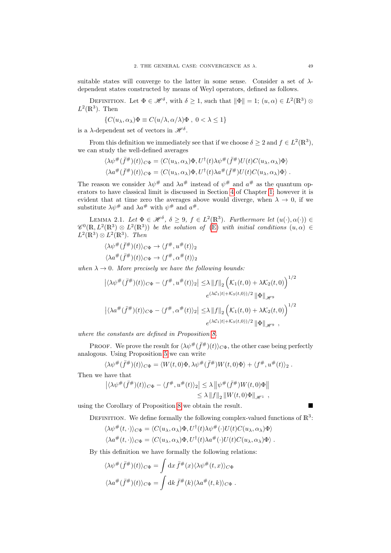suitable states will converge to the latter in some sense. Consider a set of  $\lambda$ dependent states constructed by means of Weyl operators, defined as follows.

DEFINITION. Let  $\Phi \in \mathscr{H}^{\delta}$ , with  $\delta \geq 1$ , such that  $\|\Phi\| = 1$ ;  $(u, \alpha) \in L^2(\mathbb{R}^3)$  $L^2(\mathbb{R}^3)$ . Then

$$
\{C(u_\lambda, \alpha_\lambda)\Phi \equiv C(u/\lambda, \alpha/\lambda)\Phi \ , \ 0 < \lambda \le 1\}
$$

is a  $\lambda$ -dependent set of vectors in  $\mathscr{H}^{\delta}$ .

From this definition we immediately see that if we choose  $\delta \geq 2$  and  $f \in L^2(\mathbb{R}^3)$ , we can study the well-defined averages

$$
\langle \lambda \psi^{\#}(\bar{f}^{\#})(t) \rangle_{C\Phi} = \langle C(u_{\lambda}, \alpha_{\lambda}) \Phi, U^{\dagger}(t) \lambda \psi^{\#}(\bar{f}^{\#}) U(t) C(u_{\lambda}, \alpha_{\lambda}) \Phi \rangle \langle \lambda a^{\#}(\bar{f}^{\#})(t) \rangle_{C\Phi} = \langle C(u_{\lambda}, \alpha_{\lambda}) \Phi, U^{\dagger}(t) \lambda a^{\#}(\bar{f}^{\#}) U(t) C(u_{\lambda}, \alpha_{\lambda}) \Phi \rangle.
$$

The reason we consider  $\lambda \psi^{\#}$  and  $\lambda a^{\#}$  instead of  $\psi^{\#}$  and  $a^{\#}$  as the quantum operators to have classical limit is discussed in Section [4](#page-7-0) of Chapter [1;](#page-4-0) however it is evident that at time zero the averages above would diverge, when  $\lambda \to 0$ , if we substitute  $\lambda \psi^{\#}$  and  $\lambda a^{\#}$  with  $\psi^{\#}$  and  $a^{\#}$ .

<span id="page-48-0"></span>LEMMA 2.1. Let  $\Phi \in \mathscr{H}^{\delta}$ ,  $\delta \geq 9$ ,  $f \in L^{2}(\mathbb{R}^{3})$ . Furthermore let  $(u(\cdot), \alpha(\cdot)) \in$  $\mathscr{C}^0(\mathbb{R}, L^2(\mathbb{R}^3) \otimes L^2(\mathbb{R}^3))$  be the solution of  $(\mathbb{E})$  with initial conditions  $(u, \alpha) \in$  $L^2(\mathbb{R}^3) \otimes L^2(\mathbb{R}^3)$ . Then

$$
\langle \lambda \psi^{\#}(\bar{f}^{\#})(t) \rangle_{C\Phi} \to \langle f^{\#}, u^{\#}(t) \rangle_{2}
$$

$$
\langle \lambda a^{\#}(\bar{f}^{\#})(t) \rangle_{C\Phi} \to \langle f^{\#}, \alpha^{\#}(t) \rangle_{2}
$$

when  $\lambda \to 0$ . More precisely we have the following bounds:

$$
\left| \langle \lambda \psi^{\#}(\bar{f}^{\#})(t) \rangle_{C\Phi} - \langle f^{\#}, u^{\#}(t) \rangle_{2} \right| \leq \lambda \left\| f \right\|_{2} \left( \mathcal{K}_{1}(t,0) + \lambda \mathcal{K}_{2}(t,0) \right)^{1/2}
$$

$$
e^{(\lambda \mathcal{C}_{1}|t| + \mathcal{K}_{3}(t,0))/2} \left\| \Phi \right\|_{\mathscr{H}^{9}}
$$

$$
\left| \langle \lambda a^{\#}(\bar{f}^{\#})(t) \rangle_{C\Phi} - \langle f^{\#}, \alpha^{\#}(t) \rangle_{2} \right| \leq \lambda \left\| f \right\|_{2} \left( \mathcal{K}_{1}(t,0) + \lambda \mathcal{K}_{2}(t,0) \right)^{1/2}
$$

$$
e^{(\lambda \mathcal{C}_{1}|t| + \mathcal{K}_{3}(t,0))/2} \left\| \Phi \right\|_{\mathscr{H}^{9}},
$$

where the constants are defined in Proposition [8.](#page-43-1)

PROOF. We prove the result for  $\langle \lambda \psi^{\#}(\bar{f}^{\#})(t) \rangle_{C\Phi}$ , the other case being perfectly analogous. Using Proposition [5](#page-26-0) we can write

$$
\langle \lambda \psi^{\#}(\bar{f}^{\#})(t) \rangle_{C\Phi} = \langle W(t,0)\Phi, \lambda \psi^{\#}(\bar{f}^{\#})W(t,0)\Phi \rangle + \langle f^{\#}, u^{\#}(t) \rangle_{2} .
$$

Then we have that

$$
\begin{aligned} \left| \langle \lambda \psi^\#(\bar{f}^\#)(t) \rangle_{C\Phi} - \langle f^\#, u^\#(t) \rangle_2 \right| &\leq \lambda \left\| \psi^\#(\bar{f}^\#) W(t,0) \Phi \right\| \\ &\leq \lambda \left\| f \right\|_2 \left\| W(t,0) \Phi \right\|_{\mathscr{H}^1}, \end{aligned}
$$

using the Corollary of Proposition [8](#page-43-1) we obtain the result.

DEFINITION. We define formally the following complex-valued functions of  $\mathbb{R}^3$ :

$$
\langle \lambda \psi^{\#}(t,\cdot) \rangle_{C\Phi} = \langle C(u_{\lambda}, \alpha_{\lambda}) \Phi, U^{\dagger}(t) \lambda \psi^{\#}(\cdot) U(t) C(u_{\lambda}, \alpha_{\lambda}) \Phi \rangle
$$
  

$$
\langle \lambda a^{\#}(t,\cdot) \rangle_{C\Phi} = \langle C(u_{\lambda}, \alpha_{\lambda}) \Phi, U^{\dagger}(t) \lambda a^{\#}(\cdot) U(t) C(u_{\lambda}, \alpha_{\lambda}) \Phi \rangle.
$$

By this definition we have formally the following relations:

$$
\langle \lambda \psi^{\#}(\bar{f}^{\#})(t) \rangle_{C\Phi} = \int dx \, \bar{f}^{\#}(x) \langle \lambda \psi^{\#}(t,x) \rangle_{C\Phi}
$$

$$
\langle \lambda a^{\#}(\bar{f}^{\#})(t) \rangle_{C\Phi} = \int dk \, \bar{f}^{\#}(k) \langle \lambda a^{\#}(t,k) \rangle_{C\Phi} .
$$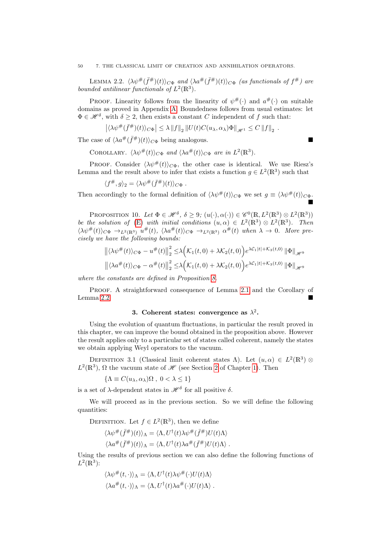50 7. THE CLASSICAL LIMIT OF CREATION AND ANNIHILATION OPERATORS.

<span id="page-49-0"></span>LEMMA 2.2.  $\langle \lambda \psi^{\#}(\bar{f}^{\#})(t) \rangle_{C\Phi}$  and  $\langle \lambda a^{\#}(\bar{f}^{\#})(t) \rangle_{C\Phi}$  (as functionals of  $f^{\#}$ ) are bounded antilinear functionals of  $L^2(\mathbb{R}^3)$ .

PROOF. Linearity follows from the linearity of  $\psi^{\#}(\cdot)$  and  $a^{\#}(\cdot)$  on suitable domains as proved in Appendix [A.](#page-62-0) Boundedness follows from usual estimates: let  $\Phi \in \mathscr{H}^{\delta}$ , with  $\delta \geq 2$ , then exists a constant C independent of f such that:

$$
\left|\langle\lambda\psi^\#(\bar f^\#)(t)\rangle_{C\Phi}\right|\leq\lambda\left\|f\right\|_2\left\|U(t)C(u_\lambda,{\alpha}_\lambda)\Phi\right\|_{\mathscr H^1}\leq C\left\|f\right\|_2\;.
$$

The case of  $\langle \lambda a^{\#}(\bar{f}^{\#})(t) \rangle_{C\Phi}$  being analogous.

COROLLARY.  $\langle \lambda \psi^{\#}(t) \rangle_{C\Phi}$  and  $\langle \lambda a^{\#}(t) \rangle_{C\Phi}$  are in  $L^2(\mathbb{R}^3)$ .

PROOF. Consider  $\langle \lambda \psi^{\#}(t) \rangle_{C\Phi}$ , the other case is identical. We use Riesz's Lemma and the result above to infer that exists a function  $g \in L^2(\mathbb{R}^3)$  such that

$$
\langle f^{\#}, g \rangle_2 = \langle \lambda \psi^{\#}(\bar{f}^{\#})(t) \rangle_{C\Phi} .
$$

Then accordingly to the formal definition of  $\langle \lambda \psi^{\#}(t) \rangle_{C\Phi}$  we set  $g \equiv \langle \lambda \psi^{\#}(t) \rangle_{C\Phi}$ . Ē

PROPOSITION 10. Let  $\Phi \in \mathcal{H}^{\delta}$ ,  $\delta \geq 9$ ;  $(u(\cdot), \alpha(\cdot)) \in \mathcal{C}^{0}(\mathbb{R}, L^{2}(\mathbb{R}^{3}) \otimes L^{2}(\mathbb{R}^{3}))$ be the solution of [\(E\)](#page-14-0) with initial conditions  $(u, \alpha) \in L^2(\mathbb{R}^3) \otimes L^2(\mathbb{R}^3)$ . Then  $\langle \lambda \psi^{\#}(t) \rangle_{C\Phi} \rightarrow_{L^2(\mathbb{R}^3)} u^{\#}(t), \ \langle \lambda a^{\#}(t) \rangle_{C\Phi} \rightarrow_{L^2(\mathbb{R}^3)} \alpha^{\#}(t)$  when  $\lambda \to 0$ . More precisely we have the following bounds:

$$
\left\| \langle \lambda \psi^{\#}(t) \rangle_{C\Phi} - u^{\#}(t) \right\|_{2}^{2} \leq \lambda \Big( \mathcal{K}_{1}(t,0) + \lambda \mathcal{K}_{2}(t,0) \Big) e^{\lambda \mathcal{C}_{1}[t] + \mathcal{K}_{3}(t,0)} \left\| \Phi \right\|_{\mathscr{H}^{9}} \left\| \langle \lambda a^{\#}(t) \rangle_{C\Phi} - \alpha^{\#}(t) \right\|_{2}^{2} \leq \lambda \Big( \mathcal{K}_{1}(t,0) + \lambda \mathcal{K}_{2}(t,0) \Big) e^{\lambda \mathcal{C}_{1}[t] + \mathcal{K}_{3}(t,0)} \left\| \Phi \right\|_{\mathscr{H}^{9}}
$$

where the constants are defined in Proposition [8.](#page-43-1)

PROOF. A straightforward consequence of Lemma [2.1](#page-48-0) and the Corollary of Lemma [2.2.](#page-49-0)

#### 3. Coherent states: convergence as  $\lambda^2$ .

Using the evolution of quantum fluctuations, in particular the result proved in this chapter, we can improve the bound obtained in the proposition above. However the result applies only to a particular set of states called coherent, namely the states we obtain applying Weyl operators to the vacuum.

DEFINITION 3.1 (Classical limit coherent states  $\Lambda$ ). Let  $(u, \alpha) \in L^2(\mathbb{R}^3)$  ⊗  $L^2(\mathbb{R}^3)$ ,  $\Omega$  the vacuum state of  $\mathscr H$  (see Section [2](#page-5-0) of Chapter [1\)](#page-4-0). Then

$$
\{\Lambda \equiv C(u_{\lambda}, \alpha_{\lambda})\Omega \ , \ 0 < \lambda \le 1\}
$$

is a set of  $\lambda$ -dependent states in  $\mathscr{H}^{\delta}$  for all positive  $\delta$ .

We will proceed as in the previous section. So we will define the following quantities:

DEFINITION. Let  $f \in L^2(\mathbb{R}^3)$ , then we define

$$
\langle \lambda \psi^{\#}(\bar{f}^{\#})(t) \rangle_{\Lambda} = \langle \Lambda, U^{\dagger}(t) \lambda \psi^{\#}(\bar{f}^{\#}) U(t) \Lambda \rangle
$$
  

$$
\langle \lambda a^{\#}(\bar{f}^{\#})(t) \rangle_{\Lambda} = \langle \Lambda, U^{\dagger}(t) \lambda a^{\#}(\bar{f}^{\#}) U(t) \Lambda \rangle.
$$

Using the results of previous section we can also define the following functions of  $L^2(\mathbb{R}^3)$ :

$$
\langle \lambda \psi^{\#}(t, \cdot) \rangle_{\Lambda} = \langle \Lambda, U^{\dagger}(t) \lambda \psi^{\#}(\cdot) U(t) \Lambda \rangle
$$

$$
\langle \lambda a^{\#}(t, \cdot) \rangle_{\Lambda} = \langle \Lambda, U^{\dagger}(t) \lambda a^{\#}(\cdot) U(t) \Lambda \rangle.
$$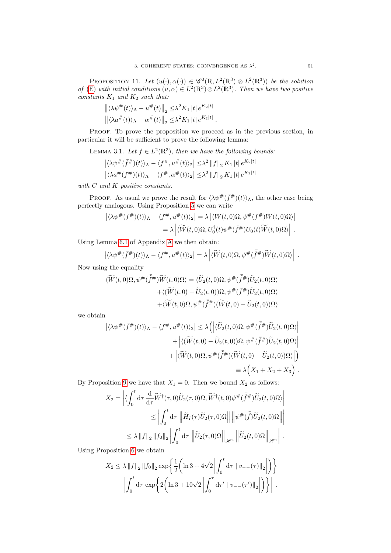PROPOSITION 11. Let  $(u(\cdot), \alpha(\cdot)) \in \mathscr{C}^0(\mathbb{R}, L^2(\mathbb{R}^3) \otimes L^2(\mathbb{R}^3))$  be the solution of [\(E\)](#page-14-0) with initial conditions  $(u, \alpha) \in L^2(\mathbb{R}^3) \otimes L^2(\mathbb{R}^3)$ . Then we have two positive constants  $K_1$  and  $K_2$  such that:

$$
\left\| \langle \lambda \psi^{\#}(t) \rangle_{\Lambda} - u^{\#}(t) \right\|_{2} \leq \lambda^{2} K_{1} |t| e^{K_{2} |t|}
$$

$$
\left\| \langle \lambda a^{\#}(t) \rangle_{\Lambda} - \alpha^{\#}(t) \right\|_{2} \leq \lambda^{2} K_{1} |t| e^{K_{2} |t|}.
$$

PROOF. To prove the proposition we proceed as in the previous section, in particular it will be sufficient to prove the following lemma:

LEMMA 3.1. Let  $f \in L^2(\mathbb{R}^3)$ , then we have the following bounds:

$$
\left| \langle \lambda \psi^\#(\bar{f}^\#)(t) \rangle_\Lambda - \langle f^\#, u^\#(t) \rangle_2 \right| \leq \lambda^2 \|f\|_2 K_1 |t| e^{K_2 |t|}
$$
  

$$
\left| \langle \lambda a^\#(\bar{f}^\#)(t) \rangle_\Lambda - \langle f^\#, \alpha^\#(t) \rangle_2 \right| \leq \lambda^2 \|f\|_2 K_1 |t| e^{K_2 |t|}
$$

with C and K positive constants.

PROOF. As usual we prove the result for  $\langle \lambda \psi^{\#}(\bar{f}^{\#})(t) \rangle_{\Lambda}$ , the other case being perfectly analogous. Using Proposition [5](#page-26-0) we can write

$$
\left| \langle \lambda \psi^{\#}(\bar{f}^{\#})(t) \rangle_{\Lambda} - \langle f^{\#}, u^{\#}(t) \rangle_{2} \right| = \lambda \left| \langle W(t,0) \Omega, \psi^{\#}(\bar{f}^{\#}) W(t,0) \Omega \rangle \right|
$$
  
=  $\lambda \left| \langle \widetilde{W}(t,0) \Omega, U_{0}^{\dagger}(t) \psi^{\#}(\bar{f}^{\#}) U_{0}(t) \widetilde{W}(t,0) \Omega \rangle \right|.$ 

Using Lemma [6.1](#page-79-0) of Appendix [A](#page-62-0) we then obtain:

$$
\left| \langle \lambda \psi^{\#}(\bar{f}^{\#})(t) \rangle_{\Lambda} - \langle f^{\#}, u^{\#}(t) \rangle_{2} \right| = \lambda \left| \langle \widetilde{W}(t,0) \Omega, \psi^{\#}(\bar{\tilde{f}}^{\#}) \widetilde{W}(t,0) \Omega \rangle \right| .
$$

Now using the equality

$$
\langle \widetilde{W}(t,0)\Omega,\psi^{\#}(\tilde{\bar{f}}^{\#})\widetilde{W}(t,0)\Omega\rangle = \langle \widetilde{U}_{2}(t,0)\Omega,\psi^{\#}(\tilde{\bar{f}}^{\#})\widetilde{U}_{2}(t,0)\Omega\rangle \n+ \langle (\widetilde{W}(t,0)-\widetilde{U}_{2}(t,0))\Omega,\psi^{\#}(\tilde{\bar{f}}^{\#})\widetilde{U}_{2}(t,0)\Omega\rangle \n+ \langle \widetilde{W}(t,0)\Omega,\psi^{\#}(\tilde{\bar{f}}^{\#})(\widetilde{W}(t,0)-\widetilde{U}_{2}(t,0))\Omega\rangle
$$

we obtain

$$
\left| \langle \lambda \psi^{\#}(\bar{f}^{\#})(t) \rangle_{\Lambda} - \langle f^{\#}, u^{\#}(t) \rangle_{2} \right| \leq \lambda \left( \left| \langle \widetilde{U}_{2}(t,0) \Omega, \psi^{\#}(\bar{\tilde{f}}^{\#}) \widetilde{U}_{2}(t,0) \Omega \rangle \right|
$$

$$
+ \left| \langle (\widetilde{W}(t,0) - \widetilde{U}_{2}(t,0)) \Omega, \psi^{\#}(\bar{\tilde{f}}^{\#}) \widetilde{U}_{2}(t,0) \Omega \rangle \right|
$$

$$
+ \left| \langle \widetilde{W}(t,0) \Omega, \psi^{\#}(\bar{\tilde{f}}^{\#}) (\widetilde{W}(t,0) - \widetilde{U}_{2}(t,0)) \Omega \rangle \right| \right)
$$

$$
\equiv \lambda \Big(X_{1} + X_{2} + X_{3}\Big).
$$

By Proposition [9](#page-46-1) we have that  $X_1 = 0$ . Then we bound  $X_2$  as follows:

$$
X_2 = \left| \langle \int_0^t \mathrm{d}\tau \, \frac{\mathrm{d}}{\mathrm{d}\tau} \widetilde{W}^\dagger(\tau,0) \widetilde{U}_2(\tau,0) \Omega, \widetilde{W}^\dagger(t,0) \psi^\#(\tilde{f}^\#) \widetilde{U}_2(t,0) \Omega \rangle \right|
$$
  

$$
\leq \left| \int_0^t \mathrm{d}\tau \, \left\| \widetilde{H}_I(\tau) \widetilde{U}_2(\tau,0) \Omega \right\| \left\| \psi^\#(\tilde{f}) \widetilde{U}_2(t,0) \Omega \right\| \right|
$$
  

$$
\leq \lambda \left\| f \right\|_2 \left\| f_0 \right\|_2 \left| \int_0^t \mathrm{d}\tau \, \left\| \widetilde{U}_2(\tau,0) \Omega \right\|_{\mathscr{H}^4} \left\| \widetilde{U}_2(t,0) \Omega \right\|_{\mathscr{H}^1} \right|.
$$

Using Proposition [6](#page-33-0) we obtain

$$
X_2 \le \lambda \|f\|_2 \|f_0\|_2 \exp \left\{ \frac{1}{2} \left( \ln 3 + 4\sqrt{2} \left| \int_0^t \mathrm{d}\tau \, \|v_{--}(\tau)\|_2 \right| \right) \right\}
$$

$$
\left| \int_0^t \mathrm{d}\tau \, \exp \left\{ 2 \left( \ln 3 + 10\sqrt{2} \left| \int_0^{\tau} \mathrm{d}\tau' \, \|v_{--}(\tau')\|_2 \right| \right) \right\} \right|.
$$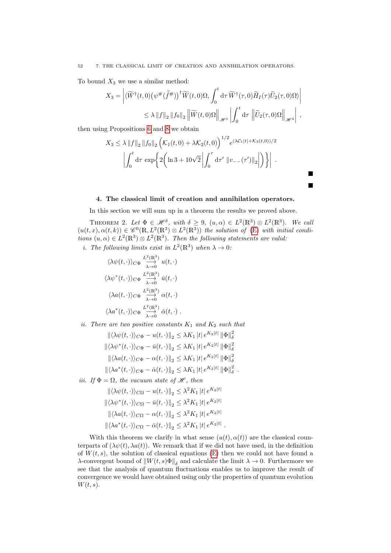52 7. THE CLASSICAL LIMIT OF CREATION AND ANNIHILATION OPERATORS.

To bound  $X_3$  we use a similar method:

$$
X_3 = \left| \langle \widetilde{W}^{\dagger}(t,0) \left( \psi^{\#}(\tilde{f}^{\#}) \right)^{\dagger} \widetilde{W}(t,0) \Omega, \int_0^t \mathrm{d}\tau \, \widetilde{W}^{\dagger}(\tau,0) \widetilde{H}_I(\tau) \widetilde{U}_2(\tau,0) \Omega \rangle \right|
$$
  
\$\leq \lambda ||f||\_2 ||f\_0||\_2 ||\widetilde{W}(t,0) \Omega||\_{\mathscr{H}^1} \left| \int\_0^t \mathrm{d}\tau \, \left\| \widetilde{U}\_2(\tau,0) \Omega \right\|\_{\mathscr{H}^4} \right| ,

then using Propositions [6](#page-33-0) and [8](#page-43-1) we obtain

$$
X_3 \leq \lambda \|f\|_2 \|f_0\|_2 \left( \mathcal{K}_1(t,0) + \lambda \mathcal{K}_2(t,0) \right)^{1/2} e^{(\lambda \mathcal{C}_1 |t| + \mathcal{K}_3(t,0))/2}
$$

$$
\left| \int_0^t \mathrm{d}\tau \, \exp\left\{ 2 \left( \ln 3 + 10\sqrt{2} \left| \int_0^\tau \mathrm{d}\tau' \, \|v_-(\tau')\|_2 \right| \right) \right\} \right|.
$$

Ē Ē

#### 4. The classical limit of creation and annihilation operators.

In this section we will sum up in a theorem the results we proved above.

THEOREM 2. Let  $\Phi \in \mathscr{H}^{\delta}$ , with  $\delta \geq 9$ ,  $(u,\alpha) \in L^2(\mathbb{R}^3) \otimes L^2(\mathbb{R}^3)$ . We call  $(u(t, x), \alpha(t, k)) \in \mathscr{C}^{0}(\mathbb{R}, L^{2}(\mathbb{R}^{3}) \otimes L^{2}(\mathbb{R}^{3}))$  the solution of  $(\mathbb{E})$  with initial conditions  $(u, \alpha) \in L^2(\mathbb{R}^3) \otimes L^2(\mathbb{R}^3)$ . Then the following statements are valid. *i*. The following limits exist in  $L^2(\mathbb{R}^3)$  when  $\lambda \to 0$ :

$$
\langle \lambda \psi(t, \cdot) \rangle_{C\Phi} \xrightarrow{\mathcal{L}^2(\mathbb{R}^3)} u(t, \cdot)
$$

$$
\langle \lambda \psi^*(t, \cdot) \rangle_{C\Phi} \xrightarrow{\mathcal{L}^2(\mathbb{R}^3)} \bar{u}(t, \cdot)
$$

$$
\langle \lambda a(t, \cdot) \rangle_{C\Phi} \xrightarrow{\mathcal{L}^2(\mathbb{R}^3)} \alpha(t, \cdot)
$$

$$
\langle \lambda a^*(t, \cdot) \rangle_{C\Phi} \xrightarrow{\mathcal{L}^2(\mathbb{R}^3)} \bar{\alpha}(t, \cdot).
$$

ii. There are two positive constants  $K_1$  and  $K_2$  such that

 $\left\| \langle \lambda \psi(t,\cdot) \rangle_{C \Phi} - u(t,\cdot) \right\|_2 \le \lambda K_1 \left| t \right| e^{K_2 \left| t \right|} \left\| \Phi \right\|_\delta^2$  $\left\Vert \langle \lambda\psi^{*}(t,\cdot)\rangle_{C\Phi}-\bar{u}(t,\cdot)\right\Vert _{2}\leq\lambda K_{1}\left\Vert t\right\Vert e^{K_{2}\left\vert t\right\vert }\left\Vert \Phi\right\Vert _{\delta}^{2}$  $\left\Vert \langle \lambda a(t,\cdot)\rangle_{C\Phi}-\alpha(t,\cdot)\right\Vert _{2}\leq\lambda K_{1}\left\vert t\right\vert e^{K_{2}\left\vert t\right\vert }\left\Vert \Phi\right\Vert _{\delta}^{2}$  $\left\| \langle \lambda a^*(t, \cdot) \rangle_{C\Phi} - \bar{\alpha}(t, \cdot) \right\|_2 \leq \lambda K_1 \, |t| \, e^{K_2|t|} \, \|\Phi\|_{\delta}^2$ .

iii. If  $\Phi = \Omega$ , the vacuum state of  $\mathscr{H}$ , then

$$
\begin{aligned}\n\|\langle \lambda \psi(t, \cdot) \rangle_{C\Omega} - u(t, \cdot) \|_{2} &\leq \lambda^{2} K_{1} |t| e^{K_{2} |t|} \\
\|\langle \lambda \psi^{*}(t, \cdot) \rangle_{C\Omega} - \bar{u}(t, \cdot) \|_{2} &\leq \lambda^{2} K_{1} |t| e^{K_{2} |t|} \\
\|\langle \lambda a(t, \cdot) \rangle_{C\Omega} - \alpha(t, \cdot) \|_{2} &\leq \lambda^{2} K_{1} |t| e^{K_{2} |t|} \\
\|\langle \lambda a^{*}(t, \cdot) \rangle_{C\Omega} - \bar{\alpha}(t, \cdot) \|_{2} &\leq \lambda^{2} K_{1} |t| e^{K_{2} |t|}.\n\end{aligned}
$$

With this theorem we clarify in what sense  $(u(t), \alpha(t))$  are the classical counterparts of  $(\lambda \psi(t), \lambda a(t))$ . We remark that if we did not have used, in the definition of  $W(t, s)$ , the solution of classical equations [\(E\)](#page-14-0) then we could not have found a  $\lambda$ -convergent bound of  $\|W(t, s)\Phi\|_{\delta}$  and calculate the limit  $\lambda \to 0$ . Furthermore we see that the analysis of quantum fluctuations enables us to improve the result of convergence we would have obtained using only the properties of quantum evolution  $W(t, s)$ .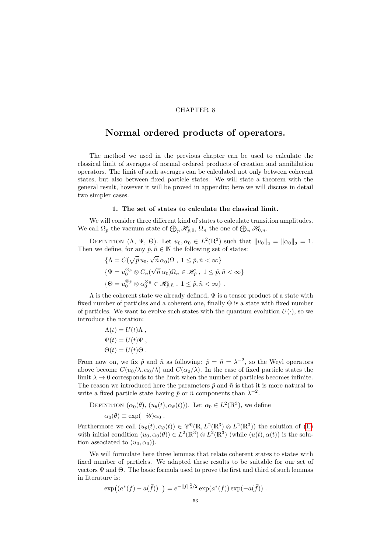#### CHAPTER 8

## Normal ordered products of operators.

The method we used in the previous chapter can be used to calculate the classical limit of averages of normal ordered products of creation and annihilation operators. The limit of such averages can be calculated not only between coherent states, but also between fixed particle states. We will state a theorem with the general result, however it will be proved in appendix; here we will discuss in detail two simpler cases.

#### 1. The set of states to calculate the classical limit.

We will consider three different kind of states to calculate transition amplitudes. We call  $\Omega_p$  the vacuum state of  $\bigoplus_p \mathscr{H}_{p,0}, \Omega_n$  the one of  $\bigoplus_n \mathscr{H}_{0,n}$ .

DEFINITION  $(\Lambda, \Psi, \Theta)$ . Let  $u_0, \alpha_0 \in L^2(\mathbb{R}^3)$  such that  $||u_0||_2 = ||\alpha_0||_2 = 1$ . Then we define, for any  $\tilde{p}, \tilde{n} \in \mathbb{N}$  the following set of states: √

$$
\{\Lambda = C(\sqrt{\tilde{p}} u_0, \sqrt{\tilde{n}} \alpha_0) \Omega, 1 \leq \tilde{p}, \tilde{n} < \infty \}
$$
  

$$
\{\Psi = u_0^{\otimes_{\tilde{p}}} \otimes C_n(\sqrt{\tilde{n}} \alpha_0) \Omega_n \in \mathscr{H}_{\tilde{p}}, 1 \leq \tilde{p}, \tilde{n} < \infty \}
$$
  

$$
\{\Theta = u_0^{\otimes_{\tilde{p}}} \otimes \alpha_0^{\otimes_{\tilde{n}}} \in \mathscr{H}_{\tilde{p},\tilde{n}}, 1 \leq \tilde{p}, \tilde{n} < \infty \}.
$$

 $\Lambda$  is the coherent state we already defined,  $\Psi$  is a tensor product of a state with fixed number of particles and a coherent one, finally  $\Theta$  is a state with fixed number of particles. We want to evolve such states with the quantum evolution  $U(\cdot)$ , so we introduce the notation:

$$
\Lambda(t) = U(t)\Lambda ,
$$
  
\n
$$
\Psi(t) = U(t)\Psi ,
$$
  
\n
$$
\Theta(t) = U(t)\Theta .
$$

From now on, we fix  $\tilde{p}$  and  $\tilde{n}$  as following:  $\tilde{p} = \tilde{n} = \lambda^{-2}$ , so the Weyl operators above become  $C(u_0/\lambda, \alpha_0/\lambda)$  and  $C(\alpha_0/\lambda)$ . In the case of fixed particle states the limit  $\lambda \to 0$  corresponds to the limit when the number of particles becomes infinite. The reason we introduced here the parameters  $\tilde{p}$  and  $\tilde{n}$  is that it is more natural to write a fixed particle state having  $\tilde{p}$  or  $\tilde{n}$  components than  $\lambda^{-2}$ .

DEFINITION 
$$
(\alpha_0(\theta), (u_\theta(t), \alpha_\theta(t)))
$$
. Let  $\alpha_0 \in L^2(\mathbb{R}^3)$ , we define  
 $\alpha_0(\theta) \equiv \exp(-i\theta)\alpha_0$ .

Furthermore we call  $(u_{\theta}(t), \alpha_{\theta}(t)) \in \mathscr{C}^{0}(\mathbb{R}, L^{2}(\mathbb{R}^{3}) \otimes L^{2}(\mathbb{R}^{3}))$  the solution of [\(E\)](#page-14-0) with initial condition  $(u_0, \alpha_0(\theta)) \in L^2(\mathbb{R}^3) \otimes L^2(\mathbb{R}^3)$  (while  $(u(t), \alpha(t))$ ) is the solution associated to  $(u_0, \alpha_0)$ .

We will formulate here three lemmas that relate coherent states to states with fixed number of particles. We adapted these results to be suitable for our set of vectors  $\Psi$  and  $\Theta$ . The basic formula used to prove the first and third of such lemmas in literature is:

$$
\exp((a^*(f) - a(\bar{f}))^{-}) = e^{-\|f\|_2^2/2} \exp(a^*(f)) \exp(-a(\bar{f}))
$$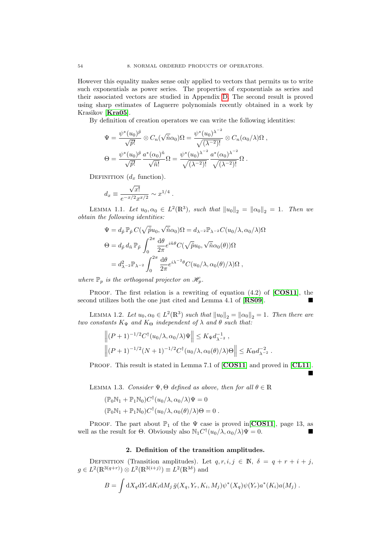However this equality makes sense only applied to vectors that permits us to write such exponentials as power series. The properties of exponentials as series and their associated vectors are studied in Appendix [D.](#page-90-0) The second result is proved using sharp estimates of Laguerre polynomials recently obtained in a work by Krasikov [[Kra05](#page-102-0)].

By definition of creation operators we can write the following identities:

$$
\Psi = \frac{\psi^*(u_0)^{\tilde{p}}}{\sqrt{\tilde{p}!}} \otimes C_n(\sqrt{\tilde{n}}\alpha_0)\Omega = \frac{\psi^*(u_0)^{\lambda^{-2}}}{\sqrt{(\lambda^{-2})!}} \otimes C_n(\alpha_0/\lambda)\Omega,
$$
  

$$
\Theta = \frac{\psi^*(u_0)^{\tilde{p}}}{\sqrt{\tilde{p}!}} \frac{a^*(\alpha_0)^{\tilde{n}}}{\sqrt{\tilde{n}!}} \Omega = \frac{\psi^*(u_0)^{\lambda^{-2}}}{\sqrt{(\lambda^{-2})!}} \frac{a^*(\alpha_0)^{\lambda^{-2}}}{\sqrt{(\lambda^{-2})!}} \Omega.
$$

DEFINITION  $(d_x \text{ function})$ .

$$
d_x \equiv \frac{\sqrt{x!}}{e^{-x/2}x^{x/2}} \sim x^{1/4}.
$$

<span id="page-53-0"></span>LEMMA 1.1. Let  $u_0, \alpha_0 \in L^2(\mathbb{R}^3)$ , such that  $||u_0||_2 = ||\alpha_0||_2 = 1$ . Then we obtain the following identities:

$$
\Psi = d_{\tilde{p}} \mathbb{P}_{\tilde{p}} C(\sqrt{\tilde{p}} u_0, \sqrt{\tilde{n}} \alpha_0) \Omega = d_{\lambda^{-2}} \mathbb{P}_{\lambda^{-2}} C(u_0/\lambda, \alpha_0/\lambda) \Omega
$$
  
\n
$$
\Theta = d_{\tilde{p}} d_{\tilde{n}} \mathbb{P}_{\tilde{p}} \int_0^{2\pi} \frac{d\theta}{2\pi} e^{i\tilde{n}\theta} C(\sqrt{\tilde{p}} u_0, \sqrt{\tilde{n}} \alpha_0(\theta)) \Omega
$$
  
\n
$$
= d_{\lambda^{-2}}^2 \mathbb{P}_{\lambda^{-2}} \int_0^{2\pi} \frac{d\theta}{2\pi} e^{i\lambda^{-2}\theta} C(u_0/\lambda, \alpha_0(\theta)/\lambda) \Omega ,
$$

where  $\mathbb{P}_p$  is the orthogonal projector on  $\mathcal{H}_p$ .

PROOF. The first relation is a rewriting of equation  $(4.2)$  of  $[COS11]$  $[COS11]$  $[COS11]$ , the second utilizes both the one just cited and Lemma 4.1 of [[RS09](#page-102-2)].

<span id="page-53-1"></span>LEMMA 1.2. Let  $u_0, \alpha_0 \in L^2(\mathbb{R}^3)$  such that  $||u_0||_2 = ||\alpha_0||_2 = 1$ . Then there are two constants  $K_{\Psi}$  and  $K_{\Theta}$  independent of  $\lambda$  and  $\theta$  such that:

$$
\left\|(P+1)^{-1/2}C^{\dagger}(u_0/\lambda,\alpha_0/\lambda)\Psi\right\| \leq K_{\Psi}d_{\lambda^{-2}}^{-1},
$$
  

$$
\left\|(P+1)^{-1/2}(N+1)^{-1/2}C^{\dagger}(u_0/\lambda,\alpha_0(\theta)/\lambda)\Theta\right\| \leq K_{\Theta}d_{\lambda^{-2}}^{-2}.
$$

PROOF. This result is stated in Lemma 7.1 of [[COS11](#page-102-1)] and proved in [[CL11](#page-102-3)].

Ė

<span id="page-53-2"></span>LEMMA 1.3. Consider  $\Psi$ ,  $\Theta$  defined as above, then for all  $\theta \in \mathbb{R}$ 

$$
(\mathbb{P}_0 N_1 + \mathbb{P}_1 N_0) C^{\dagger} (u_0 / \lambda, \alpha_0 / \lambda) \Psi = 0
$$
  

$$
(\mathbb{P}_0 N_1 + \mathbb{P}_1 N_0) C^{\dagger} (u_0 / \lambda, \alpha_0 (\theta) / \lambda) \Theta = 0.
$$

PROOF. The part about  $\mathbb{P}_1$  of the  $\Psi$  case is proved in [[COS11](#page-102-1)], page 13, as well as the result for  $\Theta$ . Obviously also  $\mathbb{N}_1 C^{\dagger}(u_0/\lambda, \alpha_0/\lambda)\Psi = 0$ .

#### 2. Definition of the transition amplitudes.

DEFINITION (Transition amplitudes). Let  $q, r, i, j \in \mathbb{N}, \delta = q + r + i + j$ ,  $g \in L^2(\mathbb{R}^{3(q+r)}) \otimes L^2(\mathbb{R}^{3(i+j)}) \equiv L^2(\mathbb{R}^{3\delta})$  and

$$
B = \int dX_q dY_r dK_i dM_j \,\bar{g}(X_q, Y_r, K_i, M_j) \psi^*(X_q) \psi(Y_r) a^*(K_i) a(M_j) .
$$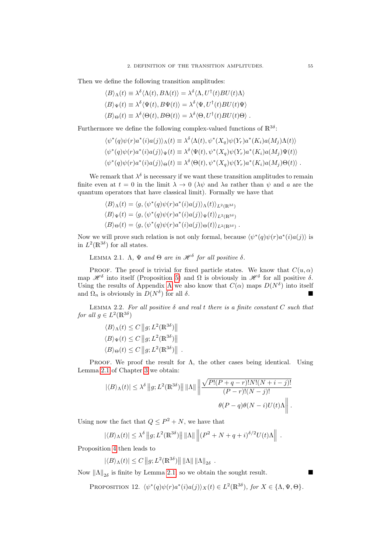Then we define the following transition amplitudes:

$$
\langle B \rangle_{\Lambda}(t) \equiv \lambda^{\delta} \langle \Lambda(t), B\Lambda(t) \rangle = \lambda^{\delta} \langle \Lambda, U^{\dagger}(t)BU(t)\Lambda \rangle
$$
  

$$
\langle B \rangle_{\Psi}(t) \equiv \lambda^{\delta} \langle \Psi(t), B\Psi(t) \rangle = \lambda^{\delta} \langle \Psi, U^{\dagger}(t)BU(t)\Psi \rangle
$$
  

$$
\langle B \rangle_{\Theta}(t) \equiv \lambda^{\delta} \langle \Theta(t), B\Theta(t) \rangle = \lambda^{\delta} \langle \Theta, U^{\dagger}(t)BU(t)\Theta \rangle.
$$

Furthermore we define the following complex-valued functions of  $\mathbb{R}^{3\delta}$ :

$$
\langle \psi^*(q)\psi(r)a^*(i)a(j)\rangle_{\Lambda}(t) \equiv \lambda^{\delta}\langle \Lambda(t), \psi^*(X_q)\psi(Y_r)a^*(K_i)a(M_j)\Lambda(t)\rangle
$$
  

$$
\langle \psi^*(q)\psi(r)a^*(i)a(j)\rangle_{\Psi}(t) \equiv \lambda^{\delta}\langle \Psi(t), \psi^*(X_q)\psi(Y_r)a^*(K_i)a(M_j)\Psi(t)\rangle
$$
  

$$
\langle \psi^*(q)\psi(r)a^*(i)a(j)\rangle_{\Theta}(t) \equiv \lambda^{\delta}\langle \Theta(t), \psi^*(X_q)\psi(Y_r)a^*(K_i)a(M_j)\Theta(t)\rangle.
$$

We remark that  $\lambda^{\delta}$  is necessary if we want these transition amplitudes to remain finite even at  $t = 0$  in the limit  $\lambda \to 0$  ( $\lambda \psi$  and  $\lambda a$  rather than  $\psi$  and  $a$  are the quantum operators that have classical limit). Formally we have that

$$
\langle B \rangle_{\Lambda}(t) = \langle g, \langle \psi^*(q)\psi(r)a^*(i)a(j) \rangle_{\Lambda}(t) \rangle_{L^2(\mathbb{R}^{3\delta})}
$$
  

$$
\langle B \rangle_{\Psi}(t) = \langle g, \langle \psi^*(q)\psi(r)a^*(i)a(j) \rangle_{\Psi}(t) \rangle_{L^2(\mathbb{R}^{3\delta})}
$$
  

$$
\langle B \rangle_{\Theta}(t) = \langle g, \langle \psi^*(q)\psi(r)a^*(i)a(j) \rangle_{\Theta}(t) \rangle_{L^2(\mathbb{R}^{3\delta})}.
$$

Now we will prove such relation is not only formal, because  $\langle \psi^*(q)\psi(r)a^*(i)a(j)\rangle$  is in  $L^2(\mathbb{R}^{3\delta})$  for all states.

<span id="page-54-0"></span>LEMMA 2.1.  $\Lambda$ ,  $\Psi$  and  $\Theta$  are in  $\mathscr{H}^{\delta}$  for all positive  $\delta$ .

PROOF. The proof is trivial for fixed particle states. We know that  $C(u, \alpha)$ map  $\mathscr{H}^{\delta}$  into itself (Proposition [5\)](#page-26-0) and  $\Omega$  is obviously in  $\mathscr{H}^{\delta}$  for all positive  $\delta$ . Using the results of [A](#page-62-0)ppendix A we also know that  $C(\alpha)$  maps  $D(N^{\delta})$  into itself and  $\Omega_n$  is obviously in  $D(N^{\delta})$  for all  $\delta$ .

<span id="page-54-1"></span>LEMMA 2.2. For all positive  $\delta$  and real t there is a finite constant C such that for all  $g \in L^2(\mathbb{R}^{3\delta})$ 

$$
\langle B \rangle_{\Lambda}(t) \leq C \|g; L^2(\mathbb{R}^{3\delta}) \| \langle B \rangle_{\Psi}(t) \leq C \|g; L^2(\mathbb{R}^{3\delta}) \| \langle B \rangle_{\Theta}(t) \leq C \|g; L^2(\mathbb{R}^{3\delta}) \|.
$$

PROOF. We proof the result for  $\Lambda$ , the other cases being identical. Using Lemma [2.1](#page-24-1) of Chapter [3](#page-18-0) we obtain:

$$
|\langle B \rangle_{\Lambda}(t)| \leq \lambda^{\delta} \|g; L^{2}(\mathbb{R}^{3\delta})\| \|\Lambda\| \left\| \frac{\sqrt{P!(P+q-r)!N!(N+i-j)!}}{(P-r)!(N-j)!} \right\|.
$$

$$
\theta(P-q)\theta(N-i)U(t)\Lambda \left\| .
$$

Using now the fact that  $Q \leq P^2 + N$ , we have that

$$
|\langle B \rangle_{\Lambda}(t)| \leq \lambda^{\delta} \|g; L^{2}(\mathbb{R}^{3\delta})\| \|\Lambda\| \left\| (P^{2} + N + q + i)^{\delta/2} U(t)\Lambda \right\|.
$$

Proposition [4](#page-24-0) then leads to

$$
|\langle B \rangle_{\Lambda}(t)| \leq C ||g; L^{2}(\mathbb{R}^{3\delta})|| \, ||\Lambda|| \, ||\Lambda||_{2\delta} .
$$

Now  $\|\Lambda\|_{2\delta}$  is finite by Lemma [2.1,](#page-54-0) so we obtain the sought result.

PROPOSITION 12.  $\langle \psi^*(q)\psi(r)a^*(i)a(j)\rangle_X(t) \in L^2(\mathbb{R}^{3\delta})$ , for  $X \in {\Lambda, \Psi, \Theta}$ .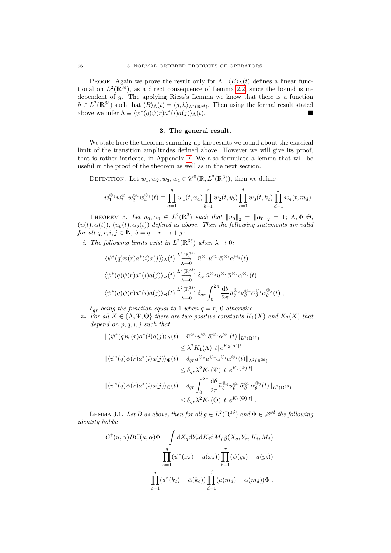PROOF. Again we prove the result only for  $\Lambda$ .  $\langle B \rangle_\Lambda(t)$  defines a linear functional on  $L^2(\mathbb{R}^{3\delta})$ , as a direct consequence of Lemma [2.2,](#page-54-1) since the bound is independent of  $g$ . The applying Riesz's Lemma we know that there is a function  $h \in L^2(\mathbb{R}^{3\delta})$  such that  $\langle B \rangle_{\Lambda}(t) = \langle g, h \rangle_{L^2(\mathbb{R}^{3\delta})}$ . Then using the formal result stated above we infer  $h \equiv \langle \psi^*(q) \psi(r) a^*(i) a(j) \rangle_\Lambda(t)$ .

#### 3. The general result.

We state here the theorem summing up the results we found about the classical limit of the transition amplitudes defined above. However we will give its proof, that is rather intricate, in Appendix [E.](#page-94-0) We also formulate a lemma that will be useful in the proof of the theorem as well as in the next section.

DEFINITION. Let  $w_1, w_2, w_3, w_4 \in \mathscr{C}^0(\mathbb{R}, L^2(\mathbb{R}^3))$ , then we define

$$
w_1^{\otimes_q} w_2^{\otimes_r} w_3^{\otimes_i} w_4^{\otimes_j}(t) \equiv \prod_{a=1}^q w_1(t, x_a) \prod_{b=1}^r w_2(t, y_b) \prod_{c=1}^i w_3(t, k_c) \prod_{d=1}^j w_4(t, m_d).
$$

<span id="page-55-0"></span>THEOREM 3. Let  $u_0, \alpha_0 \in L^2(\mathbb{R}^3)$  such that  $||u_0||_2 = ||\alpha_0||_2 = 1$ ;  $\Lambda, \Phi, \Theta$ ,  $(u(t), \alpha(t)), (u_{\theta}(t), \alpha_{\theta}(t))$  defined as above. Then the following statements are valid for all  $q, r, i, j \in \mathbb{N}$ ,  $\delta = q + r + i + j$ :

*i*. The following limits exist in  $L^2(\mathbb{R}^{3\delta})$  when  $\lambda \to 0$ .

$$
\langle \psi^*(q)\psi(r)a^*(i)a(j)\rangle_{\Lambda}(t) \xrightarrow{L^2(\mathbb{R}^{3\delta})} \bar{u}^{\otimes q}u^{\otimes r}\bar{\alpha}^{\otimes i}\alpha^{\otimes j}(t) \n\langle \psi^*(q)\psi(r)a^*(i)a(j)\rangle_{\Psi}(t) \xrightarrow{L^2(\mathbb{R}^{3\delta})} \delta_{qr}\bar{u}^{\otimes q}u^{\otimes r}\bar{\alpha}^{\otimes i}\alpha^{\otimes j}(t) \n\langle \psi^*(q)\psi(r)a^*(i)a(j)\rangle_{\Theta}(t) \xrightarrow{L^2(\mathbb{R}^{3\delta})} \delta_{qr}\int_0^{2\pi} \frac{d\theta}{2\pi} \bar{u}_{\theta}^{\otimes q}u_{\theta}^{\otimes r}\bar{\alpha}_{\theta}^{\otimes i}\alpha_{\theta}^{\otimes j}(t) ,
$$

 $\delta_{qr}$  being the function equal to 1 when  $q = r$ , 0 otherwise.

ii. For all  $X \in {\Lambda, \Psi, \Theta}$  there are two positive constants  $K_1(X)$  and  $K_2(X)$  that depend on  $p, q, i, j$  such that

$$
\begin{split}\n\|\langle \psi^*(q)\psi(r)a^*(i)a(j)\rangle_{\Lambda}(t) - \bar{u}^{\otimes_q}u^{\otimes_r}\bar{\alpha}^{\otimes_i}\alpha^{\otimes_j}(t)\|_{L^2(\mathbb{R}^{3\delta})} \\
&\leq \lambda^2 K_1(\Lambda) |t| \, e^{K_2(\Lambda)|t|} \\
\|\langle \psi^*(q)\psi(r)a^*(i)a(j)\rangle_{\Psi}(t) - \delta_{qr}\bar{u}^{\otimes_q}u^{\otimes_r}\bar{\alpha}^{\otimes_i}\alpha^{\otimes_j}(t)\|_{L^2(\mathbb{R}^{3\delta})} \\
&\leq \delta_{qr}\lambda^2 K_1(\Psi) |t| \, e^{K_2(\Psi)|t|} \\
\|\langle \psi^*(q)\psi(r)a^*(i)a(j)\rangle_{\Theta}(t) - \delta_{qr}\int_0^{2\pi} \frac{d\theta}{2\pi} \bar{u}_{\theta}^{\otimes_q}u_{\theta}^{\otimes_r}\bar{\alpha}^{\otimes_i}_{\theta}\alpha^{\otimes_j}_{\theta}(t)\|_{L^2(\mathbb{R}^{3\delta})} \\
&\leq \delta_{qr}\lambda^2 K_1(\Theta) |t| \, e^{K_2(\Theta)|t|} .\n\end{split}
$$

<span id="page-55-1"></span>LEMMA 3.1. Let B as above, then for all  $g \in L^2(\mathbb{R}^{3\delta})$  and  $\Phi \in \mathscr{H}^\delta$  the following identity holds:

$$
C^{\dagger}(u,\alpha)BC(u,\alpha)\Phi = \int dX_q dY_r dK_i dM_j \,\bar{g}(X_q, Y_r, K_i, M_j)
$$

$$
\prod_{a=1}^q (\psi^*(x_a) + \bar{u}(x_a)) \prod_{b=1}^r (\psi(y_b) + u(y_b))
$$

$$
\prod_{c=1}^i (a^*(k_c) + \bar{\alpha}(k_c)) \prod_{d=1}^j (a(m_d) + \alpha(m_d))\Phi.
$$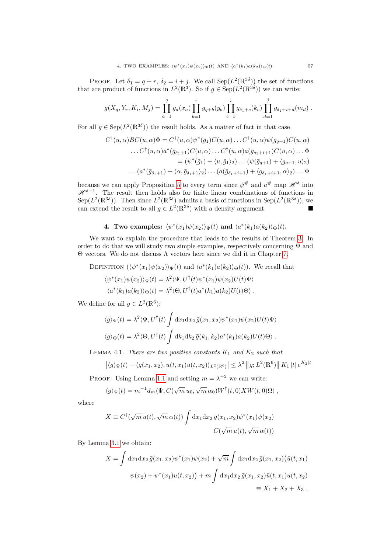PROOF. Let  $\delta_1 = q + r$ ,  $\delta_2 = i + j$ . We call  $\text{Sep}(L^2(\mathbb{R}^{3\delta}))$  the set of functions that are product of functions in  $L^2(\mathbb{R}^3)$ . So if  $g \in \text{Sep}(L^2(\mathbb{R}^{3\delta}))$  we can write:

$$
g(X_q, Y_r, K_i, M_j) = \prod_{a=1}^q g_a(x_a) \prod_{b=1}^r g_{q+b}(y_b) \prod_{c=1}^i g_{\delta_1+c}(k_c) \prod_{d=1}^j g_{\delta_1+i+d}(m_d).
$$

For all  $g \in \text{Sep}(L^2(\mathbb{R}^{3\delta}))$  the result holds. As a matter of fact in that case

$$
C^{\dagger}(u,\alpha)BC(u,\alpha)\Phi = C^{\dagger}(u,\alpha)\psi^*(\bar{g}_1)C(u,\alpha)\dots C^{\dagger}(u,\alpha)\psi(\bar{g}_{q+1})C(u,\alpha)
$$
  
\n
$$
\dots C^{\dagger}(u,\alpha)a^*(\bar{g}_{\delta_1+1})C(u,\alpha)\dots C^{\dagger}(u,\alpha)a(\bar{g}_{\delta_1+i+1})C(u,\alpha)\dots\Phi
$$
  
\n
$$
= (\psi^*(\bar{g}_1) + \langle u,\bar{g}_1 \rangle_2)\dots(\psi(\bar{g}_{q+1}) + \langle g_{q+1},u \rangle_2)
$$
  
\n
$$
\dots (a^*(\bar{g}_{\delta_1+1}) + \langle \alpha,\bar{g}_{\delta_1+1} \rangle_2)\dots(a(\bar{g}_{\delta_1+i+1}) + \langle g_{\delta_1+i+1},\alpha \rangle_2)\dots\Phi
$$

because we can apply Proposition [5](#page-26-0) to every term since  $\psi^{\#}$  and  $a^{\#}$  map  $\mathscr{H}^{\delta}$  into  $\mathscr{H}^{\delta-1}$ . The result then holds also for finite linear combinations of functions in Sep( $L^2(\mathbb{R}^{3\delta})$ ). Then since  $L^2(\mathbb{R}^{3\delta})$  admits a basis of functions in Sep( $L^2(\mathbb{R}^{3\delta})$ ), we can extend the result to all  $g \in L^2(\mathbb{R}^{3\delta})$  with a density argument.

### 4. Two examples:  $\langle \psi^*(x_1)\psi(x_2)\rangle_{\Psi}(t)$  and  $\langle a^*(k_1)a(k_2)\rangle_{\Theta}(t)$ .

We want to explain the procedure that leads to the results of Theorem [3.](#page-55-0) In order to do that we will study two simple examples, respectively concerning  $\Psi$  and Θ vectors. We do not discuss Λ vectors here since we did it in Chapter [7.](#page-46-2)

DEFINITION  $(\langle \psi^*(x_1)\psi(x_2)\rangle_{\Psi}(t)$  and  $\langle a^*(k_1)a(k_2)\rangle_{\Theta}(t)$ ). We recall that

$$
\langle \psi^*(x_1)\psi(x_2)\rangle_{\Psi}(t) = \lambda^2 \langle \Psi, U^{\dagger}(t)\psi^*(x_1)\psi(x_2)U(t)\Psi \rangle
$$
  

$$
\langle a^*(k_1)a(k_2)\rangle_{\Theta}(t) = \lambda^2 \langle \Theta, U^{\dagger}(t)a^*(k_1)a(k_2)U(t)\Theta \rangle.
$$

We define for all  $g \in L^2(\mathbb{R}^6)$ :

$$
\langle g \rangle_{\Psi}(t) = \lambda^2 \langle \Psi, U^{\dagger}(t) \int dx_1 dx_2 \, \bar{g}(x_1, x_2) \psi^*(x_1) \psi(x_2) U(t) \Psi \rangle
$$
  

$$
\langle g \rangle_{\Theta}(t) = \lambda^2 \langle \Theta, U^{\dagger}(t) \int dk_1 dk_2 \, \bar{g}(k_1, k_2) a^*(k_1) a(k_2) U(t) \Theta \rangle.
$$

<span id="page-56-0"></span>LEMMA 4.1. There are two positive constants  $K_1$  and  $K_2$  such that

$$
|\langle g \rangle_{\Psi}(t) - \langle g(x_1, x_2), \bar{u}(t, x_1)u(t, x_2) \rangle_{L^2(\mathbb{R}^6)}| \leq \lambda^2 ||g; L^2(\mathbb{R}^6)||K_1||t| e^{K_2|t|}
$$

PROOF. Using Lemma [1.1](#page-53-0) and setting  $m = \lambda^{-2}$  we can write:

$$
\langle g \rangle_{\Psi}(t) = m^{-1} d_m \langle \Psi, C(\sqrt{m} u_0, \sqrt{m} \alpha_0) W^{\dagger}(t,0) X W(t,0) \Omega \rangle ,
$$

where

$$
X \equiv C^{\dagger}(\sqrt{m}u(t), \sqrt{m}\,\alpha(t)) \int dx_1 dx_2 \,\overline{g}(x_1, x_2) \psi^*(x_1) \psi(x_2)
$$

$$
C(\sqrt{m}u(t), \sqrt{m}\,\alpha(t))
$$

By Lemma [3.1](#page-55-1) we obtain:

$$
X = \int dx_1 dx_2 \,\overline{g}(x_1, x_2) \psi^*(x_1) \psi(x_2) + \sqrt{m} \int dx_1 dx_2 \,\overline{g}(x_1, x_2) \big(\overline{u}(t, x_1)
$$

$$
\psi(x_2) + \psi^*(x_1) u(t, x_2) \big) + m \int dx_1 dx_2 \,\overline{g}(x_1, x_2) \overline{u}(t, x_1) u(t, x_2)
$$

$$
\equiv X_1 + X_2 + X_3 \,.
$$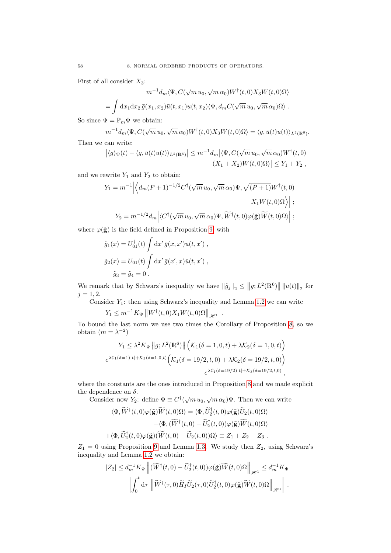First of all consider  $X_3$ :

$$
m^{-1}d_m \langle \Psi, C(\sqrt{m} u_0, \sqrt{m} \alpha_0) W^{\dagger}(t,0) X_3 W(t,0) \Omega \rangle
$$
  
= 
$$
\int dx_1 dx_2 \bar{g}(x_1, x_2) \bar{u}(t, x_1) u(t, x_2) \langle \Psi, d_m C(\sqrt{m} u_0, \sqrt{m} \alpha_0) \Omega \rangle.
$$

So since  $\Psi = \mathbb{P}_m \Psi$  we obtain:

$$
m^{-1}d_m \langle \Psi, C(\sqrt{m} u_0, \sqrt{m} \alpha_0) W^{\dagger}(t,0) X_3 W(t,0) \Omega \rangle = \langle g, \bar{u}(t) u(t) \rangle_{L^2(\mathbb{R}^6)}.
$$

Then we can write:  $\bigg|$ 

$$
\left| \langle g \rangle_{\Psi}(t) - \langle g, \bar{u}(t)u(t) \rangle_{L^2(\mathbb{R}^6)} \right| \leq m^{-1} d_m \left| \langle \Psi, C(\sqrt{m} \, u_0, \sqrt{m} \, \alpha_0) W^{\dagger}(t, 0) \right|
$$
  

$$
(X_1 + X_2)W(t, 0)\Omega \rangle \left| \leq Y_1 + Y_2 \right|,
$$

and we rewrite  $Y_1$  and  $Y_2$  to obtain:

$$
Y_1 = m^{-1} \Big| \Big\langle d_m (P+1)^{-1/2} C^{\dagger} (\sqrt{m} u_0, \sqrt{m} \alpha_0) \Psi, \sqrt{(P+1)} W^{\dagger}(t,0) \Big\rangle
$$
  

$$
X_1 W(t,0) \Omega \Big\rangle \Big| ;
$$
  

$$
Y_2 = m^{-1/2} d_m \Big| \langle C^{\dagger} (\sqrt{m} u_0, \sqrt{m} \alpha_0) \Psi, \widetilde{W}^{\dagger}(t,0) \varphi(\tilde{\mathbf{g}}) \widetilde{W}(t,0) \Omega \rangle \Big| ;
$$

where  $\varphi(\tilde{\mathbf{g}})$  is the field defined in Proposition [9,](#page-46-1) with

$$
\tilde{g}_1(x) = U_{01}^{\dagger}(t) \int \mathrm{d}x' \,\bar{g}(x, x') u(t, x') ,
$$

$$
\tilde{g}_2(x) = U_{01}(t) \int \mathrm{d}x' \,\bar{g}(x', x) \bar{u}(t, x') ,
$$

$$
\tilde{g}_3 = \tilde{g}_4 = 0 .
$$

We remark that by Schwarz's inequality we have  $\|\tilde{g}_j\|_2 \leq \|g; L^2(\mathbb{R}^6)\| \|u(t)\|_2$  for  $j = 1, 2.$ 

Consider  $Y_1$ : then using Schwarz's inequality and Lemma [1.2](#page-53-1) we can write

 $Y_1 \leq m^{-1} K_{\Psi} \left\| W^{\dagger}(t,0) X_1 W(t,0) \Omega \right\|_{\mathscr{H}^1}.$ 

To bound the last norm we use two times the Corollary of Proposition [8,](#page-43-1) so we obtain  $(m = \lambda^{-2})$ 

$$
Y_1 \le \lambda^2 K_{\Psi} \|g; L^2(\mathbb{R}^6) \| \left( \mathcal{K}_1(\delta = 1, 0, t) + \lambda \mathcal{K}_2(\delta = 1, 0, t) \right)
$$
  

$$
e^{\lambda \mathcal{C}_1(\delta = 1)|t| + \mathcal{K}_3(\delta = 1, 0, t)} \left( \mathcal{K}_1(\delta = 19/2, t, 0) + \lambda \mathcal{K}_2(\delta = 19/2, t, 0) \right)
$$
  

$$
e^{\lambda \mathcal{C}_1(\delta = 19/2)|t| + \mathcal{K}_3(\delta = 19/2, t, 0)},
$$

where the constants are the ones introduced in Proposition [8](#page-43-1) and we made explicit the dependence on  $\delta$ .

dependence on  $\delta$ .<br>Consider now  $Y_2$ : define  $\Phi \equiv C^{\dagger}(\sqrt{m}u_0, \sqrt{m}\alpha_0)\Psi$ . Then we can write

$$
\langle \Phi, \widetilde{W}^{\dagger}(t,0)\varphi(\tilde{\mathbf{g}})\widetilde{W}(t,0)\Omega\rangle = \langle \Phi, \widetilde{U}_{2}^{\dagger}(t,0)\varphi(\tilde{\mathbf{g}})\widetilde{U}_{2}(t,0)\Omega\rangle \n+ \langle \Phi, (\widetilde{W}^{\dagger}(t,0) - \widetilde{U}_{2}^{\dagger}(t,0))\varphi(\tilde{\mathbf{g}})\widetilde{W}(t,0)\Omega\rangle \n+ \langle \Phi, \widetilde{U}_{2}^{\dagger}(t,0)\varphi(\tilde{\mathbf{g}})(\widetilde{W}(t,0) - \widetilde{U}_{2}(t,0))\Omega\rangle \equiv Z_{1} + Z_{2} + Z_{3}.
$$

 $Z_1 = 0$  using Proposition [9](#page-46-1) and Lemma [1.3.](#page-53-2) We study then  $Z_2$ , using Schwarz's inequality and Lemma [1.2](#page-53-1) we obtain:

$$
|Z_2| \leq d_m^{-1} K_{\Psi} \left\| (\widetilde{W}^{\dagger}(t,0) - \widetilde{U}_2^{\dagger}(t,0)) \varphi(\widetilde{\mathbf{g}}) \widetilde{W}(t,0) \Omega \right\|_{\mathscr{H}^1} \leq d_m^{-1} K_{\Psi}
$$

$$
\left| \int_0^t d\tau \left\| \widetilde{W}^{\dagger}(\tau,0) \widetilde{H}_I \widetilde{U}_2(\tau,0) \widetilde{U}_2^{\dagger}(t,0) \varphi(\widetilde{\mathbf{g}}) \widetilde{W}(t,0) \Omega \right\|_{\mathscr{H}^1} \right|.
$$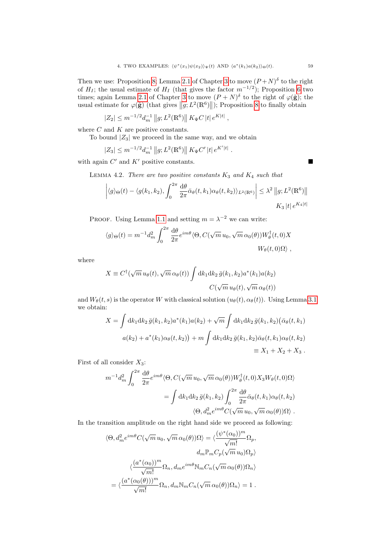Then we use: Proposition [8;](#page-43-1) Lemma [2.1](#page-24-1) of Chapter [3](#page-18-0) to move  $(P+N)^\delta$  to the right of  $H_I$ ; the usual estimate of  $H_I$  (that gives the factor  $m^{-1/2}$ ); Proposition [6](#page-33-0) two times; again Lemma [2.1](#page-24-1) of Chapter [3](#page-18-0) to move  $(P+N)^\delta$  to the right of  $\varphi(\tilde{\mathbf{g}})$ ; the usual estimate for  $\varphi(\tilde{\mathbf{g}})$  (that gives  $||g; L^2(\mathbb{R}^6)||$ ); Proposition [8](#page-43-1) to finally obtain

$$
|Z_2| \le m^{-1/2} d_m^{-1} ||g; L^2(\mathbb{R}^6) || K_{\Psi} C |t| e^{K|t|},
$$

where  ${\cal C}$  and  ${\cal K}$  are positive constants.

To bound  $|Z_3|$  we proceed in the same way, and we obtain

$$
|Z_3| \le m^{-1/2} d_m^{-1} ||g; L^2(\mathbb{R}^6) || K_{\Psi} C' |t| e^{K'|t|}.
$$

<span id="page-58-0"></span>with again  $C'$  and  $K'$  positive constants.

LEMMA 4.2. There are two positive constants  $K_3$  and  $K_4$  such that

$$
\left| \langle g \rangle_{\Theta}(t) - \langle g(k_1, k_2), \int_0^{2\pi} \frac{d\theta}{2\pi} \bar{\alpha}_{\theta}(t, k_1) \alpha_{\theta}(t, k_2) \rangle_{L^2(\mathbb{R}^6)} \right| \leq \lambda^2 \|g; L^2(\mathbb{R}^6) \|
$$
  
 
$$
K_3 |t| e^{K_4 |t|}
$$

PROOF. Using Lemma [1.1](#page-53-0) and setting  $m = \lambda^{-2}$  we can write:

$$
\langle g \rangle_{\Theta}(t) = m^{-1} d_m^2 \int_0^{2\pi} \frac{d\theta}{2\pi} e^{im\theta} \langle \Theta, C(\sqrt{m} u_0, \sqrt{m} \alpha_0(\theta)) W_{\theta}^{\dagger}(t,0) X
$$

$$
W_{\theta}(t,0) \Omega \rangle,
$$

where

$$
X \equiv C^{\dagger}(\sqrt{m} u_{\theta}(t), \sqrt{m} \alpha_{\theta}(t)) \int dk_1 dk_2 \, \bar{g}(k_1, k_2) a^*(k_1) a(k_2)
$$

$$
C(\sqrt{m} u_{\theta}(t), \sqrt{m} \alpha_{\theta}(t))
$$

and  $W_{\theta}(t, s)$  is the operator W with classical solution  $(u_{\theta}(t), \alpha_{\theta}(t))$ . Using Lemma [3.1](#page-55-1) we obtain:

$$
X = \int dk_1 dk_2 \,\bar{g}(k_1, k_2) a^*(k_1) a(k_2) + \sqrt{m} \int dk_1 dk_2 \,\bar{g}(k_1, k_2) (\bar{\alpha}_{\theta}(t, k_1))
$$
  

$$
a(k_2) + a^*(k_1) \alpha_{\theta}(t, k_2) + m \int dk_1 dk_2 \,\bar{g}(k_1, k_2) \bar{\alpha}_{\theta}(t, k_1) \alpha_{\theta}(t, k_2)
$$
  

$$
\equiv X_1 + X_2 + X_3.
$$

First of all consider  $X_3$ :

$$
m^{-1}d_m^2 \int_0^{2\pi} \frac{d\theta}{2\pi} e^{im\theta} \langle \Theta, C(\sqrt{m} u_0, \sqrt{m} \alpha_0(\theta)) W_\theta^\dagger(t,0) X_3 W_\theta(t,0) \Omega \rangle
$$
  
= 
$$
\int dk_1 dk_2 \bar{g}(k_1, k_2) \int_0^{2\pi} \frac{d\theta}{2\pi} \bar{\alpha}_\theta(t, k_1) \alpha_\theta(t, k_2)
$$

$$
\langle \Theta, d_m^2 e^{im\theta} C(\sqrt{m} u_0, \sqrt{m} \alpha_0(\theta)) \Omega \rangle.
$$

In the transition amplitude on the right hand side we proceed as following:

$$
\langle \Theta, d_m^2 e^{im\theta} C(\sqrt{m} u_0, \sqrt{m} \alpha_0(\theta))\Omega \rangle = \langle \frac{(\psi^*(\alpha_0))^m}{\sqrt{m!}} \Omega_p, \frac{d_m \mathbb{P}_m C_p(\sqrt{m} u_0) \Omega_p}{\sqrt{m!}} \rangle
$$

$$
\langle \frac{(a^*(\alpha_0))^m}{\sqrt{m!}} \Omega_n, d_m e^{im\theta} \mathbb{N}_m C_n(\sqrt{m} \alpha_0(\theta))\Omega_n \rangle
$$

$$
= \langle \frac{(a^*(\alpha_0(\theta)))^m}{\sqrt{m!}} \Omega_n, d_m \mathbb{N}_m C_n(\sqrt{m} \alpha_0(\theta))\Omega_n \rangle = 1.
$$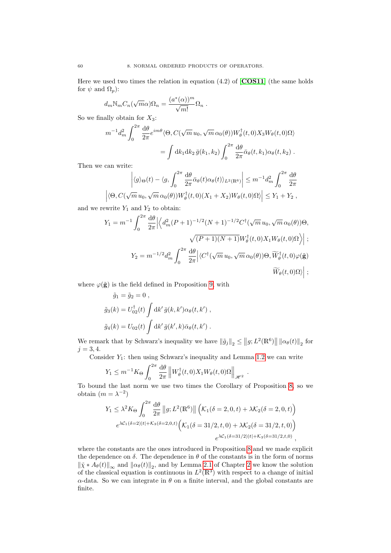Here we used two times the relation in equation  $(4.2)$  of  $[**COS11**]$  $[**COS11**]$  $[**COS11**]$  (the same holds for  $\psi$  and  $\Omega_p$ ):

$$
d_m \mathbb{N}_m C_n(\sqrt{m}\alpha)\Omega_n = \frac{(a^*(\alpha))^m}{\sqrt{m!}} \Omega_n .
$$

So we finally obtain for  $X_3$ :

$$
m^{-1}d_m^2 \int_0^{2\pi} \frac{d\theta}{2\pi} e^{im\theta} \langle \Theta, C(\sqrt{m} u_0, \sqrt{m} \alpha_0(\theta)) W_\theta^\dagger(t,0) X_3 W_\theta(t,0) \Omega \rangle
$$
  
= 
$$
\int dk_1 dk_2 \bar{g}(k_1, k_2) \int_0^{2\pi} \frac{d\theta}{2\pi} \bar{\alpha}_\theta(t, k_1) \alpha_\theta(t, k_2).
$$

Then we can write:

$$
\left| \langle g \rangle_{\Theta}(t) - \langle g, \int_0^{2\pi} \frac{d\theta}{2\pi} \bar{\alpha}_{\theta}(t) \alpha_{\theta}(t) \rangle_{L^2(\mathbb{R}^6)} \right| \leq m^{-1} d_m^2 \int_0^{2\pi} \frac{d\theta}{2\pi}
$$

$$
\left| \langle \Theta, C(\sqrt{m} u_0, \sqrt{m} \alpha_0(\theta)) W_{\theta}^{\dagger}(t,0) (X_1 + X_2) W_{\theta}(t,0) \Omega \rangle \right| \leq Y_1 + Y_2,
$$

and we rewrite  $Y_1$  and  $Y_2$  to obtain:

$$
Y_1 = m^{-1} \int_0^{2\pi} \frac{d\theta}{2\pi} \left| \left\langle d_m^2 (P+1)^{-1/2} (N+1)^{-1/2} C^{\dagger} (\sqrt{m} u_0, \sqrt{m} \alpha_0(\theta)) \Theta, \sqrt{\mu} \right| \right|
$$
  

$$
Y_2 = m^{-1/2} d_m^2 \int_0^{2\pi} \frac{d\theta}{2\pi} \left| \left\langle C^{\dagger} (\sqrt{m} u_0, \sqrt{m} \alpha_0(\theta)) \Theta, \widetilde{W}_{\theta}^{\dagger}(t, 0) \varphi(\tilde{\mathbf{g}}) \right| \right|
$$
  

$$
\widetilde{W}_{\theta}(t, 0) \Omega \rangle \right| ;
$$

where  $\varphi(\tilde{\mathbf{g}})$  is the field defined in Proposition [9,](#page-46-1) with

$$
\tilde{g}_1 = \tilde{g}_2 = 0 ,
$$
  
\n
$$
\tilde{g}_3(k) = U_{02}^{\dagger}(t) \int \mathrm{d}k' \, \bar{g}(k, k') \alpha_{\theta}(t, k') ,
$$
  
\n
$$
\tilde{g}_4(k) = U_{02}(t) \int \mathrm{d}k' \, \bar{g}(k', k) \bar{\alpha}_{\theta}(t, k') .
$$

We remark that by Schwarz's inequality we have  $\|\tilde{g}_j\|_2 \leq ||g; L^2(\mathbb{R}^6)|| \|\alpha_{\theta}(t)\|_2$  for  $j = 3, 4.$ 

Consider  $Y_1$ : then using Schwarz's inequality and Lemma [1.2](#page-53-1) we can write

$$
Y_1 \le m^{-1} K_\Theta \int_0^{2\pi} \frac{d\theta}{2\pi} \left\| W_\theta^\dagger(t,0) X_1 W_\theta(t,0) \Omega \right\|_{\mathscr{H}^2}.
$$

To bound the last norm we use two times the Corollary of Proposition [8,](#page-43-1) so we obtain  $(m = \lambda^{-2})$ 

$$
Y_1 \le \lambda^2 K_{\Theta} \int_0^{2\pi} \frac{d\theta}{2\pi} ||g; L^2(\mathbb{R}^6) || \left( \mathcal{K}_1(\delta = 2, 0, t) + \lambda \mathcal{K}_2(\delta = 2, 0, t) \right)
$$
  

$$
e^{\lambda \mathcal{C}_1(\delta = 2) |t| + \mathcal{K}_3(\delta = 2, 0, t)} \left( \mathcal{K}_1(\delta = 31/2, t, 0) + \lambda \mathcal{K}_2(\delta = 31/2, t, 0) \right)
$$
  

$$
e^{\lambda \mathcal{C}_1(\delta = 31/2) |t| + \mathcal{K}_3(\delta = 31/2, t, 0)},
$$

where the constants are the ones introduced in Proposition [8](#page-43-1) and we made explicit the dependence on  $\delta$ . The dependence in  $\theta$  of the constants is in the form of norms  $\|\tilde{\chi} * A_{\theta}(t)\|_{\infty}$  and  $\|\alpha_{\theta}(t)\|_{2}$ , and by Lemma [2.1](#page-17-1) of Chapter [2](#page-14-1) we know the solution of the classical equation is continuous in  $L^2(\mathbb{R}^3)$  with respect to a change of initial  $\alpha$ -data. So we can integrate in  $\theta$  on a finite interval, and the global constants are finite.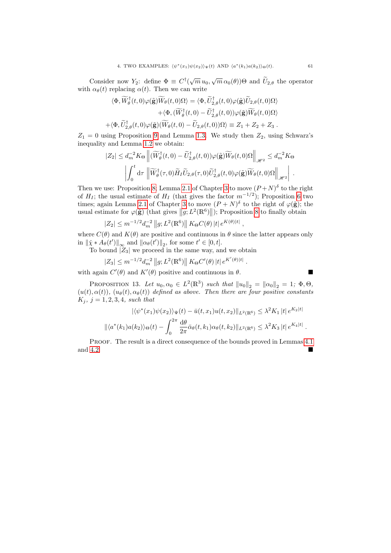Consider now  $Y_2$ : define  $\Phi \equiv C^{\dagger}(\sqrt{m}u_0, \sqrt{m}\alpha_0(\theta))\Theta$  and  $\tilde{U}_{2,\theta}$  the operator with  $\alpha_{\theta}(t)$  replacing  $\alpha(t)$ . Then we can write

$$
\langle \Phi, \widetilde{W}_{\theta}^{\dagger}(t,0)\varphi(\tilde{\mathbf{g}})\widetilde{W}_{\theta}(t,0)\Omega\rangle = \langle \Phi, \widetilde{U}_{2,\theta}^{\dagger}(t,0)\varphi(\tilde{\mathbf{g}})\widetilde{U}_{2,\theta}(t,0)\Omega\rangle + \langle \Phi, (\widetilde{W}_{\theta}^{\dagger}(t,0) - \widetilde{U}_{2,\theta}^{\dagger}(t,0))\varphi(\tilde{\mathbf{g}})\widetilde{W}_{\theta}(t,0)\Omega\rangle + \langle \Phi, \widetilde{U}_{2,\theta}^{\dagger}(t,0)\varphi(\tilde{\mathbf{g}})(\widetilde{W}_{\theta}(t,0) - \widetilde{U}_{2,\theta}(t,0))\Omega\rangle \equiv Z_1 + Z_2 + Z_3.
$$

 $Z_1 = 0$  using Proposition [9](#page-46-1) and Lemma [1.3.](#page-53-2) We study then  $Z_2$ , using Schwarz's inequality and Lemma [1.2](#page-53-1) we obtain:

$$
|Z_2| \leq d_m^{-2} K_{\Theta} \left\| (\widetilde{W}^{\dagger}_{\theta}(t,0) - \widetilde{U}^{\dagger}_{2,\theta}(t,0)) \varphi(\widetilde{\mathbf{g}}) \widetilde{W}_{\theta}(t,0) \Omega \right\|_{\mathscr{H}^2} \leq d_m^{-2} K_{\Theta}
$$

$$
\left| \int_0^t d\tau \left\| \widetilde{W}^{\dagger}_{\theta}(\tau,0) \widetilde{H}_I \widetilde{U}_{2,\theta}(\tau,0) \widetilde{U}^{\dagger}_{2,\theta}(t,0) \varphi(\widetilde{\mathbf{g}}) \widetilde{W}_{\theta}(t,0) \Omega \right\|_{\mathscr{H}^2} \right|.
$$

Then we use: Proposition [8;](#page-43-1) Lemma [2.1](#page-24-1) of Chapter [3](#page-18-0) to move  $(P+N)^\delta$  to the right of  $H_I$ ; the usual estimate of  $H_I$  (that gives the factor  $m^{-1/2}$ ); Proposition [6](#page-33-0) two times; again Lemma [2.1](#page-24-1) of Chapter [3](#page-18-0) to move  $(P+N)^\delta$  to the right of  $\varphi(\tilde{\mathbf{g}})$ ; the usual estimate for  $\varphi(\tilde{\mathbf{g}})$  (that gives  $||g; L^2(\mathbb{R}^6)||$ ); Proposition [8](#page-43-1) to finally obtain

$$
|Z_2| \le m^{-1/2} d_m^{-2} ||g; L^2(\mathbb{R}^6) || K_{\Theta} C(\theta) ||t| e^{K(\theta)|t|}
$$

where  $C(\theta)$  and  $K(\theta)$  are positive and continuous in  $\theta$  since the latter appears only in  $\|\tilde{\chi} * A_{\theta}(t')\|_{\infty}$  and  $\|\alpha_{\theta}(t')\|_{2}$ , for some  $t' \in [0, t]$ .

,

To bound  $|Z_3|$  we proceed in the same way, and we obtain

$$
|Z_3| \le m^{-1/2} d_m^{-2} ||g; L^2(\mathbb{R}^6) || K_{\Theta} C'(\theta) ||t| e^{K'(\theta) |t|}.
$$

with again  $C'(\theta)$  and  $K'(\theta)$  positive and continuous in  $\theta$ .

$$
\blacksquare
$$

PROPOSITION 13. Let  $u_0, \alpha_0 \in L^2(\mathbb{R}^3)$  such that  $||u_0||_2 = ||\alpha_0||_2 = 1$ ;  $\Phi, \Theta$ ,  $(u(t), \alpha(t))$ ,  $(u_{\theta}(t), \alpha_{\theta}(t))$  defined as above. Then there are four positive constants  $K_j, j = 1, 2, 3, 4, such that$ 

$$
|\langle \psi^*(x_1)\psi(x_2)\rangle_{\Psi}(t) - \bar{u}(t,x_1)u(t,x_2)||_{L^2(\mathbb{R}^6)} \leq \lambda^2 K_1 |t| e^{K_2|t|}
$$
  

$$
||\langle a^*(k_1)a(k_2)\rangle_{\Theta}(t) - \int_0^{2\pi} \frac{d\theta}{2\pi} \bar{\alpha}_{\theta}(t,k_1)\alpha_{\theta}(t,k_2)||_{L^2(\mathbb{R}^6)} \leq \lambda^2 K_3 |t| e^{K_4|t|}.
$$

PROOF. The result is a direct consequence of the bounds proved in Lemmas [4.1](#page-56-0) and [4.2.](#page-58-0)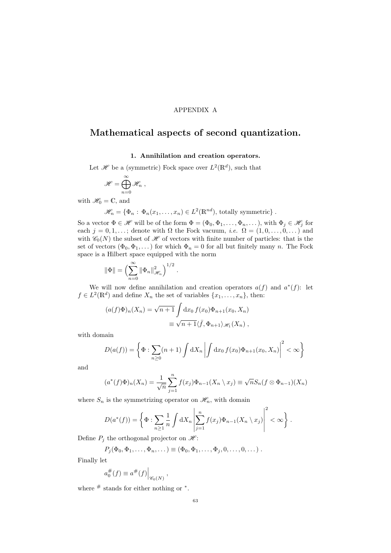#### APPENDIX A

# <span id="page-62-0"></span>Mathematical aspects of second quantization.

#### 1. Annihilation and creation operators.

Let  $\mathscr{H}$  be a (symmetric) Fock space over  $L^2(\mathbb{R}^d)$ , such that

$$
\mathscr{H}=\bigoplus_{n=0}^\infty\mathscr{H}_n,
$$

with  $\mathscr{H}_0 = \mathbb{C}$ , and

 $\mathscr{H}_n = \{ \Phi_n : \Phi_n(x_1, \ldots, x_n) \in L^2(\mathbb{R}^{nd}), \text{ totally symmetric} \}.$ 

So a vector  $\Phi \in \mathscr{H}$  will be of the form  $\Phi = (\Phi_0, \Phi_1, \dots, \Phi_n, \dots)$ , with  $\Phi_j \in \mathscr{H}_j$  for each  $j = 0, 1, \ldots;$  denote with  $\Omega$  the Fock vacuum, *i.e.*  $\Omega = (1, 0, \ldots, 0, \ldots)$  and with  $\mathcal{C}_0(N)$  the subset of  $\mathcal H$  of vectors with finite number of particles: that is the set of vectors  $(\Phi_0, \Phi_1, \dots)$  for which  $\Phi_n = 0$  for all but finitely many n. The Fock space is a Hilbert space equipped with the norm

$$
\|\Phi\|=\Bigl(\sum_{n=0}^\infty\|\Phi_n\|_{\mathscr H_n}^2\Bigr)^{1/2}\;.
$$

We will now define annihilation and creation operators  $a(f)$  and  $a^*(f)$ : let  $f \in L^2(\mathbb{R}^d)$  and define  $X_n$  the set of variables  $\{x_1, \ldots, x_n\}$ , then:

$$
(a(f)\Phi)_n(X_n) = \sqrt{n+1} \int dx_0 f(x_0) \Phi_{n+1}(x_0, X_n)
$$
  

$$
\equiv \sqrt{n+1} \langle \bar{f}, \Phi_{n+1} \rangle_{\mathscr{H}_1}(X_n) ,
$$

with domain

$$
D(a(f)) = \left\{ \Phi : \sum_{n \ge 0} (n+1) \int dX_n \left| \int dX_0 f(x_0) \Phi_{n+1}(x_0, X_n) \right|^2 < \infty \right\}
$$

and

$$
(a^*(f)\Phi)_n(X_n) = \frac{1}{\sqrt{n}} \sum_{j=1}^n f(x_j)\Phi_{n-1}(X_n \setminus x_j) \equiv \sqrt{n}S_n(f \otimes \Phi_{n-1})(X_n)
$$

where  $S_n$  is the symmetrizing operator on  $\mathscr{H}_n$ , with domain

$$
D(a^*(f)) = \left\{ \Phi : \sum_{n\geq 1} \frac{1}{n} \int dX_n \left| \sum_{j=1}^n f(x_j) \Phi_{n-1}(X_n \setminus x_j) \right|^2 < \infty \right\}.
$$

Define  $P_j$  the orthogonal projector on  $\mathcal{H}$ :

$$
P_j(\Phi_0, \Phi_1, \ldots, \Phi_n, \ldots) \equiv (\Phi_0, \Phi_1, \ldots, \Phi_j, 0, \ldots, 0, \ldots).
$$

Finally let

$$
a_0^{\#}(f) \equiv a^{\#}(f)|_{\mathscr{C}_0(N)},
$$

where  $#$  stands for either nothing or  $*$ .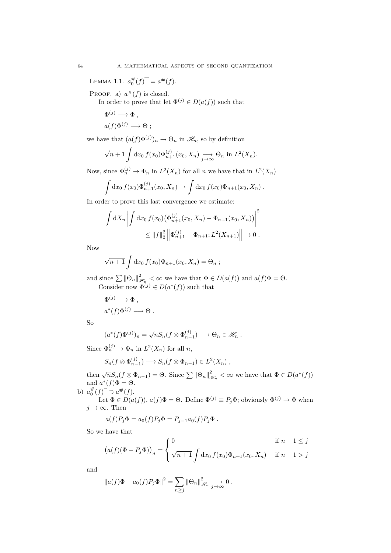LEMMA 1.1.  $a_0^{\#}(f)$ <sup>-</sup> =  $a^{\#}(f)$ .

PROOF. a)  $a^{\#}(f)$  is closed.

In order to prove that let  $\Phi^{(j)} \in D(a(f))$  such that

$$
\Phi^{(j)} \longrightarrow \Phi ,
$$
  

$$
a(f)\Phi^{(j)} \longrightarrow \Theta ;
$$

we have that  $(a(f)\Phi^{(j)})_n \to \Theta_n$  in  $\mathscr{H}_n$ , so by definition

$$
\sqrt{n+1} \int dx_0 f(x_0) \Phi_{n+1}^{(j)}(x_0, X_n) \xrightarrow[j \to \infty]{} \Theta_n \text{ in } L^2(X_n).
$$

Now, since  $\Phi_n^{(j)} \to \Phi_n$  in  $L^2(X_n)$  for all n we have that in  $L^2(X_n)$ 

$$
\int dx_0 f(x_0) \Phi_{n+1}^{(j)}(x_0, X_n) \to \int dx_0 f(x_0) \Phi_{n+1}(x_0, X_n) .
$$

In order to prove this last convergence we estimate:

$$
\int dX_n \left| \int dx_0 f(x_0) (\Phi_{n+1}^{(j)}(x_0, X_n) - \Phi_{n+1}(x_0, X_n)) \right|^2
$$
  

$$
\leq ||f||_2^2 ||\Phi_{n+1}^{(j)} - \Phi_{n+1}; L^2(X_{n+1})|| \to 0.
$$

Now

$$
\sqrt{n+1}\int dx_0 f(x_0)\Phi_{n+1}(x_0,X_n)=\Theta_n ;
$$

and since  $\sum ||\Theta_n||^2_{\mathcal{J}}$  $\mathcal{L}_{\mathcal{H}_n} < \infty$  we have that  $\Phi \in D(a(f))$  and  $a(f)\Phi = \Theta$ . Consider now  $\Phi^{(j)} \in D(a^*(f))$  such that

$$
\begin{aligned} \Phi^{(j)} &\longrightarrow \Phi \;, \\ a^*(f) \Phi^{(j)} &\longrightarrow \Theta \;. \end{aligned}
$$

So

$$
(a^*(f)\Phi^{(j)})_n = \sqrt{n}S_n(f \otimes \Phi_{n-1}^{(j)}) \longrightarrow \Theta_n \in \mathscr{H}_n .
$$

Since  $\Phi_n^{(j)} \to \Phi_n$  in  $L^2(X_n)$  for all n,

$$
S_n(f \otimes \Phi_{n-1}^{(j)}) \longrightarrow S_n(f \otimes \Phi_{n-1}) \in L^2(X_n) ,
$$

then  $\sqrt{n}S_n(f \otimes \Phi_{n-1}) = \Theta$ . Since  $\sum ||\Theta_n||_2^2$  $\mathcal{H}_n < \infty$  we have that  $\Phi \in D(a^*(f))$ and  $a^*(f)\Phi = \Theta$ .

b)  $a_0^{\#}(f)$ <sup>-</sup>  $\supset a^{\#}(f)$ .

Let  $\Phi \in D(a(f))$ ,  $a(f)\Phi = \Theta$ . Define  $\Phi^{(j)} \equiv P_j\Phi$ ; obviously  $\Phi^{(j)} \to \Phi$  when  $j \to \infty$ . Then

$$
a(f)P_j\Phi = a_0(f)P_j\Phi = P_{j-1}a_0(f)P_j\Phi.
$$

So we have that

$$
(a(f)(\Phi - P_j \Phi))_n = \begin{cases} 0 & \text{if } n + 1 \le j \\ \sqrt{n+1} \int dx_0 f(x_0) \Phi_{n+1}(x_0, X_n) & \text{if } n + 1 > j \end{cases}
$$

and

$$
||a(f)\Phi - a_0(f)P_j\Phi||^2 = \sum_{n\geq j} ||\Theta_n||^2_{\mathscr{H}_n} \xrightarrow[j\to\infty]{} 0.
$$

<span id="page-63-0"></span>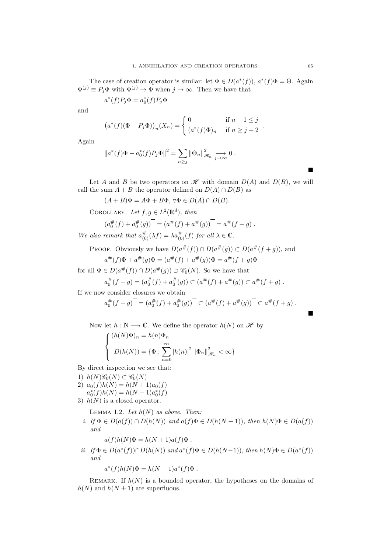The case of creation operator is similar: let  $\Phi \in D(a^*(f))$ ,  $a^*(f)\Phi = \Theta$ . Again  $\Phi^{(j)} \equiv P_j \Phi$  with  $\Phi^{(j)} \to \Phi$  when  $j \to \infty$ . Then we have that

$$
a^*(f)P_j\Phi = a_0^*(f)P_j\Phi
$$

and

$$
(a^*(f)(\Phi - P_j \Phi))_n(X_n) = \begin{cases} 0 & \text{if } n - 1 \leq j \\ (a^*(f)\Phi)_n & \text{if } n \geq j + 2 \end{cases}.
$$

Again

$$
||a^*(f)\Phi - a_0^*(f)P_j\Phi||^2 = \sum_{n\geq j} ||\Theta_n||^2_{\mathcal{H}_n} \xrightarrow[j \to \infty]{} 0.
$$

Let A and B be two operators on  $\mathscr H$  with domain  $D(A)$  and  $D(B)$ , we will call the sum  $A + B$  the operator defined on  $D(A) \cap D(B)$  as

 $(A + B)\Phi = A\Phi + B\Phi, \forall \Phi \in D(A) \cap D(B).$ 

COROLLARY. Let  $f, g \in L^2(\mathbb{R}^d)$ , then

$$
(a_0^{\#}(f) + a_0^{\#}(g))^{-} = (a^{\#}(f) + a^{\#}(g))^{-} = a^{\#}(f + g).
$$

We also remark that  $a_{(0)}^{\#}(\lambda f) = \lambda a_{(0)}^{\#}(f)$  for all  $\lambda \in \mathbb{C}$ .

PROOF. Obviously we have  $D(a^{\#}(f)) \cap D(a^{\#}(g)) \subset D(a^{\#}(f+g))$ , and

$$
a^{\#}(f)\Phi + a^{\#}(g)\Phi = (a^{\#}(f) + a^{\#}(g))\Phi = a^{\#}(f+g)\Phi
$$

for all  $\Phi \in D(a^{\#}(f)) \cap D(a^{\#}(g)) \supset \mathscr{C}_0(N)$ . So we have that

$$
a_0^{\#}(f+g) = (a_0^{\#}(f) + a_0^{\#}(g)) \subset (a^{\#}(f) + a^{\#}(g)) \subset a^{\#}(f+g).
$$

If we now consider closures we obtain

$$
a_0^{\#}(f+g)^{-} = (a_0^{\#}(f) + a_0^{\#}(g))^{-} \subset (a^{\#}(f) + a^{\#}(g))^{-} \subset a^{\#}(f+g).
$$

Now let  $h : \mathbb{N} \longrightarrow \mathbb{C}$ . We define the operator  $h(N)$  on  $\mathscr{H}$  by

$$
\begin{cases} (h(N)\Phi)_n = h(n)\Phi_n \\ D(h(N)) = {\Phi : \sum_{n=0}^{\infty} |h(n)|^2 ||\Phi_n||^2_{\mathcal{H}_n} < \infty} \end{cases}
$$

By direct inspection we see that:

- 1)  $h(N)\mathscr{C}_0(N) \subset \mathscr{C}_0(N)$
- 2)  $a_0(f)h(N) = h(N+1)a_0(f)$
- $a_0^*(f)h(N) = h(N-1)a_0^*(f)$
- 3)  $h(N)$  is a closed operator.

LEMMA 1.2. Let  $h(N)$  as above. Then:

i. If  $\Phi \in D(a(f)) \cap D(h(N))$  and  $a(f) \Phi \in D(h(N+1))$ , then  $h(N) \Phi \in D(a(f))$ and

$$
a(f)h(N)\Phi = h(N+1)a(f)\Phi.
$$

*ii.* If  $\Phi \in D(a^*(f)) \cap D(h(N))$  and  $a^*(f) \Phi \in D(h(N-1))$ , then  $h(N) \Phi \in D(a^*(f))$ and

$$
a^*(f)h(N)\Phi = h(N-1)a^*(f)\Phi.
$$

REMARK. If  $h(N)$  is a bounded operator, the hypotheses on the domains of  $h(N)$  and  $h(N \pm 1)$  are superfluous.

Ė

Ē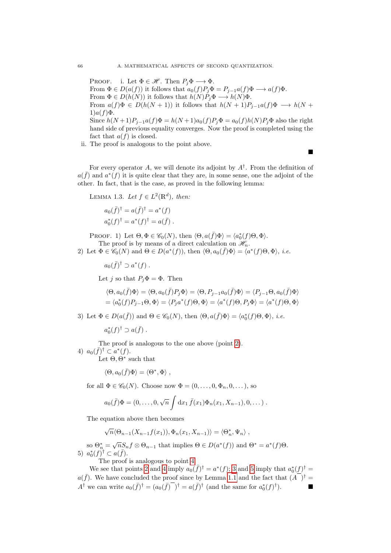PROOF. i. Let  $\Phi \in \mathscr{H}$ . Then  $P_j \Phi \longrightarrow \Phi$ . From  $\Phi \in D(a(f))$  it follows that  $a_0(f)P_j\Phi = P_{j-1}a(f)\Phi \longrightarrow a(f)\Phi.$ From  $\Phi \in D(h(N))$  it follows that  $h(N)P_i\Phi \longrightarrow h(N)\Phi$ . From  $a(f)\Phi \in D(h(N+1))$  it follows that  $h(N+1)P_{i-1}a(f)\Phi \longrightarrow h(N+1)P_{i-1}a(f)\Phi$  $1)a(f)\Phi$ . Since  $h(N+1)P_{j-1}a(f)\Phi = h(N+1)a_0(f)P_j\Phi = a_0(f)h(N)P_j\Phi$  also the right hand side of previous equality converges. Now the proof is completed using the fact that  $a(f)$  is closed.

ii. The proof is analogous to the point above.

п

For every operator A, we will denote its adjoint by  $A^{\dagger}$ . From the definition of  $a(\bar{f})$  and  $a^*(f)$  it is quite clear that they are, in some sense, one the adjoint of the other. In fact, that is the case, as proved in the following lemma:

LEMMA 1.3. Let  $f \in L^2(\mathbb{R}^d)$ , then:

$$
a_0(\bar{f})^{\dagger} = a(\bar{f})^{\dagger} = a^*(f)
$$
  
 $a_0^*(f)^{\dagger} = a^*(f)^{\dagger} = a(\bar{f})$ .

PROOF. 1) Let  $\Theta, \Phi \in \mathscr{C}_0(N)$ , then  $\langle \Theta, a(\bar{f})\Phi \rangle = \langle a_0^*(f)\Theta, \Phi \rangle$ . The proof is by means of a direct calculation on  $\mathcal{H}_n$ .

<span id="page-65-0"></span>2) Let  $\Phi \in \mathscr{C}_0(N)$  and  $\Theta \in D(a^*(f))$ , then  $\langle \Theta, a_0(\bar{f})\Phi \rangle = \langle a^*(f)\Theta, \Phi \rangle$ , *i.e.* 

 $a_0(\bar{f})^{\dagger} \supset a^*(f)$ .

Let j so that  $P_i\Phi = \Phi$ . Then

$$
\langle \Theta, a_0(\bar{f}) \Phi \rangle = \langle \Theta, a_0(\bar{f}) P_j \Phi \rangle = \langle \Theta, P_{j-1} a_0(\bar{f}) \Phi \rangle = \langle P_{j-1} \Theta, a_0(\bar{f}) \Phi \rangle
$$
  
=  $\langle a_0^*(f) P_{j-1} \Theta, \Phi \rangle = \langle P_j a^*(f) \Theta, \Phi \rangle = \langle a^*(f) \Theta, P_j \Phi \rangle = \langle a^*(f) \Theta, \Phi \rangle$ 

<span id="page-65-2"></span>3) Let  $\Phi \in D(a(\bar{f}))$  and  $\Theta \in \mathscr{C}_0(N)$ , then  $\langle \Theta, a(\bar{f})\Phi \rangle = \langle a_0^*(f)\Theta, \Phi \rangle$ , *i.e.* 

 $a_0^*(f)^\dagger \supset a(\bar{f})$ .

<span id="page-65-1"></span>The proof is analogous to the one above (point [2\)](#page-65-0). 4)  $a_0(\bar{f})^{\dagger} \subset a^*(f)$ .

Let  $\Theta$ ,  $\Theta^*$  such that

$$
\langle \Theta, a_0(\bar{f})\Phi \rangle = \langle \Theta^*, \Phi \rangle ,
$$

for all  $\Phi \in \mathscr{C}_0(N)$ . Choose now  $\Phi = (0, \ldots, 0, \Phi_n, 0, \ldots)$ , so

$$
a_0(\bar{f})\Phi = (0,\ldots,0,\sqrt{n}\int dx_1 \bar{f}(x_1)\Phi_n(x_1,X_{n-1}),0,\ldots).
$$

The equation above then becomes

 $\sqrt{n} \langle \Theta_{n-1}(X_{n-1}f(x_1)), \Phi_n(x_1, X_{n-1}) \rangle = \langle \Theta_n^*, \Psi_n \rangle,$ 

<span id="page-65-3"></span>so  $\Theta_n^* = \sqrt{n} S_n f \otimes \Theta_{n-1}$  that implies  $\Theta \in D(a^*(f))$  and  $\Theta^* = a^*(f)\Theta$ . 5)  $a_0^*(f)^{\dagger} \subset a(\bar{f}).$ 

The proof is analogous to point [4.](#page-65-1)

We see that points [2](#page-65-0) and [4](#page-65-1) imply  $a_0(\bar{f})^{\dagger} = a^*(f)$ ; [3](#page-65-2) and [5](#page-65-3) imply that  $a_0^*(f)^{\dagger} =$  $a(\bar{f})$ . We have concluded the proof since by Lemma [1.1](#page-63-0) and the fact that  $(\bar{A})^{\dagger} =$  $A^{\dagger}$  we can write  $a_0(\bar{f})^{\dagger} = (a_0(\bar{f})^{-})^{\dagger} = a(\bar{f})^{\dagger}$  (and the same for  $a_0^*(f)^{\dagger}$ ).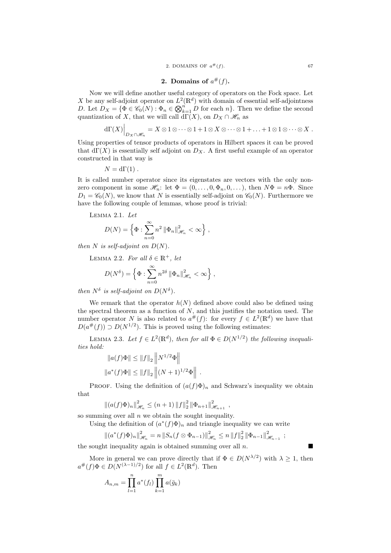#### 2. Domains of  $a^{\#}(f)$ .

Now we will define another useful category of operators on the Fock space. Let X be any self-adjoint operator on  $L^2(\mathbb{R}^d)$  with domain of essential self-adjointness D. Let  $D_X = \{ \Phi \in \mathscr{C}_0(N) : \Phi_n \in \mathbb{Q}_{k=1}^n D \text{ for each } n \}.$  Then we define the second quantization of X, that we will call  $\mathrm{d}\Gamma(X)$ , on  $D_X \cap \mathcal{H}_n$  as

$$
d\Gamma(X)\Big|_{D_X\cap\mathscr{H}_n}=X\otimes 1\otimes\cdots\otimes 1+1\otimes X\otimes\cdots\otimes 1+\ldots+1\otimes 1\otimes\cdots\otimes X.
$$

Using properties of tensor products of operators in Hilbert spaces it can be proved that  $d\Gamma(X)$  is essentially self adjoint on  $D_X$ . A first useful example of an operator constructed in that way is

$$
N = d\Gamma(1) .
$$

It is called number operator since its eigenstates are vectors with the only nonzero component in some  $\mathscr{H}_n$ : let  $\Phi = (0, \ldots, 0, \Phi_n, 0, \ldots)$ , then  $N\Phi = n\Phi$ . Since  $D_1 = \mathscr{C}_0(N)$ , we know that N is essentially self-adjoint on  $\mathscr{C}_0(N)$ . Furthermore we have the following couple of lemmas, whose proof is trivial:

Lemma 2.1. Let

$$
D(N) = \left\{ \Phi : \sum_{n=0}^{\infty} n^2 \left\| \Phi_n \right\|_{\mathcal{H}_n}^2 < \infty \right\},\,
$$

then N is self-adjoint on  $D(N)$ .

LEMMA 2.2. For all  $\delta \in \mathbb{R}^+$ , let

$$
D(N^{\delta}) = \left\{ \Phi : \sum_{n=0}^{\infty} n^{2\delta} \left\| \Phi_n \right\|_{\mathcal{H}_n}^2 < \infty \right\},\,
$$

then  $N^{\delta}$  is self-adjoint on  $D(N^{\delta})$ .

We remark that the operator  $h(N)$  defined above could also be defined using the spectral theorem as a function of  $N$ , and this justifies the notation used. The number operator N is also related to  $a^{\#}(f)$ : for every  $f \in L^2(\mathbb{R}^d)$  we have that  $D(a^{\#}(f)) \supset D(N^{1/2})$ . This is proved using the following estimates:

LEMMA 2.3. Let  $f \in L^2(\mathbb{R}^d)$ , then for all  $\Phi \in D(N^{1/2})$  the following inequalities hold:

$$
||a(f)\Phi|| \le ||f||_2 ||N^{1/2}\Phi||
$$
  

$$
||a^*(f)\Phi|| \le ||f||_2 ||(N+1)^{1/2}\Phi||.
$$

PROOF. Using the definition of  $(a(f)\Phi)_n$  and Schwarz's inequality we obtain that

$$
||(a(f)\Phi)_n||_{\mathcal{H}_n}^2 \le (n+1) ||f||_2^2 ||\Phi_{n+1}||_{\mathcal{H}_{n+1}}^2,
$$

so summing over all  $n$  we obtain the sought inequality.

Using the definition of  $(a^*(f)\Phi)_n$  and triangle inequality we can write

$$
\|(a^*(f)\Phi)_n\|_{\mathscr{H}_n}^2 = n \|S_n(f\otimes \Phi_{n-1})\|_{\mathscr{H}_n}^2 \le n \|f\|_2^2 \|\Phi_{n-1}\|_{\mathscr{H}_{n-1}}^2 ;
$$

the sought inequality again is obtained summing over all  $n$ .

More in general we can prove directly that if  $\Phi \in D(N^{\lambda/2})$  with  $\lambda \geq 1$ , then  $a^{\#}(f)\Phi \in D(N^{(\lambda-1)/2})$  for all  $f \in L^2(\mathbb{R}^d)$ . Then

$$
A_{n,m} = \prod_{l=1}^{n} a^*(f_l) \prod_{k=1}^{m} a(\bar{g}_k)
$$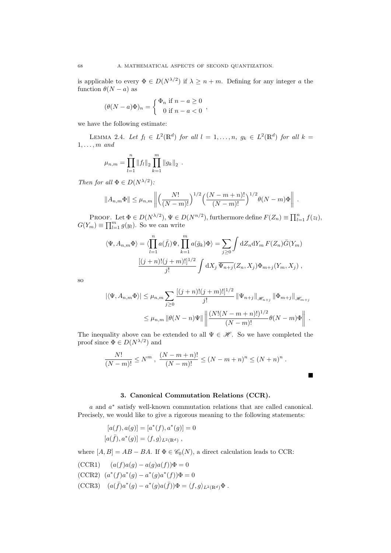is applicable to every  $\Phi \in D(N^{\lambda/2})$  if  $\lambda \geq n+m$ . Defining for any integer a the function  $\theta(N - a)$  as

$$
(\theta(N-a)\Phi)_n = \begin{cases} \Phi_n & \text{if } n-a \ge 0 \\ 0 & \text{if } n-a < 0 \end{cases}
$$

we have the following estimate:

LEMMA 2.4. Let  $f_l \in L^2(\mathbb{R}^d)$  for all  $l = 1, ..., n$ ,  $g_k \in L^2(\mathbb{R}^d)$  for all  $k =$  $1, \ldots, m$  and

$$
\mu_{n,m} = \prod_{l=1}^n \|f_l\|_2 \prod_{k=1}^m \|g_k\|_2.
$$

Then for all  $\Phi \in D(N^{\lambda/2})$ :

$$
||A_{n,m}\Phi|| \leq \mu_{n,m} \left\| \left( \frac{N!}{(N-m)!} \right)^{1/2} \left( \frac{(N-m+n)!}{(N-m)!} \right)^{1/2} \theta(N-m) \Phi \right\|.
$$

PROOF. Let  $\Phi \in D(N^{\lambda/2}), \Psi \in D(N^{n/2}),$  furthermore define  $F(Z_n) \equiv \prod_{l=1}^n f(z_l)$ ,  $G(Y_m) \equiv \prod_{l=1}^m g(y_l)$ . So we can write

$$
\langle \Psi, A_{n,m} \Phi \rangle = \langle \prod_{l=1}^{n} a(\bar{f}_l) \Psi, \prod_{k=1}^{m} a(\bar{g}_k) \Phi \rangle = \sum_{j \ge 0} \int dZ_n dY_m F(Z_n) \bar{G}(Y_m)
$$

$$
\frac{[(j+n)!(j+m)!]^{1/2}}{j!} \int dX_j \overline{\Psi_{n+j}}(Z_n, X_j) \Phi_{m+j}(Y_m, X_j) ,
$$

so

$$
|\langle \Psi, A_{n,m} \Phi \rangle| \leq \mu_{n,m} \sum_{j \geq 0} \frac{[(j+n)!(j+m)!]^{1/2}}{j!} \|\Psi_{n+j}\|_{\mathcal{H}_{n+j}} \|\Phi_{m+j}\|_{\mathcal{H}_{m+j}} \leq \mu_{n,m} \|\theta(N-n)\Psi\| \left\| \frac{(N!(N-m+n)!)^{1/2}}{(N-m)!} \theta(N-m)\Phi \right\|.
$$

 $\blacksquare$ 

The inequality above can be extended to all  $\Psi \in \mathcal{H}$ . So we have completed the proof since  $\Phi \in D(N^{\lambda/2})$  and

$$
\frac{N!}{(N-m)!} \le N^m , \frac{(N-m+n)!}{(N-m)!} \le (N-m+n)^n \le (N+n)^n .
$$

#### 3. Canonical Commutation Relations (CCR).

a and  $a^*$  satisfy well-known commutation relations that are called canonical. Precisely, we would like to give a rigorous meaning to the following statements:

$$
[a(f), a(g)] = [a^*(f), a^*(g)] = 0
$$
  

$$
[a(\bar{f}), a^*(g)] = \langle f, g \rangle_{L^2(\mathbb{R}^d)},
$$

where  $[A, B] = AB - BA$ . If  $\Phi \in \mathcal{C}_0(N)$ , a direct calculation leads to CCR:

<span id="page-67-0"></span>
$$
(CCR1) \qquad (a(f)a(g) - a(g)a(f))\Phi = 0
$$

<span id="page-67-1"></span>
$$
(CCR2) (a^*(f)a^*(g) - a^*(g)a^*(f))\Phi = 0
$$

<span id="page-67-2"></span> $(CCR3)$   $(a(\bar{f})a^*(g) - a^*(g)a(\bar{f}))\Phi = \langle f, g \rangle_{L^2(\mathbb{R}^d)}\Phi.$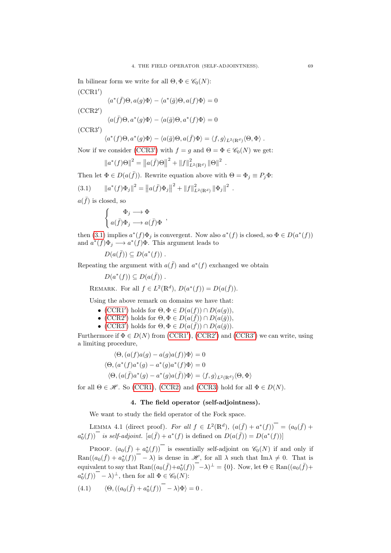<span id="page-68-2"></span>In bilinear form we write for all  $\Theta, \Phi \in \mathscr{C}_0(N)$ :  $(CCR1')$ 

$$
\langle a^*(\bar{f})\Theta, a(g)\Phi\rangle - \langle a^*(\bar{g})\Theta, a(f)\Phi\rangle = 0
$$

<span id="page-68-3"></span> $(CCR2')$ 

$$
\langle a(\bar{f})\Theta,a^*(g)\Phi\rangle-\langle a(\bar{g})\Theta,a^*(f)\Phi\rangle=0
$$

<span id="page-68-0"></span> $(CCR3')$ 

$$
\langle a^*(f)\Theta, a^*(g)\Phi\rangle - \langle a(\bar{g})\Theta, a(\bar{f})\Phi\rangle = \langle f, g\rangle_{L^2(\mathbb{R}^d)}\langle \Theta, \Phi\rangle.
$$

Now if we consider [\(CCR3](#page-68-0)') with  $f = g$  and  $\Theta = \Phi \in \mathcal{C}_0(N)$  we get:

<span id="page-68-1"></span>
$$
||a^*(f)\Theta||^2 = ||a(\bar{f})\Theta||^2 + ||f||^2_{L^2(\mathbb{R}^d)} ||\Theta||^2.
$$

Then let  $\Phi \in D(a(\bar{f}))$ . Rewrite equation above with  $\Theta = \Phi_j \equiv P_j \Phi$ :

(3.1) 
$$
\|a^*(f)\Phi_j\|^2 = \|a(\bar{f})\Phi_j\|^2 + \|f\|_{L^2(\mathbb{R}^d)}^2 \|\Phi_j\|^2.
$$

 $a(\bar{f})$  is closed, so

$$
\left\{ \begin{array}{c} \Phi_j \longrightarrow \Phi \\ a(\bar{f}) \Phi_j \longrightarrow a(\bar{f}) \Phi \end{array} \right.,
$$

then [\(3.1\)](#page-68-1) implies  $a^*(f)\Phi_j$  is convergent. Now also  $a^*(f)$  is closed, so  $\Phi \in D(a^*(f))$ and  $a^*(f)\Phi_j \longrightarrow a^*(f)\Phi$ . This argument leads to

$$
D(a(\bar{f})) \subseteq D(a^*(f)) .
$$

Repeating the argument with  $a(\bar{f})$  and  $a^*(f)$  exchanged we obtain

 $D(a^*(f)) \subseteq D(a(\bar{f}))$ .

REMARK. For all  $f \in L^2(\mathbb{R}^d)$ ,  $D(a^*(f)) = D(a(\bar{f}))$ .

Using the above remark on domains we have that:

- [\(CCR1](#page-68-2)') holds for  $\Theta, \Phi \in D(a(f)) \cap D(a(g)),$
- [\(CCR2](#page-68-3)') holds for  $\Theta, \Phi \in D(a(\bar{f})) \cap D(a(\bar{g}))$ ,
- [\(CCR3](#page-68-0)') holds for  $\Theta, \Phi \in D(a(\bar{f})) \cap D(a(\bar{g}))$ .

Furthermore if  $\Phi \in D(N)$  from [\(CCR1](#page-68-2)'), [\(CCR2](#page-68-3)') and [\(CCR3](#page-68-0)') we can write, using a limiting procedure,

$$
\langle \Theta, (a(f)a(g) - a(g)a(f))\Phi \rangle = 0
$$
  

$$
\langle \Theta, (a^*(f)a^*(g) - a^*(g)a^*(f)\Phi \rangle = 0
$$
  

$$
\langle \Theta, (a(\bar{f})a^*(g) - a^*(g)a(\bar{f}))\Phi \rangle = \langle f, g \rangle_{L^2(\mathbb{R}^d)} \langle \Theta, \Phi \rangle
$$

for all  $\Theta \in \mathcal{H}$ . So [\(CCR1\)](#page-67-0), [\(CCR2\)](#page-67-1) and [\(CCR3\)](#page-67-2) hold for all  $\Phi \in D(N)$ .

#### <span id="page-68-4"></span>4. The field operator (self-adjointness).

We want to study the field operator of the Fock space.

LEMMA 4.1 (direct proof). For all  $f \in L^2(\mathbb{R}^d)$ ,  $(a(\bar{f}) + a^*(f))$  =  $(a_0(\bar{f}) + a_0(\bar{f})$  $a_0^*(f)$  is self-adjoint.  $[a(\bar{f}) + a^*(f)]$  is defined on  $D(a(\bar{f})) = D(a^*(f))]$ 

PROOF.  $(a_0(\bar{f}) + a_0^*(f))$  is essentially self-adjoint on  $\mathscr{C}_0(N)$  if and only if  $\text{Ran}((a_0(\bar{f}) + a_0^*(f))$  -  $\lambda$ ) is dense in  $\mathscr{H}$ , for all  $\lambda$  such that Im $\lambda \neq 0$ . That is equivalent to say that  $\text{Ran}((a_0(\bar{f})+a_0^*(f))$ <sup>-</sup> $-\lambda)$ <sup> $\perp$ </sup> = {0}. Now, let  $\Theta \in \text{Ran}((a_0(\bar{f})+$  $a_0^*(f)$  –  $\lambda$ <sup> $\perp$ </sup>, then for all  $\Phi \in \mathscr{C}_0(N)$ :

$$
(4.1) \qquad \langle \Theta, ((a_0(\bar{f}) + a_0^*(f))^{-} - \lambda)\Phi \rangle = 0.
$$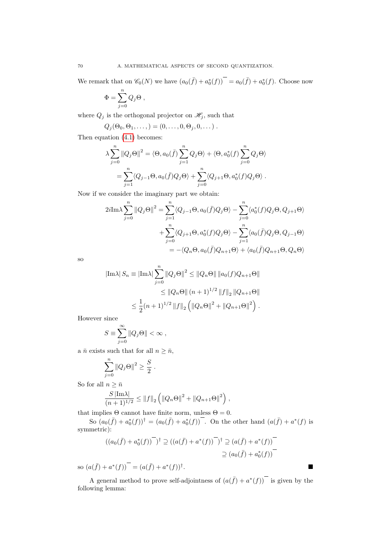We remark that on  $\mathcal{C}_0(N)$  we have  $(a_0(\bar{f}) + a_0^*(f))$  =  $a_0(\bar{f}) + a_0^*(f)$ . Choose now

$$
\Phi = \sum_{j=0}^n Q_j \Theta \ ,
$$

where  $Q_j$  is the orthogonal projector on  $\mathscr{H}_j,$  such that

$$
Q_j(\Theta_0,\Theta_1,\ldots,) = (0,\ldots,0,\Theta_j,0,\ldots).
$$

Then equation [\(4.1\)](#page-68-4) becomes:

$$
\lambda \sum_{j=0}^{n} ||Q_j \Theta||^2 = \langle \Theta, a_0(\bar{f}) \sum_{j=1}^{n} Q_j \Theta \rangle + \langle \Theta, a_0^*(f) \sum_{j=0}^{n} Q_j \Theta \rangle
$$
  
= 
$$
\sum_{j=1}^{n} \langle Q_{j-1} \Theta, a_0(\bar{f}) Q_j \Theta \rangle + \sum_{j=0}^{n} \langle Q_{j+1} \Theta, a_0^*(f) Q_j \Theta \rangle.
$$

Now if we consider the imaginary part we obtain:

$$
2i \text{Im}\lambda \sum_{j=0}^{n} ||Q_j \Theta||^2 = \sum_{j=1}^{n} \langle Q_{j-1} \Theta, a_0(\bar{f}) Q_j \Theta \rangle - \sum_{j=0}^{n} \langle a_0^*(f) Q_j \Theta, Q_{j+1} \Theta \rangle
$$
  
+ 
$$
\sum_{j=0}^{n} \langle Q_{j+1} \Theta, a_0^*(f) Q_j \Theta \rangle - \sum_{j=1}^{n} \langle a_0(\bar{f}) Q_j \Theta, Q_{j-1} \Theta \rangle
$$
  
= 
$$
-(Q_n \Theta, a_0(\bar{f}) Q_{n+1} \Theta) + \langle a_0(\bar{f}) Q_{n+1} \Theta, Q_n \Theta \rangle
$$

so

$$
\begin{aligned} |\text{Im}\lambda| \, S_n &\equiv |\text{Im}\lambda| \sum_{j=0}^n \|Q_j \Theta\|^2 \le \|Q_n \Theta\| \, \|a_0(f) Q_{n+1} \Theta\| \\ &\le \|Q_n \Theta\| \, (n+1)^{1/2} \, \|f\|_2 \, \|Q_{n+1} \Theta\| \\ &\le \frac{1}{2} (n+1)^{1/2} \, \|f\|_2 \left( \|Q_n \Theta\|^2 + \|Q_{n+1} \Theta\|^2 \right) . \end{aligned}
$$

However since

$$
S \equiv \sum_{j=0}^{\infty} ||Q_j \Theta|| < \infty ,
$$

a  $\bar{n}$  exists such that for all  $n \geq \bar{n}$ ,

$$
\sum_{j=0}^n \|Q_j \Theta\|^2 \ge \frac{S}{2} .
$$

So for all  $n \geq \bar{n}$ 

$$
\frac{S\left|\text{Im}\lambda\right|}{(n+1)^{1/2}} \leq \|f\|_2 \left( \left\|Q_n\Theta\right\|^2 + \left\|Q_{n+1}\Theta\right\|^2 \right),
$$

that implies  $\Theta$  cannot have finite norm, unless  $\Theta = 0$ .

So  $(a_0(\bar{f}) + a_0^*(f))$ <sup>†</sup> =  $(a_0(\bar{f}) + a_0^*(f))$ . On the other hand  $(a(\bar{f}) + a^*(f))$  is symmetric):

$$
((a_0(\bar{f}) + a_0^*(f)))^{\top})^{\dagger} \supseteq ((a(\bar{f}) + a^*(f))^{\top})^{\dagger} \supseteq (a(\bar{f}) + a^*(f))^{\top}
$$

$$
\supseteq (a_0(\bar{f}) + a_0^*(f))^{\top}
$$

so  $(a(\bar{f}) + a^*(f))$ <sup>-</sup> =  $(a(\bar{f}) + a^*(f))$ <sup>†</sup> .

A general method to prove self-adjointness of  $(a(\bar{f}) + a^*(f))$  is given by the following lemma: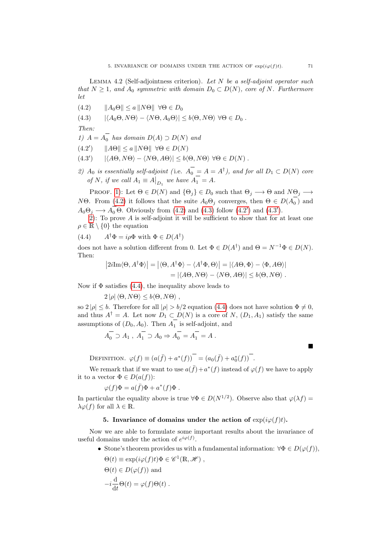LEMMA 4.2 (Self-adjointness criterion). Let  $N$  be a self-adjoint operator such that  $N \geq 1$ , and  $A_0$  symmetric with domain  $D_0 \subset D(N)$ , core of N. Furthermore let

- <span id="page-70-1"></span>(4.2)  $||A_0\Theta|| \le a ||N\Theta|| \ \forall \Theta \in D_0$
- <span id="page-70-2"></span>(4.3)  $|\langle A_0 \Theta, N \Theta \rangle - \langle N \Theta, A_0 \Theta \rangle| \leq b \langle \Theta, N \Theta \rangle \ \forall \Theta \in D_0$ .

Then:

<span id="page-70-0"></span>1)  $A = A_0$  has domain  $D(A) \supset D(N)$  and

- <span id="page-70-3"></span> $||A\Theta|| \le a ||N\Theta|| \forall \Theta \in D(N)$  $\prime$
- <span id="page-70-4"></span> $|\langle A\Theta, N\Theta \rangle - \langle N\Theta, A\Theta \rangle| \leq b \langle \Theta, N\Theta \rangle \ \forall \Theta \in D(N)$ .  $')$
- <span id="page-70-5"></span>2)  $A_0$  is essentially self-adjoint (i.e.  $A_0 = A = A^{\dagger}$ ), and for all  $D_1 \subset D(N)$  core of N, if we call  $A_1 \equiv A\vert_{D_1}$  we have  $A_1 = A$ .

PROOF. [1\)](#page-70-0): Let  $\Theta \in D(N)$  and  $\{\Theta_j\} \in D_0$  such that  $\Theta_j \longrightarrow \Theta$  and  $N\Theta_j \longrightarrow$ NΘ. From [\(4.2\)](#page-70-1) it follows that the suite  $A_0 \Theta_j$  converges, then  $\Theta \in D(A_0)$  and  $A_0\Theta_j \longrightarrow A_0 \Theta$ . Obviously from [\(4.2\)](#page-70-1) and [\(4.3\)](#page-70-2) follow [\(4.2](#page-70-3)') and [\(4.3](#page-70-4)').

[2\)](#page-70-5): To prove A is self-adjoint it will be sufficient to show that for at least one  $\rho \in \mathbb{R} \setminus \{0\}$  the equation

 $(4.4)$ <sup>†</sup> $\Phi = i \rho \Phi$  with  $\Phi \in D(A^{\dagger})$ 

does not have a solution different from 0. Let  $\Phi \in D(A^{\dagger})$  and  $\Theta = N^{-1}\Phi \in D(N)$ . Then:

<span id="page-70-6"></span>
$$
|2i\text{Im}\langle\Theta, A^{\dagger}\Phi\rangle| = |\langle\Theta, A^{\dagger}\Phi\rangle - \langle A^{\dagger}\Phi, \Theta\rangle| = |\langle A\Theta, \Phi\rangle - \langle \Phi, A\Theta\rangle|
$$
  
=  $|\langle A\Theta, N\Theta\rangle - \langle N\Theta, A\Theta\rangle| \le b\langle \Theta, N\Theta\rangle$ .

Now if  $\Phi$  satisfies [\(4.4\)](#page-70-6), the inequality above leads to

 $2 |\rho| \langle \Theta, N\Theta \rangle \leq b \langle \Theta, N\Theta \rangle$ ,

so  $2|\rho| \leq b$ . Therefore for all  $|\rho| > b/2$  equation [\(4.4\)](#page-70-6) does not have solution  $\Phi \neq 0$ . and thus  $A^{\dagger} = A$ . Let now  $D_1 \subset D(N)$  is a core of N,  $(D_1, A_1)$  satisfy the same assumptions of  $(D_0, A_0)$ . Then  $A_1$  is self-adjoint, and

$$
A_0 \supset A_1
$$
,  $A_1 \supset A_0 \Rightarrow A_0 = A_1 = A$ .

п

DEFINITION.  $\varphi(f) \equiv (a(\bar{f}) + a^*(f))$ <sup>-</sup> =  $(a_0(\bar{f}) + a_0^*(f))$ <sup>-</sup>.

We remark that if we want to use  $a(\bar{f})+a^*(f)$  instead of  $\varphi(f)$  we have to apply it to a vector  $\Phi \in D(a(f))$ :

$$
\varphi(f)\Phi=a(\bar{f})\Phi+a^*(f)\Phi\;.
$$

In particular the equality above is true  $\forall \Phi \in D(N^{1/2})$ . Observe also that  $\varphi(\lambda f) =$  $\lambda \varphi(f)$  for all  $\lambda \in \mathbb{R}$ .

#### 5. Invariance of domains under the action of  $\exp(i\varphi(f)t)$ .

Now we are able to formulate some important results about the invariance of useful domains under the action of  $e^{i\varphi(f)}$ .

- Stone's theorem provides us with a fundamental information:  $\forall \Phi \in D(\varphi(f)),$ 
	- $\Theta(t) \equiv \exp(i\varphi(f)t)\Phi \in \mathscr{C}^1(\mathbb{R}, \mathscr{H}),$

$$
\Theta(t) \in D(\varphi(f)) \text{ and}
$$

$$
-i\frac{\mathrm{d}}{\mathrm{d}t}\Theta(t) = \varphi(f)\Theta(t) .
$$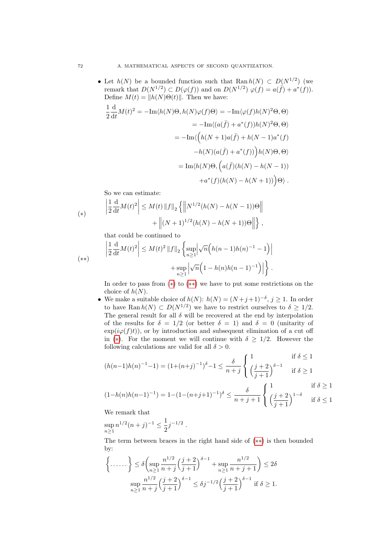• Let  $h(N)$  be a bounded function such that Ran  $h(N) \subset D(N^{1/2})$  (we remark that  $D(N^{1/2}) \subset D(\varphi(f))$  and on  $D(N^{1/2}) \varphi(f) = a(\overline{f}) + a^*(f)$ . Define  $M(t) = ||h(N)\Theta(t)||$ . Then we have:

$$
\frac{1}{2} \frac{d}{dt} M(t)^2 = -\text{Im}\langle h(N)\Theta, h(N)\varphi(f)\Theta \rangle = -\text{Im}\langle \varphi(f)h(N)^2\Theta, \Theta \rangle
$$
  
\n
$$
= -\text{Im}\langle (a(\bar{f}) + a^*(f))h(N)^2\Theta, \Theta \rangle
$$
  
\n
$$
= -\text{Im}\langle \left( h(N+1)a(\bar{f}) + h(N-1)a^*(f) \right)
$$
  
\n
$$
-h(N)(a(\bar{f}) + a^*(f)) \Big)h(N)\Theta, \Theta \rangle
$$
  
\n
$$
= \text{Im}\langle h(N)\Theta, \left( a(\bar{f})(h(N) - h(N-1)) \right)
$$
  
\n
$$
+ a^*(f)(h(N) - h(N+1)) \Big)\Theta \rangle.
$$

So we can estimate:

<span id="page-71-0"></span>(\*) 
$$
\left| \frac{1}{2} \frac{d}{dt} M(t)^2 \right| \leq M(t) \|f\|_2 \left\{ \left\| N^{1/2} (h(N) - h(N-1)) \Theta \right\| + \left\| (N+1)^{1/2} (h(N) - h(N+1)) \Theta \right\| \right\},
$$

that could be continued to

<span id="page-71-1"></span>
$$
\left| \frac{1}{2} \frac{d}{dt} M(t)^2 \right| \le M(t)^2 \|f\|_2 \left\{ \sup_{n \ge 1} \left| \sqrt{n} \left( h(n-1)h(n)^{-1} - 1 \right) \right| + \sup_{n \ge 1} \left| \sqrt{n} \left( 1 - h(n)h(n-1)^{-1} \right) \right| \right\}.
$$

In order to pass from ([∗](#page-71-0)) to ([∗∗](#page-71-1)) we have to put some restrictions on the choice of  $h(N)$ .

• We make a suitable choice of  $h(N)$ :  $h(N) = (N+j+1)^{-\delta}, j \ge 1$ . In order to have Ran  $h(N) \subset D(N^{1/2})$  we have to restrict ourselves to  $\delta \geq 1/2$ . The general result for all  $\delta$  will be recovered at the end by interpolation of the results for  $\delta = 1/2$  (or better  $\delta = 1$ ) and  $\delta = 0$  (unitarity of  $\exp(i\varphi(f)t)$ , or by introduction and subsequent elimination of a cut off in (\*). For the moment we will continue with  $\delta \geq 1/2$ . However the following calculations are valid for all  $\delta > 0$ .

$$
(h(n-1)h(n)^{-1} - 1) = (1 + (n+j)^{-1})^{\delta} - 1 \le \frac{\delta}{n+j} \begin{cases} 1 & \text{if } \delta \le 1 \\ \left(\frac{j+2}{j+1}\right)^{\delta-1} & \text{if } \delta \ge 1 \end{cases}
$$

$$
(1 - h(n)h(n-1)^{-1}) = 1 - (1 - (n+j+1)^{-1})^{\delta} \le \frac{\delta}{n+j+1} \begin{cases} 1 & \text{if } \delta \ge 1 \\ \left(\frac{j+2}{j+1}\right)^{1-\delta} & \text{if } \delta \le 1 \end{cases}
$$

We remark that

 $\sup_{n\geq 1} n^{1/2} (n+j)^{-1} \leq \frac{1}{2}$  $\frac{1}{2}j^{-1/2}$ .

The term between braces in the right hand side of ([∗∗](#page-71-1)) is then bounded by:

$$
\left\{\ldots\ldots\right\} \le \delta \left( \sup_{n\ge1} \frac{n^{1/2}}{n+j} \left( \frac{j+2}{j+1} \right)^{\delta-1} + \sup_{n\ge1} \frac{n^{1/2}}{n+j+1} \right) \le 2\delta
$$

$$
\sup_{n\ge1} \frac{n^{1/2}}{n+j} \left( \frac{j+2}{j+1} \right)^{\delta-1} \le \delta j^{-1/2} \left( \frac{j+2}{j+1} \right)^{\delta-1} \text{ if } \delta \ge 1.
$$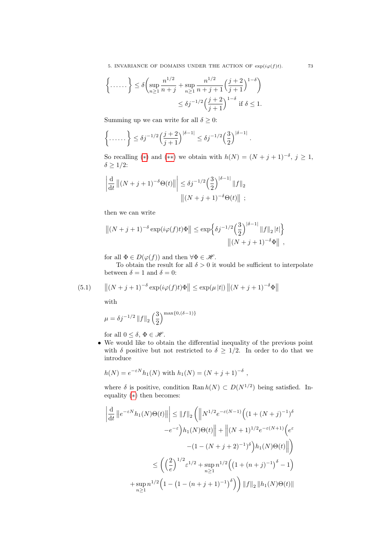5. INVARIANCE OF DOMAINS UNDER THE ACTION OF  $\exp(i\varphi(f)t)$ . 73

$$
\left\{\ldots\ldots\right\} \le \delta \left( \sup_{n\ge 1} \frac{n^{1/2}}{n+j} + \sup_{n\ge 1} \frac{n^{1/2}}{n+j+1} \left(\frac{j+2}{j+1}\right)^{1-\delta} \right) \le \delta j^{-1/2} \left(\frac{j+2}{j+1}\right)^{1-\delta} \text{ if } \delta \le 1.
$$

Summing up we can write for all  $\delta \geq 0$ :

$$
\left\{\ldots\ldots\right\} \leq \delta j^{-1/2} \Big(\frac{j+2}{j+1}\Big)^{|\delta-1|} \leq \delta j^{-1/2} \Big(\frac{3}{2}\Big)^{|\delta-1|}.
$$

So recalling (\*) and (\*\*) we obtain with  $h(N) = (N + j + 1)^{-\delta}, j \ge 1$ ,  $\delta \geq 1/2$ :

$$
\left| \frac{d}{dt} \left\| (N+j+1)^{-\delta} \Theta(t) \right\| \right| \leq \delta j^{-1/2} \left( \frac{3}{2} \right)^{|\delta-1|} \|f\|_2
$$

$$
\left\| (N+j+1)^{-\delta} \Theta(t) \right\| ;
$$

then we can write

$$
||(N+j+1)^{-\delta}\exp(i\varphi(f)t)\Phi|| \leq \exp\Big\{\delta j^{-1/2}\Big(\frac{3}{2}\Big)^{|\delta-1|}||f||_2|t|\Big\}
$$

$$
||(N+j+1)^{-\delta}\Phi||,
$$

for all  $\Phi \in D(\varphi(f))$  and then  $\forall \Phi \in \mathscr{H}$ .

To obtain the result for all  $\delta > 0$  it would be sufficient to interpolate between  $\delta = 1$  and  $\delta = 0$ :

(5.1) 
$$
\|(N+j+1)^{-\delta}\exp(i\varphi(f)t)\Phi\| \leq \exp(\mu|t|) \|(N+j+1)^{-\delta}\Phi\|
$$

with

$$
\mu = \delta j^{-1/2} \|f\|_2 \left(\frac{3}{2}\right)^{\max\{0, (\delta - 1)\}}
$$

for all  $0 \leq \delta, \Phi \in \mathcal{H}$ .

• We would like to obtain the differential inequality of the previous point with  $\delta$  positive but not restricted to  $\delta \geq 1/2$ . In order to do that we introduce

$$
h(N) = e^{-\varepsilon N} h_1(N)
$$
 with  $h_1(N) = (N + j + 1)^{-\delta}$ ,

where  $\delta$  is positive, condition Ran  $h(N) \subset D(N^{1/2})$  being satisfied. Inequality ([∗](#page-71-0)) then becomes:

$$
\left| \frac{d}{dt} \left\| e^{-\varepsilon N} h_1(N) \Theta(t) \right\| \right| \leq \|f\|_2 \left( \left\| N^{1/2} e^{-\varepsilon (N-1)} \left( (1 + (N+j)^{-1})^\delta \right) \right.\
$$

$$
-e^{-\varepsilon} \right) h_1(N) \Theta(t) \left\| + \left\| (N+1)^{1/2} e^{-\varepsilon (N+1)} \left( e^{\varepsilon} \right. \right.\left. - (1 - (N+j+2)^{-1})^\delta \right) h_1(N) \Theta(t) \right\| \right)
$$

$$
\leq \left( \left( \frac{2}{e} \right)^{1/2} \varepsilon^{1/2} + \sup_{n \geq 1} n^{1/2} \left( (1 + (n+j)^{-1})^\delta - 1 \right) \right.
$$

$$
+ \sup_{n \geq 1} n^{1/2} \left( 1 - (1 - (n+j+1)^{-1})^\delta \right) \right) \|f\|_2 \|h_1(N) \Theta(t)\|
$$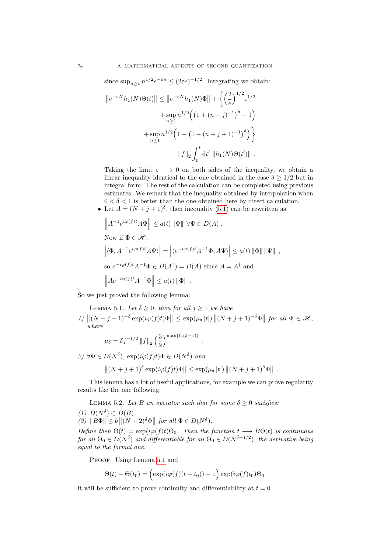since  $\sup_{n\geq 1} n^{1/2} e^{-\varepsilon n} \leq (2\varepsilon e)^{-1/2}$ . Integrating we obtain:

$$
||e^{-\varepsilon N}h_1(N)\Theta(t)|| \le ||e^{-\varepsilon N}h_1(N)\Phi|| + \left\{ \left(\frac{2}{e}\right)^{1/2} \varepsilon^{1/2} + \sup_{n\ge 1} n^{1/2} \left( \left(1 + (n+j)^{-1}\right)^{\delta} - 1 \right) + \sup_{n\ge 1} n^{1/2} \left(1 - \left(1 - (n+j+1)^{-1}\right)^{\delta}\right) \right\}
$$

$$
||f||_2 \int_0^t dt' ||h_1(N)\Theta(t')||.
$$

Taking the limit  $\varepsilon \longrightarrow 0$  on both sides of the inequality, we obtain a linear inequality identical to the one obtained in the case  $\delta \geq 1/2$  but in integral form. The rest of the calculation can be completed using previous estimates. We remark that the inequality obtained by interpolation when  $0 < \delta < 1$  is better than the one obtained here by direct calculation.

• Let  $A = (N + j + 1)^{\delta}$ , then inequality [\(5.1\)](#page-71-2) can be rewritten as

$$
\left\| A^{-1} e^{i\varphi(f)t} A \Psi \right\| \le a(t) \|\Psi\| \ \forall \Psi \in D(A) .
$$
  
Now if  $\Phi \in \mathcal{H}$ :  

$$
\left| \langle \Phi, A^{-1} e^{i\varphi(f)t} A \Psi \rangle \right| = \left| \langle e^{-i\varphi(f)t} A^{-1} \Phi, A \Psi \rangle \right| \le a(t) \|\Phi\| \|\Psi\| ,
$$
  
so  $e^{-i\varphi(f)t} A^{-1} \Phi \in D(A^{\dagger}) = D(A)$  since  $A = A^{\dagger}$  and  

$$
\left\| A e^{-i\varphi(f)t} A^{-1} \Phi \right\| \le a(t) \|\Phi\| .
$$

<span id="page-73-0"></span>So we just proved the following lemma:

LEMMA 5.1. Let  $\delta \geq 0$ , then for all  $j \geq 1$  we have

 $1) \|\left(N+j+1\right)^{-\delta} \exp(i\varphi(f)t)\Phi\| \leq \exp(\mu_{\delta}|t|) \left\|(N+j+1)^{-\delta}\Phi\right\| \text{ for all } \Phi \in \mathscr{H},$ where

.

$$
\mu_{\delta}=\delta j^{-1/2}\left\Vert f\right\Vert _{2}\left(\frac{3}{2}\right)^{\max\left\{ 0,\left(\delta-1\right)\right\} }
$$

2)  $\forall \Phi \in D(N^{\delta}), \exp(i\varphi(f)t) \Phi \in D(N^{\delta})$  and

$$
\|(N+j+1)^{\delta}\exp(i\varphi(f)t)\Phi\|\leq \exp(\mu_{\delta}|t|)\|(N+j+1)^{\delta}\Phi\|.
$$

This lemma has a lot of useful applications, for example we can prove regularity results like the one following:

<span id="page-73-1"></span>LEMMA 5.2. Let B an operator such that for some  $\delta \geq 0$  satisfies:

(1)  $D(N^{\delta}) \subset D(B)$ , (2)  $||B\Phi|| \leq b ||(N+2)^{\delta}\Phi||$  for all  $\Phi \in D(N^{\delta})$ .

Define then  $\Theta(t) = \exp(i\varphi(f)t)\Theta_0$ . Then the function  $t \longrightarrow B\Theta(t)$  is continuous for all  $\Theta_0 \in D(N^{\delta})$  and differentiable for all  $\Theta_0 \in D(N^{\delta+1/2})$ , the derivative being equal to the formal one.

PROOF. Using Lemma [5.1](#page-73-0) and

$$
\Theta(t) - \Theta(t_0) = \left(\exp(i\varphi(f)(t - t_0)) - 1\right)\exp(i\varphi(f)t_0)\Theta_0
$$

it will be sufficient to prove continuity and differentiability at  $t = 0$ .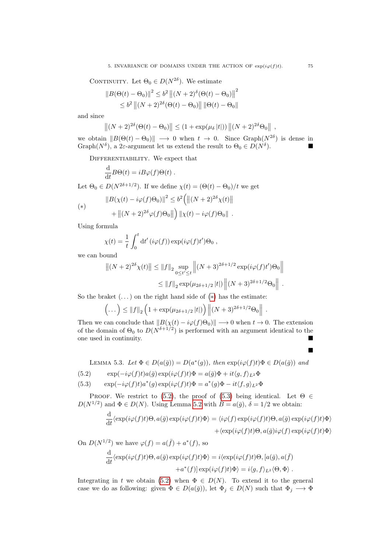CONTINUITY. Let  $\Theta_0 \in D(N^{2\delta})$ . We estimate

$$
||B(\Theta(t) - \Theta_0)||^2 \le b^2 ||(N+2)^{\delta}(\Theta(t) - \Theta_0)||^2
$$
  

$$
\le b^2 ||(N+2)^{2\delta}(\Theta(t) - \Theta_0)|| ||\Theta(t) - \Theta_0||
$$

and since

$$
\|(N+2)^{2\delta}(\Theta(t)-\Theta_0)\| \le (1+\exp(\mu_\delta |t|)) \| (N+2)^{2\delta} \Theta_0 \|,
$$

we obtain  $||B(\Theta(t) - \Theta_0)|| \longrightarrow 0$  when  $t \rightarrow 0$ . Since Graph $(N^{2\delta})$  is dense in Graph $(N^{\delta})$ , a 2 $\varepsilon$ -argument let us extend the result to  $\Theta_0 \in D(N^{\delta})$  $\blacksquare$ ).

DIFFERENTIABILITY. We expect that

<span id="page-74-1"></span>
$$
\frac{\mathrm{d}}{\mathrm{d}t}B\Theta(t) = iB\varphi(f)\Theta(t) .
$$

Let  $\Theta_0 \in D(N^{2\delta+1/2})$ . If we define  $\chi(t) = (\Theta(t) - \Theta_0)/t$  we get

<span id="page-74-0"></span>
$$
\|B(\chi(t) - i\varphi(f)\Theta_0)\|^2 \le b^2 \left(\|(N+2)^{2\delta}\chi(t)\| + \|(N+2)^{2\delta}\varphi(f)\Theta_0\|\right) \|\chi(t) - i\varphi(f)\Theta_0\|.
$$

Using formula

$$
\chi(t) = \frac{1}{t} \int_0^t dt' \left(i\varphi(f)\right) \exp(i\varphi(f)t')\Theta_0,
$$

we can bound

$$
||(N+2)^{2\delta}\chi(t)|| \le ||f||_2 \sup_{0 \le t' \le t} \left||(N+3)^{2\delta+1/2} \exp(i\varphi(f)t')\Theta_0\right||
$$
  

$$
\le ||f||_2 \exp(\mu_{2\delta+1/2}|t|) \left||(N+3)^{2\delta+1/2}\Theta_0\right||.
$$

So the braket  $(\ldots)$  on the right hand side of  $(*)$  has the estimate:

$$
\left(\dots\right) \leq ||f||_2 \left(1 + \exp(\mu_{2\delta + 1/2} |t|)\right) ||(N+3)^{2\delta + 1/2} \Theta_0||.
$$

Then we can conclude that  $||B(\chi(t) - i\varphi(f)\Theta_0)|| \longrightarrow 0$  when  $t \rightarrow 0$ . The extension of the domain of  $\Theta_0$  to  $D(N^{\delta+1/2})$  is performed with an argument identical to the one used in continuity.

<span id="page-74-3"></span>LEMMA 5.3. Let  $\Phi \in D(a(\bar{g})) = D(a^*(g))$ , then  $\exp(i\varphi(f)t)\Phi \in D(a(\bar{g}))$  and

(5.2) 
$$
\exp(-i\varphi(f)t)a(\bar{g})\exp(i\varphi(f)t)\Phi = a(\bar{g})\Phi + it\langle g, f\rangle_{L^2}\Phi
$$

<span id="page-74-2"></span>(5.3) 
$$
\exp(-i\varphi(f)t)a^*(g)\exp(i\varphi(f)t)\Phi = a^*(g)\Phi - it\langle f,g\rangle_{L^2}\Phi
$$

PROOF. We restrict to [\(5.2\)](#page-74-1), the proof of [\(5.3\)](#page-74-2) being identical. Let  $\Theta \in$  $D(N^{1/2})$  and  $\Phi \in D(N)$ . Using Lemma [5.2](#page-73-1) with  $B = a(\bar{g}), \delta = 1/2$  we obtain:

$$
\frac{d}{dt} \langle \exp(i\varphi(f)t)\Theta, a(\bar{g}) \exp(i\varphi(f)t)\Phi \rangle = \langle i\varphi(f) \exp(i\varphi(f)t)\Theta, a(\bar{g}) \exp(i\varphi(f)t)\Phi \rangle \n+ \langle \exp(i\varphi(f)t)\Theta, a(\bar{g})i\varphi(f) \exp(i\varphi(f)t)\Phi \rangle
$$

On  $D(N^{1/2})$  we have  $\varphi(f) = a(\bar{f}) + a^*(f)$ , so

$$
\frac{d}{dt} \langle \exp(i\varphi(f)t)\Theta, a(\bar{g}) \exp(i\varphi(f)t)\Phi \rangle = i \langle \exp(i\varphi(f)t)\Theta, [a(\bar{g}), a(\bar{f}) + a^*(f)] \exp(i\varphi(f)t)\Phi \rangle = i\langle g, f \rangle_{L^2} \langle \Theta, \Phi \rangle.
$$

Integrating in t we obtain [\(5.2\)](#page-74-1) when  $\Phi \in D(N)$ . To extend it to the general case we do as following: given  $\Phi \in D(a(\bar{g}))$ , let  $\Phi_j \in D(N)$  such that  $\Phi_j \longrightarrow \Phi$ 

Ė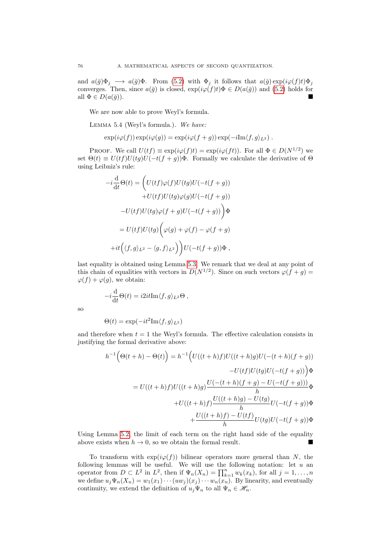and  $a(\bar{g})\Phi_j \longrightarrow a(\bar{g})\Phi$ . From [\(5.2\)](#page-74-1) with  $\Phi_j$  it follows that  $a(\bar{g}) \exp(i\varphi(f)t)\Phi_j$ converges. Then, since  $a(\bar{g})$  is closed,  $\exp(i\varphi(f)t)\Phi \in D(a(\bar{g}))$  and [\(5.2\)](#page-74-1) holds for all  $\Phi \in D(a(\bar{q}))$ .

We are now able to prove Weyl's formula.

<span id="page-75-0"></span>Lemma 5.4 (Weyl's formula.). We have:

$$
\exp(i\varphi(f))\exp(i\varphi(g))=\exp(i\varphi(f+g))\exp(-i\mathrm{Im}\langle f,g\rangle_{L^2}).
$$

PROOF. We call  $U(tf) \equiv \exp(i\varphi(f)t) = \exp(i\varphi(ft))$ . For all  $\Phi \in D(N^{1/2})$  we set  $\Theta(t) \equiv U(t)U(tq)U(-t(f+q))\Phi$ . Formally we calculate the derivative of  $\Theta$ using Leibniz's rule:

$$
-i\frac{d}{dt}\Theta(t) = \left(U(tf)\varphi(f)U(tg)U(-t(f+g))\right.+U(tf)U(tg)\varphi(g)U(-t(f+g))-U(tf)U(tg)\varphi(f+g)U(-t(f+g))\right)\Phi= U(tf)U(tg)\left(\varphi(g) + \varphi(f) - \varphi(f+g)\right.+it\left(\langle f,g\rangle_{L^2} - \langle g,f\rangle_{L^2}\right)U(-t(f+g))\Phi,
$$

last equality is obtained using Lemma [5.3.](#page-74-3) We remark that we deal at any point of this chain of equalities with vectors in  $D(N^{1/2})$ . Since on such vectors  $\varphi(f+g)$  $\varphi(f) + \varphi(g)$ , we obtain:

$$
-i\frac{\mathrm{d}}{\mathrm{d}t}\Theta(t) = i2it\mathrm{Im}\langle f,g\rangle_{L^2}\Theta ,
$$

so

$$
\Theta(t) = \exp(-it^2 \text{Im} \langle f, g \rangle_{L^2})
$$

 $\mathbf{v}$ 

and therefore when  $t = 1$  the Weyl's formula. The effective calculation consists in justifying the formal derivative above:

$$
h^{-1}\Big(\Theta(t+h) - \Theta(t)\Big) = h^{-1}\Big(U((t+h)f)U((t+h)g)U(-(t+h)(f+g))\Big) - U(t)f)U(tg)U(-t(f+g))\Big)\Phi
$$
  

$$
= U((t+h)f)U((t+h)g)\frac{U(-(t+h)(f+g) - U(-t(f+g)))}{h}\Phi
$$
  

$$
+ U((t+h)f)\frac{U((t+h)g) - U(tg)}{h}U(-t(f+g))\Phi
$$
  

$$
+ \frac{U((t+h)f) - U(tf)}{h}U(tg)U(-t(f+g))\Phi
$$

Using Lemma [5.2,](#page-73-1) the limit of each term on the right hand side of the equality above exists when  $h \to 0$ , so we obtain the formal result.

To transform with  $\exp(i\varphi(f))$  bilinear operators more general than N, the following lemmas will be useful. We will use the following notation: let  $u$  an operator from  $D \subset L^2$  in  $L^2$ , then if  $\Psi_n(X_n) = \prod_{k=1}^n w_k(x_k)$ , for all  $j = 1, ..., n$ we define  $u_j\Psi_n(X_n) = w_1(x_1)\cdots(w_j)(x_j)\cdots w_n(x_n)$ . By linearity, and eventually continuity, we extend the definition of  $u_j\Psi_n$  to all  $\Psi_n \in \mathscr{H}_n$ .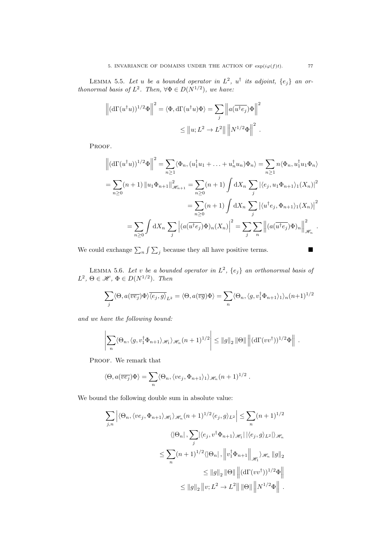<span id="page-76-0"></span>LEMMA 5.5. Let u be a bounded operator in  $L^2$ ,  $u^{\dagger}$  its adjoint,  $\{e_j\}$  an orthonormal basis of  $L^2$ . Then,  $\forall \Phi \in D(N^{1/2})$ , we have:

$$
\left\| (\mathrm{d}\Gamma(u^\dagger u))^{1/2} \Phi \right\|^2 = \langle \Phi, \mathrm{d}\Gamma(u^\dagger u) \Phi \rangle = \sum_j \left\| a(\overline{u^\dagger e_j}) \Phi \right\|^2
$$
  

$$
\leq \| u; L^2 \to L^2 \| \left\| N^{1/2} \Phi \right\|^2.
$$

PROOF.

$$
\left\| (\mathrm{d}\Gamma(u^{\dagger}u))^{1/2} \Phi \right\|^{2} = \sum_{n\geq 1} \langle \Phi_{n}, (u_{1}^{\dagger}u_{1} + \ldots + u_{n}^{\dagger}u_{n})\Phi_{n} \rangle = \sum_{n\geq 1} n \langle \Phi_{n}, u_{1}^{\dagger}u_{1}\Phi_{n} \rangle
$$
  
\n
$$
= \sum_{n\geq 0} (n+1) \left\| u_{1}\Phi_{n+1} \right\|_{\mathscr{H}_{n+1}}^{2} = \sum_{n\geq 0} (n+1) \int \mathrm{d}X_{n} \sum_{j} |\langle e_{j}, u_{1}\Phi_{n+1} \rangle_{1}(X_{n})|^{2}
$$
  
\n
$$
= \sum_{n\geq 0} (n+1) \int \mathrm{d}X_{n} \sum_{j} |\langle u^{\dagger}e_{j}, \Phi_{n+1} \rangle_{1}(X_{n})|^{2}
$$
  
\n
$$
= \sum_{n\geq 0} \int \mathrm{d}X_{n} \sum_{j} \left| (a(\overline{u^{\dagger}e_{j}}) \Phi)_{n}(X_{n}) \right|^{2} = \sum_{j} \sum_{n} \left\| (a(\overline{u^{\dagger}e_{j}}) \Phi)_{n} \right\|_{\mathscr{H}_{n}}^{2}.
$$

We could exchange  $\sum_{n} \int \sum_{j}$  because they all have positive terms.

$$
\mathcal{L}_{\mathcal{A}}
$$

<span id="page-76-1"></span>LEMMA 5.6. Let v be a bounded operator in  $L^2$ ,  $\{e_j\}$  an orthonormal basis of  $L^2$ ,  $\Theta \in \mathcal{H}$ ,  $\Phi \in D(N^{1/2})$ . Then

$$
\sum_{j} \langle \Theta, a(\overline{ve_j}) \Phi \rangle \overline{\langle e_j, g \rangle}_{L^2} = \langle \Theta, a(\overline{vg}) \Phi \rangle = \sum_{n} \langle \Theta_n, \langle g, v_1^{\dagger} \Phi_{n+1} \rangle_1 \rangle_n (n+1)^{1/2}
$$

and we have the following bound:

$$
\left|\sum_{n}\langle\Theta_n,\langle g,v_1^{\dagger}\Phi_{n+1}\rangle_{\mathscr{H}_1}\rangle_{\mathscr{H}_n}(n+1)^{1/2}\right| \leq \|g\|_2 \|\Theta\| \left\|(\mathrm{d}\Gamma(vv^{\dagger}))^{1/2}\Phi\right\|.
$$

PROOF. We remark that

$$
\langle \Theta, a(\overline{ve_j})\Phi \rangle = \sum_n \langle \Theta_n, \langle ve_j, \Phi_{n+1} \rangle_1 \rangle_{\mathscr{H}_n} (n+1)^{1/2} .
$$

We bound the following double sum in absolute value:

$$
\sum_{j,n} \left| \langle \Theta_n, \langle ve_j, \Phi_{n+1} \rangle_{\mathscr{H}_1} \rangle_{\mathscr{H}_n} (n+1)^{1/2} \langle e_j, g \rangle_{L^2} \right| \leq \sum_n (n+1)^{1/2}
$$
  

$$
\langle |\Theta_n|, \sum_j |\langle e_j, v^\dagger \Phi_{n+1} \rangle_{\mathscr{H}_1} | |\langle e_j, g \rangle_{L^2} | \rangle_{\mathscr{H}_n}
$$
  

$$
\leq \sum_n (n+1)^{1/2} \langle |\Theta_n|, \left\| v_1^\dagger \Phi_{n+1} \right\|_{\mathscr{H}_1} \rangle_{\mathscr{H}_n} \|g\|_2
$$
  

$$
\leq ||g||_2 ||\Theta|| \left\| (\mathrm{d}\Gamma(vv^\dagger))^{1/2} \Phi \right\|
$$
  

$$
\leq ||g||_2 ||v; L^2 \to L^2 || ||\Theta|| \left\| N^{1/2} \Phi \right\|.
$$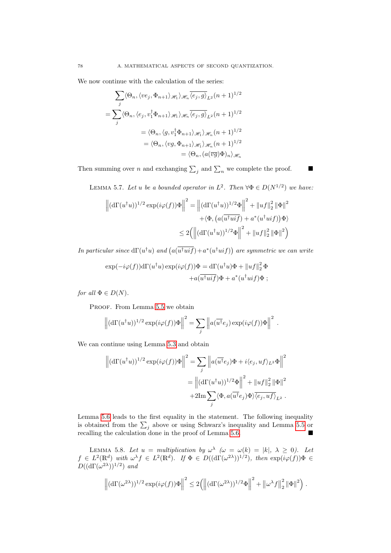We now continue with the calculation of the series:

$$
\sum_{j} \langle \Theta_n, \langle ve_j, \Phi_{n+1} \rangle_{\mathscr{H}_1} \rangle_{\mathscr{H}_n} \overline{\langle e_j, g \rangle}_{L^2} (n+1)^{1/2}
$$

$$
= \sum_{j} \langle \Theta_n, \langle e_j, v_1^{\dagger} \Phi_{n+1} \rangle_{\mathscr{H}_1} \rangle_{\mathscr{H}_n} \overline{\langle e_j, g \rangle}_{L^2} (n+1)^{1/2}
$$

$$
= \langle \Theta_n, \langle g, v_1^{\dagger} \Phi_{n+1} \rangle_{\mathscr{H}_1} \rangle_{\mathscr{H}_n} (n+1)^{1/2}
$$

$$
= \langle \Theta_n, \langle v g, \Phi_{n+1} \rangle_{\mathscr{H}_1} \rangle_{\mathscr{H}_n} (n+1)^{1/2}
$$

$$
= \langle \Theta_n, (a(\overline{v}g) \Phi)_n \rangle_{\mathscr{H}_n}
$$

Then summing over *n* and exchanging  $\sum_j$  and  $\sum_n$  we complete the proof.

<span id="page-77-0"></span>LEMMA 5.7. Let u be a bounded operator in  $L^2$ . Then  $\forall \Phi \in D(N^{1/2})$  we have:

$$
\left\| (\mathrm{d}\Gamma(u^\dagger u))^{1/2} \exp(i\varphi(f))\Phi \right\|^2 = \left\| (\mathrm{d}\Gamma(u^\dagger u))^{1/2}\Phi \right\|^2 + \|uf\|_2^2 \|\Phi\|^2
$$

$$
+ \langle \Phi, \left( a(\overline{u^\dagger u i f}) + a^*(u^\dagger u i f) \right) \Phi \rangle
$$

$$
\leq 2 \Big( \left\| (\mathrm{d}\Gamma(u^\dagger u))^{1/2}\Phi \right\|^2 + \|uf\|_2^2 \|\Phi\|^2 \Big)
$$

In particular since  $d\Gamma(u^{\dagger}u)$  and  $(a(\overline{u^{\dagger}uif})+a^*(u^{\dagger}uif))$  are symmetric we can write

$$
\exp(-i\varphi(f))d\Gamma(u^{\dagger}u)\exp(i\varphi(f))\Phi = d\Gamma(u^{\dagger}u)\Phi + ||uf||_2^2 \Phi
$$
  
 
$$
+a(\overline{u^{\dagger}ui f})\Phi + a^*(u^{\dagger}ui f)\Phi ;
$$

for all  $\Phi \in D(N)$ .

PROOF. From Lemma [5.5](#page-76-0) we obtain

$$
\left\| (\mathrm{d}\Gamma(u^\dagger u))^{1/2} \exp(i\varphi(f))\Phi \right\|^2 = \sum_j \left\| a(\overline{u^\dagger}e_j) \exp(i\varphi(f))\Phi \right\|^2.
$$

We can continue using Lemma [5.3](#page-74-3) and obtain

$$
\left\| (\mathrm{d}\Gamma(u^\dagger u))^{1/2} \exp(i\varphi(f))\Phi \right\|^2 = \sum_j \left\| a(\overline{u^\dagger}e_j)\Phi + i\langle e_j, u f \rangle_{L^2} \Phi \right\|^2
$$

$$
= \left\| (\mathrm{d}\Gamma(u^\dagger u))^{1/2} \Phi \right\|^2 + \|u f\|_2^2 \|\Phi\|^2
$$

$$
+ 2\mathrm{Im} \sum_j \langle \Phi, a(\overline{u^\dagger}e_j) \Phi \rangle \overline{\langle e_j, u f \rangle}_{L^2} .
$$

Lemma [5.6](#page-76-1) leads to the first equality in the statement. The following inequality is obtained from the  $\sum_j$  above or using Schwarz's inequality and Lemma [5.5](#page-76-0) or recalling the calculation done in the proof of Lemma [5.6.](#page-76-1)

LEMMA 5.8. Let  $u = multiplication$  by  $\omega^{\lambda}$  ( $\omega = \omega(k) = |k|, \lambda \ge 0$ ). Let  $f \in L^2(\mathbb{R}^d)$  with  $\omega^{\lambda} f \in L^2(\mathbb{R}^d)$ . If  $\Phi \in D((d\Gamma(\omega^{2\lambda}))^{1/2})$ , then  $\exp(i\varphi(f))\Phi \in$  $D((d\Gamma(\omega^{2\lambda}))^{1/2})$  and

$$
\left\| (\mathrm{d}\Gamma(\omega^{2\lambda}))^{1/2} \exp(i\varphi(f))\Phi \right\|^2 \leq 2\left( \left\| (\mathrm{d}\Gamma(\omega^{2\lambda}))^{1/2}\Phi \right\|^2 + \left\| \omega^{\lambda} f \right\|_2^2 \left\| \Phi \right\|^2 \right).
$$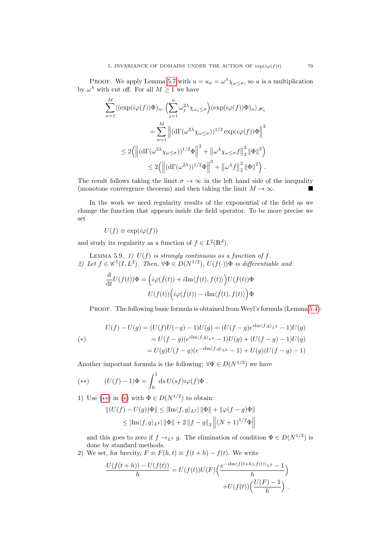PROOF. We apply Lemma [5.7](#page-77-0) with  $u = u_{\sigma} = \omega^{\lambda} \chi_{\omega \leq \sigma}$ , so u is a multiplication by  $\omega^{\lambda}$  with cut off. For all  $M \geq 1$  we have

$$
\sum_{n=1}^{M} \langle (\exp(i\varphi(f))\Phi)_n, \left(\sum_{j=1}^n \omega_j^{2\lambda} \chi_{\omega_j \leq \sigma}\right) (\exp(i\varphi(f))\Phi)_n \rangle_{\mathscr{H}_n}
$$
  

$$
= \sum_{n=1}^{M} \left\| (\mathrm{d}\Gamma(\omega^{2\lambda} \chi_{\omega \leq \sigma}))^{1/2} \exp(i\varphi(f))\Phi \right\|^2
$$
  

$$
\leq 2 \Big( \left\| (\mathrm{d}\Gamma(\omega^{2\lambda} \chi_{\omega \leq \sigma}))^{1/2} \Phi \right\|^2 + \left\| \omega^{\lambda} \chi_{\omega \leq \sigma} f \right\|_2^2 \left\| \Phi \right\|^2 \Big)
$$
  

$$
\leq 2 \Big( \left\| (\mathrm{d}\Gamma(\omega^{2\lambda}))^{1/2} \Phi \right\|^2 + \left\| \omega^{\lambda} f \right\|_2^2 \left\| \Phi \right\|^2 \Big).
$$

The result follows taking the limit  $\sigma \to \infty$  in the left hand side of the inequality (monotone convergence theorem) and then taking the limit  $M \to \infty$ .

In the work we need regularity results of the exponential of the field as we change the function that appears inside the field operator. To be more precise we set

$$
U(f) \equiv \exp(i\varphi(f))
$$

and study its regularity as a function of  $f \in L^2(\mathbb{R}^d)$ .

LEMMA 5.9. 1)  $U(f)$  is strongly continuous as a function of f. 2) Let  $f \in \mathscr{C}^1(I, L^2)$ . Then,  $\forall \Phi \in D(N^{1/2})$ ,  $U(f(\cdot))\Phi$  is differentiable and

$$
\begin{split} \frac{\mathrm{d}}{\mathrm{d}t}U(f(t))\Phi=&\,\Big(i\varphi(\dot{f}(t))+i\mathrm{Im}\langle\dot{f}(t),f(t)\rangle\Big)U(f(t))\Phi\\ &\qquad U(f(t))\Big(i\varphi(\dot{f}(t))-i\mathrm{Im}\langle\dot{f}(t),f(t)\rangle\Big)\Phi \end{split}
$$

PROOF. The following basic formula is obtained from Weyl's formula (Lemma [5.4\)](#page-75-0):

<span id="page-78-1"></span>
$$
U(f) - U(g) = (U(f)U(-g) - 1)U(g) = (U(f - g)e^{i\text{Im}\langle f,g\rangle_{L^2}} - 1)U(g)
$$
  
\n
$$
= U(f - g)(e^{i\text{Im}\langle f,g\rangle_{L^2}} - 1)U(g) + (U(f - g) - 1)U(g)
$$
  
\n
$$
= U(g)U(f - g)(e^{-i\text{Im}\langle f,g\rangle_{L^2}} - 1) + U(g)(U(f - g) - 1)
$$

Another important formula is the following:  $\forall \Phi \in D(N^{1/2})$  we have

<span id="page-78-0"></span>
$$
(**) \qquad (U(f) - 1)\Phi = \int_0^1 \mathrm{d} s \, U(sf) i\varphi(f)\Phi.
$$

1) Use  $(**)$  in  $(*)$  with  $\Phi \in D(N^{1/2})$  to obtain:

$$
||(U(f) – U(g))\Phi|| \le |\text{Im}\langle f, g \rangle_{L^2}||\Phi|| + ||\varphi(f - g)\Phi||
$$
  

$$
\le |\text{Im}\langle f, g \rangle_{L^2}||\Phi|| + 2||f - g||_2 ||(N + 1)^{1/2}\Phi||
$$

and this goes to zero if  $f \to_{L^2} g$ . The elimination of condition  $\Phi \in D(N^{1/2})$  is done by standard methods.

2) We set, for brevity,  $F \equiv F(h,t) \equiv f(t+h) - f(t)$ . We write

$$
\frac{U(f(t+h)) - U(f(t))}{h} = U(f(t))U(F)\left(\frac{e^{-i\text{Im}\langle f(t+h), f(t)\rangle_{L^2}} - 1}{h}\right) + U(f(t))\left(\frac{U(F) - 1}{h}\right).
$$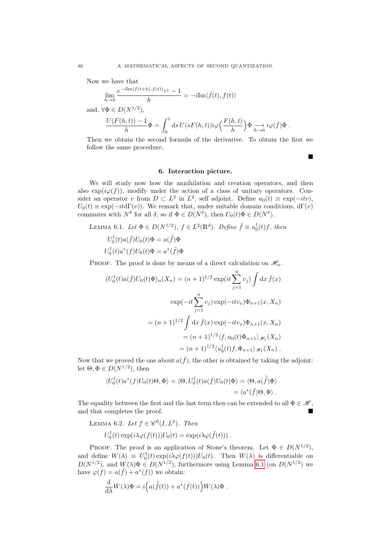Now we have that

 $\lim_{h\to 0}$  $e^{-i\text{Im}\langle f(t+h),f(t)\rangle_{L^2}}-1$  $\frac{1}{h} = -i\text{Im}\langle \dot{f}(t), f(t) \rangle$ 

and,  $\forall \Phi \in D(N^{1/2}),$ 

$$
\frac{U(F(h,t))-1}{h}\Phi=\int_0^1\mathrm{d} s\,U(sF(h,t))i\varphi\Big(\frac{F(h,t)}{h}\Big)\Phi\underset{h\to 0}{\longrightarrow}i\varphi(\dot f)\Phi\;.
$$

Then we obtain the second formula of the derivative. To obtain the first we follow the same procedure.

п

#### 6. Interaction picture.

We will study now how the annihilation and creation operators, and then also  $\exp(i\varphi(f))$ , modify under the action of a class of unitary operators. Consider an operator v from  $D \subset L^2$  in  $L^2$ , self adjoint. Define  $u_0(t) \equiv \exp(-itv)$ ,  $U_0(t) \equiv \exp(-it \mathrm{d}\Gamma(v))$ . We remark that, under suitable domain conditions,  $d\Gamma(v)$ commutes with  $N^{\delta}$  for all  $\delta$ , so if  $\Phi \in D(N^{\delta})$ , then  $U_0(t)\Phi \in D(N^{\delta})$ .

<span id="page-79-0"></span>LEMMA 6.1. Let 
$$
\Phi \in D(N^{1/2})
$$
,  $f \in L^2(\mathbb{R}^d)$ . Define  $\tilde{f} \equiv u_0^{\dagger}(t)f$ , then  
\n
$$
U_0^{\dagger}(t)a(\bar{f})U_0(t)\Phi = a(\bar{\tilde{f}})\Phi
$$
\n
$$
U_0^{\dagger}(t)a^*(f)U_0(t)\Phi = a^*(\tilde{f})\Phi
$$

PROOF. The proof is done by means of a direct calculation on  $\mathcal{H}_n$ .

$$
(U_0^{\dagger}(t)a(\bar{f})U_0(t)\Phi)_n(X_n) = (n+1)^{1/2} \exp(it\sum_{j=1}^n v_j) \int dx \,\bar{f}(x)
$$

$$
\exp(-it\sum_{j=1}^n v_j) \exp(-itv_x)\Phi_{n+1}(x, X_n)
$$

$$
= (n+1)^{1/2} \int dx \,\bar{f}(x) \exp(-itv_x)\Phi_{n+1}(x, X_n)
$$

$$
= (n+1)^{1/2} \langle f, u_0(t)\Phi_{n+1} \rangle_{\mathscr{H}_1}(X_n)
$$

$$
= (n+1)^{1/2} \langle u_0^{\dagger}(t)f, \Phi_{n+1} \rangle_{\mathscr{H}_1}(X_n).
$$

Now that we proved the one about  $a(\bar{f})$ , the other is obtained by taking the adjoint: let  $\Theta, \Phi \in D(N^{1/2}),$  then

$$
\langle U_0^{\dagger}(t)a^*(f)U_0(t)\Theta,\Phi\rangle = \langle \Theta,U_0^{\dagger}(t)a(\bar{f})U_0(t)\Phi\rangle = \langle \Theta,a(\bar{\tilde{f}})\Phi\rangle
$$
  
=  $\langle a^*(\tilde{f})\Theta,\Phi\rangle$ .

The equality between the first and the last term then can be extended to all  $\Phi \in \mathcal{H}$ , and that completes the proof.

LEMMA 6.2. Let  $f \in \mathscr{C}^0(I, L^2)$ . Then  $U_0^{\dagger}(t) \exp(i\lambda \varphi(f(t))) U_0(t) = \exp(i\lambda \varphi(\tilde{f}(t)))$ .

PROOF. The proof is an application of Stone's theorem. Let  $\Phi \in D(N^{1/2})$ , and define  $W(\lambda) \equiv U_0^{\dagger}(t) \exp(i\lambda \varphi(f(t))) U_0(t)$ . Then  $W(\lambda)$  is differentiable on  $D(N^{1/2})$ , and  $W(\lambda)\Phi \in D(N^{1/2})$ , furthermore using Lemma [6.1](#page-79-0) (on  $D(N^{1/2})$  we have  $\varphi(f) = a(\bar{f}) + a^*(f)$  we obtain:

$$
\frac{\mathrm{d}}{\mathrm{d} \lambda} W(\lambda) \Phi = i \Big( a(\bar{\tilde{f}}(t)) + a^*(\tilde{f}(t)) \Big) W(\lambda) \Phi.
$$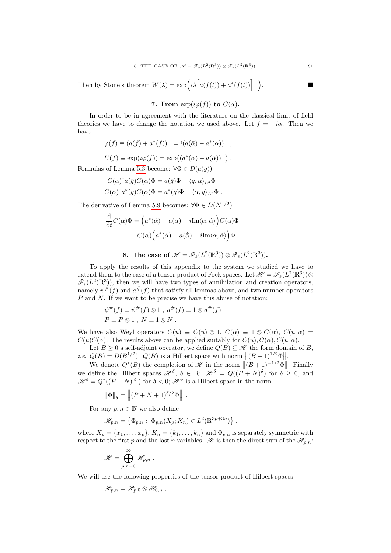8. THE CASE OF 
$$
\mathcal{H} = \mathcal{F}_s(L^2(\mathbb{R}^3)) \otimes \mathcal{F}_s(L^2(\mathbb{R}^3)).
$$
 81

Then by Stone's theorem  $W(\lambda) = \exp\left(i\lambda \left[a(\bar{\tilde{f}}(t)) + a^*(\tilde{f}(t))\right]\right)$ 

7. From 
$$
\exp(i\varphi(f))
$$
 to  $C(\alpha)$ .

In order to be in agreement with the literature on the classical limit of field theories we have to change the notation we used above. Let  $f = -i\alpha$ . Then we have

$$
\varphi(f) \equiv (a(\bar{f}) + a^*(f))^{-} = i(a(\bar{\alpha}) - a^*(\alpha))^{-},
$$
  

$$
U(f) \equiv \exp(i\varphi(f)) = \exp((a^*(\alpha) - a(\bar{\alpha}))^{-}).
$$

Formulas of Lemma [5.3](#page-74-3) become:  $\forall \Phi \in D(a(\bar{g}))$ 

$$
C(\alpha)^{\dagger} a(\bar{g}) C(\alpha) \Phi = a(\bar{g}) \Phi + \langle g, \alpha \rangle_{L^2} \Phi
$$
  

$$
C(\alpha)^{\dagger} a^*(g) C(\alpha) \Phi = a^*(g) \Phi + \langle \alpha, g \rangle_{L^2} \Phi.
$$

The derivative of Lemma [5.9](#page-0-0) becomes:  $\forall \Phi \in D(N^{1/2})$ 

$$
\frac{\mathrm{d}}{\mathrm{d}t}C(\alpha)\Phi = \left(a^*(\dot{\alpha}) - a(\dot{\bar{\alpha}}) - i\mathrm{Im}\langle\alpha,\dot{\alpha}\rangle\right)C(\alpha)\Phi
$$

$$
C(\alpha)\Big(a^*(\dot{\alpha}) - a(\dot{\bar{\alpha}}) + i\mathrm{Im}\langle\alpha,\dot{\alpha}\rangle\Big)\Phi.
$$

8. The case of 
$$
\mathscr{H} = \mathscr{F}_s(L^2(\mathbb{R}^3)) \otimes \mathscr{F}_s(L^2(\mathbb{R}^3)).
$$

To apply the results of this appendix to the system we studied we have to extend them to the case of a tensor product of Fock spaces. Let  $\mathscr{H} = \mathscr{F}_s(L^2(\mathbb{R}^3))\otimes$  $\mathscr{F}_s(L^2(\mathbb{R}^3))$ , then we will have two types of annihilation and creation operators, namely  $\psi^{\#}(f)$  and  $a^{\#}(f)$  that satisfy all lemmas above, and two number operators  $P$  and  $N$ . If we want to be precise we have this abuse of notation:

$$
\psi^{\#}(f) \equiv \psi^{\#}(f) \otimes 1 , a^{\#}(f) \equiv 1 \otimes a^{\#}(f)
$$
  

$$
P \equiv P \otimes 1 , N \equiv 1 \otimes N .
$$

We have also Weyl operators  $C(u) \equiv C(u) \otimes 1$ ,  $C(\alpha) \equiv 1 \otimes C(\alpha)$ ,  $C(u, \alpha) =$  $C(u)C(\alpha)$ . The results above can be applied suitably for  $C(u)$ ,  $C(\alpha)$ ,  $C(u, \alpha)$ .

Let  $B \geq 0$  a self-adjoint operator, we define  $Q(B) \subseteq \mathcal{H}$  the form domain of B, *i.e.*  $Q(B) = D(B^{1/2})$ .  $Q(B)$  is a Hilbert space with norm  $||(B+1)^{1/2}\Phi||$ .

We denote  $Q^*(B)$  the completion of  $\mathscr H$  in the norm  $||(B+1)^{-1/2}\Phi||$ . Finally we define the Hilbert spaces  $\mathscr{H}^{\delta}$ ,  $\delta \in \mathbb{R}$ :  $\mathscr{H}^{\delta} = Q((P+N)^{\delta})$  for  $\delta \geq 0$ , and  $\mathscr{H}^{\delta} = Q^*((P+N)^{|\delta|})$  for  $\delta < 0$ ;  $\mathscr{H}^{\delta}$  is a Hilbert space in the norm

$$
\|\Phi\|_{\delta} = \left\| (P + N + 1)^{\delta/2} \Phi \right\|.
$$

For any  $p, n \in \mathbb{N}$  we also define

$$
\mathscr{H}_{p,n} = \left\{ \Phi_{p,n} : \Phi_{p,n}(X_p; K_n) \in L^2(\mathbb{R}^{3p+3n}) \right\},
$$

where  $X_p = \{x_1, \ldots, x_p\}$ ,  $K_n = \{k_1, \ldots, k_n\}$  and  $\Phi_{p,n}$  is separately symmetric with respect to the first p and the last n variables.  $\mathscr H$  is then the direct sum of the  $\mathscr H_{p,n}$ :

$$
\mathscr{H}=\bigoplus_{p,n=0}^\infty \mathscr{H}_{p,n}\ .
$$

We will use the following properties of the tensor product of Hilbert spaces

$$
\mathscr{H}_{p,n}=\mathscr{H}_{p,0}\otimes\mathscr{H}_{0,n}\;,
$$

.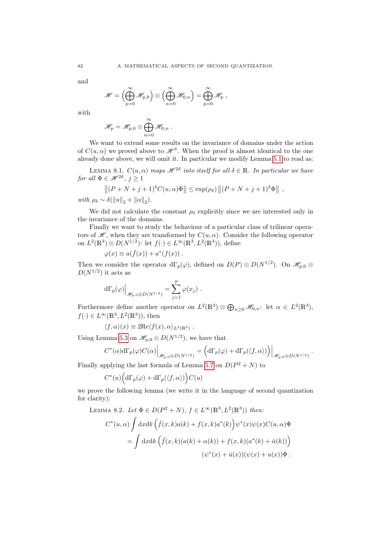and

$$
\mathscr{H}=\left(\bigoplus_{p=0}^\infty\mathscr{H}_{p,0}\right)\otimes\left(\bigoplus_{n=0}^\infty\mathscr{H}_{0,n}\right)=\bigoplus_{p=0}^\infty\mathscr{H}_p,
$$

with

$$
\mathscr{H}_p = \mathscr{H}_{p,0} \otimes \bigoplus_{n=0}^{\infty} \mathscr{H}_{0,n} .
$$

We want to extend some results on the invariance of domains under the action of  $C(u, \alpha)$  we proved above to  $\mathscr{H}^{\delta}$ . When the proof is almost identical to the one already done above, we will omit it. In particular we modify Lemma [5.1](#page-73-0) to read as:

LEMMA 8.1.  $C(u, \alpha)$  maps  $\mathscr{H}^{2\delta}$  into itself for all  $\delta \in \mathbb{R}$ . In particular we have for all  $\Phi \in \mathscr{H}^{2\delta}, \ j \geq 1$ 

$$
\|(P+N+j+1)^{\delta}C(u,\alpha)\Phi\| \leq \exp(\rho_{\delta})\|(P+N+j+1)^{\delta}\Phi\|,
$$

with  $\rho_{\delta} \sim \delta(||u||_2 + ||\alpha||_2)$ .

We did not calculate the constant  $\rho_{\delta}$  explicitly since we are interested only in the invariance of the domains.

Finally we want to study the behaviour of a particular class of trilinear operators of  $\mathscr{H}$ , when they are transformed by  $C(u, \alpha)$ . Consider the following operator on  $L^2(\mathbb{R}^3) \otimes D(N^{1/2})$ : let  $f(\cdot) \in L^\infty(\mathbb{R}^3, L^2(\mathbb{R}^3))$ , define

$$
\varphi(x) \equiv a(\bar{f}(x)) + a^*(f(x)) \; .
$$

Then we consider the operator  $d\Gamma_p(\varphi)$ , defined on  $D(P) \otimes D(N^{1/2})$ . On  $\mathscr{H}_{p,0} \otimes$  $D(N^{1/2})$  it acts as

$$
\mathrm{d}\Gamma_p(\varphi)\Big|_{\mathscr{H}_{p,0}\otimes D(N^{1/2})}=\sum_{j=1}^p\varphi(x_j)\ .
$$

Furthermore define another operator on  $L^2(\mathbb{R}^3) \otimes \bigoplus_{n\geq 0} \mathcal{H}_{0,n}$ : let  $\alpha \in L^2(\mathbb{R}^3)$ ,  $f(\cdot) \in L^{\infty}(\mathbb{R}^3, L^2(\mathbb{R}^3))$ , then

$$
\langle f, \alpha \rangle(x) \equiv 2\text{Re}\langle f(x), \alpha \rangle_{L^2(\mathbb{R}^3)}.
$$

Using Lemma [5.3](#page-74-3) on  $\mathscr{H}_{p,0}\otimes D(N^{1/2})$ , we have that

$$
C^*(\alpha) d\Gamma_p(\varphi) C(\alpha) \Big|_{\mathscr{H}_{p,0} \otimes D(N^{1/2})} = \left( d\Gamma_p(\varphi) + d\Gamma_p(\langle f, \alpha \rangle) \right) \Big|_{\mathscr{H}_{p,0} \otimes D(N^{1/2})}.
$$

Finally applying the last formula of Lemma [5.7](#page-77-0) on  $D(P^2 + N)$  to

$$
C^*(u)\Big(\mathrm{d}\Gamma_p(\varphi)+\mathrm{d}\Gamma_p(\langle f,\alpha\rangle)\Big)C(u)
$$

we prove the following lemma (we write it in the language of second quantization for clarity):

LEMMA 8.2. Let 
$$
\Phi \in D(P^2 + N)
$$
,  $f \in L^{\infty}(\mathbb{R}^3, L^2(\mathbb{R}^3))$  then:  
\n
$$
C^*(u, \alpha) \int dx dk \left( \bar{f}(x, k) a(k) + f(x, k) a^*(k) \right) \psi^*(x) \psi(x) C(u, \alpha) \Phi
$$
\n
$$
= \int dx dk \left( \bar{f}(x, k) (a(k) + \alpha(k)) + f(x, k) (a^*(k) + \bar{\alpha}(k)) \right)
$$
\n
$$
(\psi^*(x) + \bar{u}(x)) (\psi(x) + u(x)) \Phi.
$$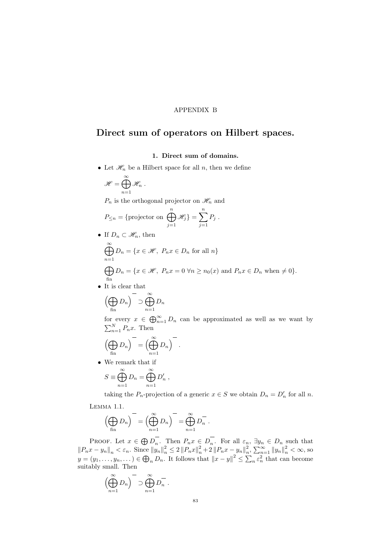### APPENDIX B

# Direct sum of operators on Hilbert spaces.

## 1. Direct sum of domains.

• Let  $\mathcal{H}_n$  be a Hilbert space for all n, then we define

$$
\mathscr{H}=\bigoplus_{n=1}^{\infty}\mathscr{H}_n.
$$

 $P_n$  is the orthogonal projector on  $\mathcal{H}_n$  and

$$
P_{\leq n} = \{ \text{projector on } \bigoplus_{j=1}^{n} \mathcal{H}_j \} = \sum_{j=1}^{n} P_j.
$$

• If  $D_n \subset \mathcal{H}_n$ , then

$$
\bigoplus_{n=1}^{\infty} D_n = \{x \in \mathcal{H}, P_n x \in D_n \text{ for all } n\}
$$
  
\n
$$
\bigoplus_{n=1}^{\infty} D_n = \{x \in \mathcal{H}, P_n x = 0 \,\forall n \ge n_0(x) \text{ and } P_n x \in D_n \text{ when } \ne 0\}.
$$

• It is clear that

$$
\left(\bigoplus_{\text{fin}} D_n\right)^{-} \supset \bigoplus_{n=1}^{\infty} D_n
$$

for every  $x \in \bigoplus_{n=1}^{\infty} D_n$  can be approximated as well as we want by  $\sum_{n=1}^{N} P_n x$ . Then

$$
\left(\bigoplus_{\text{fin}} D_n\right)^{-} = \left(\bigoplus_{n=1}^{\infty} D_n\right)^{-}.
$$

• We remark that if

$$
S \equiv \bigoplus_{n=1}^{\infty} D_n = \bigoplus_{n=1}^{\infty} D'_n ,
$$

<span id="page-82-0"></span>taking the  $P_n$ -projection of a generic  $x \in S$  we obtain  $D_n = D'_n$  for all n. Lemma 1.1.

$$
\left(\bigoplus_{\text{fin}} D_n\right)^{-} = \left(\bigoplus_{n=1}^{\infty} D_n\right)^{-} = \bigoplus_{n=1}^{\infty} D_n^{-}.
$$

PROOF. Let  $x \in \bigoplus D_n$ . Then  $P_n x \in D_n$ . For all  $\varepsilon_n$ ,  $\exists y_n \in D_n$  such that  $||P_n x - y_n||_n < \varepsilon_n$ . Since  $||y_n||_n^2 \le 2 ||P_n x||_n^2 + 2 ||P_n x - y_n||_n^2$ ,  $\sum_{n=1}^{\infty} ||y_n||_n^2 < \infty$ , so  $y = (y_1, \ldots, y_n, \ldots) \in \bigoplus_n D_n$ . It follows that  $||x - y||^2 \leq \sum_n \varepsilon_n^2$  that can become suitably small. Then

$$
\left(\bigoplus_{n=1}^{\infty} D_n\right)^{-1} \supset \bigoplus_{n=1}^{\infty} D_n^{-}.
$$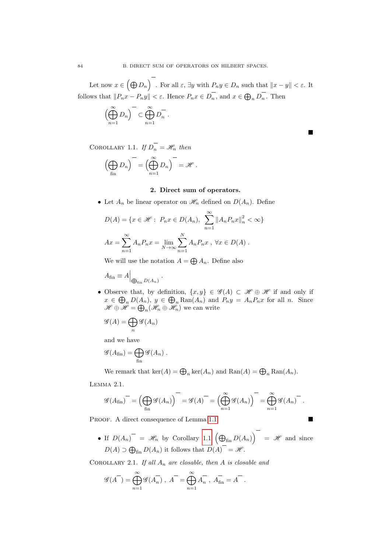Let now  $x \in \left(\bigoplus D_n\right)$  . For all  $\varepsilon$ ,  $\exists y$  with  $P_n y \in D_n$  such that  $\|x-y\| < \varepsilon$ . It follows that  $||P_n x - P_n y|| < \varepsilon$ . Hence  $P_n x \in D_n$ , and  $x \in \bigoplus_n D_n$ . Then

$$
\left(\bigoplus_{n=1}^{\infty} D_n\right)^{-} \subset \bigoplus_{n=1}^{\infty} D_n^{-} .
$$

 $\blacksquare$ 

<span id="page-83-0"></span>COROLLARY 1.1. If  $D_n = \mathcal{H}_n$  then

$$
\left(\bigoplus_{\text{fin}} D_n\right)^{-1} = \left(\bigoplus_{n=1}^{\infty} D_n\right)^{-1} = \mathscr{H}.
$$

## 2. Direct sum of operators.

• Let  $A_n$  be linear operator on  $\mathcal{H}_n$  defined on  $D(A_n)$ . Define

$$
D(A) = \{x \in \mathcal{H} : P_n x \in D(A_n), \sum_{n=1}^{\infty} ||A_n P_n x||_n^2 < \infty\}
$$
  

$$
Ax = \sum_{n=1}^{\infty} A_n P_n x = \lim_{N \to \infty} \sum_{n=1}^N A_n P_n x, \forall x \in D(A) .
$$

We will use the notation  $A = \bigoplus A_n$ . Define also

.

$$
A_{\rm fin} \equiv A \Big|_{\bigoplus_{\rm fin} D(A_n)}
$$

• Observe that, by definition,  $\{x, y\} \in \mathscr{G}(A) \subset \mathscr{H} \oplus \mathscr{H}$  if and only if  $x \in \bigoplus_n D(A_n)$ ,  $y \in \bigoplus_n \text{Ran}(A_n)$  and  $P_ny = A_nP_nx$  for all n. Since  $\mathscr{H} \oplus \mathscr{H} = \bigoplus_{n} (\mathscr{H}_{n} \oplus \mathscr{H}_{n})$  we can write

$$
\mathscr{G}(A)=\bigoplus_n \mathscr{G}(A_n)
$$

and we have

$$
\mathscr{G}(A_{\text{fin}}) = \bigoplus_{\text{fin}} \mathscr{G}(A_n) .
$$

We remark that  $\ker(A) = \bigoplus_n \ker(A_n)$  and  $\text{Ran}(A) = \bigoplus_n \text{Ran}(A_n)$ .

<span id="page-83-1"></span>Lemma 2.1.

$$
\mathscr{G}(A_{\text{fin}})^{-} = \left(\bigoplus_{\text{fin}} \mathscr{G}(A_n)\right)^{-} = \mathscr{G}(A)^{-} = \left(\bigoplus_{n=1}^{\infty} \mathscr{G}(A_n)\right)^{-} = \bigoplus_{n=1}^{\infty} \mathscr{G}(A_n)^{-}.
$$

PROOF. A direct consequence of Lemma [1.1](#page-82-0)

- 
- If  $D(A_n)$  =  $\mathscr{H}_n$  by Corollary [1.1](#page-83-0)  $(\bigoplus_{\text{fin}} D(A_n)) = \mathscr{H}$  and since  $D(A) \supset \bigoplus_{\text{fin}} D(A_n)$  it follows that  $D(A) = \mathcal{H}$ .

COROLLARY 2.1. If all  $A_n$  are closable, then A is closable and

$$
\mathscr{G}(A^{-}) = \bigoplus_{n=1}^{\infty} \mathscr{G}(A_{n}^{-}), A^{-} = \bigoplus_{n=1}^{\infty} A_{n}^{-}, A_{\text{fin}}^{-} = A^{-}.
$$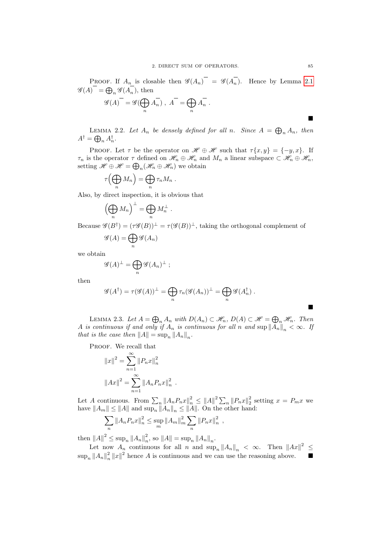**PROOF.** If  $A_n$  is closable then  $\mathscr{G}(A_n)$  =  $\mathscr{G}(A_n)$ . Hence by Lemma [2.1](#page-83-1)  $\mathscr{G}(A) = \bigoplus_{n} \mathscr{G}(A_n)$ , then

$$
\mathscr{G}(A)^{-} = \mathscr{G}(\bigoplus_{n} A_{n}) , A^{-} = \bigoplus_{n} A_{n}^{-} .
$$

LEMMA 2.2. Let  $A_n$  be densely defined for all n. Since  $A = \bigoplus_n A_n$ , then  $A^{\dagger} = \bigoplus_n A_n^{\dagger}.$ 

PROOF. Let  $\tau$  be the operator on  $\mathscr{H} \oplus \mathscr{H}$  such that  $\tau\{x, y\} = \{-y, x\}$ . If  $\tau_n$  is the operator  $\tau$  defined on  $\mathscr{H}_n \oplus \mathscr{H}_n$  and  $M_n$  a linear subspace  $\subset \mathscr{H}_n \oplus \mathscr{H}_n$ , setting  $\mathscr{H} \oplus \mathscr{H} = \bigoplus_n (\mathscr{H}_n \oplus \mathscr{H}_n)$  we obtain

$$
\tau\Bigl(\bigoplus_n M_n\Bigr) = \bigoplus_n \tau_n M_n .
$$

Also, by direct inspection, it is obvious that

$$
\left(\bigoplus_n M_n\right)^{\perp} = \bigoplus_n M_n^{\perp} .
$$

Because  $\mathscr{G}(B^{\dagger}) = (\tau \mathscr{G}(B))^{\perp} = \tau(\mathscr{G}(B))^{\perp}$ , taking the orthogonal complement of

$$
\mathscr{G}(A) = \bigoplus_n \mathscr{G}(A_n)
$$

we obtain

$$
\mathscr{G}(A)^{\perp} = \bigoplus_{n} \mathscr{G}(A_n)^{\perp} ;
$$

then

$$
\mathscr{G}(A^{\dagger}) = \tau(\mathscr{G}(A))^{\perp} = \bigoplus_{n} \tau_n(\mathscr{G}(A_n))^{\perp} = \bigoplus_{n} \mathscr{G}(A_n^{\dagger}).
$$

LEMMA 2.3. Let  $A = \bigoplus_n A_n$  with  $D(A_n) \subset \mathcal{H}_n$ ,  $D(A) \subset \mathcal{H} = \bigoplus_n \mathcal{H}_n$ . Then A is continuous if and only if  $A_n$  is continuous for all n and sup  $||A_n||_n < \infty$ . If that is the case then  $||A|| = \sup_n ||A_n||_n$ .

PROOF. We recall that

$$
||x||^{2} = \sum_{n=1}^{\infty} ||P_{n}x||_{n}^{2}
$$

$$
||Ax||^{2} = \sum_{n=1}^{\infty} ||A_{n}P_{n}x||_{n}^{2}
$$

Let A continuous. From  $\sum_{n} ||A_n P_n x||_n^2 \le ||A||^2 \sum_{n} ||P_n x||_2^2$  setting  $x = P_m x$  we have  $||A_m|| \le ||A||$  and  $\sup_n ||A_n||_n \le ||A||$ . On the other hand:

$$
\sum_{n} \|A_n P_n x\|_n^2 \le \sup_m \|A_m\|_m^2 \sum_{n} \|P_n x\|_n^2 ,
$$

.

then  $||A||^2 \leq \sup_n ||A_n||_n^2$ , so  $||A|| = \sup_n ||A_n||_n$ .

Let now  $A_n$  continuous for all n and  $\sup_n ||A_n||_n < \infty$ . Then  $||Ax||^2 \le$  $\sup_n ||A_n||_n^2 ||x||^2$  hence A is continuous and we can use the reasoning above.

 $\blacksquare$ 

Ē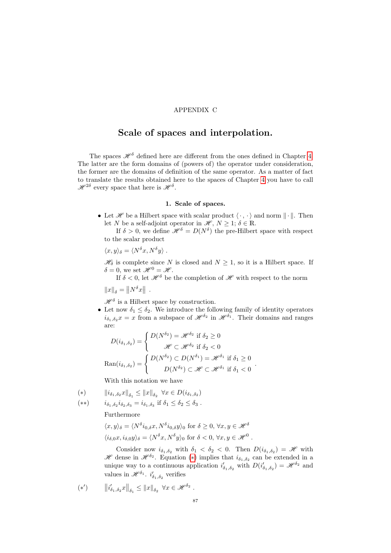### APPENDIX C

# Scale of spaces and interpolation.

The spaces  $\mathcal{H}^{\delta}$  defined here are different from the ones defined in Chapter [4.](#page-28-0) The latter are the form domains of (powers of) the operator under consideration, the former are the domains of definition of the same operator. As a matter of fact to translate the results obtained here to the spaces of Chapter [4](#page-28-0) you have to call  $\mathscr{H}^{2\delta}$  every space that here is  $\mathscr{H}^{\delta}$ .

#### 1. Scale of spaces.

• Let  $\mathscr H$  be a Hilbert space with scalar product  $\langle \cdot, \cdot \rangle$  and norm  $\|\cdot\|$ . Then let N be a self-adjoint operator in  $\mathscr{H}, N \geq 1$ ;  $\delta \in \mathbb{R}$ .

If  $\delta > 0$ , we define  $\mathscr{H}^{\delta} = D(N^{\delta})$  the pre-Hilbert space with respect to the scalar product

$$
\langle x, y \rangle_{\delta} = \langle N^{\delta} x, N^{\delta} y \rangle.
$$

 $\mathscr{H}_{\delta}$  is complete since N is closed and  $N \geq 1$ , so it is a Hilbert space. If  $\delta = 0$ , we set  $\mathcal{H}^0 = \mathcal{H}$ .

If  $\delta$  < 0, let  $\mathcal{H}^{\delta}$  be the completion of  $\mathcal{H}$  with respect to the norm

$$
||x||_{\delta} = ||N^{\delta}x||.
$$

 $\mathscr{H}^{\delta}$  is a Hilbert space by construction.

• Let now  $\delta_1 \leq \delta_2$ . We introduce the following family of identity operators  $i_{\delta_1,\delta_2}x=x$  from a subspace of  $\mathscr{H}^{\delta_2}$  in  $\mathscr{H}^{\delta_1}$ . Their domains and ranges are:

.

$$
D(i_{\delta_1, \delta_2}) = \begin{cases} D(N^{\delta_2}) = \mathcal{H}^{\delta_2} & \text{if } \delta_2 \ge 0 \\ \mathcal{H} \subset \mathcal{H}^{\delta_2} & \text{if } \delta_2 < 0 \end{cases}
$$

$$
\text{Ran}(i_{\delta_1, \delta_2}) = \begin{cases} D(N^{\delta_2}) \subset D(N^{\delta_1}) = \mathcal{H}^{\delta_1} & \text{if } \delta_1 \ge 0 \\ D(N^{\delta_2}) \subset \mathcal{H} \subset \mathcal{H}^{\delta_1} & \text{if } \delta_1 < 0 \end{cases}
$$

With this notation we have

<span id="page-86-0"></span>(\*) 
$$
\|i_{\delta_1, \delta_2} x\|_{\delta_1} \le \|x\|_{\delta_2} \ \forall x \in D(i_{\delta_1, \delta_2})
$$

<span id="page-86-1"></span>
$$
(**) \qquad i_{\delta_1,\delta_2} i_{\delta_2,\delta_3} = i_{\delta_1,\delta_3} \text{ if } \delta_1 \leq \delta_2 \leq \delta_3 .
$$

Furthermore

$$
\langle x, y \rangle_{\delta} = \langle N^{\delta} i_{0,\delta} x, N^{\delta} i_{0,\delta} y \rangle_0 \text{ for } \delta \ge 0, \forall x, y \in \mathcal{H}^{\delta}
$$
  

$$
\langle i_{\delta,0} x, i_{\delta,0} y \rangle_{\delta} = \langle N^{\delta} x, N^{\delta} y \rangle_0 \text{ for } \delta < 0, \forall x, y \in \mathcal{H}^0.
$$

Consider now  $i_{\delta_1,\delta_2}$  with  $\delta_1 < \delta_2 < 0$ . Then  $D(i_{\delta_1,\delta_2}) = \mathscr{H}$  with H dense in  $\mathscr{H}^{\delta_2}$ . Equation (\*) implies that  $i_{\delta_1,\delta_2}$  can be extended in a unique way to a continuous application  $i'_{\delta_1,\delta_2}$  with  $D(i'_{\delta_1,\delta_2}) = \mathscr{H}^{\delta_2}$  and values in  $\mathscr{H}^{\delta_1}$ .  $i'_{\delta_1, \delta_2}$  verifies

$$
(*) \qquad \left\| i'_{\delta_1, \delta_2} x \right\|_{\delta_1} \leq \left\| x \right\|_{\delta_2} \ \forall x \in \mathscr{H}^{\delta_2} .
$$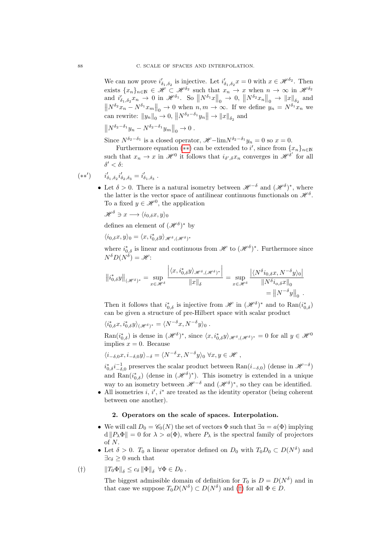We can now prove  $i'_{\delta_1,\delta_2}$  is injective. Let  $i'_{\delta_1,\delta_2}x=0$  with  $x\in\mathscr{H}^{\delta_2}$ . Then exists  $\{x_n\}_{n\in\mathbb{N}} \in \mathcal{H} \subset \mathcal{H}^{\delta_2}$  such that  $x_n \to x$  when  $n \to \infty$  in  $\mathcal{H}^{\delta_2}$ and  $i'_{\delta_1,\delta_2}x_n \to 0$  in  $\mathscr{H}^{\delta_1}$ . So  $\|N^{\delta_1}x\|_0 \to 0$ ,  $\|N^{\delta_2}x_n\|_0 \to \|x\|_{\delta_2}$  and  $\left\| N^{\delta_2} x_n - N^{\delta_1} x_m \right\|_0 \to 0$  when  $n, m \to \infty$ . If we define  $y_n = N^{\delta_1} x_n$  we can rewrite:  $||y_n||_0 \to 0$ ,  $||N^{\delta_2-\delta_1}y_n|| \to ||x||_{\delta_2}$  and

$$
||N^{\delta_2-\delta_1}y_n-N^{\delta_2-\delta_1}y_m||_0\to 0.
$$

Since  $N^{\delta_2-\delta_1}$  is a closed operator,  $\mathscr{H}-\lim N^{\delta_2-\delta_1}y_n=0$  so  $x=0$ .

Furthermore equation (\*\*) can be extended to i', since from  $\{x_n\}_{n\in\mathbb{N}}$ such that  $x_n \to x$  in  $\mathscr{H}^0$  it follows that  $i_{\delta',\delta} x_n$  converges in  $\mathscr{H}^{\delta'}$  for all  $\delta' < \delta$ :

$$
(**') \qquad i'_{\delta_1, \delta_2} i'_{\delta_2, \delta_3} = i'_{\delta_1, \delta_3} .
$$

• Let  $\delta > 0$ . There is a natural isometry between  $\mathscr{H}^{-\delta}$  and  $(\mathscr{H}^{\delta})^*$ , where the latter is the vector space of antilinear continuous functionals on  $\mathscr{H}^{\delta}$ . To a fixed  $y \in \mathcal{H}^0$ , the application

$$
\mathscr{H}^\delta\ni x\longrightarrow \langle i_{0,\delta}x,y\rangle_0
$$

defines an element of  $(\mathscr{H}^{\delta})^*$  by

$$
\langle i_{0,\delta}x, y\rangle_0 = \langle x, i_{0,\delta}^*y\rangle_{\mathscr{H}^\delta,(\mathscr{H}^\delta)^*}
$$

where  $i_{0,\delta}^*$  is linear and continuous from  $\mathscr{H}$  to  $(\mathscr{H}^{\delta})^*$ . Furthermore since  $N^{\delta}D(N^{\delta}) = \mathscr{H}$ :

$$
\left\|i_{0,\delta}^{*}y\right\|_{(\mathscr{H}^{\delta})^{*}} = \sup_{x \in \mathscr{H}^{\delta}} \frac{\left|\langle x, i_{0,\delta}^{*}y \rangle_{\mathscr{H}^{\delta},(\mathscr{H}^{\delta})^{*}}\right|}{\|x\|_{\delta}} = \sup_{x \in \mathscr{H}^{\delta}} \frac{\left|\langle N^{\delta}i_{0,\delta}x, N^{-\delta}y \rangle_{0}\right|}{\|N^{\delta}i_{0,\delta}x\|_{0}}}{\|N^{\delta}i_{0,\delta}x\|_{0}} = \left\|N^{-\delta}y\right\|_{0}.
$$

Then it follows that  $i_{0,\delta}^*$  is injective from  $\mathscr{H}$  in  $(\mathscr{H}^\delta)^*$  and to  $\text{Ran}(i_{0,\delta}^*)$ can be given a structure of pre-Hilbert space with scalar product

$$
\langle i_{0,\delta}^* x, i_{0,\delta}^* y \rangle_{(\mathscr{H}^{\delta})^*} = \langle N^{-\delta} x, N^{-\delta} y \rangle_0.
$$

 $\text{Ran}(i^*_{0,\delta})$  is dense in  $(\mathscr{H}^\delta)^*$ , since  $\langle x, i^*_{0,\delta} y \rangle_{\mathscr{H}^\delta,(\mathscr{H}^\delta)^*} = 0$  for all  $y \in \mathscr{H}^0$ implies  $x = 0$ . Because

$$
\langle i_{-\delta,0}x, i_{-\delta,0}y \rangle_{-\delta} = \langle N^{-\delta}x, N^{-\delta}y \rangle_0 \,\,\forall x, y \in \mathscr{H},
$$

 $i_{0,\delta}^* i_{-\delta,0}^{-1}$  preserves the scalar product between  $\text{Ran}(i_{-\delta,0})$  (dense in  $\mathscr{H}^{-\delta})$ and Ran $(i_{0,\delta}^*)$  (dense in  $(\mathscr{H}^{\delta})^*$ ). This isometry is extended in a unique way to an isometry between  $\mathscr{H}^{-\delta}$  and  $(\mathscr{H}^{\delta})^*$ , so they can be identified.

• All isometries  $i, i', i^*$  are treated as the identity operator (being coherent between one another).

### 2. Operators on the scale of spaces. Interpolation.

- We will call  $D_0 = \mathscr{C}_0(N)$  the set of vectors  $\Phi$  such that  $\exists a = a(\Phi)$  implying  $d||P_\lambda \Phi|| = 0$  for  $\lambda > a(\Phi)$ , where  $P_\lambda$  is the spectral family of projectors of N.
- Let  $\delta > 0$ .  $T_0$  a linear operator defined on  $D_0$  with  $T_0 D_0 \subset D(N^{\delta})$  and  $\exists c \in \mathbb{R} > 0$  such that
- <span id="page-87-0"></span>(†)  $\|T_0\Phi\|_{\delta} \leq c_{\delta} \|\Phi\|_{\delta} \ \forall \Phi \in D_0.$

The biggest admissible domain of definition for  $T_0$  is  $D = D(N^{\delta})$  and in that case we suppose  $T_0D(N^{\delta}) \subset D(N^{\delta})$  and ([†](#page-87-0)) for all  $\Phi \in D$ .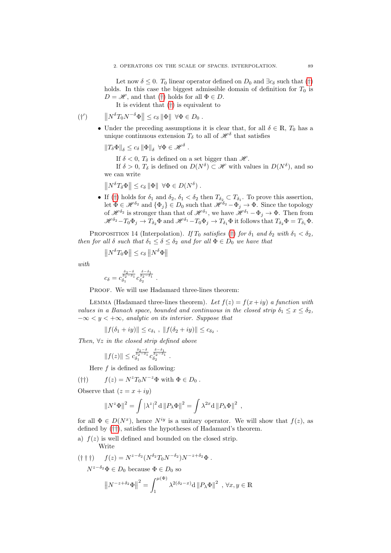Let now  $\delta \leq 0$ .  $T_0$  linear operator defined on  $D_0$  and  $\exists c_{\delta}$  such that ([†](#page-87-0)) holds. In this case the biggest admissible domain of definition for  $T_0$  is  $D = \mathscr{H}$ , and that ([†](#page-87-0)) holds for all  $\Phi \in D$ .

It is evident that ([†](#page-87-0)) is equivalent to

$$
(\dagger') \qquad \left\| N^{\delta} T_0 N^{-\delta} \Phi \right\| \leq c_{\delta} \left\| \Phi \right\| \ \forall \Phi \in D_0 \ .
$$

- Under the preceding assumptions it is clear that, for all  $\delta \in \mathbb{R}, T_0$  has a unique continuous extension  $T_{\delta}$  to all of  $\mathscr{H}^{\delta}$  that satisfies
	- $||T_{\delta}\Phi||_{\delta} \leq c_{\delta} ||\Phi||_{\delta} \ \ \forall \Phi \in \mathscr{H}^{\delta}.$ 
		- If  $\delta < 0$ ,  $T_{\delta}$  is defined on a set bigger than  $\mathscr{H}$ .

If  $\delta > 0$ ,  $T_{\delta}$  is defined on  $D(N^{\delta}) \subset \mathscr{H}$  with values in  $D(N^{\delta})$ , and so we can write

 $\left\| N^{\delta}T_{\delta}\Phi \right\| \leq c_{\delta}\left\| \Phi \right\| \ \forall \Phi \in D(N^{\delta})$ .

• If ([†](#page-87-0)) holds for  $\delta_1$  and  $\delta_2$ ,  $\delta_1 < \delta_2$  then  $T_{\delta_2} \subset T_{\delta_1}$ . To prove this assertion, let  $\Phi \in \mathscr{H}^{\delta_2}$  and  $\{\Phi_j\} \in D_0$  such that  $\mathscr{H}^{\delta_2} - \Phi_j \to \Phi$ . Since the topology of  $\mathscr{H}^{\delta_1}$  is stronger than that of  $\mathscr{H}^{\delta_1}$ , we have  $\mathscr{H}^{\delta_1} - \Phi_j \to \Phi$ . Then from  $\mathscr{H}^{\delta_2}-T_0\Phi_j\to T_{\delta_2}\Phi$  and  $\mathscr{H}^{\delta_1}-T_0\Phi_j\to T_{\delta_1}\Phi$  it follows that  $T_{\delta_2}\Phi=T_{\delta_1}\Phi$ .

PROPOSITION 14 (Interpolation). If  $T_0$  satisfies ([†](#page-87-0)) for  $\delta_1$  and  $\delta_2$  with  $\delta_1 < \delta_2$ , then for all  $\delta$  such that  $\delta_1 \leq \delta \leq \delta_2$  and for all  $\Phi \in D_0$  we have that

$$
||N^{\delta}T_0\Phi|| \leq c_{\delta} ||N^{\delta}\Phi||
$$

with

$$
c_\delta = c_{\delta_1}^{\frac{\delta_2-\delta}{\delta_2-\delta_1}} c_{\delta_2}^{\frac{\delta-\delta_1}{\delta_2-\delta_1}}\;.
$$

PROOF. We will use Hadamard three-lines theorem:

LEMMA (Hadamard three-lines theorem). Let  $f(z) = f(x+iy)$  a function with values in a Banach space, bounded and continuous in the closed strip  $\delta_1 \leq x \leq \delta_2$ ,  $-\infty < y < +\infty$ , analytic on its interior. Suppose that

 $|| f(\delta_1 + iy) || \leq c_{\delta_1}$ ,  $|| f(\delta_2 + iy) || \leq c_{\delta_2}$ .

.

Then,  $\forall z$  in the closed strip defined above

$$
||f(z)|| \leq c_{\delta_1}^{\frac{\delta_2 - \delta}{\delta_2 - \delta_1}} c_{\delta_2}^{\frac{\delta - \delta_1}{\delta_2 - \delta_1}}
$$

Here  $f$  is defined as following:

<span id="page-88-0"></span>(††)  $f(z) = N^z T_0 N^{-z} \Phi$  with  $\Phi \in D_0$ .

Observe that  $(z = x + iy)$ 

$$
||N^z \Phi||^2 = \int |\lambda^z|^2 d||P_\lambda \Phi||^2 = \int \lambda^{2x} d||P_\lambda \Phi||^2,
$$

for all  $\Phi \in D(N^x)$ , hence  $N^{iy}$  is a unitary operator. We will show that  $f(z)$ , as defined by ([††](#page-88-0)), satisfies the hypotheses of Hadamard's theorem.

a)  $f(z)$  is well defined and bounded on the closed strip. Write

<span id="page-88-1"></span>
$$
(\dagger \dagger \dagger) \qquad f(z) = N^{z-\delta_2} (N^{\delta_2} T_0 N^{-\delta_2}) N^{-z+\delta_2} \Phi.
$$
  

$$
N^{z-\delta_2} \Phi \in D_0 \text{ because } \Phi \in D_0 \text{ so}
$$
  

$$
||N^{-z+\delta_2} \Phi||^2 = \int_1^{\mu(\Phi)} \lambda^{2(\delta_2 - x)} d||P_\lambda \Phi||^2, \forall x, y \in \mathbb{R}
$$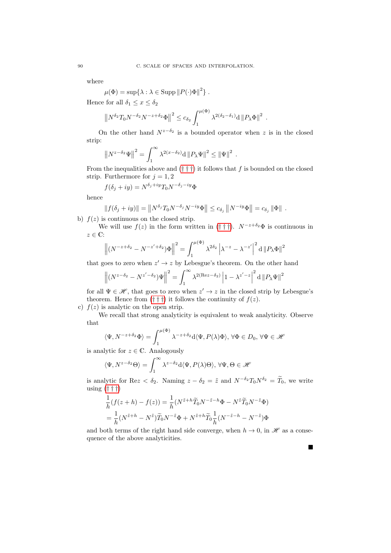where

$$
\mu(\Phi) = \sup \{ \lambda : \lambda \in \text{Supp} \| P(\cdot)\Phi \|^2 \} .
$$

Hence for all  $\delta_1 \leq x \leq \delta_2$ 

$$
\left\|N^{\delta_2}T_0N^{-\delta_2}N^{-z+\delta_2}\Phi\right\|^2\leq c_{\delta_2}\int_1^{\mu(\Phi)}\lambda^{2(\delta_2-\delta_1)}\mathrm{d}\left\|P_\lambda\Phi\right\|^2\,.
$$

On the other hand  $N^{z-\delta_2}$  is a bounded operator when z is in the closed strip:

$$
\left\|N^{z-\delta_2}\Psi\right\|^2 = \int_1^\infty \lambda^{2(x-\delta_2)} d\left\|P_\lambda\Psi\right\|^2 \le \left\|\Psi\right\|^2.
$$

From the inequalities above and  $(\dagger \dagger \dagger)$  it follows that f is bounded on the closed strip. Furthermore for  $j = 1, 2$ 

$$
f(\delta_j + iy) = N^{\delta_j + iy} T_0 N^{-\delta_j - iy} \Phi
$$

hence

$$
||f(\delta_j + iy)|| = ||N^{\delta_j}T_0N^{-\delta_j}N^{-iy}\Phi|| \leq c_{\delta_j} ||N^{-iy}\Phi|| = c_{\delta_j} ||\Phi||.
$$

b)  $f(z)$  is continuous on the closed strip.

We will use  $f(z)$  in the form written in ([† † †](#page-88-1)).  $N^{-z+\delta_2}\Phi$  is continuous in  $z\in\mathbb{C}$ 

$$
\left\| (N^{-z+\delta_2} - N^{-z'+\delta_2}) \Phi \right\|^2 = \int_1^{\mu(\Phi)} \lambda^{2\delta_2} \left| \lambda^{-z} - \lambda^{-z'} \right|^2 d\left\| P_\lambda \Phi \right\|^2
$$

that goes to zero when  $z' \rightarrow z$  by Lebesgue's theorem. On the other hand

$$
\left\| \left( N^{z - \delta_2} - N^{z' - \delta_2} \right) \Psi \right\|^2 = \int_1^\infty \lambda^{2(\text{Re} z - \delta_2)} \left| 1 - \lambda^{z' - z} \right|^2 d\left\| P_\lambda \Psi \right\|^2
$$

for all  $\Psi \in \mathcal{H}$ , that goes to zero when  $z' \to z$  in the closed strip by Lebesgue's theorem. Hence from  $(\dagger \dagger \dagger)$  it follows the continuity of  $f(z)$ .

c)  $f(z)$  is analytic on the open strip.

We recall that strong analyticity is equivalent to weak analyticity. Observe that

$$
\langle \Psi, N^{-z+\delta_2} \Phi \rangle = \int_1^{\mu(\Phi)} \lambda^{-z+\delta_2} d\langle \Psi, P(\lambda)\Phi \rangle, \,\forall \Phi \in D_0, \,\forall \Psi \in \mathcal{H}
$$

is analytic for  $z \in \mathbb{C}$ . Analogously

$$
\langle \Psi, N^{z-\delta_2}\Theta \rangle = \int_1^\infty \lambda^{z-\delta_2} d\langle \Psi, P(\lambda)\Theta \rangle, \,\forall \Psi, \Theta \in \mathcal{H}
$$

is analytic for Rez <  $\delta_2$ . Naming  $z - \delta_2 = \tilde{z}$  and  $N^{-\delta_2}T_0N^{\delta_2} = \tilde{T}_0$ , we write using  $(\dagger \dagger \dagger)$ 

$$
\frac{1}{h}(f(z+h) - f(z)) = \frac{1}{h}(N^{\tilde{z}+h}\widetilde{T}_0N^{-\tilde{z}-h}\Phi - N^{\tilde{z}}\widetilde{T}_0N^{-\tilde{z}}\Phi)
$$

$$
= \frac{1}{h}(N^{\tilde{z}+h} - N^{\tilde{z}})\widetilde{T}_0N^{-\tilde{z}}\Phi + N^{\tilde{z}+h}\widetilde{T}_0\frac{1}{h}(N^{-\tilde{z}-h} - N^{-\tilde{z}})\Phi
$$

and both terms of the right hand side converge, when  $h \to 0$ , in  $\mathscr H$  as a consequence of the above analyticities.

Ė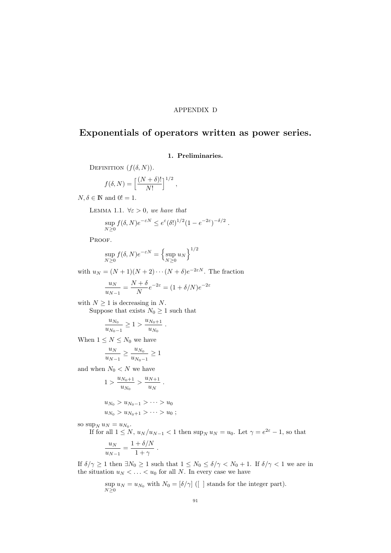### APPENDIX D

# Exponentials of operators written as power series.

## 1. Preliminaries.

DEFINITION  $(f(\delta, N))$ .

$$
f(\delta, N) = \left[\frac{(N+\delta)!}{N!}\right]^{1/2},
$$

<span id="page-90-0"></span> $N, \delta \in \mathbb{N}$  and  $0! = 1$ .

LEMMA 1.1.  $\forall \varepsilon > 0$ , we have that

$$
\sup_{N\geq 0} f(\delta, N) e^{-\varepsilon N} \leq e^{\varepsilon} (\delta!)^{1/2} (1 - e^{-2\varepsilon})^{-\delta/2}.
$$

PROOF.

$$
\sup_{N\geq 0} f(\delta, N) e^{-\varepsilon N} = \left\{ \sup_{N\geq 0} u_N \right\}^{1/2}
$$

with  $u_N = (N + 1)(N + 2) \cdots (N + \delta) e^{-2\varepsilon N}$ . The fraction

$$
\frac{u_N}{u_{N-1}} = \frac{N+\delta}{N}e^{-2\varepsilon} = (1+\delta/N)e^{-2\varepsilon}
$$

.

with  $N \geq 1$  is decreasing in N.

Suppose that exists  $N_0 \geq 1$  such that

$$
\frac{u_{N_0}}{u_{N_0-1}} \ge 1 > \frac{u_{N_0+1}}{u_{N_0}}
$$

When  $1\leq N\leq N_0$  we have

$$
\frac{u_N}{u_{N-1}} \ge \frac{u_{N_0}}{u_{N_0-1}} \ge 1
$$

and when  $N_0 < N$  we have

$$
1 > \frac{u_{N_0+1}}{u_{N_0}} > \frac{u_{N+1}}{u_N}.
$$
  

$$
u_{N_0} > u_{N_0-1} > \cdots > u_0
$$
  

$$
u_{N_0} > u_{N_0+1} > \cdots > u_0 ;
$$

so sup<sub>N</sub>  $u_N = u_{N_0}$ .

If for all  $1 \leq N$ ,  $u_N/u_{N-1} < 1$  then  $\sup_N u_N = u_0$ . Let  $\gamma = e^{2\varepsilon} - 1$ , so that

$$
\frac{u_N}{u_{N-1}} = \frac{1 + \delta/N}{1 + \gamma} .
$$

If  $\delta/\gamma \ge 1$  then  $\exists N_0 \ge 1$  such that  $1 \le N_0 \le \delta/\gamma < N_0 + 1$ . If  $\delta/\gamma < 1$  we are in the situation  $u_N < \ldots < u_0$  for all N. In every case we have

$$
\sup_{N\geq 0} u_N = u_{N_0} \text{ with } N_0 = [\delta/\gamma] \ ([\ ] \text{ stands for the integer part}).
$$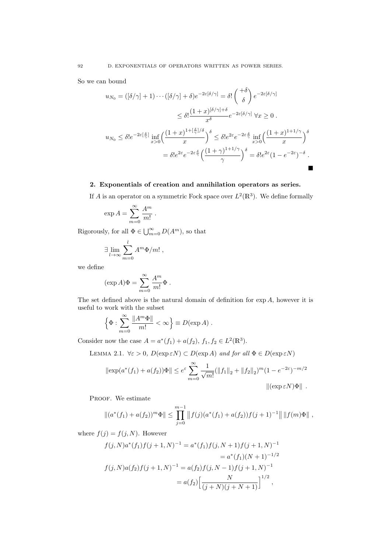So we can bound

$$
u_{N_0} = ([\delta/\gamma] + 1) \cdots ([\delta/\gamma] + \delta) e^{-2\varepsilon[\delta/\gamma]} = \delta! \begin{pmatrix} +\delta \\ \delta \end{pmatrix} e^{-2\varepsilon[\delta/\gamma]}
$$
  
\n
$$
\leq \delta! \frac{(1+x)^{[\delta/\gamma] + \delta}}{x^{\delta}} e^{-2\varepsilon[\delta/\gamma]} \forall x \geq 0.
$$
  
\n
$$
u_{N_0} \leq \delta! e^{-2\varepsilon[\frac{\delta}{\gamma}]} \inf_{x>0} \left( \frac{(1+x)^{1+[\frac{\delta}{\gamma}]/\delta}}{x} \right)^{\delta} \leq \delta! e^{2\varepsilon} e^{-2\varepsilon \frac{\delta}{\gamma}} \inf_{x>0} \left( \frac{(1+x)^{1+1/\gamma}}{x} \right)^{\delta}
$$
  
\n
$$
= \delta! e^{2\varepsilon} e^{-2\varepsilon \frac{\delta}{\gamma}} \left( \frac{(1+\gamma)^{1+1/\gamma}}{\gamma} \right)^{\delta} = \delta! e^{2\varepsilon} (1 - e^{-2\varepsilon})^{-\delta}.
$$

## 2. Exponentials of creation and annihilation operators as series.

If A is an operator on a symmetric Fock space over  $L^2(\mathbb{R}^3)$ . We define formally

$$
\exp A = \sum_{m=0}^{\infty} \frac{A^m}{m!} .
$$

Rigorously, for all  $\Phi \in \bigcup_{m=0}^{\infty} D(A^m)$ , so that

$$
\exists \lim_{l \to \infty} \sum_{m=0}^{l} A^m \Phi/m! ,
$$

we define

$$
(\exp A)\Phi = \sum_{m=0}^{\infty} \frac{A^m}{m!} \Phi .
$$

The set defined above is the natural domain of definition for  $\exp A$ , however it is useful to work with the subset

$$
\left\{\Phi : \sum_{m=0}^{\infty} \frac{\|A^m \Phi\|}{m!} < \infty\right\} \equiv D(\exp A) .
$$

Consider now the case  $A = a^*(f_1) + a(f_2), f_1, f_2 \in L^2(\mathbb{R}^3)$ .

LEMMA 2.1.  $\forall \varepsilon > 0$ ,  $D(\exp \varepsilon N) \subset D(\exp A)$  and for all  $\Phi \in D(\exp \varepsilon N)$ 

$$
\|\exp(a^*(f_1) + a(f_2))\Phi\| \le e^{\varepsilon} \sum_{m=0}^{\infty} \frac{1}{\sqrt{m!}} (\|f_1\|_2 + \|f_2\|_2)^m (1 - e^{-2\varepsilon})^{-m/2}
$$
  

$$
\|(\exp \varepsilon N)\Phi\|.
$$

PROOF. We estimate

$$
||(a^*(f_1)+a(f_2))^m\Phi||\leq \prod_{j=0}^{m-1} ||f(j)(a^*(f_1)+a(f_2))f(j+1)^{-1}|| \, ||f(m)\Phi||,
$$

where  $f(j) = f(j, N)$ . However

$$
f(j, N)a^*(f_1)f(j+1, N)^{-1} = a^*(f_1)f(j, N+1)f(j+1, N)^{-1}
$$
  
=  $a^*(f_1)(N+1)^{-1/2}$   

$$
f(j, N)a(f_2)f(j+1, N)^{-1} = a(f_2)f(j, N-1)f(j+1, N)^{-1}
$$
  
=  $a(f_2)\left[\frac{N}{(j+N)(j+N+1)}\right]^{1/2}$ ,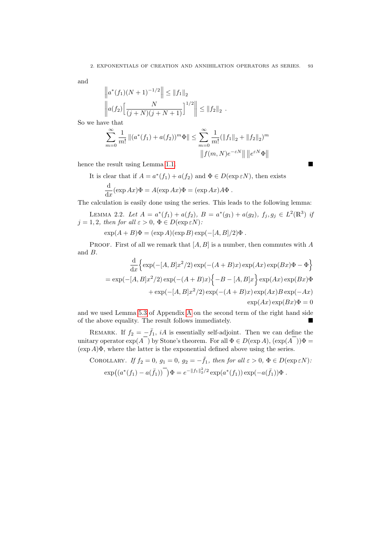and

$$
\left\| a^*(f_1)(N+1)^{-1/2} \right\| \le \|f_1\|_2
$$
  

$$
\left\| a(f_2) \Big[ \frac{N}{(j+N)(j+N+1)} \Big]^{1/2} \right\| \le \|f_2\|_2.
$$

So we have that

$$
\sum_{m=0}^{\infty} \frac{1}{m!} ||(a^*(f_1) + a(f_2))^m \Phi|| \le \sum_{m=0}^{\infty} \frac{1}{m!} (||f_1||_2 + ||f_2||_2)^m
$$
  

$$
||f(m,N)e^{-\varepsilon N}|| ||e^{\varepsilon N} \Phi||
$$

hence the result using Lemma [1.1.](#page-90-0)

It is clear that if  $A = a^*(f_1) + a(f_2)$  and  $\Phi \in D(\exp \varepsilon N)$ , then exists

$$
\frac{\mathrm{d}}{\mathrm{d}x}(\exp Ax)\Phi = A(\exp Ax)\Phi = (\exp Ax)A\Phi.
$$

The calculation is easily done using the series. This leads to the following lemma:

LEMMA 2.2. Let  $A = a^*(f_1) + a(f_2)$ ,  $B = a^*(g_1) + a(g_2)$ ,  $f_j, g_j \in L^2(\mathbb{R}^3)$  is  $j = 1, 2$ , then for all  $\varepsilon > 0$ ,  $\Phi \in D(\exp \varepsilon N)$ :

 $\exp(A + B)\Phi = (\exp A)(\exp B)\exp(-[A, B]/2)\Phi$ .

PROOF. First of all we remark that  $[A, B]$  is a number, then commutes with A and B.

$$
\frac{d}{dx}\left\{\exp\left(-[A,B]x^2/2\right)\exp\left(-(A+B)x\right)\exp(Ax)\exp(Bx)\Phi-\Phi\right\}
$$
\n
$$
=\exp\left(-[A,B]x^2/2\right)\exp\left(-(A+B)x\right)\left\{-B-[A,B]x\right\}\exp(Ax)\exp(Bx)\Phi
$$
\n
$$
+\exp\left(-[A,B]x^2/2\right)\exp\left(-(A+B)x\right)\exp(Ax)B\exp(-Ax)
$$
\n
$$
\exp(Ax)\exp(Bx)\Phi=0
$$

and we used Lemma [5.3](#page-74-3) of Appendix [A](#page-62-0) on the second term of the right hand side of the above equality. The result follows immediately.

REMARK. If  $f_2 = -\bar{f}_1$ , iA is essentially self-adjoint. Then we can define the unitary operator  $\exp(A)$  by Stone's theorem. For all  $\Phi \in D(\exp A)$ ,  $(\exp(A))\Phi =$  $(\exp A)\Phi$ , where the latter is the exponential defined above using the series.

COROLLARY. If 
$$
f_2 = 0
$$
,  $g_1 = 0$ ,  $g_2 = -\overline{f}_1$ , then for all  $\varepsilon > 0$ ,  $\Phi \in D(\exp \varepsilon N)$ :  
\n
$$
\exp((a^*(f_1) - a(\overline{f}_1))\overline{\phantom{a}}) \Phi = e^{-\|f_1\|^2/2} \exp(a^*(f_1)) \exp(-a(\overline{f}_1)) \Phi.
$$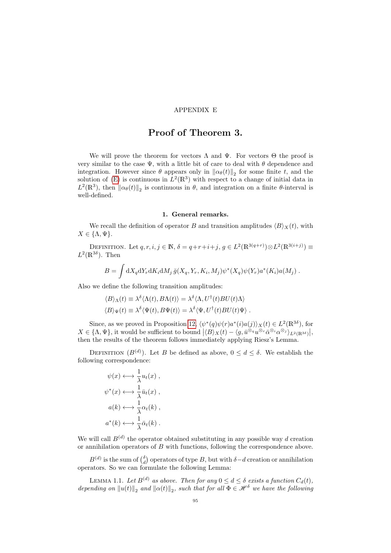### APPENDIX E

## Proof of Theorem 3.

We will prove the theorem for vectors  $\Lambda$  and  $\Psi$ . For vectors  $\Theta$  the proof is very similar to the case  $\Psi$ , with a little bit of care to deal with  $\theta$  dependence and integration. However since  $\theta$  appears only in  $\|\alpha_{\theta}(t)\|_{2}$  for some finite t, and the solution of [\(E\)](#page-14-0) is continuous in  $L^2(\mathbb{R}^3)$  with respect to a change of initial data in  $L^2(\mathbb{R}^3)$ , then  $\|\alpha_{\theta}(t)\|_2$  is continuous in  $\theta$ , and integration on a finite  $\theta$ -interval is well-defined.

#### 1. General remarks.

We recall the definition of operator B and transition amplitudes  $\langle B \rangle_X(t)$ , with  $X \in {\{\Lambda, \Psi\}}.$ 

DEFINITION. Let  $q, r, i, j \in \mathbb{N}, \delta = q+r+i+j, g \in L^2(\mathbb{R}^{3(q+r)}) \otimes L^2(\mathbb{R}^{3(i+j)}) \equiv$  $L^2(\mathbb{R}^{3\delta})$ . Then

$$
B = \int dX_q dY_r dK_i dM_j \,\bar{g}(X_q, Y_r, K_i, M_j) \psi^*(X_q) \psi(Y_r) a^*(K_i) a(M_j) .
$$

Also we define the following transition amplitudes:

$$
\langle B \rangle_{\Lambda}(t) \equiv \lambda^{\delta} \langle \Lambda(t), B \Lambda(t) \rangle = \lambda^{\delta} \langle \Lambda, U^{\dagger}(t) B U(t) \Lambda \rangle
$$

$$
\langle B \rangle_{\Psi}(t) \equiv \lambda^{\delta} \langle \Psi(t), B\Psi(t) \rangle = \lambda^{\delta} \langle \Psi, U^{\dagger}(t) B U(t) \Psi \rangle.
$$

Since, as we proved in Proposition [12,](#page-54-0)  $\langle \psi^*(q)\psi(r)a^*(i)a(j)\rangle_X(t) \in L^2(\mathbb{R}^{3\delta})$ , for  $X \in \{\Lambda, \Psi\},$  it would be sufficient to bound  $|\langle B \rangle_X(t) - \langle g, \bar{u}^{\otimes_q} u^{\otimes_r} \bar{\alpha}^{\otimes_i} \alpha^{\otimes_j} \rangle_{L^2(\mathbb{R}^{3\delta})}|,$ then the results of the theorem follows immediately applying Riesz's Lemma.

DEFINITION  $(B^{(d)})$ . Let B be defined as above,  $0 \leq d \leq \delta$ . We establish the following correspondence:

$$
\psi(x) \longleftrightarrow \frac{1}{\lambda} u_t(x) ,
$$
  

$$
\psi^*(x) \longleftrightarrow \frac{1}{\lambda} \bar{u}_t(x) ,
$$
  

$$
a(k) \longleftrightarrow \frac{1}{\lambda} \alpha_t(k) ,
$$
  

$$
a^*(k) \longleftrightarrow \frac{1}{\lambda} \bar{\alpha}_t(k) .
$$

We will call  $B^{(d)}$  the operator obtained substituting in any possible way d creation or annihilation operators of  $B$  with functions, following the correspondence above.

 $B^{(d)}$  is the sum of  $\binom{\delta}{d}$  operators of type B, but with  $\delta-d$  creation or annihilation operators. So we can formulate the following Lemma:

<span id="page-94-0"></span>LEMMA 1.1. Let  $B^{(d)}$  as above. Then for any  $0 \leq d \leq \delta$  exists a function  $C_d(t)$ , depending on  $||u(t)||_2$  and  $||\alpha(t)||_2$ , such that for all  $\Phi \in \mathscr{H}^\delta$  we have the following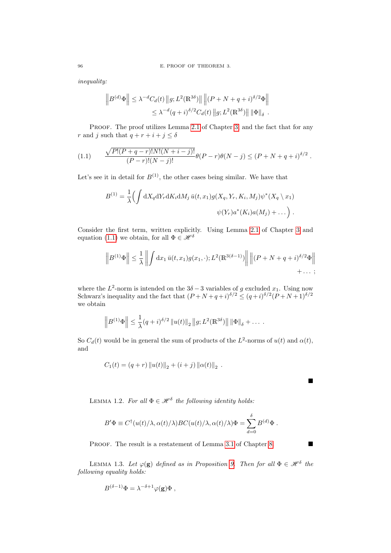inequality:

<span id="page-95-0"></span>
$$
\left\| B^{(d)} \Phi \right\| \leq \lambda^{-d} C_d(t) \left\| g; L^2(\mathbb{R}^{3\delta}) \right\| \left\| (P + N + q + i)^{\delta/2} \Phi \right\|
$$
  

$$
\leq \lambda^{-d} (q + i)^{\delta/2} C_d(t) \left\| g; L^2(\mathbb{R}^{3\delta}) \right\| \left\| \Phi \right\|_{\delta} .
$$

PROOF. The proof utilizes Lemma [2.1](#page-24-0) of Chapter [3,](#page-18-0) and the fact that for any r and j such that  $q + r + i + j \leq \delta$ 

(1.1) 
$$
\frac{\sqrt{P!(P+q-r)!N!(N+i-j)!}}{(P-r)!(N-j)!} \theta(P-r)\theta(N-j) \leq (P+N+q+i)^{\delta/2}.
$$

Let's see it in detail for  $B^{(1)}$ , the other cases being similar. We have that

$$
B^{(1)} = \frac{1}{\lambda} \Big( \int dX_q dY_r dK_i dM_j \, \bar{u}(t, x_1) g(X_q, Y_r, K_i, M_j) \psi^*(X_q \setminus x_1)
$$
  

$$
\psi(Y_r) a^*(K_i) a(M_j) + \dots \Big) .
$$

Consider the first term, written explicitly. Using Lemma [2.1](#page-24-0) of Chapter [3](#page-18-0) and equation [\(1.1\)](#page-95-0) we obtain, for all  $\Phi \in \mathcal{H}^{\delta}$ 

$$
\left\|B^{(1)}\Phi\right\| \leq \frac{1}{\lambda}\left\|\int \mathrm{d}x_1\,\bar{u}(t,x_1)g(x_1,\cdot);L^2(\mathbb{R}^{3(\delta-1)})\right\| \left\|(P+N+q+i)^{\delta/2}\Phi\right\|_{\mathcal{H}^{1}}.
$$

where the  $L^2$ -norm is intended on the  $3\delta - 3$  variables of g excluded  $x_1$ . Using now Schwarz's inequality and the fact that  $(P+N+q+i)^{\delta/2} \leq (q+i)^{\delta/2}(P+N+1)^{\delta/2}$ we obtain

$$
\left\|B^{(1)}\Phi\right\| \leq \frac{1}{\lambda}(q+i)^{\delta/2} \|u(t)\|_2 \|g; L^2(\mathbb{R}^{3\delta})\| \|\Phi\|_{\delta} + \dots
$$

So  $C_d(t)$  would be in general the sum of products of the  $L^2$ -norms of  $u(t)$  and  $\alpha(t)$ , and

 $\blacksquare$ 

$$
C_1(t) = (q+r) ||u(t)||_2 + (i+j) ||\alpha(t)||_2.
$$

<span id="page-95-1"></span>LEMMA 1.2. For all  $\Phi \in \mathcal{H}^{\delta}$  the following identity holds:

$$
B'\Phi \equiv C^{\dagger}(u(t)/\lambda,\alpha(t)/\lambda)BC(u(t)/\lambda,\alpha(t)/\lambda)\Phi = \sum_{d=0}^{\delta} B^{(d)}\Phi.
$$

PROOF. The result is a restatement of Lemma [3.1](#page-55-0) of Chapter [8.](#page-52-0)

<span id="page-95-2"></span>LEMMA 1.3. Let  $\varphi(\mathbf{g})$  defined as in Proposition [9.](#page-46-0) Then for all  $\Phi \in \mathcal{H}^{\delta}$  the following equality holds:

$$
B^{(\delta - 1)}\Phi = \lambda^{-\delta + 1}\varphi(\mathbf{g})\Phi ,
$$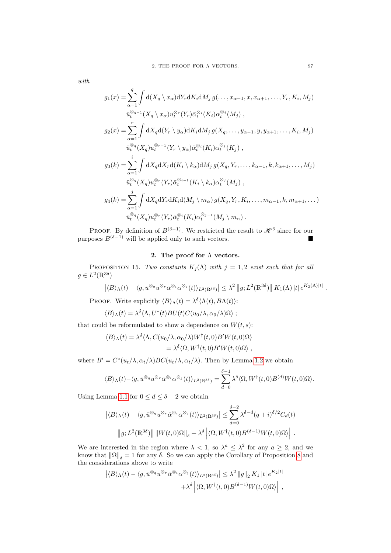with

$$
g_1(x) = \sum_{\alpha=1}^q \int d(X_q \setminus x_\alpha) dY_r dK_i dM_j g(\ldots, x_{\alpha-1}, x, x_{\alpha+1}, \ldots, Y_r, K_i, M_j)
$$
  
\n
$$
\bar{u}_t^{\otimes q-1}(X_q \setminus x_\alpha) u_t^{\otimes r}(Y_r) \bar{\alpha}_t^{\otimes i}(K_i) \alpha_t^{\otimes j}(M_j),
$$
  
\n
$$
g_2(x) = \sum_{\alpha=1}^r \int dX_q d(Y_r \setminus y_\alpha) dK_i dM_j g(X_q, \ldots, y_{\alpha-1}, y, y_{\alpha+1}, \ldots, K_i, M_j)
$$
  
\n
$$
\bar{u}_t^{\otimes q}(X_q) u_t^{\otimes r-1}(Y_r \setminus y_\alpha) \bar{\alpha}_t^{\otimes i}(K_i) \alpha_t^{\otimes j}(K_j),
$$
  
\n
$$
g_3(k) = \sum_{\alpha=1}^i \int dX_q dX_r d(K_i \setminus k_\alpha) dM_j g(X_q, Y_r, \ldots, k_{\alpha-1}, k, k_{\alpha+1}, \ldots, M_j)
$$
  
\n
$$
\bar{u}_t^{\otimes q}(X_q) u_t^{\otimes r}(Y_r) \bar{\alpha}_t^{\otimes i-1}(K_i \setminus k_\alpha) \alpha_t^{\otimes j}(M_j),
$$
  
\n
$$
g_4(k) = \sum_{\alpha=1}^j \int dX_q dY_r dK_i d(M_j \setminus m_\alpha) g(X_q, Y_r, K_i, \ldots, m_{\alpha-1}, k, m_{\alpha+1}, \ldots)
$$
  
\n
$$
\bar{u}_t^{\otimes q}(X_q) u_t^{\otimes r}(Y_r) \bar{\alpha}_t^{\otimes i}(K_i) \alpha_t^{\otimes j-1}(M_j \setminus m_\alpha).
$$

PROOF. By definition of  $B^{(\delta-1)}$ . We restricted the result to  $\mathscr{H}^{\delta}$  since for our purposes  $B^{(\delta-1)}$  will be applied only to such vectors.

## 2. The proof for  $\Lambda$  vectors.

<span id="page-96-0"></span>PROPOSITION 15. Two constants  $K_j(\Lambda)$  with  $j = 1, 2$  exist such that for all  $g \in L^2(\mathbb{R}^{3\delta})$ 

$$
\left| \langle B \rangle_{\Lambda}(t) - \langle g, \bar{u}^{\otimes_q} u^{\otimes_r} \bar{\alpha}^{\otimes_i} \alpha^{\otimes_j}(t) \rangle_{L^2(\mathbb{R}^{3\delta})} \right| \leq \lambda^2 \|g; L^2(\mathbb{R}^{3\delta}) \| K_1(\Lambda) \, |t| \, e^{K_2(\Lambda) |t|} \, .
$$

PROOF. Write explicitly  $\langle B \rangle_{\Lambda}(t) = \lambda^{\delta} \langle \Lambda(t), B \Lambda(t) \rangle$ :

$$
\langle B \rangle_{\Lambda}(t) = \lambda^{\delta} \langle \Lambda, U^*(t) BU(t) C(u_0/\lambda, \alpha_0/\lambda) \Omega \rangle ;
$$

that could be reformulated to show a dependence on  $W(t, s)$ :

$$
\langle B \rangle_{\Lambda}(t) = \lambda^{\delta} \langle \Lambda, C(u_0/\lambda, \alpha_0/\lambda) W^{\dagger}(t,0) B' W(t,0) \Omega \rangle
$$
  
=  $\lambda^{\delta} \langle \Omega, W^{\dagger}(t,0) B' W(t,0) \Omega \rangle$ ,

where  $B' = C^*(u_t/\lambda, \alpha_t/\lambda)BC(u_t/\lambda, \alpha_t/\lambda)$ . Then by Lemma [1.2](#page-95-1) we obtain

$$
\langle B \rangle_{\Lambda}(t) - \langle g, \bar{u}^{\otimes q} u^{\otimes r} \bar{\alpha}^{\otimes i} \alpha^{\otimes j}(t) \rangle_{L^2(\mathbb{R}^{3\delta})} = \sum_{d=0}^{\delta-1} \lambda^{\delta} \langle \Omega, W^{\dagger}(t,0) B^{(d)} W(t,0) \Omega \rangle.
$$

Using Lemma [1.1](#page-94-0) for  $0 \leq d \leq \delta - 2$  we obtain

$$
\left| \langle B \rangle_{\Lambda}(t) - \langle g, \bar{u}^{\otimes_q} u^{\otimes_r} \bar{\alpha}^{\otimes_i} \alpha^{\otimes_j}(t) \rangle_{L^2(\mathbb{R}^{3\delta})} \right| \leq \sum_{d=0}^{\delta-2} \lambda^{\delta-d} (q+i)^{\delta/2} C_d(t)
$$

$$
\left| |g; L^2(\mathbb{R}^{3\delta}) \right| \left| |W(t,0)\Omega| \right|_{\delta} + \lambda^{\delta} \left| \langle \Omega, W^{\dagger}(t,0)B^{(\delta-1)}W(t,0)\Omega \rangle \right|.
$$

We are interested in the region where  $\lambda < 1$ , so  $\lambda^a \leq \lambda^2$  for any  $a \geq 2$ , and we know that  $\|\Omega\|_{\delta} = 1$  for any  $\delta$ . So we can apply the Corollary of Proposition [8](#page-43-0) and the considerations above to write

$$
\left| \langle B \rangle_{\Lambda}(t) - \langle g, \bar{u}^{\otimes_q} u^{\otimes_r} \bar{\alpha}^{\otimes_i} \alpha^{\otimes_j}(t) \rangle_{L^2(\mathbb{R}^{3\delta})} \right| \leq \lambda^2 \|g\|_2 K_1 |t| e^{K_2 |t|} + \lambda^{\delta} \left| \langle \Omega, W^{\dagger}(t,0) B^{(\delta-1)} W(t,0) \Omega \rangle \right|,
$$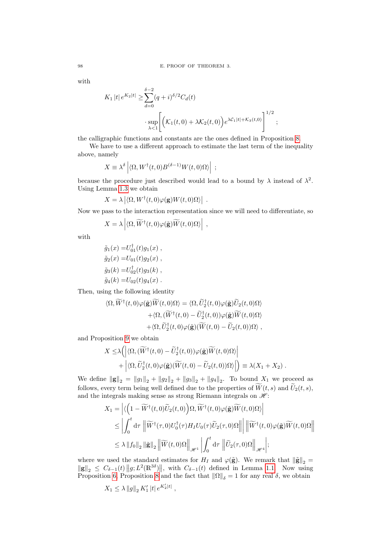with

$$
K_1 |t| e^{K_2|t|} \ge \sum_{d=0}^{\delta-2} (q+i)^{\delta/2} C_d(t)
$$
  

$$
\cdot \sup_{\lambda < 1} \left[ \left( \mathcal{K}_1(t,0) + \lambda \mathcal{K}_2(t,0) \right) e^{\lambda \mathcal{C}_1 |t| + \mathcal{K}_3(t,0)} \right]^{1/2};
$$

the calligraphic functions and constants are the ones defined in Proposition [8.](#page-43-0)

We have to use a different approach to estimate the last term of the inequality above, namely

$$
X \equiv \lambda^{\delta} \left| \langle \Omega, W^{\dagger}(t,0) B^{(\delta-1)} W(t,0) \Omega \rangle \right| ;
$$

because the procedure just described would lead to a bound by  $\lambda$  instead of  $\lambda^2$ . Using Lemma [1.3](#page-95-2) we obtain

$$
X = \lambda \left| \langle \Omega, W^{\dagger}(t,0) \varphi(\mathbf{g}) W(t,0) \Omega \rangle \right| .
$$

Now we pass to the interaction representation since we will need to differentiate, so

$$
X = \lambda \left| \langle \Omega, \widetilde{W}^{\dagger}(t,0) \varphi(\tilde{\mathbf{g}}) \widetilde{W}(t,0) \Omega \rangle \right| ,
$$

with

$$
\tilde{g}_1(x) = U_{01}^{\dagger}(t)g_1(x) ,\n\tilde{g}_2(x) = U_{01}(t)g_2(x) ,\n\tilde{g}_3(k) = U_{02}^{\dagger}(t)g_3(k) ,\n\tilde{g}_4(k) = U_{02}(t)g_4(x) .
$$

Then, using the following identity

$$
\langle \Omega, \widetilde{W}^{\dagger}(t,0)\varphi(\tilde{\mathbf{g}})\widetilde{W}(t,0)\Omega\rangle = \langle \Omega, \widetilde{U}_{2}^{\dagger}(t,0)\varphi(\tilde{\mathbf{g}})\widetilde{U}_{2}(t,0)\Omega\rangle \n+ \langle \Omega, (\widetilde{W}^{\dagger}(t,0) - \widetilde{U}_{2}^{\dagger}(t,0))\varphi(\tilde{\mathbf{g}})\widetilde{W}(t,0)\Omega\rangle \n+ \langle \Omega, \widetilde{U}_{2}^{\dagger}(t,0)\varphi(\tilde{\mathbf{g}})(\widetilde{W}(t,0) - \widetilde{U}_{2}(t,0))\Omega\rangle,
$$

and Proposition [9](#page-46-0) we obtain

$$
X \leq \lambda \Big( \Big| \langle \Omega, (\widetilde{W}^{\dagger}(t,0) - \widetilde{U}_{2}^{\dagger}(t,0)) \varphi(\widetilde{\mathbf{g}}) \widetilde{W}(t,0) \Omega \rangle \Big| + \Big| \langle \Omega, \widetilde{U}_{2}^{\dagger}(t,0) \varphi(\widetilde{\mathbf{g}}) (\widetilde{W}(t,0) - \widetilde{U}_{2}(t,0)) \Omega \rangle \Big| \Big) \equiv \lambda (X_{1} + X_{2}).
$$

We define  $\|\mathbf{g}\|_2 = \|g_1\|_2 + \|g_2\|_2 + \|g_3\|_2 + \|g_4\|_2$ . To bound  $X_1$  we proceed as follows, every term being well defined due to the properties of  $\widetilde{W}(t, s)$  and  $\widetilde{U}_2(t, s)$ , and the integrals making sense as strong Riemann integrals on  $\mathcal{H}$ :

$$
X_1 = \left| \langle \left( 1 - \widetilde{W}^\dagger(t,0) \widetilde{U}_2(t,0) \right) \Omega, \widetilde{W}^\dagger(t,0) \varphi(\tilde{\mathbf{g}}) \widetilde{W}(t,0) \Omega \rangle \right|
$$
  
\n
$$
\leq \left| \int_0^t \mathrm{d}\tau \, \left\| \widetilde{W}^\dagger(\tau,0) U_0^\dagger(\tau) H_I U_0(\tau) \widetilde{U}_2(\tau,0) \Omega \right\| \right| \left\| \widetilde{W}^\dagger(t,0) \varphi(\tilde{\mathbf{g}}) \widetilde{W}(t,0) \Omega \right\|
$$
  
\n
$$
\leq \lambda \left\| f_0 \right\|_2 \left\| \tilde{\mathbf{g}} \right\|_2 \left\| \widetilde{W}(t,0) \Omega \right\|_{\mathscr{H}^1} \left| \int_0^t \mathrm{d}\tau \, \left\| \widetilde{U}_2(\tau,0) \Omega \right\|_{\mathscr{H}^4} \right|;
$$

where we used the standard estimates for  $H_I$  and  $\varphi(\tilde{\mathbf{g}})$ . We remark that  $\|\tilde{\mathbf{g}}\|_2 =$  $\|\mathbf{g}\|_2 \leq C_{\delta-1}(t) \|g; L^2(\mathbb{R}^{3\delta})\|$ , with  $C_{\delta-1}(t)$  defined in Lemma [1.1.](#page-94-0) Now using Proposition [6,](#page-33-0) Proposition [8](#page-43-0) and the fact that  $\|\Omega\|_{\delta} = 1$  for any real  $\delta$ , we obtain

$$
X_1 \leq \lambda \left\|g\right\|_2 K_1' \left|t\right| e^{K_2'|t|},
$$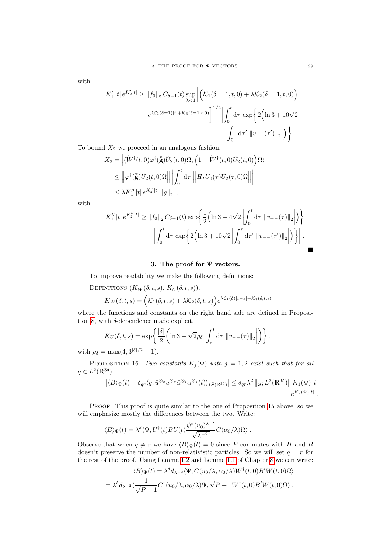with

$$
K_1' |t| e^{K_2' |t|} \ge ||f_0||_2 C_{\delta - 1}(t) \sup_{\lambda < 1} \left[ \left( \mathcal{K}_1(\delta = 1, t, 0) + \lambda \mathcal{K}_2(\delta = 1, t, 0) \right) \right]
$$
\n
$$
e^{\lambda \mathcal{C}_1(\delta = 1) |t| + \mathcal{K}_3(\delta = 1, t, 0)} \bigg]^{1/2} \bigg| \int_0^t \mathrm{d}\tau \, \exp \bigg\{ 2 \Big( \ln 3 + 10\sqrt{2} \Big) \bigg| \int_0^\tau \mathrm{d}\tau' \, \left\| v_{--}(\tau') \right\|_2 \bigg| \bigg\} \bigg|.
$$

To bound  $X_2$  we proceed in an analogous fashion:

$$
X_2 = \left| \langle \widetilde{W}^\dagger(t,0) \varphi^\dagger(\bar{\tilde{\mathbf{g}}}) \widetilde{U}_2(t,0) \Omega, \left( 1 - \widetilde{W}^\dagger(t,0) \widetilde{U}_2(t,0) \right) \Omega \rangle \right|
$$
  
\$\leq\$ 
$$
\left\| \varphi^\dagger(\bar{\tilde{\mathbf{g}}}) \widetilde{U}_2(t,0) \Omega \right\| \left| \int_0^t \mathrm{d}\tau \right\| H_I U_0(\tau) \widetilde{U}_2(\tau,0) \Omega \right\| \left| \int_0^t \mathrm{d}\tau \right\| H_I U_0(\tau) \widetilde{U}_2(\tau,0) \Omega \right\| \left| \int_0^t \mathrm{d}\tau \right\| H_I U_0(\tau) \widetilde{U}_2(\tau,0) \Omega \right\| \left| \int_0^t \mathrm{d}\tau \right\| H_I U_0(\tau) \widetilde{U}_2(\tau,0) \Omega \left\| \int_0^t \mathrm{d}\tau \right\| H_I U_0(\tau) \widetilde{U}_2(\tau,0) \Omega \left\| \int_0^t \mathrm{d}\tau \right\| \left| \int_0^t \mathrm{d}\tau \right\| H_I U_0(\tau) \widetilde{U}_2(\tau,0) \Omega \left\| \int_0^t \mathrm{d}\tau \right\| \left| \int_0^t \mathrm{d}\tau \right\| \left| \int_0^t \mathrm{d}\tau \right\| \left| \int_0^t \mathrm{d}\tau \right\| \left| \int_0^t \mathrm{d}\tau \right\| \left| \int_0^t \mathrm{d}\tau \right\| \left| \int_0^t \mathrm{d}\tau \right\| \left| \int_0^t \mathrm{d}\tau \right\| \left| \int_0^t \mathrm{d}\tau \right\| \left| \int_0^t \mathrm{d}\tau \right\| \left| \int_0^t \mathrm{d}\tau \right\| \left| \int_0^t \mathrm{d}\tau \right\| \left| \int_0^t \mathrm{d}\tau \right\| \left| \int_0^t \mathrm{d}\tau \right\| \left| \int_0^t \mathrm{d}\tau \right\| \left| \int_0^t \mathrm{d}\tau \right\| \left| \int_0^t \mathrm{d}\tau \right
$$

with

$$
K_1'' |t| e^{K_2''|t|} \ge ||f_0||_2 C_{\delta - 1}(t) \exp \left\{ \frac{1}{2} \left( \ln 3 + 4\sqrt{2} \left| \int_0^t \mathrm{d}\tau \, ||v_{--}(\tau)||_2 \right| \right) \right\}
$$

$$
\left| \int_0^t \mathrm{d}\tau \, \exp \left\{ 2 \left( \ln 3 + 10\sqrt{2} \left| \int_0^\tau \mathrm{d}\tau' \, ||v_{--}(\tau')||_2 \right| \right) \right\} \right|.
$$

### 3. The proof for  $\Psi$  vectors.

To improve readability we make the following definitions:

DEFINITIONS  $(K_W(\delta, t, s), K_U(\delta, t, s)).$ 

$$
K_W(\delta, t, s) = \left(\mathcal{K}_1(\delta, t, s) + \lambda \mathcal{K}_2(\delta, t, s)\right) e^{\lambda \mathcal{C}_1(\delta)|t - s| + \mathcal{K}_3(\delta, t, s)}
$$

where the functions and constants on the right hand side are defined in Proposi-tion [8,](#page-43-0) with  $\delta$ -dependence made explicit.

$$
K_U(\delta, t, s) = \exp\left\{ \frac{|\delta|}{2} \left( \ln 3 + \sqrt{2} \rho_\delta \left| \int_s^t \mathrm{d}\tau \, \|v_{--}(\tau)\|_2 \right| \right) \right\},\,
$$

with  $\rho_{\delta} = \max(4, 3^{|\delta|/2} + 1)$ .

PROPOSITION 16. Two constants  $K_j(\Psi)$  with  $j = 1, 2$  exist such that for all  $g \in L^2(\mathbb{R}^{3\delta})$ 

$$
\left| \langle B \rangle_{\Psi}(t) - \delta_{qr} \langle g, \bar{u}^{\otimes q} u^{\otimes r} \bar{\alpha}^{\otimes i} \alpha^{\otimes j}(t) \rangle_{L^2(\mathbb{R}^{3\delta})} \right| \leq \delta_{qr} \lambda^2 \left\| g, L^2(\mathbb{R}^{3\delta}) \right\| K_1(\Psi) \left| t \right|
$$
  

$$
e^{K_2(\Psi)|t|}.
$$

PROOF. This proof is quite similar to the one of Proposition [15](#page-96-0) above, so we will emphasize mostly the differences between the two. Write:

$$
\langle B \rangle_{\Psi}(t) = \lambda^{\delta} \langle \Psi, U^{\dagger}(t) B U(t) \frac{\psi^*(u_0)^{\lambda^{-2}}}{\sqrt{\lambda^{-2}!}} C(\alpha_0/\lambda) \Omega \rangle.
$$

Observe that when  $q \neq r$  we have  $\langle B \rangle_{\Psi}(t) = 0$  since P commutes with H and B doesn't preserve the number of non-relativistic particles. So we will set  $q = r$  for the rest of the proof. Using Lemma [1.2](#page-95-1) and Lemma [1.1](#page-53-0) of Chapter [8](#page-52-0) we can write: δ

$$
\langle B \rangle_{\Psi}(t) = \lambda^{\delta} d_{\lambda^{-2}} \langle \Psi, C(u_0/\lambda, \alpha_0/\lambda) W^{\dagger}(t, 0) B' W(t, 0) \Omega \rangle
$$
  
=  $\lambda^{\delta} d_{\lambda^{-2}} \langle \frac{1}{\sqrt{P+1}} C^{\dagger}(u_0/\lambda, \alpha_0/\lambda) \Psi, \sqrt{P+1} W^{\dagger}(t, 0) B' W(t, 0) \Omega \rangle$ .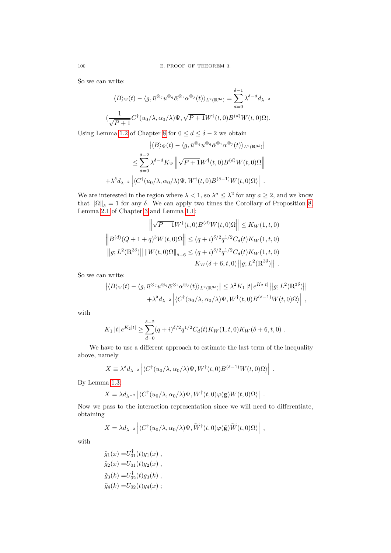So we can write:

$$
\langle B \rangle_{\Psi}(t) - \langle g, \bar{u}^{\otimes_q} u^{\otimes_q} \bar{\alpha}^{\otimes_i} \alpha^{\otimes_j}(t) \rangle_{L^2(\mathbb{R}^{3\delta})} = \sum_{d=0}^{\delta-1} \lambda^{\delta-d} d_{\lambda^{-2}}
$$

$$
\langle \frac{1}{\sqrt{P+1}} C^{\dagger}(u_0/\lambda, \alpha_0/\lambda) \Psi, \sqrt{P+1} W^{\dagger}(t, 0) B^{(d)} W(t, 0) \Omega \rangle.
$$

Using Lemma [1.2](#page-53-1) of Chapter [8](#page-52-0) for  $0 \leq d \leq \delta - 2$  we obtain

$$
\left| \langle B \rangle_{\Psi}(t) - \langle g, \bar{u}^{\otimes q} u^{\otimes q} \bar{\alpha}^{\otimes i} \alpha^{\otimes j}(t) \rangle_{L^2(\mathbb{R}^{3\delta})} \right|
$$
  

$$
\leq \sum_{d=0}^{\delta-2} \lambda^{\delta-d} K_{\Psi} \left\| \sqrt{P+1} W^{\dagger}(t,0) B^{(d)} W(t,0) \Omega \right\|
$$
  

$$
+ \lambda^{\delta} d_{\lambda^{-2}} \left| \langle C^{\dagger}(u_0/\lambda, \alpha_0/\lambda) \Psi, W^{\dagger}(t,0) B^{(\delta-1)} W(t,0) \Omega \rangle \right|.
$$

We are interested in the region where  $\lambda < 1$ , so  $\lambda^a \leq \lambda^2$  for any  $a \geq 2$ , and we know that  $\|\Omega\|_{\delta} = 1$  for any  $\delta$ . We can apply two times the Corollary of Proposition [8,](#page-43-0) Lemma [2.1](#page-24-0) of Chapter [3](#page-18-0) and Lemma [1.1:](#page-94-0)

$$
\left\| \sqrt{P+1} W^{\dagger}(t,0) B^{(d)} W(t,0) \Omega \right\| \le K_W(1,t,0)
$$
  

$$
\left\| B^{(d)}(Q+1+q)^3 W(t,0) \Omega \right\| \le (q+i)^{\delta/2} q^{1/2} C_d(t) K_W(1,t,0)
$$
  

$$
\left\| g; L^2(\mathbb{R}^{3\delta}) \right\| \| W(t,0) \Omega \|_{\delta+6} \le (q+i)^{\delta/2} q^{1/2} C_d(t) K_W(1,t,0)
$$
  

$$
K_W(\delta+6,t,0) \| g; L^2(\mathbb{R}^{3\delta}) \| .
$$

So we can write:

$$
\left| \langle B \rangle_{\Psi}(t) - \langle g, \bar{u}^{\otimes q} u^{\otimes q} \bar{\alpha}^{\otimes i} \alpha^{\otimes j}(t) \rangle_{L^2(\mathbb{R}^{3\delta})} \right| \leq \lambda^2 K_1 |t| e^{K_2 |t|} ||g; L^2(\mathbb{R}^{3\delta})||
$$
  
 
$$
+ \lambda^{\delta} d_{\lambda^{-2}} \left| \langle C^{\dagger} (u_0/\lambda, \alpha_0/\lambda) \Psi, W^{\dagger} (t, 0) B^{(\delta - 1)} W(t, 0) \Omega \rangle \right| ,
$$

with

$$
K_1 |t| e^{K_2|t|} \geq \sum_{d=0}^{\delta-2} (q+i)^{\delta/2} q^{1/2} C_d(t) K_W(1,t,0) K_W(\delta+6,t,0).
$$

We have to use a different approach to estimate the last term of the inequality above, namely

$$
X \equiv \lambda^{\delta} d_{\lambda^{-2}} \left| \langle C^{\dagger} (u_0/\lambda, \alpha_0/\lambda) \Psi, W^{\dagger} (t, 0) B^{(\delta - 1)} W (t, 0) \Omega \rangle \right| .
$$

By Lemma [1.3:](#page-95-2)

$$
X = \lambda d_{\lambda^{-2}} \left| \langle C^{\dagger}(u_0/\lambda, \alpha_0/\lambda) \Psi, W^{\dagger}(t, 0) \varphi(\mathbf{g}) W(t, 0) \Omega \rangle \right|
$$

Now we pass to the interaction representation since we will need to differentiate, obtaining

.

$$
X = \lambda d_{\lambda^{-2}} \left| \langle C^{\dagger}(u_0/\lambda, \alpha_0/\lambda) \Psi, \widetilde{W}^{\dagger}(t,0) \varphi(\tilde{\mathbf{g}}) \widetilde{W}(t,0) \Omega \rangle \right| ,
$$

with

$$
\tilde{g}_1(x) = U_{01}^{\dagger}(t)g_1(x) ,\n\tilde{g}_2(x) = U_{01}(t)g_2(x) ,\n\tilde{g}_3(k) = U_{02}^{\dagger}(t)g_3(k) ,\n\tilde{g}_4(k) = U_{02}(t)g_4(x) ;
$$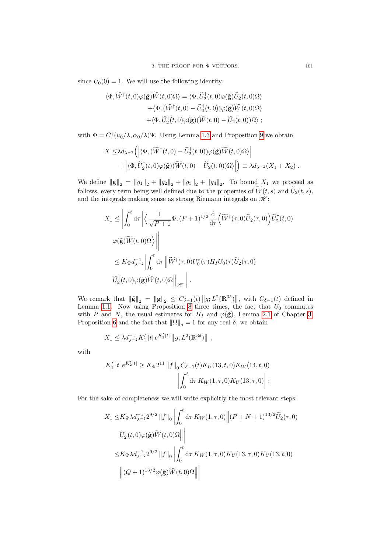since  $U_0(0) = 1$ . We will use the following identity:

$$
\langle \Phi, \widetilde{W}^{\dagger}(t,0)\varphi(\tilde{\mathbf{g}})\widetilde{W}(t,0)\Omega\rangle = \langle \Phi, \widetilde{U}_{2}^{\dagger}(t,0)\varphi(\tilde{\mathbf{g}})\widetilde{U}_{2}(t,0)\Omega\rangle \n+ \langle \Phi, (\widetilde{W}^{\dagger}(t,0) - \widetilde{U}_{2}^{\dagger}(t,0))\varphi(\tilde{\mathbf{g}})\widetilde{W}(t,0)\Omega\rangle \n+ \langle \Phi, \widetilde{U}_{2}^{\dagger}(t,0)\varphi(\tilde{\mathbf{g}})(\widetilde{W}(t,0) - \widetilde{U}_{2}(t,0))\Omega\rangle ;
$$

with  $\Phi = C^{\dagger}(u_0/\lambda, \alpha_0/\lambda)\Psi$ . Using Lemma [1.3](#page-53-2) and Proposition [9](#page-46-0) we obtain

$$
X \leq \lambda d_{\lambda^{-2}} \Big( \Big| \langle \Phi, (\widetilde{W}^{\dagger}(t,0) - \widetilde{U}_{2}^{\dagger}(t,0)) \varphi(\widetilde{\mathbf{g}}) \widetilde{W}(t,0) \Omega \rangle \Big| + \Big| \langle \Phi, \widetilde{U}_{2}^{\dagger}(t,0) \varphi(\widetilde{\mathbf{g}}) (\widetilde{W}(t,0) - \widetilde{U}_{2}(t,0)) \Omega \rangle \Big| \Big) \equiv \lambda d_{\lambda^{-2}} (X_{1} + X_{2}).
$$

We define  $\|\mathbf{g}\|_2 = \|g_1\|_2 + \|g_2\|_2 + \|g_3\|_2 + \|g_4\|_2$ . To bound  $X_1$  we proceed as follows, every term being well defined due to the properties of  $\widetilde{W}(t, s)$  and  $\widetilde{U}_2(t, s)$ , and the integrals making sense as strong Riemann integrals on  $\mathcal{H}$ :

$$
X_1 \leq \left| \int_0^t \mathrm{d}\tau \left| \left\langle \frac{1}{\sqrt{P+1}} \Phi, (P+1)^{1/2} \frac{\mathrm{d}}{\mathrm{d}\tau} \left( \widetilde{W}^\dagger(\tau,0) \widetilde{U}_2(\tau,0) \right) \widetilde{U}_2^\dagger(t,0) \right| \right|
$$
  

$$
\leq K_{\Psi} d_{\lambda^{-2}}^{-1} \left| \int_0^t \mathrm{d}\tau \left\| \widetilde{W}^\dagger(\tau,0) U_0^*(\tau) H_I U_0(\tau) \widetilde{U}_2(\tau,0) \right|
$$
  

$$
\widetilde{U}_2^\dagger(t,0) \varphi(\widetilde{\mathbf{g}}) \widetilde{W}(t,0) \Omega \right\|_{\mathscr{H}^1} \right|.
$$

We remark that  $\|\tilde{\mathbf{g}}\|_2 = \|\mathbf{g}\|_2 \leq C_{\delta-1}(t) \|g; L^2(\mathbb{R}^{3\delta})\|$ , with  $C_{\delta-1}(t)$  defined in Lemma [1.1.](#page-94-0) Now using Proposition [8](#page-43-0) three times, the fact that  $U_0$  commutes with P and N, the usual estimates for  $H_I$  and  $\varphi(\tilde{\mathbf{g}})$ , Lemma [2.1](#page-24-0) of Chapter [3,](#page-18-0) Proposition [6](#page-33-0) and the fact that  $\|\Omega\|_{\delta} = 1$  for any real  $\delta$ , we obtain

$$
X_1 \leq \lambda d_{\lambda^{-2}}^{-1} K_1' |t| e^{K_2'|t|} ||g; L^2(\mathbb{R}^{3\delta})||,
$$

with

$$
K_1' |t| e^{K_2'|t|} \ge K_\Psi 2^{11} ||f||_0 C_{\delta - 1}(t) K_U(13, t, 0) K_W(14, t, 0)
$$

$$
\left| \int_0^t \mathrm{d}\tau \, K_W(1, \tau, 0) K_U(13, \tau, 0) \right| ;
$$

For the sake of completeness we will write explicitly the most relevant steps:

$$
X_1 \le K_{\Psi} \lambda d_{\lambda^{-2}}^{-1} 2^{9/2} \|f\|_0 \left| \int_0^t \mathrm{d}\tau \, K_W(1,\tau,0) \right| (P+N+1)^{13/2} \widetilde{U}_2(\tau,0)
$$
  

$$
\widetilde{U}_2^{\dagger}(t,0) \varphi(\widetilde{\mathbf{g}}) \widetilde{W}(t,0) \Omega \right| \left| \int_0^t \mathrm{d}\tau \, K_W(1,\tau,0) K_U(13,\tau,0) K_U(13,t,0) \right|
$$
  

$$
\le K_{\Psi} \lambda d_{\lambda^{-2}}^{-1} 2^{9/2} \|f\|_0 \left| \int_0^t \mathrm{d}\tau \, K_W(1,\tau,0) K_U(13,\tau,0) K_U(13,t,0) \right|
$$
  

$$
\left| (Q+1)^{13/2} \varphi(\widetilde{\mathbf{g}}) \widetilde{W}(t,0) \Omega \right| \left|
$$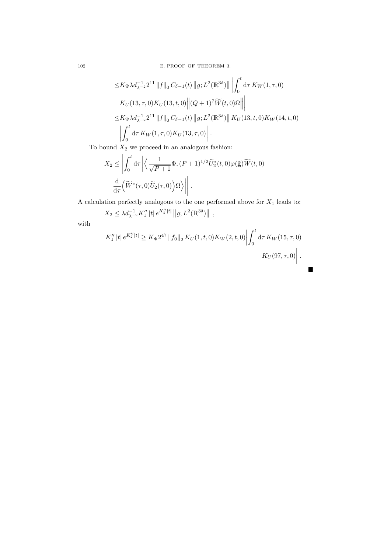102 E. PROOF OF THEOREM 3.

$$
\leq K_{\Psi} \lambda d_{\lambda^{-2}}^{-1} 2^{11} \|f\|_{0} C_{\delta-1}(t) \|g; L^{2}(\mathbb{R}^{3\delta})\| \left| \int_{0}^{t} d\tau K_{W}(1, \tau, 0) K_{U}(13, \tau, 0) K_{U}(13, t, 0) \right\| (Q+1)^{7} \widetilde{W}(t, 0) \Omega \|\right|
$$
  

$$
\leq K_{\Psi} \lambda d_{\lambda^{-2}}^{-1} 2^{11} \|f\|_{0} C_{\delta-1}(t) \|g; L^{2}(\mathbb{R}^{3\delta})\| K_{U}(13, t, 0) K_{W}(14, t, 0)
$$
  

$$
\left| \int_{0}^{t} d\tau K_{W}(1, \tau, 0) K_{U}(13, \tau, 0) \right|.
$$

To bound  $X_2$  we proceed in an analogous fashion:

$$
X_2 \le \left| \int_0^t \mathrm{d}\tau \left| \left\langle \frac{1}{\sqrt{P+1}} \Phi, (P+1)^{1/2} \tilde{U}_2^*(t,0) \varphi(\tilde{\mathbf{g}}) \widetilde{W}(t,0) \right\rangle \right| \right|
$$
  

$$
\frac{\mathrm{d}}{\mathrm{d}\tau} \left( \widetilde{W}^*(\tau,0) \widetilde{U}_2(\tau,0) \right) \Omega \left\| \right|.
$$

A calculation perfectly analogous to the one performed above for  $X_1$  leads to:

 $X_2 \leq \lambda d_{\lambda^{-2}}^{-1} K_1'' |t| e^{K_2''|t|} ||g; L^2(\mathbb{R}^{3\delta})||,$ 

with

$$
K_1'' |t| e^{K_2''|t|} \ge K_\Psi 2^{47} \|f_0\|_2 K_U(1, t, 0) K_W(2, t, 0) \left| \int_0^t \mathrm{d}\tau \, K_W(15, \tau, 0) \right|.
$$
  

$$
K_U(97, \tau, 0) \left| \int_0^t \mathrm{d}\tau \, K_W(15, \tau, 0) \right|.
$$